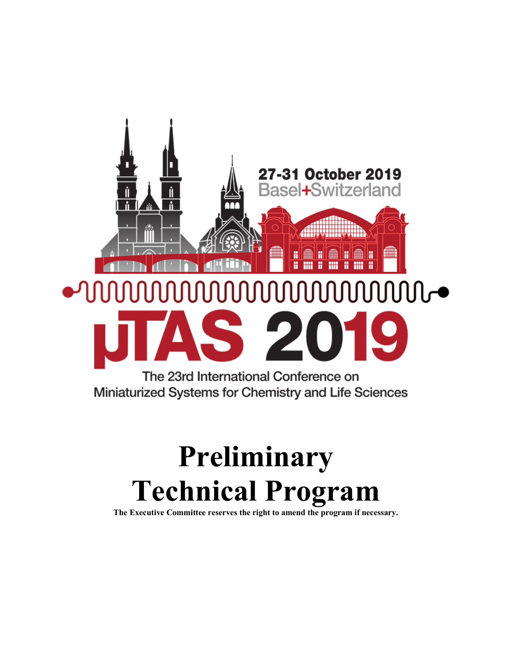

# **Preliminary Technical Program**

**The Executive Committee reserves the right to amend the program if necessary.**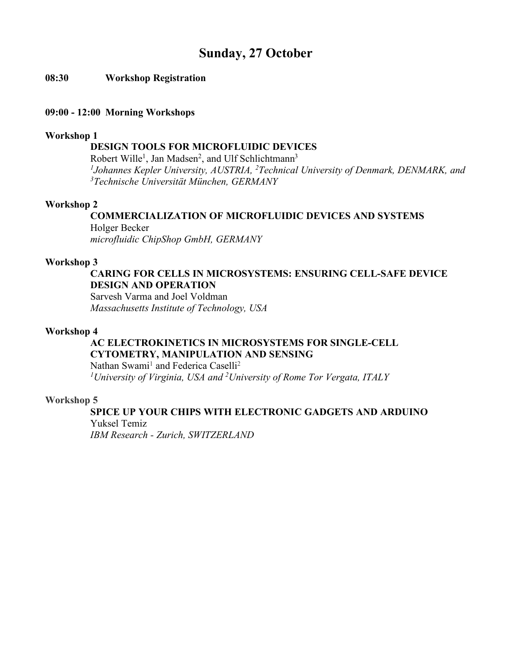### **Sunday, 27 October**

#### **08:30 Workshop Registration**

#### **09:00 - 12:00 Morning Workshops**

#### **Workshop 1**

#### **DESIGN TOOLS FOR MICROFLUIDIC DEVICES**

Robert Wille<sup>1</sup>, Jan Madsen<sup>2</sup>, and Ulf Schlichtmann<sup>3</sup> <sup>1</sup>Johannes Kepler University, AUSTRIA, <sup>2</sup> Technical University of Denmark, DENMARK, and *3Technische Universität München, GERMANY*

#### **Workshop 2**

#### **COMMERCIALIZATION OF MICROFLUIDIC DEVICES AND SYSTEMS** Holger Becker

*microfluidic ChipShop GmbH, GERMANY*

#### **Workshop 3**

#### **CARING FOR CELLS IN MICROSYSTEMS: ENSURING CELL-SAFE DEVICE DESIGN AND OPERATION**

Sarvesh Varma and Joel Voldman *Massachusetts Institute of Technology, USA*

#### **Workshop 4**

#### **AC ELECTROKINETICS IN MICROSYSTEMS FOR SINGLE-CELL CYTOMETRY, MANIPULATION AND SENSING**

Nathan Swami<sup>1</sup> and Federica Caselli<sup>2</sup> *1University of Virginia, USA and 2 University of Rome Tor Vergata, ITALY*

#### **Workshop 5**

### **SPICE UP YOUR CHIPS WITH ELECTRONIC GADGETS AND ARDUINO** Yuksel Temiz

*IBM Research - Zurich, SWITZERLAND*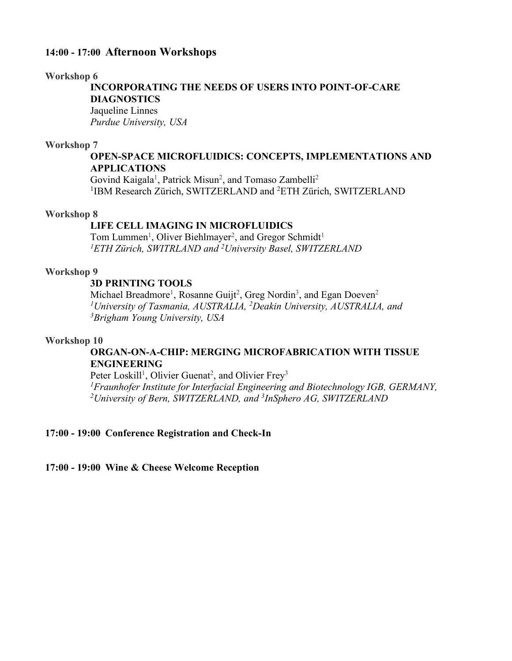#### **14:00 - 17:00 Afternoon Workshops**

#### **Workshop 6**

**INCORPORATING THE NEEDS OF USERS INTO POINT-OF-CARE DIAGNOSTICS**

Jaqueline Linnes *Purdue University, USA*

#### **Workshop 7**

#### **OPEN-SPACE MICROFLUIDICS: CONCEPTS, IMPLEMENTATIONS AND APPLICATIONS**

Govind Kaigala<sup>1</sup>, Patrick Misun<sup>2</sup>, and Tomaso Zambelli<sup>2</sup> <sup>1</sup>IBM Research Zürich, SWITZERLAND and <sup>2</sup>ETH Zürich, SWITZERLAND

#### **Workshop 8**

#### **LIFE CELL IMAGING IN MICROFLUIDICS**

Tom Lummen<sup>1</sup>, Oliver Biehlmayer<sup>2</sup>, and Gregor Schmidt<sup>1</sup> *1ETH Zürich, SWITRLAND and 2 University Basel, SWITZERLAND*

#### **Workshop 9**

#### **3D PRINTING TOOLS**

Michael Breadmore<sup>1</sup>, Rosanne Guijt<sup>2</sup>, Greg Nordin<sup>3</sup>, and Egan Doeven<sup>2</sup> *1University of Tasmania, AUSTRALIA, 2 Deakin University, AUSTRALIA, and 3 Brigham Young University, USA*

#### **Workshop 10**

#### **ORGAN-ON-A-CHIP: MERGING MICROFABRICATION WITH TISSUE ENGINEERING**

Peter Loskill<sup>1</sup>, Olivier Guenat<sup>2</sup>, and Olivier Frey<sup>3</sup>

<sup>1</sup> Fraunhofer Institute for Interfacial Engineering and Biotechnology IGB, GERMANY, *University of Bern, SWITZERLAND, and 3 InSphero AG, SWITZERLAND*

#### **17:00 - 19:00 Conference Registration and Check-In**

**17:00 - 19:00 Wine & Cheese Welcome Reception**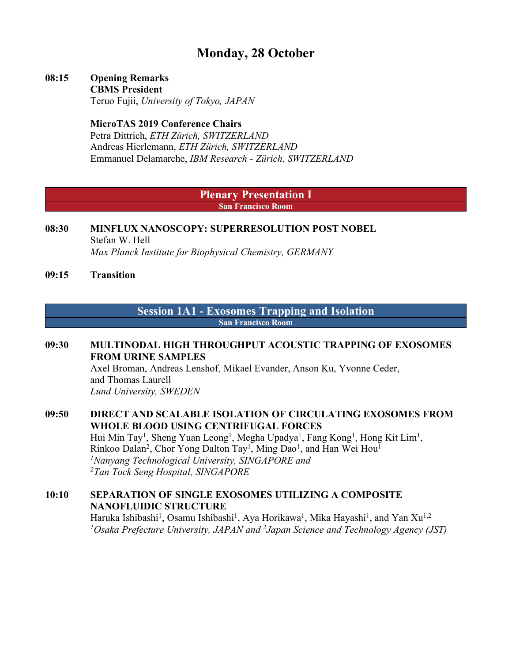### **Monday, 28 October**

### **08:15 Opening Remarks**

**CBMS President** Teruo Fujii, *University of Tokyo, JAPAN*

#### **MicroTAS 2019 Conference Chairs**

Petra Dittrich, *ETH Zürich, SWITZERLAND* Andreas Hierlemann, *ETH Zürich, SWITZERLAND* Emmanuel Delamarche, *IBM Research - Zürich, SWITZERLAND*

#### **Plenary Presentation I San Francisco Room**

#### **08:30 MINFLUX NANOSCOPY: SUPERRESOLUTION POST NOBEL** Stefan W. Hell *Max Planck Institute for Biophysical Chemistry, GERMANY*

**09:15 Transition**

#### **Session 1A1 - Exosomes Trapping and Isolation San Francisco Room**

#### **09:30 MULTINODAL HIGH THROUGHPUT ACOUSTIC TRAPPING OF EXOSOMES FROM URINE SAMPLES**

Axel Broman, Andreas Lenshof, Mikael Evander, Anson Ku, Yvonne Ceder, and Thomas Laurell *Lund University, SWEDEN*

#### **09:50 DIRECT AND SCALABLE ISOLATION OF CIRCULATING EXOSOMES FROM WHOLE BLOOD USING CENTRIFUGAL FORCES** Hui Min Tay<sup>1</sup>, Sheng Yuan Leong<sup>1</sup>, Megha Upadya<sup>1</sup>, Fang Kong<sup>1</sup>, Hong Kit Lim<sup>1</sup>, Rinkoo Dalan<sup>2</sup>, Chor Yong Dalton Tay<sup>1</sup>, Ming Dao<sup>1</sup>, and Han Wei Hou<sup>1</sup> *1 Nanyang Technological University, SINGAPORE and 2Tan Tock Seng Hospital, SINGAPORE*

### **10:10 SEPARATION OF SINGLE EXOSOMES UTILIZING A COMPOSITE NANOFLUIDIC STRUCTURE**

Haruka Ishibashi<sup>1</sup>, Osamu Ishibashi<sup>1</sup>, Aya Horikawa<sup>1</sup>, Mika Hayashi<sup>1</sup>, and Yan Xu<sup>1,2</sup> <sup>1</sup>Osaka Prefecture University, JAPAN and <sup>2</sup>Japan Science and Technology Agency (JST)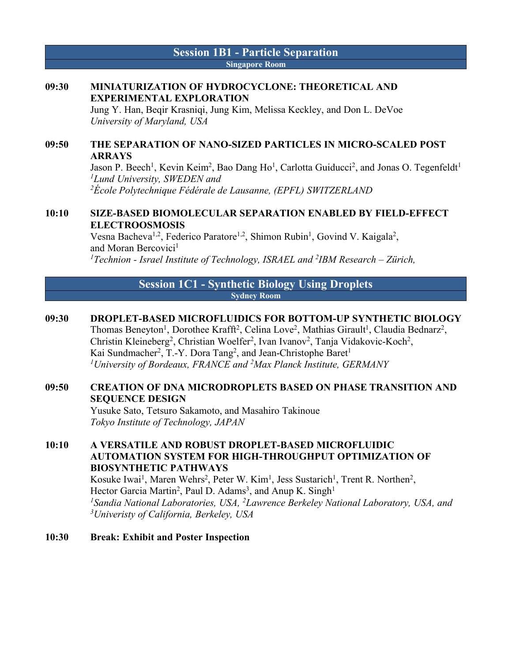#### **Session 1B1 - Particle Separation Singapore Room**

#### **09:30 MINIATURIZATION OF HYDROCYCLONE: THEORETICAL AND EXPERIMENTAL EXPLORATION**

Jung Y. Han, Beqir Krasniqi, Jung Kim, Melissa Keckley, and Don L. DeVoe *University of Maryland, USA*

#### **09:50 THE SEPARATION OF NANO-SIZED PARTICLES IN MICRO-SCALED POST ARRAYS**

Jason P. Beech<sup>1</sup>, Kevin Keim<sup>2</sup>, Bao Dang Ho<sup>1</sup>, Carlotta Guiducci<sup>2</sup>, and Jonas O. Tegenfeldt<sup>1</sup> *1 Lund University, SWEDEN and 2 École Polytechnique Fédérale de Lausanne, (EPFL) SWITZERLAND*

#### **10:10 SIZE-BASED BIOMOLECULAR SEPARATION ENABLED BY FIELD-EFFECT ELECTROOSMOSIS**

Vesna Bacheva<sup>1,2</sup>, Federico Paratore<sup>1,2</sup>, Shimon Rubin<sup>1</sup>, Govind V. Kaigala<sup>2</sup>, and Moran Bercovici<sup>1</sup> *1Technion - Israel Institute of Technology, ISRAEL and 2 IBM Research – Zürich,* 

#### **Session 1C1 - Synthetic Biology Using Droplets Sydney Room**

#### **09:30 DROPLET-BASED MICROFLUIDICS FOR BOTTOM-UP SYNTHETIC BIOLOGY**

Thomas Beneyton<sup>1</sup>, Dorothee Krafft<sup>2</sup>, Celina Love<sup>2</sup>, Mathias Girault<sup>1</sup>, Claudia Bednarz<sup>2</sup>, Christin Kleineberg<sup>2</sup>, Christian Woelfer<sup>2</sup>, Ivan Ivanov<sup>2</sup>, Tanja Vidakovic-Koch<sup>2</sup>, Kai Sundmacher<sup>2</sup>, T.-Y. Dora Tang<sup>2</sup>, and Jean-Christophe Baret<sup>1</sup> *1University of Bordeaux, FRANCE and 2 Max Planck Institute, GERMANY*

#### **09:50 CREATION OF DNA MICRODROPLETS BASED ON PHASE TRANSITION AND SEQUENCE DESIGN**

Yusuke Sato, Tetsuro Sakamoto, and Masahiro Takinoue *Tokyo Institute of Technology, JAPAN*

#### **10:10 A VERSATILE AND ROBUST DROPLET-BASED MICROFLUIDIC AUTOMATION SYSTEM FOR HIGH-THROUGHPUT OPTIMIZATION OF BIOSYNTHETIC PATHWAYS**

Kosuke Iwai<sup>1</sup>, Maren Wehrs<sup>2</sup>, Peter W. Kim<sup>1</sup>, Jess Sustarich<sup>1</sup>, Trent R. Northen<sup>2</sup>, Hector Garcia Martin<sup>2</sup>, Paul D. Adams<sup>3</sup>, and Anup K. Singh<sup>1</sup> *1Sandia National Laboratories, USA, 2Lawrence Berkeley National Laboratory, USA, and 3 Univeristy of California, Berkeley, USA*

#### **10:30 Break: Exhibit and Poster Inspection**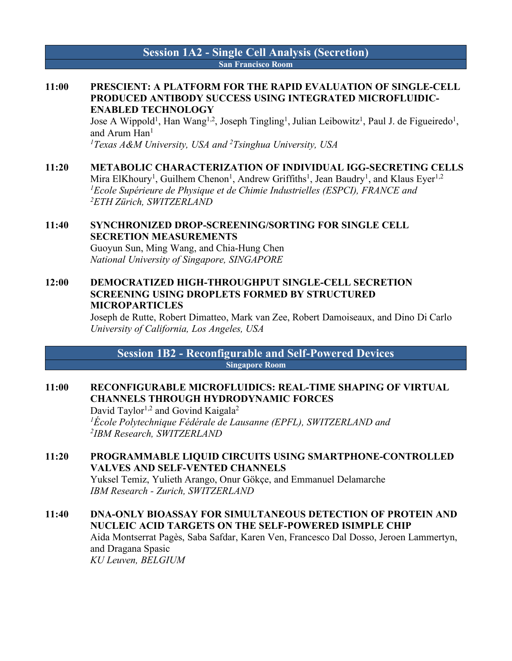#### **Session 1A2 - Single Cell Analysis (Secretion) San Francisco Room**

#### **11:00 PRESCIENT: A PLATFORM FOR THE RAPID EVALUATION OF SINGLE-CELL PRODUCED ANTIBODY SUCCESS USING INTEGRATED MICROFLUIDIC-ENABLED TECHNOLOGY**

Jose A Wippold<sup>1</sup>, Han Wang<sup>1,2</sup>, Joseph Tingling<sup>1</sup>, Julian Leibowitz<sup>1</sup>, Paul J. de Figueiredo<sup>1</sup>, and Arum Han<sup>1</sup>

<sup>1</sup>Texas A&M University, USA and <sup>2</sup>Tsinghua University, USA

#### **11:20 METABOLIC CHARACTERIZATION OF INDIVIDUAL IGG-SECRETING CELLS**

Mira ElKhoury<sup>1</sup>, Guilhem Chenon<sup>1</sup>, Andrew Griffiths<sup>1</sup>, Jean Baudry<sup>1</sup>, and Klaus Eyer<sup>1,2</sup> <sup>1</sup> Ecole Supérieure de Physique et de Chimie Industrielles (ESPCI), FRANCE and *2ETH Zürich, SWITZERLAND*

#### **11:40 SYNCHRONIZED DROP-SCREENING/SORTING FOR SINGLE CELL SECRETION MEASUREMENTS**

Guoyun Sun, Ming Wang, and Chia-Hung Chen *National University of Singapore, SINGAPORE*

#### **12:00 DEMOCRATIZED HIGH-THROUGHPUT SINGLE-CELL SECRETION SCREENING USING DROPLETS FORMED BY STRUCTURED MICROPARTICLES**

Joseph de Rutte, Robert Dimatteo, Mark van Zee, Robert Damoiseaux, and Dino Di Carlo *University of California, Los Angeles, USA*

**Session 1B2 - Reconfigurable and Self-Powered Devices Singapore Room**

#### **11:00 RECONFIGURABLE MICROFLUIDICS: REAL-TIME SHAPING OF VIRTUAL CHANNELS THROUGH HYDRODYNAMIC FORCES**

David Taylor<sup>1,2</sup> and Govind Kaigala<sup>2</sup> *1École Polytechnique Fédérale de Lausanne (EPFL), SWITZERLAND and 2IBM Research, SWITZERLAND*

#### **11:20 PROGRAMMABLE LIQUID CIRCUITS USING SMARTPHONE-CONTROLLED VALVES AND SELF-VENTED CHANNELS**

Yuksel Temiz, Yulieth Arango, Onur Gökçe, and Emmanuel Delamarche *IBM Research - Zurich, SWITZERLAND*

#### **11:40 DNA-ONLY BIOASSAY FOR SIMULTANEOUS DETECTION OF PROTEIN AND NUCLEIC ACID TARGETS ON THE SELF-POWERED ISIMPLE CHIP** Aida Montserrat Pagès, Saba Safdar, Karen Ven, Francesco Dal Dosso, Jeroen Lammertyn, and Dragana Spasic

*KU Leuven, BELGIUM*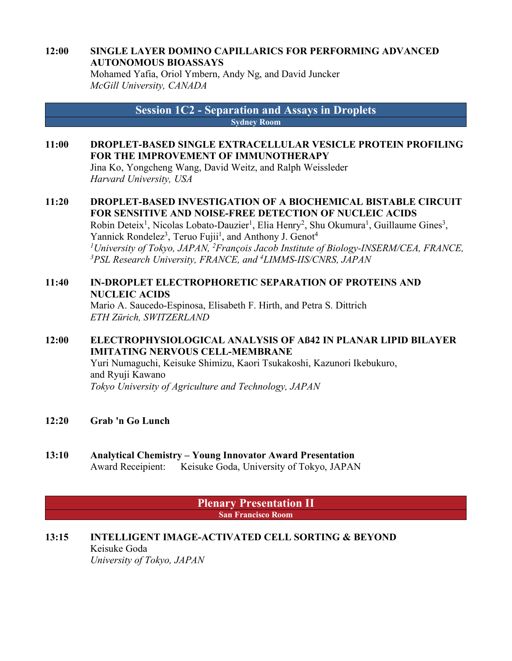### **12:00 SINGLE LAYER DOMINO CAPILLARICS FOR PERFORMING ADVANCED AUTONOMOUS BIOASSAYS**

Mohamed Yafia, Oriol Ymbern, Andy Ng, and David Juncker *McGill University, CANADA*

> **Session 1C2 - Separation and Assays in Droplets Sydney Room**

#### **11:00 DROPLET-BASED SINGLE EXTRACELLULAR VESICLE PROTEIN PROFILING FOR THE IMPROVEMENT OF IMMUNOTHERAPY**

Jina Ko, Yongcheng Wang, David Weitz, and Ralph Weissleder *Harvard University, USA*

#### **11:20 DROPLET-BASED INVESTIGATION OF A BIOCHEMICAL BISTABLE CIRCUIT FOR SENSITIVE AND NOISE-FREE DETECTION OF NUCLEIC ACIDS**

Robin Deteix<sup>1</sup>, Nicolas Lobato-Dauzier<sup>1</sup>, Elia Henry<sup>2</sup>, Shu Okumura<sup>1</sup>, Guillaume Gines<sup>3</sup>, Yannick Rondelez<sup>3</sup>, Teruo Fujii<sup>1</sup>, and Anthony J. Genot<sup>4</sup> *1University of Tokyo, JAPAN, 2 François Jacob Institute of Biology-INSERM/CEA, FRANCE, 3PSL Research University, FRANCE, and 4LIMMS-IIS/CNRS, JAPAN*

#### **11:40 IN-DROPLET ELECTROPHORETIC SEPARATION OF PROTEINS AND NUCLEIC ACIDS**

Mario A. Saucedo-Espinosa, Elisabeth F. Hirth, and Petra S. Dittrich *ETH Zürich, SWITZERLAND*

#### **12:00 ELECTROPHYSIOLOGICAL ANALYSIS OF Aß42 IN PLANAR LIPID BILAYER IMITATING NERVOUS CELL-MEMBRANE**

Yuri Numaguchi, Keisuke Shimizu, Kaori Tsukakoshi, Kazunori Ikebukuro, and Ryuji Kawano *Tokyo University of Agriculture and Technology, JAPAN*

**12:20 Grab 'n Go Lunch**

#### **13:10 Analytical Chemistry – Young Innovator Award Presentation** Award Receipient: Keisuke Goda, University of Tokyo, JAPAN

**Plenary Presentation II San Francisco Room**

#### **13:15 INTELLIGENT IMAGE-ACTIVATED CELL SORTING & BEYOND** Keisuke Goda *University of Tokyo, JAPAN*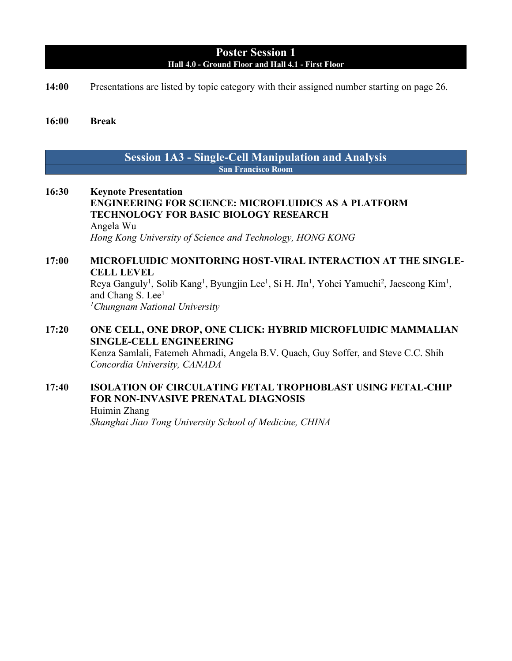#### **Poster Session 1 Hall 4.0 - Ground Floor and Hall 4.1 - First Floor**

**14:00** Presentations are listed by topic category with their assigned number starting on page 26.

#### **16:00 Break**

#### **Session 1A3 - Single-Cell Manipulation and Analysis San Francisco Room**

**16:30 Keynote Presentation ENGINEERING FOR SCIENCE: MICROFLUIDICS AS A PLATFORM TECHNOLOGY FOR BASIC BIOLOGY RESEARCH** Angela Wu *Hong Kong University of Science and Technology, HONG KONG*

#### **17:00 MICROFLUIDIC MONITORING HOST-VIRAL INTERACTION AT THE SINGLE-CELL LEVEL** Reya Ganguly<sup>1</sup>, Solib Kang<sup>1</sup>, Byungjin Lee<sup>1</sup>, Si H. JIn<sup>1</sup>, Yohei Yamuchi<sup>2</sup>, Jaeseong Kim<sup>1</sup>,

and Chang S. Lee<sup>1</sup> *1Chungnam National University*

#### **17:20 ONE CELL, ONE DROP, ONE CLICK: HYBRID MICROFLUIDIC MAMMALIAN SINGLE-CELL ENGINEERING** Kenza Samlali, Fatemeh Ahmadi, Angela B.V. Quach, Guy Soffer, and Steve C.C. Shih

*Concordia University, CANADA*

#### **17:40 ISOLATION OF CIRCULATING FETAL TROPHOBLAST USING FETAL-CHIP FOR NON-INVASIVE PRENATAL DIAGNOSIS** Huimin Zhang

*Shanghai Jiao Tong University School of Medicine, CHINA*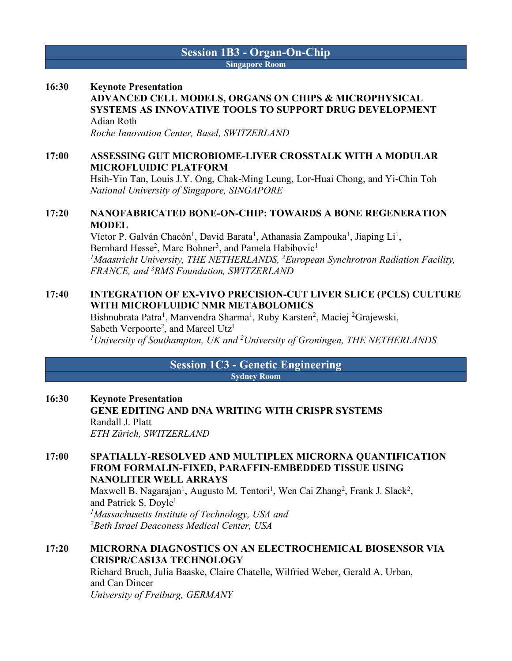#### **Session 1B3 - Organ-On-Chip Singapore Room**

#### **16:30 Keynote Presentation ADVANCED CELL MODELS, ORGANS ON CHIPS & MICROPHYSICAL SYSTEMS AS INNOVATIVE TOOLS TO SUPPORT DRUG DEVELOPMENT** Adian Roth

*Roche Innovation Center, Basel, SWITZERLAND*

#### **17:00 ASSESSING GUT MICROBIOME-LIVER CROSSTALK WITH A MODULAR MICROFLUIDIC PLATFORM**

Hsih-Yin Tan, Louis J.Y. Ong, Chak-Ming Leung, Lor-Huai Chong, and Yi-Chin Toh *National University of Singapore, SINGAPORE*

#### **17:20 NANOFABRICATED BONE-ON-CHIP: TOWARDS A BONE REGENERATION MODEL**

Víctor P. Galván Chacón<sup>1</sup>, David Barata<sup>1</sup>, Athanasia Zampouka<sup>1</sup>, Jiaping Li<sup>1</sup>, Bernhard Hesse<sup>2</sup>, Marc Bohner<sup>3</sup>, and Pamela Habibovic<sup>1</sup> *1Maastricht University, THE NETHERLANDS, 2European Synchrotron Radiation Facility, FRANCE, and 3 RMS Foundation, SWITZERLAND*

#### **17:40 INTEGRATION OF EX-VIVO PRECISION-CUT LIVER SLICE (PCLS) CULTURE WITH MICROFLUIDIC NMR METABOLOMICS**

Bishnubrata Patra<sup>1</sup>, Manvendra Sharma<sup>1</sup>, Ruby Karsten<sup>2</sup>, Maciej <sup>2</sup>Grajewski, Sabeth Verpoorte<sup>2</sup>, and Marcel Utz<sup>1</sup> *1 University of Southampton, UK and 2 University of Groningen, THE NETHERLANDS*

#### **Session 1C3 - Genetic Engineering Sydney Room**

#### **16:30 Keynote Presentation GENE EDITING AND DNA WRITING WITH CRISPR SYSTEMS** Randall J. Platt *ETH Zürich, SWITZERLAND*

#### **17:00 SPATIALLY-RESOLVED AND MULTIPLEX MICRORNA QUANTIFICATION FROM FORMALIN-FIXED, PARAFFIN-EMBEDDED TISSUE USING NANOLITER WELL ARRAYS** Maxwell B. Nagarajan<sup>1</sup>, Augusto M. Tentori<sup>1</sup>, Wen Cai Zhang<sup>2</sup>, Frank J. Slack<sup>2</sup>,

and Patrick S. Doyle<sup>1</sup> *1 Massachusetts Institute of Technology, USA and 2Beth Israel Deaconess Medical Center, USA*

#### **17:20 MICRORNA DIAGNOSTICS ON AN ELECTROCHEMICAL BIOSENSOR VIA CRISPR/CAS13A TECHNOLOGY**

Richard Bruch, Julia Baaske, Claire Chatelle, Wilfried Weber, Gerald A. Urban, and Can Dincer *University of Freiburg, GERMANY*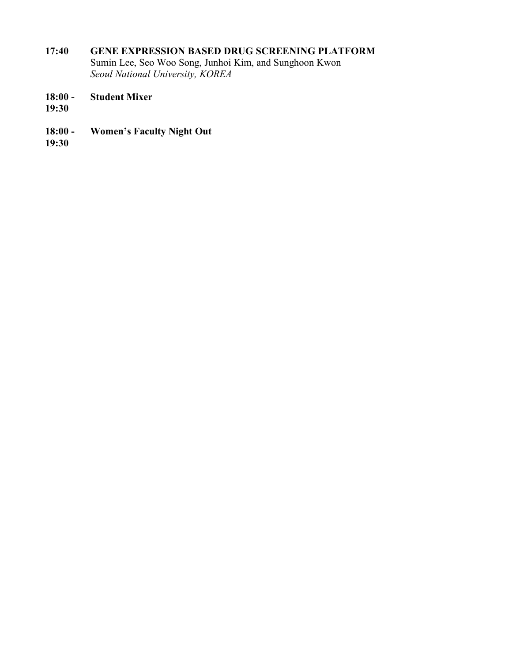#### **17:40 GENE EXPRESSION BASED DRUG SCREENING PLATFORM**

Sumin Lee, Seo Woo Song, Junhoi Kim, and Sunghoon Kwon *Seoul National University, KOREA*

- **18:00 - Student Mixer**
- **19:30**
- **18:00 - Women's Faculty Night Out**
- **19:30**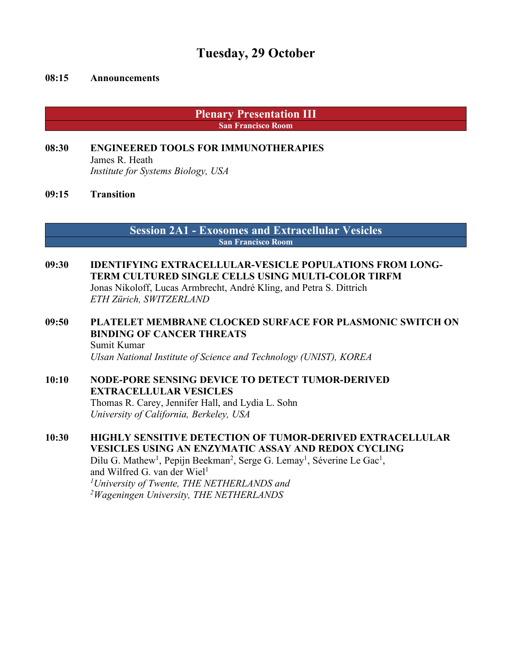### **Tuesday, 29 October**

#### **08:15 Announcements**

**Plenary Presentation III San Francisco Room**

#### **08:30 ENGINEERED TOOLS FOR IMMUNOTHERAPIES** James R. Heath *Institute for Systems Biology, USA*

#### **09:15 Transition**

**Session 2A1 - Exosomes and Extracellular Vesicles San Francisco Room**

### **09:30 IDENTIFYING EXTRACELLULAR-VESICLE POPULATIONS FROM LONG-TERM CULTURED SINGLE CELLS USING MULTI-COLOR TIRFM**

Jonas Nikoloff, Lucas Armbrecht, André Kling, and Petra S. Dittrich *ETH Zürich, SWITZERLAND*

#### **09:50 PLATELET MEMBRANE CLOCKED SURFACE FOR PLASMONIC SWITCH ON BINDING OF CANCER THREATS** Sumit Kumar *Ulsan National Institute of Science and Technology (UNIST), KOREA*

#### **10:10 NODE-PORE SENSING DEVICE TO DETECT TUMOR-DERIVED EXTRACELLULAR VESICLES** Thomas R. Carey, Jennifer Hall, and Lydia L. Sohn *University of California, Berkeley, USA*

#### **10:30 HIGHLY SENSITIVE DETECTION OF TUMOR-DERIVED EXTRACELLULAR VESICLES USING AN ENZYMATIC ASSAY AND REDOX CYCLING** Dilu G. Mathew<sup>1</sup>, Pepijn Beekman<sup>2</sup>, Serge G. Lemay<sup>1</sup>, Séverine Le Gac<sup>1</sup>, and Wilfred G. van der Wiel $<sup>1</sup>$ </sup>

*1 University of Twente, THE NETHERLANDS and 2 Wageningen University, THE NETHERLANDS*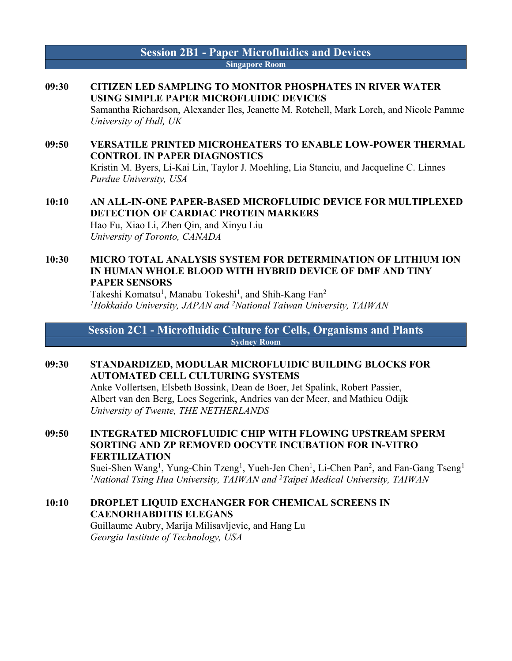#### **Session 2B1 - Paper Microfluidics and Devices Singapore Room**

**09:30 CITIZEN LED SAMPLING TO MONITOR PHOSPHATES IN RIVER WATER USING SIMPLE PAPER MICROFLUIDIC DEVICES** Samantha Richardson, Alexander Iles, Jeanette M. Rotchell, Mark Lorch, and Nicole Pamme *University of Hull, UK*

#### **09:50 VERSATILE PRINTED MICROHEATERS TO ENABLE LOW-POWER THERMAL CONTROL IN PAPER DIAGNOSTICS** Kristin M. Byers, Li-Kai Lin, Taylor J. Moehling, Lia Stanciu, and Jacqueline C. Linnes *Purdue University, USA*

#### **10:10 AN ALL-IN-ONE PAPER-BASED MICROFLUIDIC DEVICE FOR MULTIPLEXED DETECTION OF CARDIAC PROTEIN MARKERS** Hao Fu, Xiao Li, Zhen Qin, and Xinyu Liu *University of Toronto, CANADA*

#### **10:30 MICRO TOTAL ANALYSIS SYSTEM FOR DETERMINATION OF LITHIUM ION IN HUMAN WHOLE BLOOD WITH HYBRID DEVICE OF DMF AND TINY PAPER SENSORS**

Takeshi Komatsu<sup>1</sup>, Manabu Tokeshi<sup>1</sup>, and Shih-Kang Fan<sup>2</sup> *1Hokkaido University, JAPAN and 2National Taiwan University, TAIWAN*

**Session 2C1 - Microfluidic Culture for Cells, Organisms and Plants Sydney Room**

#### **09:30 STANDARDIZED, MODULAR MICROFLUIDIC BUILDING BLOCKS FOR AUTOMATED CELL CULTURING SYSTEMS**

Anke Vollertsen, Elsbeth Bossink, Dean de Boer, Jet Spalink, Robert Passier, Albert van den Berg, Loes Segerink, Andries van der Meer, and Mathieu Odijk *University of Twente, THE NETHERLANDS*

**09:50 INTEGRATED MICROFLUIDIC CHIP WITH FLOWING UPSTREAM SPERM SORTING AND ZP REMOVED OOCYTE INCUBATION FOR IN-VITRO FERTILIZATION**

Suei-Shen Wang<sup>1</sup>, Yung-Chin Tzeng<sup>1</sup>, Yueh-Jen Chen<sup>1</sup>, Li-Chen Pan<sup>2</sup>, and Fan-Gang Tseng<sup>1</sup> *1 National Tsing Hua University, TAIWAN and 2 Taipei Medical University, TAIWAN*

#### **10:10 DROPLET LIQUID EXCHANGER FOR CHEMICAL SCREENS IN CAENORHABDITIS ELEGANS** Guillaume Aubry, Marija Milisavljevic, and Hang Lu *Georgia Institute of Technology, USA*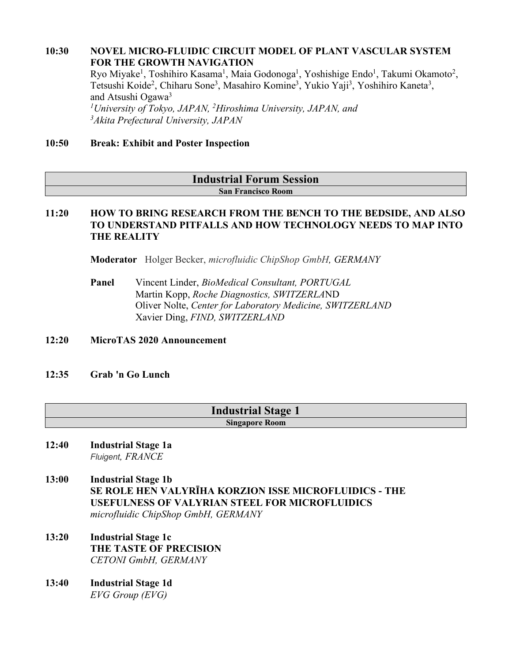#### **10:30 NOVEL MICRO-FLUIDIC CIRCUIT MODEL OF PLANT VASCULAR SYSTEM FOR THE GROWTH NAVIGATION**

Ryo Miyake<sup>1</sup>, Toshihiro Kasama<sup>1</sup>, Maia Godonoga<sup>1</sup>, Yoshishige Endo<sup>1</sup>, Takumi Okamoto<sup>2</sup>, Tetsushi Koide<sup>2</sup>, Chiharu Sone<sup>3</sup>, Masahiro Komine<sup>3</sup>, Yukio Yaji<sup>3</sup>, Yoshihiro Kaneta<sup>3</sup>, and Atsushi Ogawa<sup>3</sup> *1University of Tokyo, JAPAN, 2 Hiroshima University, JAPAN, and* 

*3Akita Prefectural University, JAPAN*

#### **10:50 Break: Exhibit and Poster Inspection**

## **Industrial Forum Session**

#### **San Francisco Room**

#### **11:20 HOW TO BRING RESEARCH FROM THE BENCH TO THE BEDSIDE, AND ALSO TO UNDERSTAND PITFALLS AND HOW TECHNOLOGY NEEDS TO MAP INTO THE REALITY**

**Moderator** Holger Becker, *microfluidic ChipShop GmbH, GERMANY*

**Panel** Vincent Linder, *BioMedical Consultant, PORTUGAL* Martin Kopp, *Roche Diagnostics, SWITZERLA*ND Oliver Nolte, *Center for Laboratory Medicine, SWITZERLAND* Xavier Ding, *FIND, SWITZERLAND*

#### **12:20 MicroTAS 2020 Announcement**

#### **12:35 Grab 'n Go Lunch**

#### **Industrial Stage 1 Singapore Room**

#### **12:40 Industrial Stage 1a** *Fluigent, FRANCE*

- **13:00 Industrial Stage 1b SE ROLE HEN VALYRĪHA KORZION ISSE MICROFLUIDICS - THE USEFULNESS OF VALYRIAN STEEL FOR MICROFLUIDICS** *microfluidic ChipShop GmbH, GERMANY*
- **13:20 Industrial Stage 1c THE TASTE OF PRECISION** *CETONI GmbH, GERMANY*
- **13:40 Industrial Stage 1d** *EVG Group (EVG)*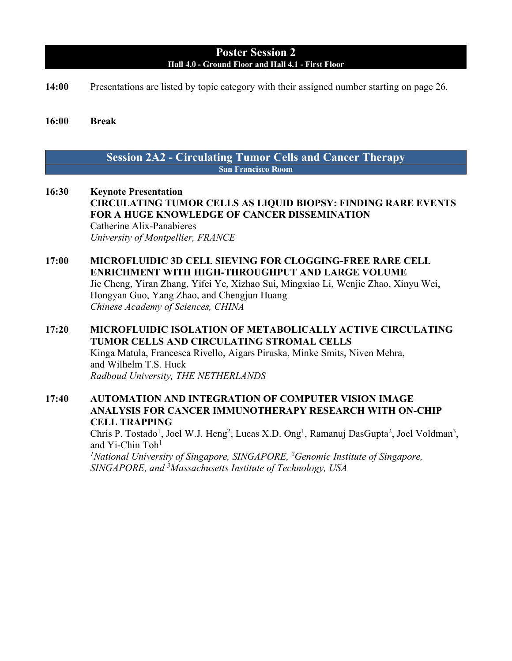#### **Poster Session 2 Hall 4.0 - Ground Floor and Hall 4.1 - First Floor**

**14:00** Presentations are listed by topic category with their assigned number starting on page 26.

#### **16:00 Break**

#### **Session 2A2 - Circulating Tumor Cells and Cancer Therapy San Francisco Room**

- **16:30 Keynote Presentation CIRCULATING TUMOR CELLS AS LIQUID BIOPSY: FINDING RARE EVENTS FOR A HUGE KNOWLEDGE OF CANCER DISSEMINATION** Catherine Alix-Panabieres *University of Montpellier, FRANCE*
- **17:00 MICROFLUIDIC 3D CELL SIEVING FOR CLOGGING-FREE RARE CELL ENRICHMENT WITH HIGH-THROUGHPUT AND LARGE VOLUME** Jie Cheng, Yiran Zhang, Yifei Ye, Xizhao Sui, Mingxiao Li, Wenjie Zhao, Xinyu Wei, Hongyan Guo, Yang Zhao, and Chengjun Huang

*Chinese Academy of Sciences, CHINA*

- **17:20 MICROFLUIDIC ISOLATION OF METABOLICALLY ACTIVE CIRCULATING TUMOR CELLS AND CIRCULATING STROMAL CELLS** Kinga Matula, Francesca Rivello, Aigars Piruska, Minke Smits, Niven Mehra, and Wilhelm T.S. Huck *Radboud University, THE NETHERLANDS*
- **17:40 AUTOMATION AND INTEGRATION OF COMPUTER VISION IMAGE ANALYSIS FOR CANCER IMMUNOTHERAPY RESEARCH WITH ON-CHIP CELL TRAPPING**

Chris P. Tostado<sup>1</sup>, Joel W.J. Heng<sup>2</sup>, Lucas X.D. Ong<sup>1</sup>, Ramanuj DasGupta<sup>2</sup>, Joel Voldman<sup>3</sup>, and Yi-Chin Toh<sup>1</sup>

<sup>1</sup>National University of Singapore, SINGAPORE, <sup>2</sup>Genomic Institute of Singapore, *SINGAPORE, and 3Massachusetts Institute of Technology, USA*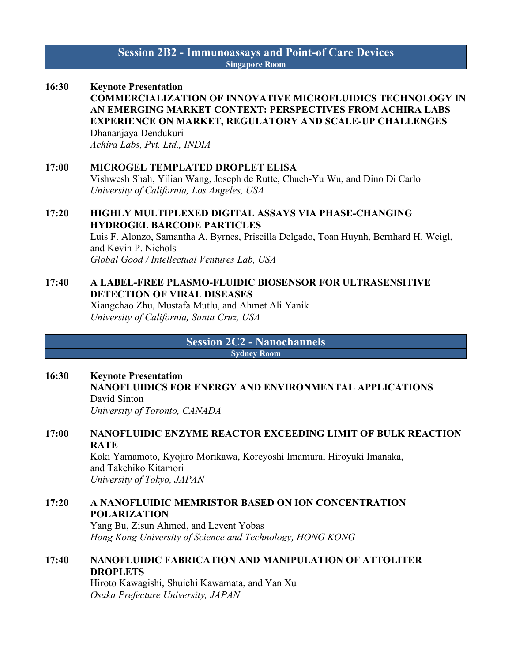#### **Session 2B2 - Immunoassays and Point-of Care Devices Singapore Room**

#### **16:30 Keynote Presentation COMMERCIALIZATION OF INNOVATIVE MICROFLUIDICS TECHNOLOGY IN AN EMERGING MARKET CONTEXT: PERSPECTIVES FROM ACHIRA LABS EXPERIENCE ON MARKET, REGULATORY AND SCALE-UP CHALLENGES** Dhananjaya Dendukuri *Achira Labs, Pvt. Ltd., INDIA*

#### **17:00 MICROGEL TEMPLATED DROPLET ELISA** Vishwesh Shah, Yilian Wang, Joseph de Rutte, Chueh-Yu Wu, and Dino Di Carlo *University of California, Los Angeles, USA*

#### **17:20 HIGHLY MULTIPLEXED DIGITAL ASSAYS VIA PHASE-CHANGING HYDROGEL BARCODE PARTICLES**

Luis F. Alonzo, Samantha A. Byrnes, Priscilla Delgado, Toan Huynh, Bernhard H. Weigl, and Kevin P. Nichols *Global Good / Intellectual Ventures Lab, USA*

#### **17:40 A LABEL-FREE PLASMO-FLUIDIC BIOSENSOR FOR ULTRASENSITIVE DETECTION OF VIRAL DISEASES** Xiangchao Zhu, Mustafa Mutlu, and Ahmet Ali Yanik *University of California, Santa Cruz, USA*

**Session 2C2 - Nanochannels Sydney Room**

**16:30 Keynote Presentation NANOFLUIDICS FOR ENERGY AND ENVIRONMENTAL APPLICATIONS** David Sinton *University of Toronto, CANADA*

#### **17:00 NANOFLUIDIC ENZYME REACTOR EXCEEDING LIMIT OF BULK REACTION RATE** Koki Yamamoto, Kyojiro Morikawa, Koreyoshi Imamura, Hiroyuki Imanaka, and Takehiko Kitamori *University of Tokyo, JAPAN*

#### **17:20 A NANOFLUIDIC MEMRISTOR BASED ON ION CONCENTRATION POLARIZATION**

Yang Bu, Zisun Ahmed, and Levent Yobas *Hong Kong University of Science and Technology, HONG KONG*

#### **17:40 NANOFLUIDIC FABRICATION AND MANIPULATION OF ATTOLITER DROPLETS**

Hiroto Kawagishi, Shuichi Kawamata, and Yan Xu *Osaka Prefecture University, JAPAN*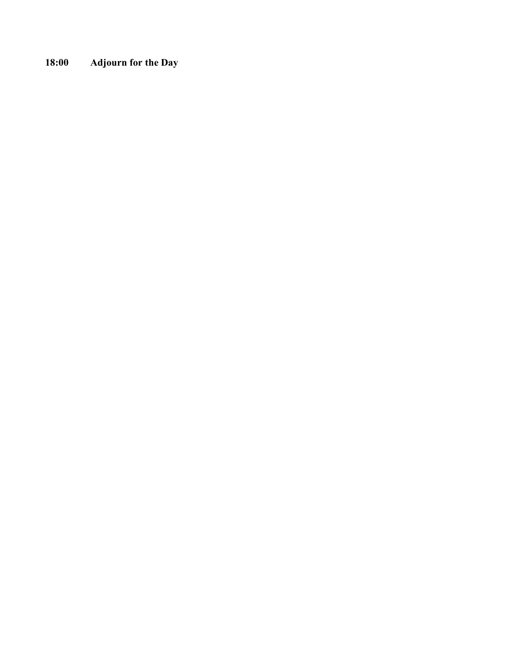**18:00 Adjourn for the Day**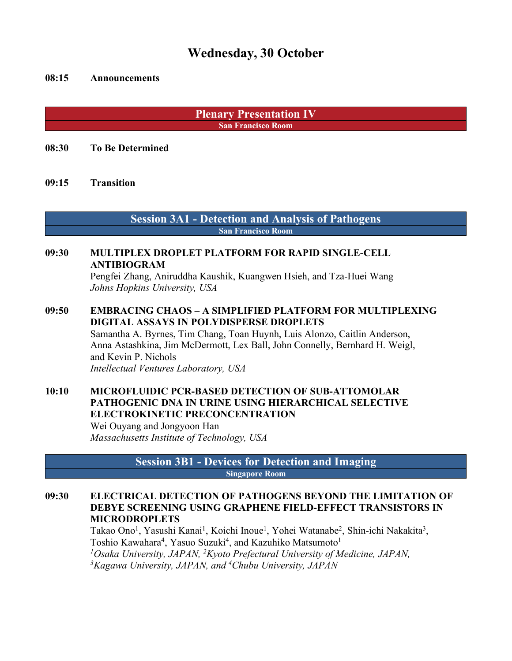### **Wednesday, 30 October**

#### **08:15 Announcements**

**Plenary Presentation IV San Francisco Room**

**08:30 To Be Determined**

**09:15 Transition**

**Session 3A1 - Detection and Analysis of Pathogens San Francisco Room**

#### **09:30 MULTIPLEX DROPLET PLATFORM FOR RAPID SINGLE-CELL ANTIBIOGRAM**

Pengfei Zhang, Aniruddha Kaushik, Kuangwen Hsieh, and Tza-Huei Wang *Johns Hopkins University, USA*

**09:50 EMBRACING CHAOS – A SIMPLIFIED PLATFORM FOR MULTIPLEXING DIGITAL ASSAYS IN POLYDISPERSE DROPLETS**

Samantha A. Byrnes, Tim Chang, Toan Huynh, Luis Alonzo, Caitlin Anderson, Anna Astashkina, Jim McDermott, Lex Ball, John Connelly, Bernhard H. Weigl, and Kevin P. Nichols

*Intellectual Ventures Laboratory, USA*

#### **10:10 MICROFLUIDIC PCR-BASED DETECTION OF SUB-ATTOMOLAR PATHOGENIC DNA IN URINE USING HIERARCHICAL SELECTIVE ELECTROKINETIC PRECONCENTRATION**

Wei Ouyang and Jongyoon Han *Massachusetts Institute of Technology, USA*

> **Session 3B1 - Devices for Detection and Imaging Singapore Room**

#### **09:30 ELECTRICAL DETECTION OF PATHOGENS BEYOND THE LIMITATION OF DEBYE SCREENING USING GRAPHENE FIELD-EFFECT TRANSISTORS IN MICRODROPLETS**

Takao Ono<sup>1</sup>, Yasushi Kanai<sup>1</sup>, Koichi Inoue<sup>1</sup>, Yohei Watanabe<sup>2</sup>, Shin-ichi Nakakita<sup>3</sup>, Toshio Kawahara<sup>4</sup>, Yasuo Suzuki<sup>4</sup>, and Kazuhiko Matsumoto<sup>1</sup> *1Osaka University, JAPAN, 2Kyoto Prefectural University of Medicine, JAPAN, 3 Kagawa University, JAPAN, and 4 Chubu University, JAPAN*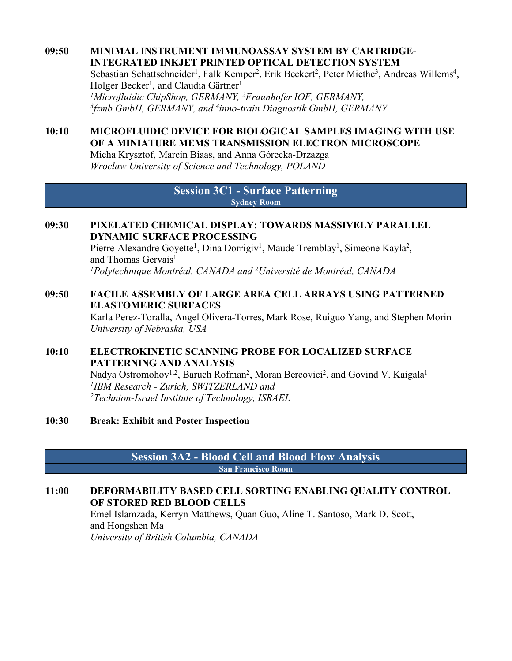#### **09:50 MINIMAL INSTRUMENT IMMUNOASSAY SYSTEM BY CARTRIDGE-INTEGRATED INKJET PRINTED OPTICAL DETECTION SYSTEM** Sebastian Schattschneider<sup>1</sup>, Falk Kemper<sup>2</sup>, Erik Beckert<sup>2</sup>, Peter Miethe<sup>3</sup>, Andreas Willems<sup>4</sup>, Holger Becker<sup>1</sup>, and Claudia Gärtner<sup>1</sup> *1Microfluidic ChipShop, GERMANY, 2Fraunhofer IOF, GERMANY, 3fzmb GmbH, GERMANY, and 4 inno-train Diagnostik GmbH, GERMANY*

#### **10:10 MICROFLUIDIC DEVICE FOR BIOLOGICAL SAMPLES IMAGING WITH USE OF A MINIATURE MEMS TRANSMISSION ELECTRON MICROSCOPE**

Micha Krysztof, Marcin Biaas, and Anna Górecka-Drzazga *Wroclaw University of Science and Technology, POLAND*

#### **Session 3C1 - Surface Patterning Sydney Room**

#### **09:30 PIXELATED CHEMICAL DISPLAY: TOWARDS MASSIVELY PARALLEL DYNAMIC SURFACE PROCESSING**

Pierre-Alexandre Goyette<sup>1</sup>, Dina Dorrigiv<sup>1</sup>, Maude Tremblay<sup>1</sup>, Simeone Kayla<sup>2</sup>, and Thomas Gervais<sup>1</sup> *1Polytechnique Montréal, CANADA and 2Université de Montréal, CANADA*

#### **09:50 FACILE ASSEMBLY OF LARGE AREA CELL ARRAYS USING PATTERNED ELASTOMERIC SURFACES**

Karla Perez-Toralla, Angel Olivera-Torres, Mark Rose, Ruiguo Yang, and Stephen Morin *University of Nebraska, USA*

#### **10:10 ELECTROKINETIC SCANNING PROBE FOR LOCALIZED SURFACE PATTERNING AND ANALYSIS**

Nadya Ostromohov<sup>1,2</sup>, Baruch Rofman<sup>2</sup>, Moran Bercovici<sup>2</sup>, and Govind V. Kaigala<sup>1</sup> *1IBM Research - Zurich, SWITZERLAND and 2 Technion-Israel Institute of Technology, ISRAEL*

#### **10:30 Break: Exhibit and Poster Inspection**

#### **Session 3A2 - Blood Cell and Blood Flow Analysis San Francisco Room**

#### **11:00 DEFORMABILITY BASED CELL SORTING ENABLING QUALITY CONTROL OF STORED RED BLOOD CELLS**

Emel Islamzada, Kerryn Matthews, Quan Guo, Aline T. Santoso, Mark D. Scott, and Hongshen Ma *University of British Columbia, CANADA*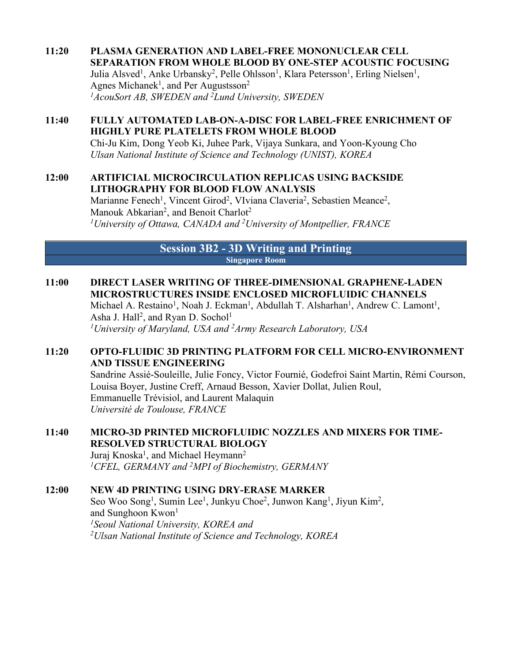#### **11:20 PLASMA GENERATION AND LABEL-FREE MONONUCLEAR CELL SEPARATION FROM WHOLE BLOOD BY ONE-STEP ACOUSTIC FOCUSING** Julia Alsved<sup>1</sup>, Anke Urbansky<sup>2</sup>, Pelle Ohlsson<sup>1</sup>, Klara Petersson<sup>1</sup>, Erling Nielsen<sup>1</sup>, Agnes Michanek<sup>1</sup>, and Per Augustsson<sup>2</sup> *1AcouSort AB, SWEDEN and 2Lund University, SWEDEN*

#### **11:40 FULLY AUTOMATED LAB-ON-A-DISC FOR LABEL-FREE ENRICHMENT OF HIGHLY PURE PLATELETS FROM WHOLE BLOOD**

Chi-Ju Kim, Dong Yeob Ki, Juhee Park, Vijaya Sunkara, and Yoon-Kyoung Cho *Ulsan National Institute of Science and Technology (UNIST), KOREA*

#### **12:00 ARTIFICIAL MICROCIRCULATION REPLICAS USING BACKSIDE LITHOGRAPHY FOR BLOOD FLOW ANALYSIS**

Marianne Fenech<sup>1</sup>, Vincent Girod<sup>2</sup>, VIviana Claveria<sup>2</sup>, Sebastien Meance<sup>2</sup>, Manouk Abkarian<sup>2</sup>, and Benoit Charlot<sup>2</sup> *1 University of Ottawa, CANADA and 2 University of Montpellier, FRANCE*

#### **Session 3B2 - 3D Writing and Printing Singapore Room**

### **11:00 DIRECT LASER WRITING OF THREE-DIMENSIONAL GRAPHENE-LADEN MICROSTRUCTURES INSIDE ENCLOSED MICROFLUIDIC CHANNELS**

Michael A. Restaino<sup>1</sup>, Noah J. Eckman<sup>1</sup>, Abdullah T. Alsharhan<sup>1</sup>, Andrew C. Lamont<sup>1</sup>, Asha J. Hall<sup>2</sup>, and Ryan D. Sochol<sup>1</sup>

### *1University of Maryland, USA and 2Army Research Laboratory, USA*

#### **11:20 OPTO-FLUIDIC 3D PRINTING PLATFORM FOR CELL MICRO-ENVIRONMENT AND TISSUE ENGINEERING**

Sandrine Assié-Souleille, Julie Foncy, Victor Fournié, Godefroi Saint Martin, Rémi Courson, Louisa Boyer, Justine Creff, Arnaud Besson, Xavier Dollat, Julien Roul, Emmanuelle Trévisiol, and Laurent Malaquin *Université de Toulouse, FRANCE*

#### **11:40 MICRO-3D PRINTED MICROFLUIDIC NOZZLES AND MIXERS FOR TIME-RESOLVED STRUCTURAL BIOLOGY**

Juraj Knoska<sup>1</sup>, and Michael Heymann<sup>2</sup> *1CFEL, GERMANY and 2MPI of Biochemistry, GERMANY*

#### **12:00 NEW 4D PRINTING USING DRY-ERASE MARKER**

Seo Woo Song<sup>1</sup>, Sumin Lee<sup>1</sup>, Junkyu Choe<sup>2</sup>, Junwon Kang<sup>1</sup>, Jiyun Kim<sup>2</sup>, and Sunghoon  $Kwon<sup>1</sup>$ *1Seoul National University, KOREA and 2 Ulsan National Institute of Science and Technology, KOREA*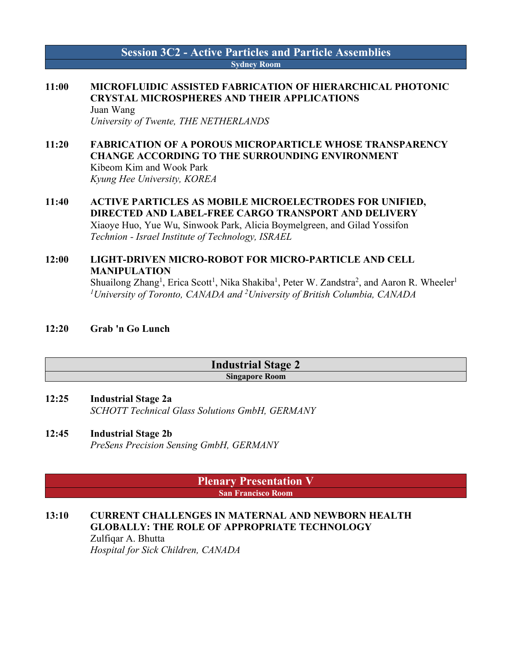#### **Session 3C2 - Active Particles and Particle Assemblies Sydney Room**

### **11:00 MICROFLUIDIC ASSISTED FABRICATION OF HIERARCHICAL PHOTONIC CRYSTAL MICROSPHERES AND THEIR APPLICATIONS**

Juan Wang *University of Twente, THE NETHERLANDS*

#### **11:20 FABRICATION OF A POROUS MICROPARTICLE WHOSE TRANSPARENCY CHANGE ACCORDING TO THE SURROUNDING ENVIRONMENT** Kibeom Kim and Wook Park *Kyung Hee University, KOREA*

**11:40 ACTIVE PARTICLES AS MOBILE MICROELECTRODES FOR UNIFIED, DIRECTED AND LABEL-FREE CARGO TRANSPORT AND DELIVERY** Xiaoye Huo, Yue Wu, Sinwook Park, Alicia Boymelgreen, and Gilad Yossifon *Technion - Israel Institute of Technology, ISRAEL*

#### **12:00 LIGHT-DRIVEN MICRO-ROBOT FOR MICRO-PARTICLE AND CELL MANIPULATION** Shuailong Zhang<sup>1</sup>, Erica Scott<sup>1</sup>, Nika Shakiba<sup>1</sup>, Peter W. Zandstra<sup>2</sup>, and Aaron R. Wheeler<sup>1</sup> *1University of Toronto, CANADA and 2University of British Columbia, CANADA*

**12:20 Grab 'n Go Lunch**

#### **Industrial Stage 2 Singapore Room**

- **12:25 Industrial Stage 2a** *SCHOTT Technical Glass Solutions GmbH, GERMANY*
- **12:45 Industrial Stage 2b** *PreSens Precision Sensing GmbH, GERMANY*

**Plenary Presentation V San Francisco Room**

#### **13:10 CURRENT CHALLENGES IN MATERNAL AND NEWBORN HEALTH GLOBALLY: THE ROLE OF APPROPRIATE TECHNOLOGY**

Zulfiqar A. Bhutta *Hospital for Sick Children, CANADA*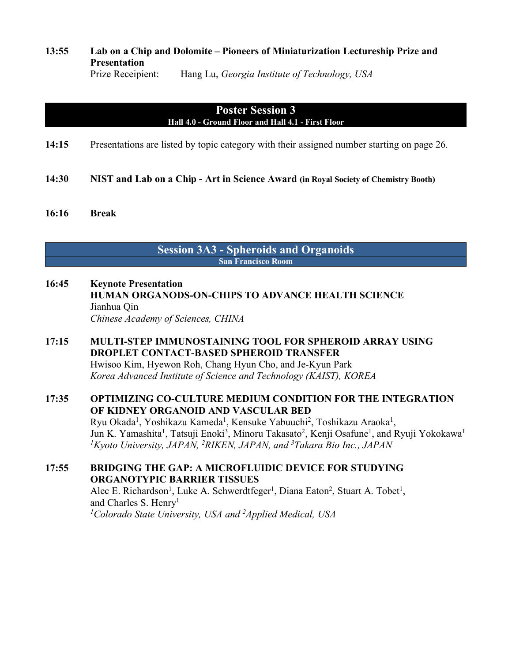#### **13:55 Lab on a Chip and Dolomite – Pioneers of Miniaturization Lectureship Prize and Presentation** Prize Receipient: Hang Lu, *Georgia Institute of Technology, USA*

#### **Poster Session 3 Hall 4.0 - Ground Floor and Hall 4.1 - First Floor**

- **14:15** Presentations are listed by topic category with their assigned number starting on page 26.
- **14:30 NIST and Lab on a Chip - Art in Science Award (in Royal Society of Chemistry Booth)**
- **16:16 Break**

#### **Session 3A3 - Spheroids and Organoids San Francisco Room**

- **16:45 Keynote Presentation HUMAN ORGANODS-ON-CHIPS TO ADVANCE HEALTH SCIENCE** Jianhua Qin *Chinese Academy of Sciences, CHINA*
- **17:15 MULTI-STEP IMMUNOSTAINING TOOL FOR SPHEROID ARRAY USING DROPLET CONTACT-BASED SPHEROID TRANSFER** Hwisoo Kim, Hyewon Roh, Chang Hyun Cho, and Je-Kyun Park *Korea Advanced Institute of Science and Technology (KAIST), KOREA*

#### **17:35 OPTIMIZING CO-CULTURE MEDIUM CONDITION FOR THE INTEGRATION OF KIDNEY ORGANOID AND VASCULAR BED** Ryu Okada<sup>1</sup>, Yoshikazu Kameda<sup>1</sup>, Kensuke Yabuuchi<sup>2</sup>, Toshikazu Araoka<sup>1</sup>,

Jun K. Yamashita<sup>1</sup>, Tatsuji Enoki<sup>3</sup>, Minoru Takasato<sup>2</sup>, Kenji Osafune<sup>1</sup>, and Ryuji Yokokawa<sup>1</sup> *1Kyoto University, JAPAN, 2 RIKEN, JAPAN, and 3 Takara Bio Inc., JAPAN*

#### **17:55 BRIDGING THE GAP: A MICROFLUIDIC DEVICE FOR STUDYING ORGANOTYPIC BARRIER TISSUES** Alec E. Richardson<sup>1</sup>, Luke A. Schwerdtfeger<sup>1</sup>, Diana Eaton<sup>2</sup>, Stuart A. Tobet<sup>1</sup>, and Charles S. Henry<sup>1</sup>

<sup>1</sup>Colorado State University, USA and <sup>2</sup>Applied Medical, USA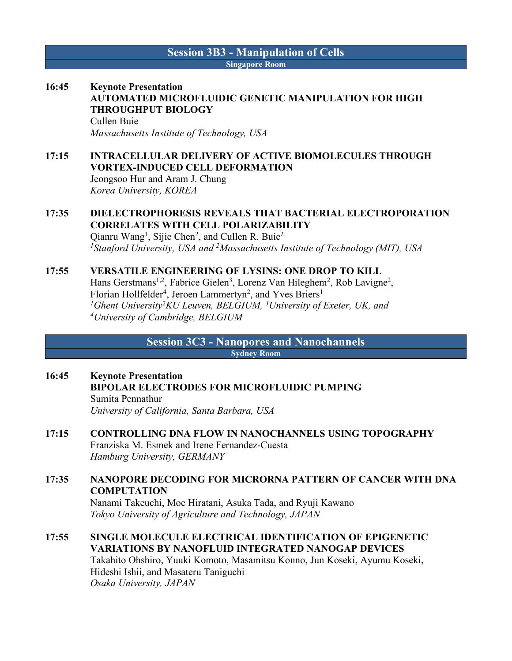#### **Session 3B3 - Manipulation of Cells Singapore Room**

### **16:45 Keynote Presentation AUTOMATED MICROFLUIDIC GENETIC MANIPULATION FOR HIGH THROUGHPUT BIOLOGY** Cullen Buie

*Massachusetts Institute of Technology, USA*

### **17:15 INTRACELLULAR DELIVERY OF ACTIVE BIOMOLECULES THROUGH VORTEX-INDUCED CELL DEFORMATION**

Jeongsoo Hur and Aram J. Chung *Korea University, KOREA*

#### **17:35 DIELECTROPHORESIS REVEALS THAT BACTERIAL ELECTROPORATION CORRELATES WITH CELL POLARIZABILITY**

Qianru Wang<sup>1</sup>, Sijie Chen<sup>2</sup>, and Cullen R. Buie<sup>2</sup> <sup>1</sup> Stanford University, USA and <sup>2</sup> Massachusetts Institute of Technology (MIT), USA

#### **17:55 VERSATILE ENGINEERING OF LYSINS: ONE DROP TO KILL**

Hans Gerstmans<sup>1,2</sup>, Fabrice Gielen<sup>3</sup>, Lorenz Van Hileghem<sup>2</sup>, Rob Lavigne<sup>2</sup>, Florian Hollfelder<sup>4</sup>, Jeroen Lammertyn<sup>2</sup>, and Yves Briers<sup>1</sup> *1Ghent University2KU Leuven, BELGIUM, 3University of Exeter, UK, and 4University of Cambridge, BELGIUM*

> **Session 3C3 - Nanopores and Nanochannels Sydney Room**

#### **16:45 Keynote Presentation BIPOLAR ELECTRODES FOR MICROFLUIDIC PUMPING** Sumita Pennathur *University of California, Santa Barbara, USA*

#### **17:15 CONTROLLING DNA FLOW IN NANOCHANNELS USING TOPOGRAPHY** Franziska M. Esmek and Irene Fernandez-Cuesta *Hamburg University, GERMANY*

**17:35 NANOPORE DECODING FOR MICRORNA PATTERN OF CANCER WITH DNA COMPUTATION** Nanami Takeuchi, Moe Hiratani, Asuka Tada, and Ryuji Kawano

*Tokyo University of Agriculture and Technology, JAPAN*

#### **17:55 SINGLE MOLECULE ELECTRICAL IDENTIFICATION OF EPIGENETIC VARIATIONS BY NANOFLUID INTEGRATED NANOGAP DEVICES** Takahito Ohshiro, Yuuki Komoto, Masamitsu Konno, Jun Koseki, Ayumu Koseki, Hideshi Ishii, and Masateru Taniguchi *Osaka University, JAPAN*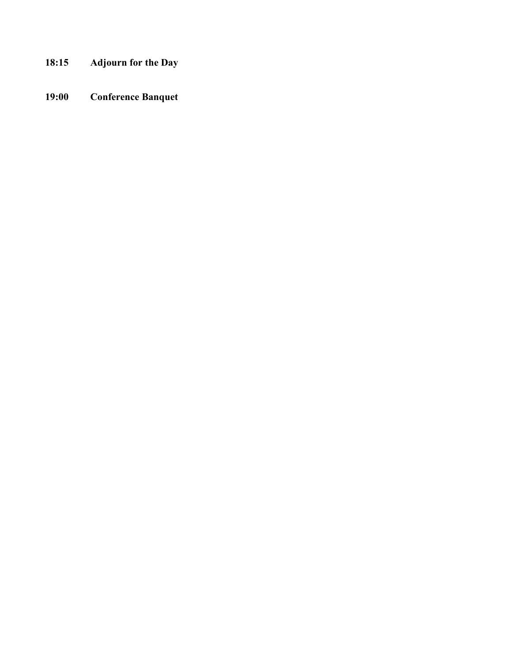- **18:15 Adjourn for the Day**
- **19:00 Conference Banquet**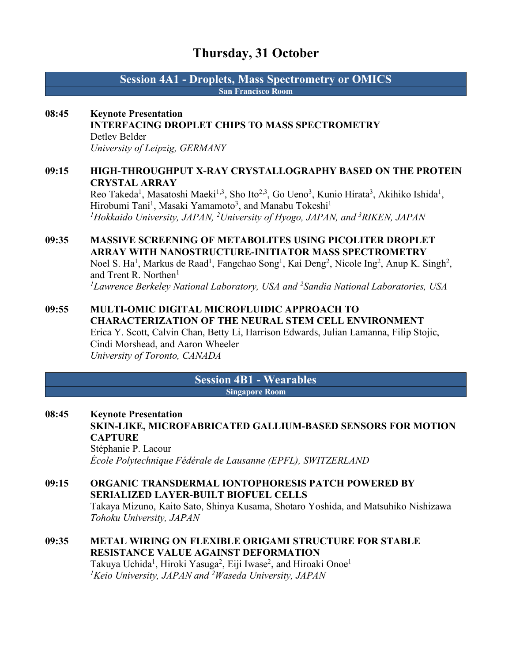### **Thursday, 31 October**

**Session 4A1 - Droplets, Mass Spectrometry or OMICS San Francisco Room**

#### **08:45 Keynote Presentation**

### **INTERFACING DROPLET CHIPS TO MASS SPECTROMETRY** Detlev Belder

*University of Leipzig, GERMANY*

#### **09:15 HIGH-THROUGHPUT X-RAY CRYSTALLOGRAPHY BASED ON THE PROTEIN CRYSTAL ARRAY**

Reo Takeda<sup>1</sup>, Masatoshi Maeki<sup>1,3</sup>, Sho Ito<sup>2,3</sup>, Go Ueno<sup>3</sup>, Kunio Hirata<sup>3</sup>, Akihiko Ishida<sup>1</sup>, Hirobumi Tani<sup>1</sup>, Masaki Yamamoto<sup>3</sup>, and Manabu Tokeshi<sup>1</sup> *1Hokkaido University, JAPAN, 2University of Hyogo, JAPAN, and 3RIKEN, JAPAN*

#### **09:35 MASSIVE SCREENING OF METABOLITES USING PICOLITER DROPLET ARRAY WITH NANOSTRUCTURE-INITIATOR MASS SPECTROMETRY** Noel S. Ha<sup>1</sup>, Markus de Raad<sup>1</sup>, Fangchao Song<sup>1</sup>, Kai Deng<sup>2</sup>, Nicole Ing<sup>2</sup>, Anup K. Singh<sup>2</sup>, and Trent R. Northen<sup>1</sup>

*1 Lawrence Berkeley National Laboratory, USA and 2 Sandia National Laboratories, USA*

#### **09:55 MULTI-OMIC DIGITAL MICROFLUIDIC APPROACH TO CHARACTERIZATION OF THE NEURAL STEM CELL ENVIRONMENT** Erica Y. Scott, Calvin Chan, Betty Li, Harrison Edwards, Julian Lamanna, Filip Stojic, Cindi Morshead, and Aaron Wheeler *University of Toronto, CANADA*

#### **Session 4B1 - Wearables Singapore Room**

**08:45 Keynote Presentation SKIN-LIKE, MICROFABRICATED GALLIUM-BASED SENSORS FOR MOTION CAPTURE** Stéphanie P. Lacour *École Polytechnique Fédérale de Lausanne (EPFL), SWITZERLAND*

### **09:15 ORGANIC TRANSDERMAL IONTOPHORESIS PATCH POWERED BY SERIALIZED LAYER-BUILT BIOFUEL CELLS** Takaya Mizuno, Kaito Sato, Shinya Kusama, Shotaro Yoshida, and Matsuhiko Nishizawa *Tohoku University, JAPAN*

#### **09:35 METAL WIRING ON FLEXIBLE ORIGAMI STRUCTURE FOR STABLE RESISTANCE VALUE AGAINST DEFORMATION** Takuya Uchida<sup>1</sup>, Hiroki Yasuga<sup>2</sup>, Eiji Iwase<sup>2</sup>, and Hiroaki Onoe<sup>1</sup>

*1Keio University, JAPAN and 2 Waseda University, JAPAN*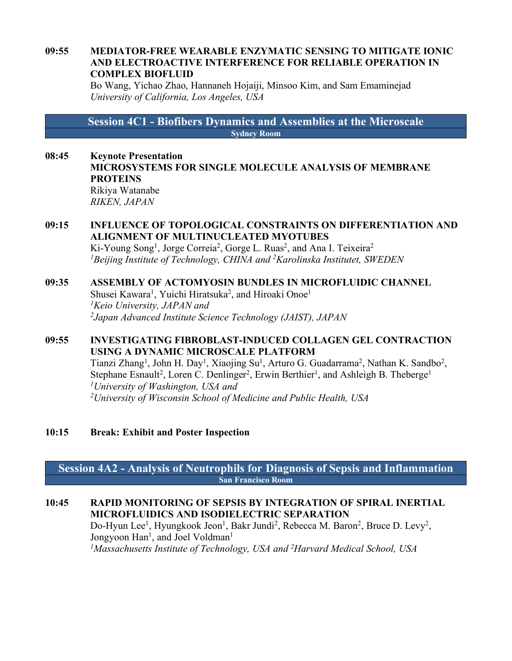#### **09:55 MEDIATOR-FREE WEARABLE ENZYMATIC SENSING TO MITIGATE IONIC AND ELECTROACTIVE INTERFERENCE FOR RELIABLE OPERATION IN COMPLEX BIOFLUID**

Bo Wang, Yichao Zhao, Hannaneh Hojaiji, Minsoo Kim, and Sam Emaminejad *University of California, Los Angeles, USA*

**Session 4C1 - Biofibers Dynamics and Assemblies at the Microscale Sydney Room**

**08:45 Keynote Presentation MICROSYSTEMS FOR SINGLE MOLECULE ANALYSIS OF MEMBRANE PROTEINS** Rikiya Watanabe *RIKEN, JAPAN*

#### **09:15 INFLUENCE OF TOPOLOGICAL CONSTRAINTS ON DIFFERENTIATION AND ALIGNMENT OF MULTINUCLEATED MYOTUBES**

Ki-Young Song<sup>1</sup>, Jorge Correia<sup>2</sup>, Gorge L. Ruas<sup>2</sup>, and Ana I. Teixeira<sup>2</sup> *1Beijing Institute of Technology, CHINA and 2Karolinska Institutet, SWEDEN*

#### **09:35 ASSEMBLY OF ACTOMYOSIN BUNDLES IN MICROFLUIDIC CHANNEL**

Shusei Kawara<sup>1</sup>, Yuichi Hiratsuka<sup>2</sup>, and Hiroaki Onoe<sup>1</sup> *1Keio University, JAPAN and 2Japan Advanced Institute Science Technology (JAIST), JAPAN*

#### **09:55 INVESTIGATING FIBROBLAST-INDUCED COLLAGEN GEL CONTRACTION USING A DYNAMIC MICROSCALE PLATFORM**

Tianzi Zhang<sup>1</sup>, John H. Day<sup>1</sup>, Xiaojing Su<sup>1</sup>, Arturo G. Guadarrama<sup>2</sup>, Nathan K. Sandbo<sup>2</sup>, Stephane Esnault<sup>2</sup>, Loren C. Denlinger<sup>2</sup>, Erwin Berthier<sup>1</sup>, and Ashleigh B. Theberge<sup>1</sup> *1University of Washington, USA and 2 University of Wisconsin School of Medicine and Public Health, USA*

#### **10:15 Break: Exhibit and Poster Inspection**

**Session 4A2 - Analysis of Neutrophils for Diagnosis of Sepsis and Inflammation San Francisco Room**

#### **10:45 RAPID MONITORING OF SEPSIS BY INTEGRATION OF SPIRAL INERTIAL MICROFLUIDICS AND ISODIELECTRIC SEPARATION**

Do-Hyun Lee<sup>1</sup>, Hyungkook Jeon<sup>1</sup>, Bakr Jundi<sup>2</sup>, Rebecca M. Baron<sup>2</sup>, Bruce D. Levy<sup>2</sup>, Jongyoon Han<sup>1</sup>, and Joel Voldman<sup>1</sup> *1Massachusetts Institute of Technology, USA and 2 Harvard Medical School, USA*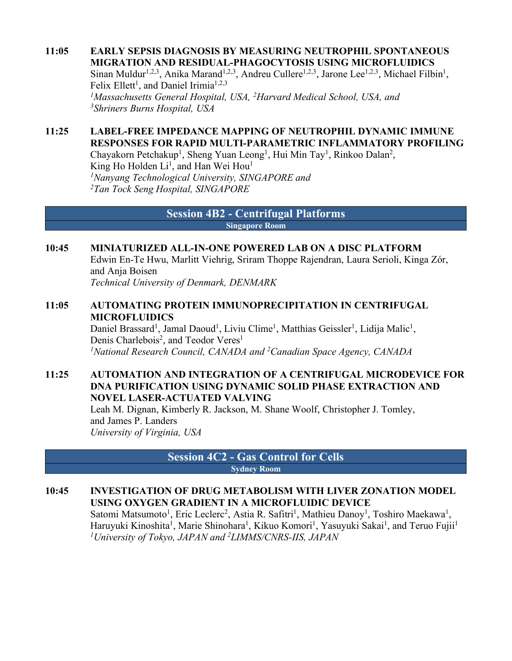**11:05 EARLY SEPSIS DIAGNOSIS BY MEASURING NEUTROPHIL SPONTANEOUS MIGRATION AND RESIDUAL-PHAGOCYTOSIS USING MICROFLUIDICS** Sinan Muldur<sup>1,2,3</sup>, Anika Marand<sup>1,2,3</sup>, Andreu Cullere<sup>1,2,3</sup>, Jarone Lee<sup>1,2,3</sup>, Michael Filbin<sup>1</sup>, Felix Ellett<sup>1</sup>, and Daniel Irimia<sup>1,2,3</sup> *1Massachusetts General Hospital, USA, 2Harvard Medical School, USA, and 3Shriners Burns Hospital, USA*

#### **11:25 LABEL-FREE IMPEDANCE MAPPING OF NEUTROPHIL DYNAMIC IMMUNE RESPONSES FOR RAPID MULTI-PARAMETRIC INFLAMMATORY PROFILING**

Chayakorn Petchakup<sup>1</sup>, Sheng Yuan Leong<sup>1</sup>, Hui Min Tay<sup>1</sup>, Rinkoo Dalan<sup>2</sup>, King Ho Holden Li<sup>1</sup>, and Han Wei Hou<sup>1</sup> *1 Nanyang Technological University, SINGAPORE and 2Tan Tock Seng Hospital, SINGAPORE*

> **Session 4B2 - Centrifugal Platforms Singapore Room**

#### **10:45 MINIATURIZED ALL-IN-ONE POWERED LAB ON A DISC PLATFORM**

Edwin En-Te Hwu, Marlitt Viehrig, Sriram Thoppe Rajendran, Laura Serioli, Kinga Zór, and Anja Boisen

*Technical University of Denmark, DENMARK*

#### **11:05 AUTOMATING PROTEIN IMMUNOPRECIPITATION IN CENTRIFUGAL MICROFLUIDICS**

Daniel Brassard<sup>1</sup>, Jamal Daoud<sup>1</sup>, Liviu Clime<sup>1</sup>, Matthias Geissler<sup>1</sup>, Lidija Malic<sup>1</sup>, Denis Charlebois<sup>2</sup>, and Teodor Veres<sup>1</sup> *1National Research Council, CANADA and 2Canadian Space Agency, CANADA*

#### **11:25 AUTOMATION AND INTEGRATION OF A CENTRIFUGAL MICRODEVICE FOR DNA PURIFICATION USING DYNAMIC SOLID PHASE EXTRACTION AND NOVEL LASER-ACTUATED VALVING** Leah M. Dignan, Kimberly R. Jackson, M. Shane Woolf, Christopher J. Tomley,

and James P. Landers *University of Virginia, USA*

> **Session 4C2 - Gas Control for Cells Sydney Room**

#### **10:45 INVESTIGATION OF DRUG METABOLISM WITH LIVER ZONATION MODEL USING OXYGEN GRADIENT IN A MICROFLUIDIC DEVICE**

Satomi Matsumoto<sup>1</sup>, Eric Leclerc<sup>2</sup>, Astia R. Safitri<sup>1</sup>, Mathieu Danoy<sup>1</sup>, Toshiro Maekawa<sup>1</sup>, Haruyuki Kinoshita<sup>1</sup>, Marie Shinohara<sup>1</sup>, Kikuo Komori<sup>1</sup>, Yasuyuki Sakai<sup>1</sup>, and Teruo Fujii<sup>1</sup> *1University of Tokyo, JAPAN and 2LIMMS/CNRS-IIS, JAPAN*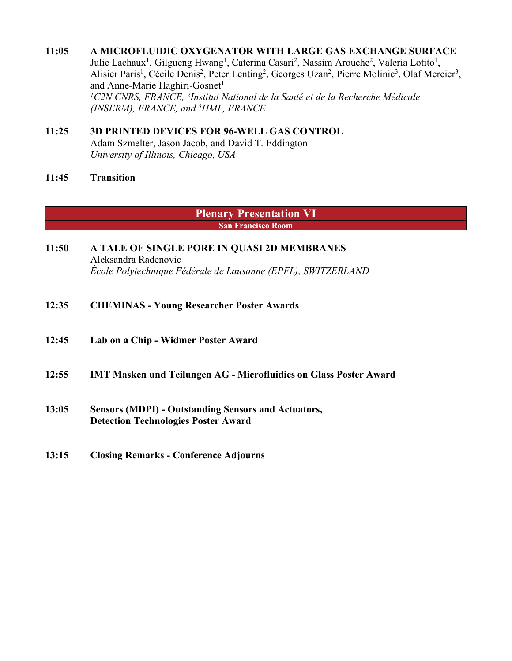#### **11:05 A MICROFLUIDIC OXYGENATOR WITH LARGE GAS EXCHANGE SURFACE**

Julie Lachaux<sup>1</sup>, Gilgueng Hwang<sup>1</sup>, Caterina Casari<sup>2</sup>, Nassim Arouche<sup>2</sup>, Valeria Lotito<sup>1</sup>, Alisier Paris<sup>1</sup>, Cécile Denis<sup>2</sup>, Peter Lenting<sup>2</sup>, Georges Uzan<sup>2</sup>, Pierre Molinie<sup>3</sup>, Olaf Mercier<sup>3</sup>, and Anne-Marie Haghiri-Gosnet<sup>1</sup> <sup>1</sup> C2N CNRS, FRANCE, <sup>2</sup>Institut National de la Santé et de la Recherche Médicale *(INSERM), FRANCE, and 3HML, FRANCE*

#### **11:25 3D PRINTED DEVICES FOR 96-WELL GAS CONTROL** Adam Szmelter, Jason Jacob, and David T. Eddington *University of Illinois, Chicago, USA*

**11:45 Transition**

**Plenary Presentation VI San Francisco Room**

- **11:50 A TALE OF SINGLE PORE IN QUASI 2D MEMBRANES** Aleksandra Radenovic *École Polytechnique Fédérale de Lausanne (EPFL), SWITZERLAND*
- **12:35 CHEMINAS - Young Researcher Poster Awards**
- **12:45 Lab on a Chip - Widmer Poster Award**
- **12:55 IMT Masken und Teilungen AG - Microfluidics on Glass Poster Award**
- **13:05 Sensors (MDPI) - Outstanding Sensors and Actuators, Detection Technologies Poster Award**
- **13:15 Closing Remarks - Conference Adjourns**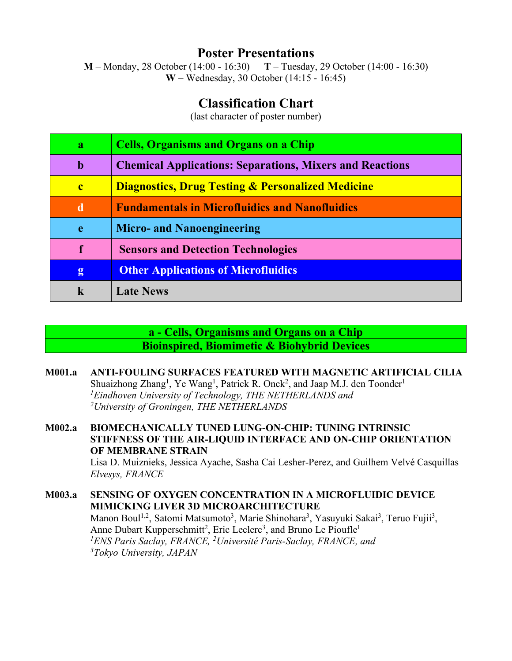**Poster Presentations**<br>4:00 - 16:30) T – Tuesday, 29 October (14:00 - 16:30) **M** – Monday, 28 October (14:00 - 16:30) **W** – Wednesday, 30 October (14:15 - 16:45)

### **Classification Chart**

(last character of poster number)

| $\mathbf{a}$ | <b>Cells, Organisms and Organs on a Chip</b>                    |
|--------------|-----------------------------------------------------------------|
| b            | <b>Chemical Applications: Separations, Mixers and Reactions</b> |
| $\mathbf{c}$ | <b>Diagnostics, Drug Testing &amp; Personalized Medicine</b>    |
| d            | <b>Fundamentals in Microfluidics and Nanofluidics</b>           |
| e            | <b>Micro- and Nanoengineering</b>                               |
| $\mathbf f$  | <b>Sensors and Detection Technologies</b>                       |
| g            | <b>Other Applications of Microfluidics</b>                      |
| k            | <b>Late News</b>                                                |

### **a - Cells, Organisms and Organs on a Chip Bioinspired, Biomimetic & Biohybrid Devices**

**M001.a ANTI-FOULING SURFACES FEATURED WITH MAGNETIC ARTIFICIAL CILIA** Shuaizhong Zhang<sup>1</sup>, Ye Wang<sup>1</sup>, Patrick R. Onck<sup>2</sup>, and Jaap M.J. den Toonder<sup>1</sup> *1 Eindhoven University of Technology, THE NETHERLANDS and 2University of Groningen, THE NETHERLANDS*

**M002.a BIOMECHANICALLY TUNED LUNG-ON-CHIP: TUNING INTRINSIC STIFFNESS OF THE AIR-LIQUID INTERFACE AND ON-CHIP ORIENTATION OF MEMBRANE STRAIN** Lisa D. Muiznieks, Jessica Ayache, Sasha Cai Lesher-Perez, and Guilhem Velvé Casquillas *Elvesys, FRANCE*

**M003.a SENSING OF OXYGEN CONCENTRATION IN A MICROFLUIDIC DEVICE MIMICKING LIVER 3D MICROARCHITECTURE** Manon Boul<sup>1,2</sup>, Satomi Matsumoto<sup>3</sup>, Marie Shinohara<sup>3</sup>, Yasuyuki Sakai<sup>3</sup>, Teruo Fujii<sup>3</sup>, Anne Dubart Kupperschmitt<sup>2</sup>, Eric Leclerc<sup>3</sup>, and Bruno Le Pioufle<sup>1</sup> <sup>1</sup> ENS Paris Saclay, FRANCE, <sup>2</sup> Université Paris-Saclay, FRANCE, and *3Tokyo University, JAPAN*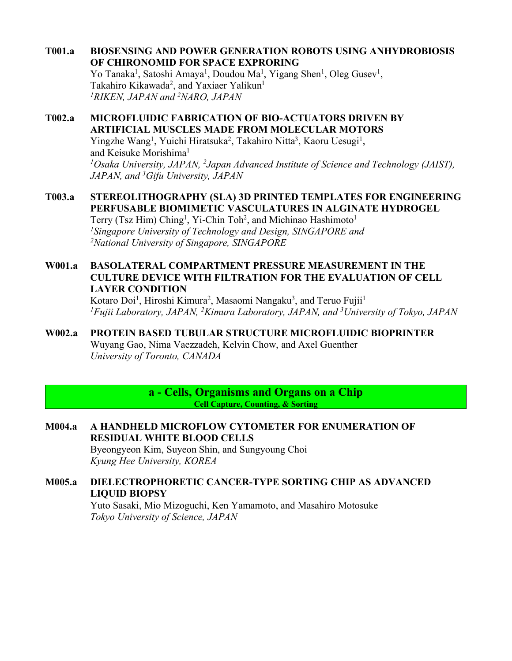**T001.a BIOSENSING AND POWER GENERATION ROBOTS USING ANHYDROBIOSIS OF CHIRONOMID FOR SPACE EXPRORING**

Yo Tanaka<sup>1</sup>, Satoshi Amaya<sup>1</sup>, Doudou Ma<sup>1</sup>, Yigang Shen<sup>1</sup>, Oleg Gusev<sup>1</sup>, Takahiro Kikawada<sup>2</sup>, and Yaxiaer Yalikun<sup>1</sup> *1RIKEN, JAPAN and 2NARO, JAPAN*

### **T002.a MICROFLUIDIC FABRICATION OF BIO-ACTUATORS DRIVEN BY ARTIFICIAL MUSCLES MADE FROM MOLECULAR MOTORS** Yingzhe Wang<sup>1</sup>, Yuichi Hiratsuka<sup>2</sup>, Takahiro Nitta<sup>3</sup>, Kaoru Uesugi<sup>1</sup>, and Keisuke Morishima<sup>1</sup>

*1Osaka University, JAPAN, 2Japan Advanced Institute of Science and Technology (JAIST), JAPAN, and 3Gifu University, JAPAN*

#### **T003.a STEREOLITHOGRAPHY (SLA) 3D PRINTED TEMPLATES FOR ENGINEERING PERFUSABLE BIOMIMETIC VASCULATURES IN ALGINATE HYDROGEL** Terry (Tsz Him) Ching<sup>1</sup>, Yi-Chin Toh<sup>2</sup>, and Michinao Hashimoto<sup>1</sup>

*1Singapore University of Technology and Design, SINGAPORE and 2 National University of Singapore, SINGAPORE*

#### **W001.a BASOLATERAL COMPARTMENT PRESSURE MEASUREMENT IN THE CULTURE DEVICE WITH FILTRATION FOR THE EVALUATION OF CELL LAYER CONDITION**

Kotaro Doi<sup>1</sup>, Hiroshi Kimura<sup>2</sup>, Masaomi Nangaku<sup>3</sup>, and Teruo Fujii<sup>1</sup> *1Fujii Laboratory, JAPAN, 2Kimura Laboratory, JAPAN, and 3University of Tokyo, JAPAN*

#### **W002.a PROTEIN BASED TUBULAR STRUCTURE MICROFLUIDIC BIOPRINTER** Wuyang Gao, Nima Vaezzadeh, Kelvin Chow, and Axel Guenther *University of Toronto, CANADA*

**a - Cells, Organisms and Organs on a Chip Cell Capture, Counting, & Sorting**

#### **M004.a A HANDHELD MICROFLOW CYTOMETER FOR ENUMERATION OF RESIDUAL WHITE BLOOD CELLS** Byeongyeon Kim, Suyeon Shin, and Sungyoung Choi *Kyung Hee University, KOREA*

### **M005.a DIELECTROPHORETIC CANCER-TYPE SORTING CHIP AS ADVANCED LIQUID BIOPSY**

Yuto Sasaki, Mio Mizoguchi, Ken Yamamoto, and Masahiro Motosuke *Tokyo University of Science, JAPAN*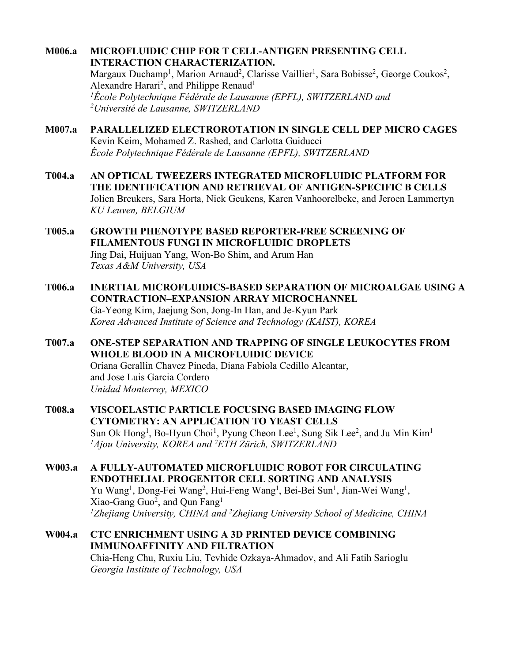#### **M006.a MICROFLUIDIC CHIP FOR T CELL-ANTIGEN PRESENTING CELL INTERACTION CHARACTERIZATION.**

Margaux Duchamp<sup>1</sup>, Marion Arnaud<sup>2</sup>, Clarisse Vaillier<sup>1</sup>, Sara Bobisse<sup>2</sup>, George Coukos<sup>2</sup>, Alexandre Harari<sup>2</sup>, and Philippe Renaud<sup>1</sup> *1École Polytechnique Fédérale de Lausanne (EPFL), SWITZERLAND and 2Université de Lausanne, SWITZERLAND*

#### **M007.a PARALLELIZED ELECTROROTATION IN SINGLE CELL DEP MICRO CAGES** Kevin Keim, Mohamed Z. Rashed, and Carlotta Guiducci *École Polytechnique Fédérale de Lausanne (EPFL), SWITZERLAND*

- **T004.a AN OPTICAL TWEEZERS INTEGRATED MICROFLUIDIC PLATFORM FOR THE IDENTIFICATION AND RETRIEVAL OF ANTIGEN-SPECIFIC B CELLS** Jolien Breukers, Sara Horta, Nick Geukens, Karen Vanhoorelbeke, and Jeroen Lammertyn *KU Leuven, BELGIUM*
- **T005.a GROWTH PHENOTYPE BASED REPORTER-FREE SCREENING OF FILAMENTOUS FUNGI IN MICROFLUIDIC DROPLETS** Jing Dai, Huijuan Yang, Won-Bo Shim, and Arum Han *Texas A&M University, USA*
- **T006.a INERTIAL MICROFLUIDICS-BASED SEPARATION OF MICROALGAE USING A CONTRACTION–EXPANSION ARRAY MICROCHANNEL** Ga-Yeong Kim, Jaejung Son, Jong-In Han, and Je-Kyun Park *Korea Advanced Institute of Science and Technology (KAIST), KOREA*
- **T007.a ONE-STEP SEPARATION AND TRAPPING OF SINGLE LEUKOCYTES FROM WHOLE BLOOD IN A MICROFLUIDIC DEVICE** Oriana Gerallin Chavez Pineda, Diana Fabiola Cedillo Alcantar, and Jose Luis Garcia Cordero *Unidad Monterrey, MEXICO*
- **T008.a VISCOELASTIC PARTICLE FOCUSING BASED IMAGING FLOW CYTOMETRY: AN APPLICATION TO YEAST CELLS** Sun Ok Hong<sup>1</sup>, Bo-Hyun Choi<sup>1</sup>, Pyung Cheon Lee<sup>1</sup>, Sung Sik Lee<sup>2</sup>, and Ju Min Kim<sup>1</sup> *1Ajou University, KOREA and 2 ETH Zürich, SWITZERLAND*
- **W003.a A FULLY-AUTOMATED MICROFLUIDIC ROBOT FOR CIRCULATING ENDOTHELIAL PROGENITOR CELL SORTING AND ANALYSIS** Yu Wang<sup>1</sup>, Dong-Fei Wang<sup>2</sup>, Hui-Feng Wang<sup>1</sup>, Bei-Bei Sun<sup>1</sup>, Jian-Wei Wang<sup>1</sup>, Xiao-Gang Guo<sup>2</sup>, and Qun Fang<sup>1</sup> *1 Zhejiang University, CHINA and 2 Zhejiang University School of Medicine, CHINA*
- **W004.a CTC ENRICHMENT USING A 3D PRINTED DEVICE COMBINING IMMUNOAFFINITY AND FILTRATION** Chia-Heng Chu, Ruxiu Liu, Tevhide Ozkaya-Ahmadov, and Ali Fatih Sarioglu *Georgia Institute of Technology, USA*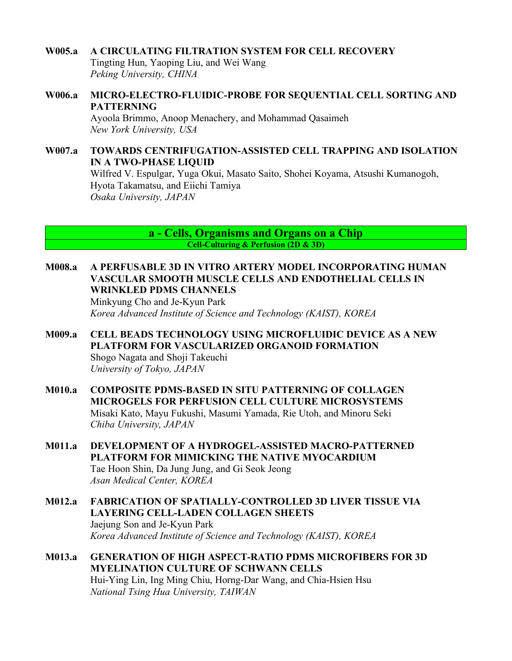#### **W005.a A CIRCULATING FILTRATION SYSTEM FOR CELL RECOVERY**

Tingting Hun, Yaoping Liu, and Wei Wang *Peking University, CHINA*

**W006.a MICRO-ELECTRO-FLUIDIC-PROBE FOR SEQUENTIAL CELL SORTING AND PATTERNING**

Ayoola Brimmo, Anoop Menachery, and Mohammad Qasaimeh *New York University, USA*

**W007.a TOWARDS CENTRIFUGATION-ASSISTED CELL TRAPPING AND ISOLATION IN A TWO-PHASE LIQUID** Wilfred V. Espulgar, Yuga Okui, Masato Saito, Shohei Koyama, Atsushi Kumanogoh, Hyota Takamatsu, and Eiichi Tamiya *Osaka University, JAPAN*

> **a - Cells, Organisms and Organs on a Chip Cell-Culturing & Perfusion (2D & 3D)**

**M008.a A PERFUSABLE 3D IN VITRO ARTERY MODEL INCORPORATING HUMAN VASCULAR SMOOTH MUSCLE CELLS AND ENDOTHELIAL CELLS IN WRINKLED PDMS CHANNELS**

Minkyung Cho and Je-Kyun Park *Korea Advanced Institute of Science and Technology (KAIST), KOREA*

- **M009.a CELL BEADS TECHNOLOGY USING MICROFLUIDIC DEVICE AS A NEW PLATFORM FOR VASCULARIZED ORGANOID FORMATION** Shogo Nagata and Shoji Takeuchi *University of Tokyo, JAPAN*
- **M010.a COMPOSITE PDMS-BASED IN SITU PATTERNING OF COLLAGEN MICROGELS FOR PERFUSION CELL CULTURE MICROSYSTEMS** Misaki Kato, Mayu Fukushi, Masumi Yamada, Rie Utoh, and Minoru Seki *Chiba University, JAPAN*
- **M011.a DEVELOPMENT OF A HYDROGEL-ASSISTED MACRO-PATTERNED PLATFORM FOR MIMICKING THE NATIVE MYOCARDIUM** Tae Hoon Shin, Da Jung Jung, and Gi Seok Jeong *Asan Medical Center, KOREA*
- **M012.a FABRICATION OF SPATIALLY-CONTROLLED 3D LIVER TISSUE VIA LAYERING CELL-LADEN COLLAGEN SHEETS** Jaejung Son and Je-Kyun Park *Korea Advanced Institute of Science and Technology (KAIST), KOREA*
- **M013.a GENERATION OF HIGH ASPECT-RATIO PDMS MICROFIBERS FOR 3D MYELINATION CULTURE OF SCHWANN CELLS** Hui-Ying Lin, Ing Ming Chiu, Horng-Dar Wang, and Chia-Hsien Hsu *National Tsing Hua University, TAIWAN*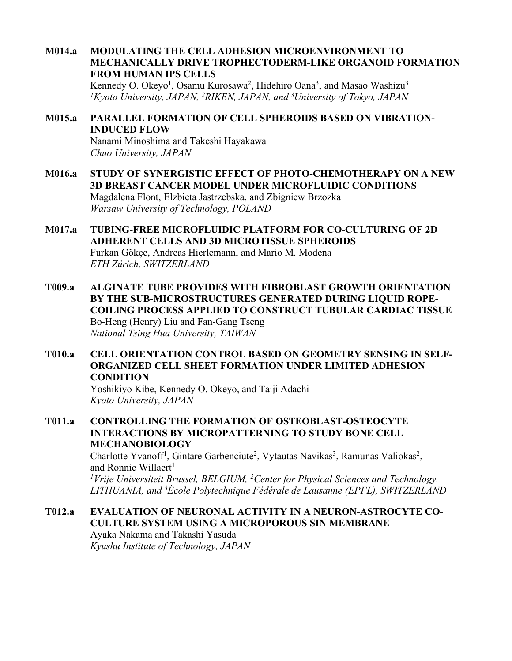**M014.a MODULATING THE CELL ADHESION MICROENVIRONMENT TO MECHANICALLY DRIVE TROPHECTODERM-LIKE ORGANOID FORMATION FROM HUMAN IPS CELLS**

Kennedy O. Okeyo<sup>1</sup>, Osamu Kurosawa<sup>2</sup>, Hidehiro Oana<sup>3</sup>, and Masao Washizu<sup>3</sup> *1Kyoto University, JAPAN, 2 RIKEN, JAPAN, and 3 University of Tokyo, JAPAN*

#### **M015.a PARALLEL FORMATION OF CELL SPHEROIDS BASED ON VIBRATION-INDUCED FLOW**

Nanami Minoshima and Takeshi Hayakawa *Chuo University, JAPAN*

- **M016.a STUDY OF SYNERGISTIC EFFECT OF PHOTO-CHEMOTHERAPY ON A NEW 3D BREAST CANCER MODEL UNDER MICROFLUIDIC CONDITIONS** Magdalena Flont, Elzbieta Jastrzebska, and Zbigniew Brzozka *Warsaw University of Technology, POLAND*
- **M017.a TUBING-FREE MICROFLUIDIC PLATFORM FOR CO-CULTURING OF 2D ADHERENT CELLS AND 3D MICROTISSUE SPHEROIDS** Furkan Gökçe, Andreas Hierlemann, and Mario M. Modena *ETH Zürich, SWITZERLAND*
- **T009.a ALGINATE TUBE PROVIDES WITH FIBROBLAST GROWTH ORIENTATION BY THE SUB-MICROSTRUCTURES GENERATED DURING LIQUID ROPE-COILING PROCESS APPLIED TO CONSTRUCT TUBULAR CARDIAC TISSUE** Bo-Heng (Henry) Liu and Fan-Gang Tseng *National Tsing Hua University, TAIWAN*
- **T010.a CELL ORIENTATION CONTROL BASED ON GEOMETRY SENSING IN SELF-ORGANIZED CELL SHEET FORMATION UNDER LIMITED ADHESION CONDITION**

Yoshikiyo Kibe, Kennedy O. Okeyo, and Taiji Adachi *Kyoto University, JAPAN*

**T011.a CONTROLLING THE FORMATION OF OSTEOBLAST-OSTEOCYTE INTERACTIONS BY MICROPATTERNING TO STUDY BONE CELL MECHANOBIOLOGY**

Charlotte Yvanoff<sup>1</sup>, Gintare Garbenciute<sup>2</sup>, Vytautas Navikas<sup>3</sup>, Ramunas Valiokas<sup>2</sup>, and Ronnie Willaert<sup>1</sup>

*1 Vrije Universiteit Brussel, BELGIUM, 2 Center for Physical Sciences and Technology, LITHUANIA, and 3 École Polytechnique Fédérale de Lausanne (EPFL), SWITZERLAND*

### **T012.a EVALUATION OF NEURONAL ACTIVITY IN A NEURON-ASTROCYTE CO-CULTURE SYSTEM USING A MICROPOROUS SIN MEMBRANE**

Ayaka Nakama and Takashi Yasuda *Kyushu Institute of Technology, JAPAN*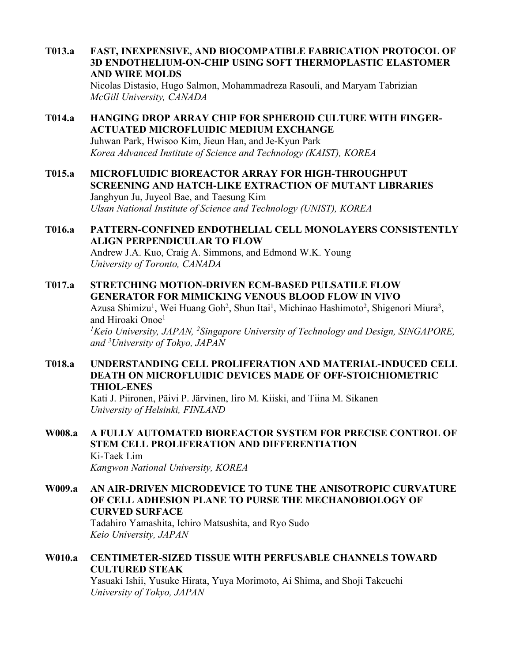**T013.a FAST, INEXPENSIVE, AND BIOCOMPATIBLE FABRICATION PROTOCOL OF 3D ENDOTHELIUM-ON-CHIP USING SOFT THERMOPLASTIC ELASTOMER AND WIRE MOLDS**

Nicolas Distasio, Hugo Salmon, Mohammadreza Rasouli, and Maryam Tabrizian *McGill University, CANADA*

- **T014.a HANGING DROP ARRAY CHIP FOR SPHEROID CULTURE WITH FINGER-ACTUATED MICROFLUIDIC MEDIUM EXCHANGE** Juhwan Park, Hwisoo Kim, Jieun Han, and Je-Kyun Park *Korea Advanced Institute of Science and Technology (KAIST), KOREA*
- **T015.a MICROFLUIDIC BIOREACTOR ARRAY FOR HIGH-THROUGHPUT SCREENING AND HATCH-LIKE EXTRACTION OF MUTANT LIBRARIES** Janghyun Ju, Juyeol Bae, and Taesung Kim *Ulsan National Institute of Science and Technology (UNIST), KOREA*
- **T016.a PATTERN-CONFINED ENDOTHELIAL CELL MONOLAYERS CONSISTENTLY ALIGN PERPENDICULAR TO FLOW** Andrew J.A. Kuo, Craig A. Simmons, and Edmond W.K. Young *University of Toronto, CANADA*
- **T017.a STRETCHING MOTION-DRIVEN ECM-BASED PULSATILE FLOW GENERATOR FOR MIMICKING VENOUS BLOOD FLOW IN VIVO** Azusa Shimizu<sup>1</sup>, Wei Huang Goh<sup>2</sup>, Shun Itai<sup>1</sup>, Michinao Hashimoto<sup>2</sup>, Shigenori Miura<sup>3</sup>, and Hiroaki Onoe<sup>1</sup> *1Keio University, JAPAN, 2Singapore University of Technology and Design, SINGAPORE, and 3 University of Tokyo, JAPAN*
- **T018.a UNDERSTANDING CELL PROLIFERATION AND MATERIAL-INDUCED CELL DEATH ON MICROFLUIDIC DEVICES MADE OF OFF-STOICHIOMETRIC THIOL-ENES**

Kati J. Piironen, Päivi P. Järvinen, Iiro M. Kiiski, and Tiina M. Sikanen *University of Helsinki, FINLAND*

- **W008.a A FULLY AUTOMATED BIOREACTOR SYSTEM FOR PRECISE CONTROL OF STEM CELL PROLIFERATION AND DIFFERENTIATION** Ki-Taek Lim *Kangwon National University, KOREA*
- **W009.a AN AIR-DRIVEN MICRODEVICE TO TUNE THE ANISOTROPIC CURVATURE OF CELL ADHESION PLANE TO PURSE THE MECHANOBIOLOGY OF CURVED SURFACE**

Tadahiro Yamashita, Ichiro Matsushita, and Ryo Sudo *Keio University, JAPAN*

**W010.a CENTIMETER-SIZED TISSUE WITH PERFUSABLE CHANNELS TOWARD CULTURED STEAK** Yasuaki Ishii, Yusuke Hirata, Yuya Morimoto, Ai Shima, and Shoji Takeuchi *University of Tokyo, JAPAN*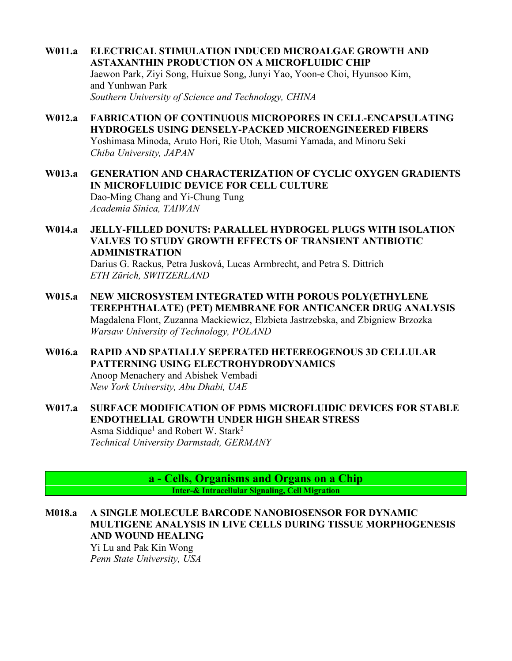- **W011.a ELECTRICAL STIMULATION INDUCED MICROALGAE GROWTH AND ASTAXANTHIN PRODUCTION ON A MICROFLUIDIC CHIP** Jaewon Park, Ziyi Song, Huixue Song, Junyi Yao, Yoon-e Choi, Hyunsoo Kim, and Yunhwan Park *Southern University of Science and Technology, CHINA*
- **W012.a FABRICATION OF CONTINUOUS MICROPORES IN CELL-ENCAPSULATING HYDROGELS USING DENSELY-PACKED MICROENGINEERED FIBERS** Yoshimasa Minoda, Aruto Hori, Rie Utoh, Masumi Yamada, and Minoru Seki *Chiba University, JAPAN*
- **W013.a GENERATION AND CHARACTERIZATION OF CYCLIC OXYGEN GRADIENTS IN MICROFLUIDIC DEVICE FOR CELL CULTURE** Dao-Ming Chang and Yi-Chung Tung *Academia Sinica, TAIWAN*
- **W014.a JELLY-FILLED DONUTS: PARALLEL HYDROGEL PLUGS WITH ISOLATION VALVES TO STUDY GROWTH EFFECTS OF TRANSIENT ANTIBIOTIC ADMINISTRATION**

Darius G. Rackus, Petra Jusková, Lucas Armbrecht, and Petra S. Dittrich *ETH Zürich, SWITZERLAND*

- **W015.a NEW MICROSYSTEM INTEGRATED WITH POROUS POLY(ETHYLENE TEREPHTHALATE) (PET) MEMBRANE FOR ANTICANCER DRUG ANALYSIS** Magdalena Flont, Zuzanna Mackiewicz, Elzbieta Jastrzebska, and Zbigniew Brzozka *Warsaw University of Technology, POLAND*
- **W016.a RAPID AND SPATIALLY SEPERATED HETEREOGENOUS 3D CELLULAR PATTERNING USING ELECTROHYDRODYNAMICS** Anoop Menachery and Abishek Vembadi *New York University, Abu Dhabi, UAE*
- **W017.a SURFACE MODIFICATION OF PDMS MICROFLUIDIC DEVICES FOR STABLE ENDOTHELIAL GROWTH UNDER HIGH SHEAR STRESS** Asma Siddique<sup>1</sup> and Robert W. Stark<sup>2</sup> *Technical University Darmstadt, GERMANY*

**a - Cells, Organisms and Organs on a Chip Inter-& Intracellular Signaling, Cell Migration**

**M018.a A SINGLE MOLECULE BARCODE NANOBIOSENSOR FOR DYNAMIC MULTIGENE ANALYSIS IN LIVE CELLS DURING TISSUE MORPHOGENESIS AND WOUND HEALING**

> Yi Lu and Pak Kin Wong *Penn State University, USA*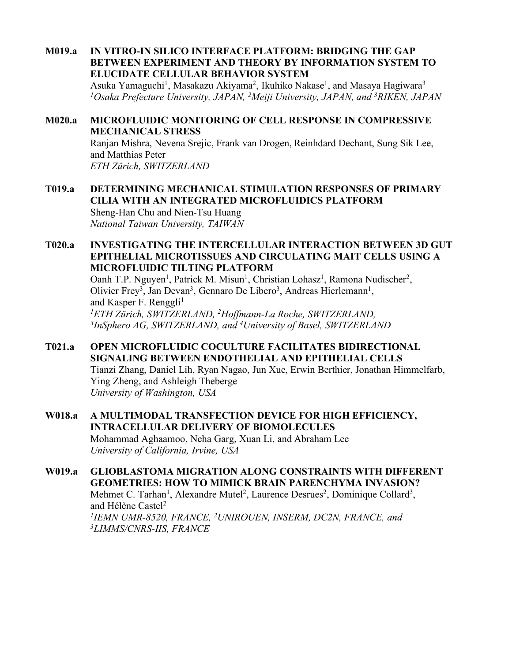**M019.a IN VITRO-IN SILICO INTERFACE PLATFORM: BRIDGING THE GAP BETWEEN EXPERIMENT AND THEORY BY INFORMATION SYSTEM TO ELUCIDATE CELLULAR BEHAVIOR SYSTEM**

Asuka Yamaguchi<sup>1</sup>, Masakazu Akiyama<sup>2</sup>, Ikuhiko Nakase<sup>1</sup>, and Masaya Hagiwara<sup>3</sup> *1Osaka Prefecture University, JAPAN, 2Meiji University, JAPAN, and 3RIKEN, JAPAN*

#### **M020.a MICROFLUIDIC MONITORING OF CELL RESPONSE IN COMPRESSIVE MECHANICAL STRESS**

Ranjan Mishra, Nevena Srejic, Frank van Drogen, Reinhdard Dechant, Sung Sik Lee, and Matthias Peter *ETH Zürich, SWITZERLAND*

- **T019.a DETERMINING MECHANICAL STIMULATION RESPONSES OF PRIMARY CILIA WITH AN INTEGRATED MICROFLUIDICS PLATFORM** Sheng-Han Chu and Nien-Tsu Huang *National Taiwan University, TAIWAN*
- **T020.a INVESTIGATING THE INTERCELLULAR INTERACTION BETWEEN 3D GUT EPITHELIAL MICROTISSUES AND CIRCULATING MAIT CELLS USING A MICROFLUIDIC TILTING PLATFORM**

Oanh T.P. Nguyen<sup>1</sup>, Patrick M. Misun<sup>1</sup>, Christian Lohasz<sup>1</sup>, Ramona Nudischer<sup>2</sup>, Olivier Frey<sup>3</sup>, Jan Devan<sup>3</sup>, Gennaro De Libero<sup>3</sup>, Andreas Hierlemann<sup>1</sup>, and Kasper F. Renggli<sup>1</sup> *1 ETH Zürich, SWITZERLAND, 2 Hoffmann-La Roche, SWITZERLAND, 3 InSphero AG, SWITZERLAND, and 4 University of Basel, SWITZERLAND*

**T021.a OPEN MICROFLUIDIC COCULTURE FACILITATES BIDIRECTIONAL SIGNALING BETWEEN ENDOTHELIAL AND EPITHELIAL CELLS**

Tianzi Zhang, Daniel Lih, Ryan Nagao, Jun Xue, Erwin Berthier, Jonathan Himmelfarb, Ying Zheng, and Ashleigh Theberge *University of Washington, USA*

**W018.a A MULTIMODAL TRANSFECTION DEVICE FOR HIGH EFFICIENCY, INTRACELLULAR DELIVERY OF BIOMOLECULES** Mohammad Aghaamoo, Neha Garg, Xuan Li, and Abraham Lee *University of California, Irvine, USA*

**W019.a GLIOBLASTOMA MIGRATION ALONG CONSTRAINTS WITH DIFFERENT GEOMETRIES: HOW TO MIMICK BRAIN PARENCHYMA INVASION?** Mehmet C. Tarhan<sup>1</sup>, Alexandre Mutel<sup>2</sup>, Laurence Desrues<sup>2</sup>, Dominique Collard<sup>3</sup>, and Hélène Castel<sup>2</sup> <sup>1</sup>IEMN UMR-8520, FRANCE, <sup>2</sup>UNIROUEN, INSERM, DC2N, FRANCE, and *3LIMMS/CNRS-IIS, FRANCE*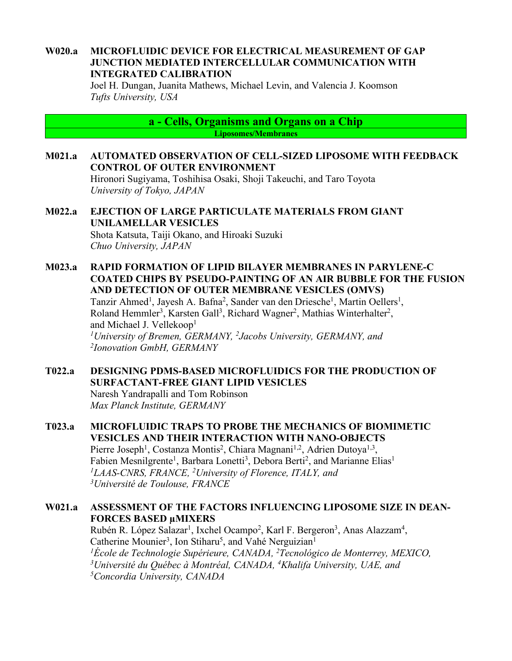#### **W020.a MICROFLUIDIC DEVICE FOR ELECTRICAL MEASUREMENT OF GAP JUNCTION MEDIATED INTERCELLULAR COMMUNICATION WITH INTEGRATED CALIBRATION**

Joel H. Dungan, Juanita Mathews, Michael Levin, and Valencia J. Koomson *Tufts University, USA*

> **a - Cells, Organisms and Organs on a Chip Liposomes/Membranes**

#### **M021.a AUTOMATED OBSERVATION OF CELL-SIZED LIPOSOME WITH FEEDBACK CONTROL OF OUTER ENVIRONMENT** Hironori Sugiyama, Toshihisa Osaki, Shoji Takeuchi, and Taro Toyota

*University of Tokyo, JAPAN*

**M022.a EJECTION OF LARGE PARTICULATE MATERIALS FROM GIANT UNILAMELLAR VESICLES** Shota Katsuta, Taiji Okano, and Hiroaki Suzuki *Chuo University, JAPAN*

**M023.a RAPID FORMATION OF LIPID BILAYER MEMBRANES IN PARYLENE-C COATED CHIPS BY PSEUDO-PAINTING OF AN AIR BUBBLE FOR THE FUSION AND DETECTION OF OUTER MEMBRANE VESICLES (OMVS)**

Tanzir Ahmed<sup>1</sup>, Jayesh A. Bafna<sup>2</sup>, Sander van den Driesche<sup>1</sup>, Martin Oellers<sup>1</sup>, Roland Hemmler<sup>3</sup>, Karsten Gall<sup>3</sup>, Richard Wagner<sup>2</sup>, Mathias Winterhalter<sup>2</sup>, and Michael J. Vellekoop<sup>1</sup> *1University of Bremen, GERMANY, 2Jacobs University, GERMANY, and 2 Ionovation GmbH, GERMANY*

#### **T022.a DESIGNING PDMS-BASED MICROFLUIDICS FOR THE PRODUCTION OF SURFACTANT-FREE GIANT LIPID VESICLES** Naresh Yandrapalli and Tom Robinson

*Max Planck Institute, GERMANY*

#### **T023.a MICROFLUIDIC TRAPS TO PROBE THE MECHANICS OF BIOMIMETIC VESICLES AND THEIR INTERACTION WITH NANO-OBJECTS** Pierre Joseph<sup>1</sup>, Costanza Montis<sup>2</sup>, Chiara Magnani<sup>1,2</sup>, Adrien Dutoya<sup>1,3</sup>, Fabien Mesnilgrente<sup>1</sup>, Barbara Lonetti<sup>3</sup>, Debora Berti<sup>2</sup>, and Marianne Elias<sup>1</sup> *1LAAS-CNRS, FRANCE, 2University of Florence, ITALY, and 3 Université de Toulouse, FRANCE*

#### **W021.a ASSESSMENT OF THE FACTORS INFLUENCING LIPOSOME SIZE IN DEAN-FORCES BASED µMIXERS**

Rubén R. López Salazar<sup>1</sup>, Ixchel Ocampo<sup>2</sup>, Karl F. Bergeron<sup>3</sup>, Anas Alazzam<sup>4</sup>, Catherine Mounier<sup>3</sup>, Ion Stiharu<sup>5</sup>, and Vahé Nerguizian<sup>1</sup> *1École de Technologie Supérieure, CANADA, 2 Tecnológico de Monterrey, MEXICO,*  <sup>3</sup> Université du Québec à Montréal, CANADA, <sup>4</sup> Khalifa University, UAE, and *5Concordia University, CANADA*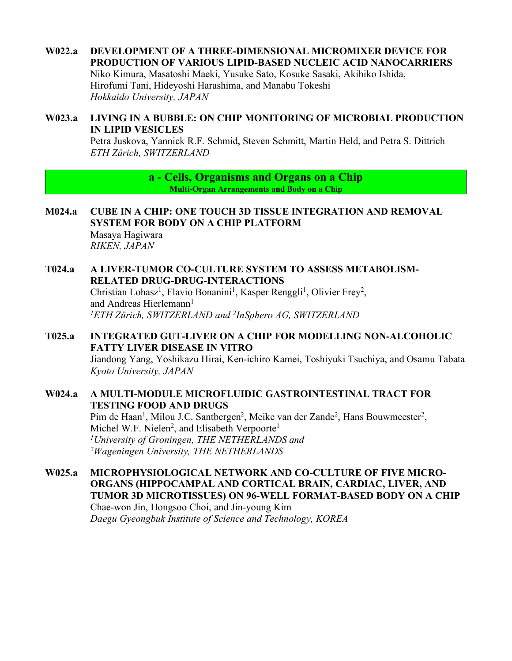# **W022.a DEVELOPMENT OF A THREE-DIMENSIONAL MICROMIXER DEVICE FOR PRODUCTION OF VARIOUS LIPID-BASED NUCLEIC ACID NANOCARRIERS**

Niko Kimura, Masatoshi Maeki, Yusuke Sato, Kosuke Sasaki, Akihiko Ishida, Hirofumi Tani, Hideyoshi Harashima, and Manabu Tokeshi *Hokkaido University, JAPAN*

## **W023.a LIVING IN A BUBBLE: ON CHIP MONITORING OF MICROBIAL PRODUCTION IN LIPID VESICLES**

Petra Juskova, Yannick R.F. Schmid, Steven Schmitt, Martin Held, and Petra S. Dittrich *ETH Zürich, SWITZERLAND*

> **a - Cells, Organisms and Organs on a Chip Multi-Organ Arrangements and Body on a Chip**

**M024.a CUBE IN A CHIP: ONE TOUCH 3D TISSUE INTEGRATION AND REMOVAL SYSTEM FOR BODY ON A CHIP PLATFORM** Masaya Hagiwara

*RIKEN, JAPAN*

# **T024.a A LIVER-TUMOR CO-CULTURE SYSTEM TO ASSESS METABOLISM-RELATED DRUG-DRUG-INTERACTIONS**

Christian Lohasz<sup>1</sup>, Flavio Bonanini<sup>1</sup>, Kasper Renggli<sup>1</sup>, Olivier Frey<sup>2</sup>, and Andreas Hierlemann<sup>1</sup> *1ETH Zürich, SWITZERLAND and 2InSphero AG, SWITZERLAND*

# **T025.a INTEGRATED GUT-LIVER ON A CHIP FOR MODELLING NON-ALCOHOLIC FATTY LIVER DISEASE IN VITRO**

Jiandong Yang, Yoshikazu Hirai, Ken-ichiro Kamei, Toshiyuki Tsuchiya, and Osamu Tabata *Kyoto University, JAPAN*

## **W024.a A MULTI-MODULE MICROFLUIDIC GASTROINTESTINAL TRACT FOR TESTING FOOD AND DRUGS**

Pim de Haan<sup>1</sup>, Milou J.C. Santbergen<sup>2</sup>, Meike van der Zande<sup>2</sup>, Hans Bouwmeester<sup>2</sup>, Michel W.F. Nielen<sup>2</sup>, and Elisabeth Verpoorte<sup>1</sup> *1University of Groningen, THE NETHERLANDS and 2Wageningen University, THE NETHERLANDS*

**W025.a MICROPHYSIOLOGICAL NETWORK AND CO-CULTURE OF FIVE MICRO-ORGANS (HIPPOCAMPAL AND CORTICAL BRAIN, CARDIAC, LIVER, AND TUMOR 3D MICROTISSUES) ON 96-WELL FORMAT-BASED BODY ON A CHIP** Chae-won Jin, Hongsoo Choi, and Jin-young Kim *Daegu Gyeongbuk Institute of Science and Technology, KOREA*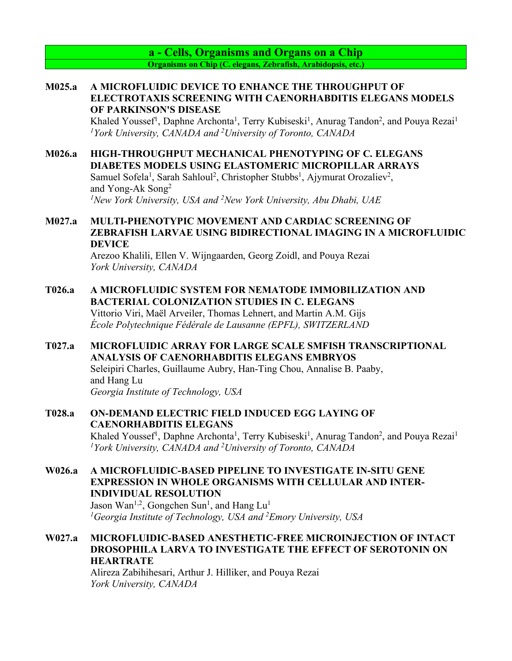**a - Cells, Organisms and Organs on a Chip Organisms on Chip (C. elegans, Zebrafish, Arabidopsis, etc.)**

### **M025.a A MICROFLUIDIC DEVICE TO ENHANCE THE THROUGHPUT OF ELECTROTAXIS SCREENING WITH CAENORHABDITIS ELEGANS MODELS OF PARKINSON'S DISEASE**

Khaled Youssef<sup>1</sup>, Daphne Archonta<sup>1</sup>, Terry Kubiseski<sup>1</sup>, Anurag Tandon<sup>2</sup>, and Pouya Rezai<sup>1</sup> *1York University, CANADA and 2 University of Toronto, CANADA*

## **M026.a HIGH-THROUGHPUT MECHANICAL PHENOTYPING OF C. ELEGANS DIABETES MODELS USING ELASTOMERIC MICROPILLAR ARRAYS**

Samuel Sofela<sup>1</sup>, Sarah Sahloul<sup>2</sup>, Christopher Stubbs<sup>1</sup>, Ajymurat Orozaliev<sup>2</sup>, and Yong-Ak Song2 *1 New York University, USA and 2 New York University, Abu Dhabi, UAE*

## **M027.a MULTI-PHENOTYPIC MOVEMENT AND CARDIAC SCREENING OF ZEBRAFISH LARVAE USING BIDIRECTIONAL IMAGING IN A MICROFLUIDIC DEVICE**

Arezoo Khalili, Ellen V. Wijngaarden, Georg Zoidl, and Pouya Rezai *York University, CANADA*

## **T026.a A MICROFLUIDIC SYSTEM FOR NEMATODE IMMOBILIZATION AND BACTERIAL COLONIZATION STUDIES IN C. ELEGANS**

Vittorio Viri, Maël Arveiler, Thomas Lehnert, and Martin A.M. Gijs *École Polytechnique Fédérale de Lausanne (EPFL), SWITZERLAND*

### **T027.a MICROFLUIDIC ARRAY FOR LARGE SCALE SMFISH TRANSCRIPTIONAL ANALYSIS OF CAENORHABDITIS ELEGANS EMBRYOS**

Seleipiri Charles, Guillaume Aubry, Han-Ting Chou, Annalise B. Paaby, and Hang Lu *Georgia Institute of Technology, USA*

# **T028.a ON-DEMAND ELECTRIC FIELD INDUCED EGG LAYING OF CAENORHABDITIS ELEGANS**

Khaled Youssef<sup>1</sup>, Daphne Archonta<sup>1</sup>, Terry Kubiseski<sup>1</sup>, Anurag Tandon<sup>2</sup>, and Pouya Rezai<sup>1</sup> *1York University, CANADA and 2 University of Toronto, CANADA*

## **W026.a A MICROFLUIDIC-BASED PIPELINE TO INVESTIGATE IN-SITU GENE EXPRESSION IN WHOLE ORGANISMS WITH CELLULAR AND INTER-INDIVIDUAL RESOLUTION**

Jason Wan<sup>1,2</sup>, Gongchen Sun<sup>1</sup>, and Hang Lu<sup>1</sup> *1 Georgia Institute of Technology, USA and 2 Emory University, USA*

## **W027.a MICROFLUIDIC-BASED ANESTHETIC-FREE MICROINJECTION OF INTACT DROSOPHILA LARVA TO INVESTIGATE THE EFFECT OF SEROTONIN ON HEARTRATE**

Alireza Zabihihesari, Arthur J. Hilliker, and Pouya Rezai *York University, CANADA*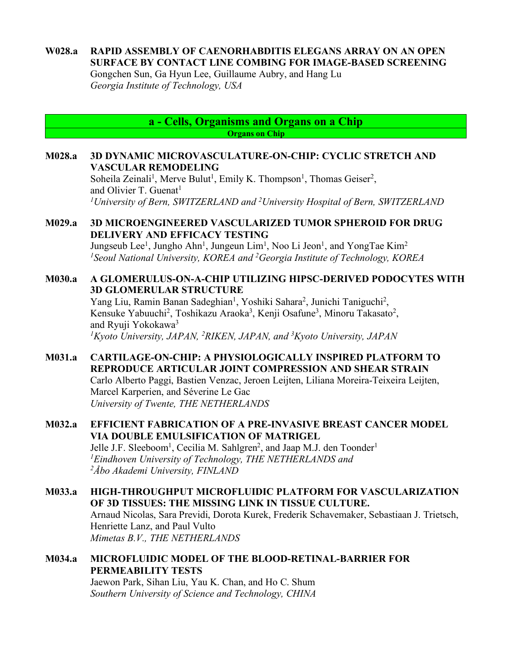## **W028.a RAPID ASSEMBLY OF CAENORHABDITIS ELEGANS ARRAY ON AN OPEN SURFACE BY CONTACT LINE COMBING FOR IMAGE-BASED SCREENING**

Gongchen Sun, Ga Hyun Lee, Guillaume Aubry, and Hang Lu *Georgia Institute of Technology, USA*

> **a - Cells, Organisms and Organs on a Chip Organs on Chip**

### **M028.a 3D DYNAMIC MICROVASCULATURE-ON-CHIP: CYCLIC STRETCH AND VASCULAR REMODELING**

Soheila Zeinali<sup>1</sup>, Merve Bulut<sup>1</sup>, Emily K. Thompson<sup>1</sup>, Thomas Geiser<sup>2</sup>, and Olivier T. Guenat<sup>1</sup> *1University of Bern, SWITZERLAND and 2University Hospital of Bern, SWITZERLAND*

## **M029.a 3D MICROENGINEERED VASCULARIZED TUMOR SPHEROID FOR DRUG DELIVERY AND EFFICACY TESTING**

Jungseub Lee<sup>1</sup>, Jungho Ahn<sup>1</sup>, Jungeun Lim<sup>1</sup>, Noo Li Jeon<sup>1</sup>, and YongTae Kim<sup>2</sup> *1 Seoul National University, KOREA and 2 Georgia Institute of Technology, KOREA*

### **M030.a A GLOMERULUS-ON-A-CHIP UTILIZING HIPSC-DERIVED PODOCYTES WITH 3D GLOMERULAR STRUCTURE**

Yang Liu, Ramin Banan Sadeghian<sup>1</sup>, Yoshiki Sahara<sup>2</sup>, Junichi Taniguchi<sup>2</sup>, Kensuke Yabuuchi<sup>2</sup>, Toshikazu Araoka<sup>3</sup>, Kenji Osafune<sup>3</sup>, Minoru Takasato<sup>2</sup>, and Ryuji Yokokawa<sup>3</sup> *1Kyoto University, JAPAN, 2 RIKEN, JAPAN, and 3 Kyoto University, JAPAN*

## **M031.a CARTILAGE-ON-CHIP: A PHYSIOLOGICALLY INSPIRED PLATFORM TO REPRODUCE ARTICULAR JOINT COMPRESSION AND SHEAR STRAIN** Carlo Alberto Paggi, Bastien Venzac, Jeroen Leijten, Liliana Moreira-Teixeira Leijten, Marcel Karperien, and Séverine Le Gac *University of Twente, THE NETHERLANDS*

## **M032.a EFFICIENT FABRICATION OF A PRE-INVASIVE BREAST CANCER MODEL VIA DOUBLE EMULSIFICATION OF MATRIGEL**

Jelle J.F. Sleeboom<sup>1</sup>, Cecilia M. Sahlgren<sup>2</sup>, and Jaap M.J. den Toonder<sup>1</sup> *1Eindhoven University of Technology, THE NETHERLANDS and 2Åbo Akademi University, FINLAND*

## **M033.a HIGH-THROUGHPUT MICROFLUIDIC PLATFORM FOR VASCULARIZATION OF 3D TISSUES: THE MISSING LINK IN TISSUE CULTURE.** Arnaud Nicolas, Sara Previdi, Dorota Kurek, Frederik Schavemaker, Sebastiaan J. Trietsch, Henriette Lanz, and Paul Vulto *Mimetas B.V., THE NETHERLANDS*

### **M034.a MICROFLUIDIC MODEL OF THE BLOOD-RETINAL-BARRIER FOR PERMEABILITY TESTS** Jaewon Park, Sihan Liu, Yau K. Chan, and Ho C. Shum *Southern University of Science and Technology, CHINA*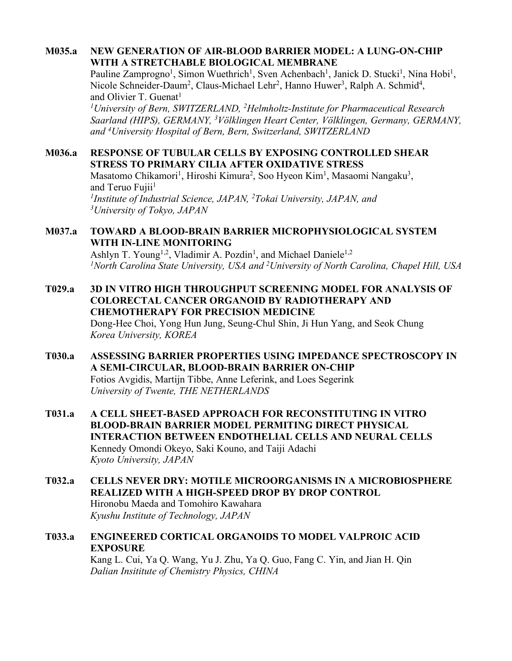## **M035.a NEW GENERATION OF AIR-BLOOD BARRIER MODEL: A LUNG-ON-CHIP WITH A STRETCHABLE BIOLOGICAL MEMBRANE**

Pauline Zamprogno<sup>1</sup>, Simon Wuethrich<sup>1</sup>, Sven Achenbach<sup>1</sup>, Janick D. Stucki<sup>1</sup>, Nina Hobi<sup>1</sup>, Nicole Schneider-Daum<sup>2</sup>, Claus-Michael Lehr<sup>2</sup>, Hanno Huwer<sup>3</sup>, Ralph A. Schmid<sup>4</sup>, and Olivier T. Guenat<sup>1</sup>

*1University of Bern, SWITZERLAND, 2 Helmholtz-Institute for Pharmaceutical Research Saarland (HIPS), GERMANY, 3 Völklingen Heart Center, Völklingen, Germany, GERMANY, and 4University Hospital of Bern, Bern, Switzerland, SWITZERLAND*

### **M036.a RESPONSE OF TUBULAR CELLS BY EXPOSING CONTROLLED SHEAR STRESS TO PRIMARY CILIA AFTER OXIDATIVE STRESS**

Masatomo Chikamori<sup>1</sup>, Hiroshi Kimura<sup>2</sup>, Soo Hyeon Kim<sup>1</sup>, Masaomi Nangaku<sup>3</sup>, and Teruo Fujii<sup>1</sup> <sup>1</sup>Institute of Industrial Science, JAPAN, <sup>2</sup>Tokai University, JAPAN, and *3 University of Tokyo, JAPAN*

## **M037.a TOWARD A BLOOD-BRAIN BARRIER MICROPHYSIOLOGICAL SYSTEM WITH IN-LINE MONITORING**

Ashlyn T. Young<sup>1,2</sup>, Vladimir A. Pozdin<sup>1</sup>, and Michael Daniele<sup>1,2</sup> <sup>1</sup> North Carolina State University, USA and <sup>2</sup> University of North Carolina, Chapel Hill, USA

## **T029.a 3D IN VITRO HIGH THROUGHPUT SCREENING MODEL FOR ANALYSIS OF COLORECTAL CANCER ORGANOID BY RADIOTHERAPY AND CHEMOTHERAPY FOR PRECISION MEDICINE** Dong-Hee Choi, Yong Hun Jung, Seung-Chul Shin, Ji Hun Yang, and Seok Chung *Korea University, KOREA*

### **T030.a ASSESSING BARRIER PROPERTIES USING IMPEDANCE SPECTROSCOPY IN A SEMI-CIRCULAR, BLOOD-BRAIN BARRIER ON-CHIP** Fotios Avgidis, Martijn Tibbe, Anne Leferink, and Loes Segerink *University of Twente, THE NETHERLANDS*

- **T031.a A CELL SHEET-BASED APPROACH FOR RECONSTITUTING IN VITRO BLOOD-BRAIN BARRIER MODEL PERMITING DIRECT PHYSICAL INTERACTION BETWEEN ENDOTHELIAL CELLS AND NEURAL CELLS** Kennedy Omondi Okeyo, Saki Kouno, and Taiji Adachi *Kyoto University, JAPAN*
- **T032.a CELLS NEVER DRY: MOTILE MICROORGANISMS IN A MICROBIOSPHERE REALIZED WITH A HIGH-SPEED DROP BY DROP CONTROL** Hironobu Maeda and Tomohiro Kawahara *Kyushu Institute of Technology, JAPAN*

## **T033.a ENGINEERED CORTICAL ORGANOIDS TO MODEL VALPROIC ACID EXPOSURE** Kang L. Cui, Ya Q. Wang, Yu J. Zhu, Ya Q. Guo, Fang C. Yin, and Jian H. Qin

*Dalian Insititute of Chemistry Physics, CHINA*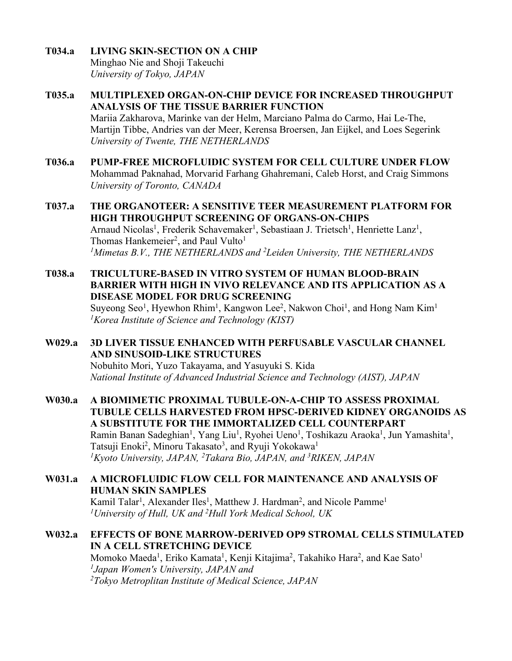- **T034.a LIVING SKIN-SECTION ON A CHIP** Minghao Nie and Shoji Takeuchi *University of Tokyo, JAPAN*
- **T035.a MULTIPLEXED ORGAN-ON-CHIP DEVICE FOR INCREASED THROUGHPUT ANALYSIS OF THE TISSUE BARRIER FUNCTION** Mariia Zakharova, Marinke van der Helm, Marciano Palma do Carmo, Hai Le-The, Martijn Tibbe, Andries van der Meer, Kerensa Broersen, Jan Eijkel, and Loes Segerink *University of Twente, THE NETHERLANDS*
- **T036.a PUMP-FREE MICROFLUIDIC SYSTEM FOR CELL CULTURE UNDER FLOW** Mohammad Paknahad, Morvarid Farhang Ghahremani, Caleb Horst, and Craig Simmons *University of Toronto, CANADA*
- **T037.a THE ORGANOTEER: A SENSITIVE TEER MEASUREMENT PLATFORM FOR HIGH THROUGHPUT SCREENING OF ORGANS-ON-CHIPS** Arnaud Nicolas<sup>1</sup>, Frederik Schavemaker<sup>1</sup>, Sebastiaan J. Trietsch<sup>1</sup>, Henriette Lanz<sup>1</sup>, Thomas Hankemeier<sup>2</sup>, and Paul Vulto<sup>1</sup> *1Mimetas B.V., THE NETHERLANDS and 2 Leiden University, THE NETHERLANDS*
- **T038.a TRICULTURE-BASED IN VITRO SYSTEM OF HUMAN BLOOD-BRAIN BARRIER WITH HIGH IN VIVO RELEVANCE AND ITS APPLICATION AS A DISEASE MODEL FOR DRUG SCREENING** Suyeong Seo<sup>1</sup>, Hyewhon Rhim<sup>1</sup>, Kangwon Lee<sup>2</sup>, Nakwon Choi<sup>1</sup>, and Hong Nam Kim<sup>1</sup> *1Korea Institute of Science and Technology (KIST)*
- **W029.a 3D LIVER TISSUE ENHANCED WITH PERFUSABLE VASCULAR CHANNEL AND SINUSOID-LIKE STRUCTURES** Nobuhito Mori, Yuzo Takayama, and Yasuyuki S. Kida *National Institute of Advanced Industrial Science and Technology (AIST), JAPAN*
- **W030.a A BIOMIMETIC PROXIMAL TUBULE-ON-A-CHIP TO ASSESS PROXIMAL TUBULE CELLS HARVESTED FROM HPSC-DERIVED KIDNEY ORGANOIDS AS A SUBSTITUTE FOR THE IMMORTALIZED CELL COUNTERPART** Ramin Banan Sadeghian<sup>1</sup>, Yang Liu<sup>1</sup>, Ryohei Ueno<sup>1</sup>, Toshikazu Araoka<sup>1</sup>, Jun Yamashita<sup>1</sup>, Tatsuji Enoki<sup>2</sup>, Minoru Takasato<sup>3</sup>, and Ryuji Yokokawa<sup>1</sup> *1Kyoto University, JAPAN, 2 Takara Bio, JAPAN, and 3 RIKEN, JAPAN*
- **W031.a A MICROFLUIDIC FLOW CELL FOR MAINTENANCE AND ANALYSIS OF HUMAN SKIN SAMPLES** Kamil Talar<sup>1</sup>, Alexander Iles<sup>1</sup>, Matthew J. Hardman<sup>2</sup>, and Nicole Pamme<sup>1</sup> *1 University of Hull, UK and 2 Hull York Medical School, UK*
- **W032.a EFFECTS OF BONE MARROW-DERIVED OP9 STROMAL CELLS STIMULATED IN A CELL STRETCHING DEVICE** Momoko Maeda<sup>1</sup>, Eriko Kamata<sup>1</sup>, Kenji Kitajima<sup>2</sup>, Takahiko Hara<sup>2</sup>, and Kae Sato<sup>1</sup> *1 Japan Women's University, JAPAN and 2Tokyo Metroplitan Institute of Medical Science, JAPAN*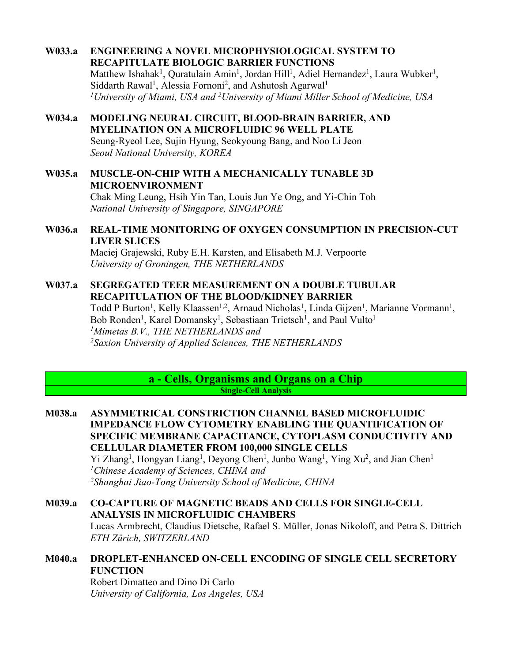- **W033.a ENGINEERING A NOVEL MICROPHYSIOLOGICAL SYSTEM TO RECAPITULATE BIOLOGIC BARRIER FUNCTIONS** Matthew Ishahak<sup>1</sup>, Quratulain Amin<sup>1</sup>, Jordan Hill<sup>1</sup>, Adiel Hernandez<sup>1</sup>, Laura Wubker<sup>1</sup>, Siddarth Rawal<sup>1</sup>, Alessia Fornoni<sup>2</sup>, and Ashutosh Agarwal<sup>1</sup> *1University of Miami, USA and 2University of Miami Miller School of Medicine, USA*
- **W034.a MODELING NEURAL CIRCUIT, BLOOD-BRAIN BARRIER, AND MYELINATION ON A MICROFLUIDIC 96 WELL PLATE** Seung-Ryeol Lee, Sujin Hyung, Seokyoung Bang, and Noo Li Jeon *Seoul National University, KOREA*
- **W035.a MUSCLE-ON-CHIP WITH A MECHANICALLY TUNABLE 3D MICROENVIRONMENT**

Chak Ming Leung, Hsih Yin Tan, Louis Jun Ye Ong, and Yi-Chin Toh *National University of Singapore, SINGAPORE*

**W036.a REAL-TIME MONITORING OF OXYGEN CONSUMPTION IN PRECISION-CUT LIVER SLICES**

Maciej Grajewski, Ruby E.H. Karsten, and Elisabeth M.J. Verpoorte *University of Groningen, THE NETHERLANDS*

**W037.a SEGREGATED TEER MEASUREMENT ON A DOUBLE TUBULAR RECAPITULATION OF THE BLOOD/KIDNEY BARRIER**

Todd P Burton<sup>1</sup>, Kelly Klaassen<sup>1,2</sup>, Arnaud Nicholas<sup>1</sup>, Linda Gijzen<sup>1</sup>, Marianne Vormann<sup>1</sup>, Bob Ronden<sup>1</sup>, Karel Domansky<sup>1</sup>, Sebastiaan Trietsch<sup>1</sup>, and Paul Vulto<sup>1</sup> *1Mimetas B.V., THE NETHERLANDS and 2 Saxion University of Applied Sciences, THE NETHERLANDS*

> **a - Cells, Organisms and Organs on a Chip Single-Cell Analysis**

**M038.a ASYMMETRICAL CONSTRICTION CHANNEL BASED MICROFLUIDIC IMPEDANCE FLOW CYTOMETRY ENABLING THE QUANTIFICATION OF SPECIFIC MEMBRANE CAPACITANCE, CYTOPLASM CONDUCTIVITY AND CELLULAR DIAMETER FROM 100,000 SINGLE CELLS** Yi Zhang<sup>1</sup>, Hongyan Liang<sup>1</sup>, Deyong Chen<sup>1</sup>, Junbo Wang<sup>1</sup>, Ying Xu<sup>2</sup>, and Jian Chen<sup>1</sup> *1Chinese Academy of Sciences, CHINA and 2 Shanghai Jiao-Tong University School of Medicine, CHINA*

- **M039.a CO-CAPTURE OF MAGNETIC BEADS AND CELLS FOR SINGLE-CELL ANALYSIS IN MICROFLUIDIC CHAMBERS** Lucas Armbrecht, Claudius Dietsche, Rafael S. Müller, Jonas Nikoloff, and Petra S. Dittrich *ETH Zürich, SWITZERLAND*
- **M040.a DROPLET-ENHANCED ON-CELL ENCODING OF SINGLE CELL SECRETORY FUNCTION** Robert Dimatteo and Dino Di Carlo

*University of California, Los Angeles, USA*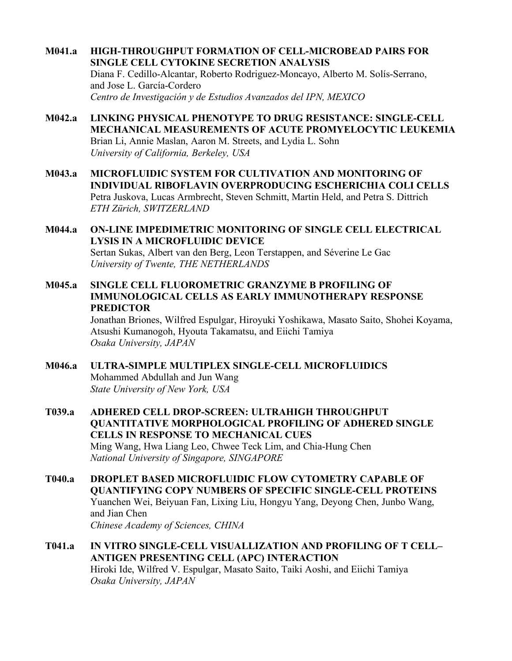- **M041.a HIGH-THROUGHPUT FORMATION OF CELL-MICROBEAD PAIRS FOR SINGLE CELL CYTOKINE SECRETION ANALYSIS** Diana F. Cedillo-Alcantar, Roberto Rodriguez-Moncayo, Alberto M. Solís-Serrano, and Jose L. García-Cordero *Centro de Investigación y de Estudios Avanzados del IPN, MEXICO*
- **M042.a LINKING PHYSICAL PHENOTYPE TO DRUG RESISTANCE: SINGLE-CELL MECHANICAL MEASUREMENTS OF ACUTE PROMYELOCYTIC LEUKEMIA** Brian Li, Annie Maslan, Aaron M. Streets, and Lydia L. Sohn *University of California, Berkeley, USA*
- **M043.a MICROFLUIDIC SYSTEM FOR CULTIVATION AND MONITORING OF INDIVIDUAL RIBOFLAVIN OVERPRODUCING ESCHERICHIA COLI CELLS** Petra Juskova, Lucas Armbrecht, Steven Schmitt, Martin Held, and Petra S. Dittrich *ETH Zürich, SWITZERLAND*
- **M044.a ON-LINE IMPEDIMETRIC MONITORING OF SINGLE CELL ELECTRICAL LYSIS IN A MICROFLUIDIC DEVICE** Sertan Sukas, Albert van den Berg, Leon Terstappen, and Séverine Le Gac *University of Twente, THE NETHERLANDS*
- **M045.a SINGLE CELL FLUOROMETRIC GRANZYME B PROFILING OF IMMUNOLOGICAL CELLS AS EARLY IMMUNOTHERAPY RESPONSE PREDICTOR**

Jonathan Briones, Wilfred Espulgar, Hiroyuki Yoshikawa, Masato Saito, Shohei Koyama, Atsushi Kumanogoh, Hyouta Takamatsu, and Eiichi Tamiya *Osaka University, JAPAN*

- **M046.a ULTRA-SIMPLE MULTIPLEX SINGLE-CELL MICROFLUIDICS** Mohammed Abdullah and Jun Wang *State University of New York, USA*
- **T039.a ADHERED CELL DROP-SCREEN: ULTRAHIGH THROUGHPUT QUANTITATIVE MORPHOLOGICAL PROFILING OF ADHERED SINGLE CELLS IN RESPONSE TO MECHANICAL CUES** Ming Wang, Hwa Liang Leo, Chwee Teck Lim, and Chia-Hung Chen *National University of Singapore, SINGAPORE*
- **T040.a DROPLET BASED MICROFLUIDIC FLOW CYTOMETRY CAPABLE OF QUANTIFYING COPY NUMBERS OF SPECIFIC SINGLE-CELL PROTEINS** Yuanchen Wei, Beiyuan Fan, Lixing Liu, Hongyu Yang, Deyong Chen, Junbo Wang, and Jian Chen *Chinese Academy of Sciences, CHINA*
- **T041.a IN VITRO SINGLE-CELL VISUALLIZATION AND PROFILING OF T CELL– ANTIGEN PRESENTING CELL (APC) INTERACTION** Hiroki Ide, Wilfred V. Espulgar, Masato Saito, Taiki Aoshi, and Eiichi Tamiya *Osaka University, JAPAN*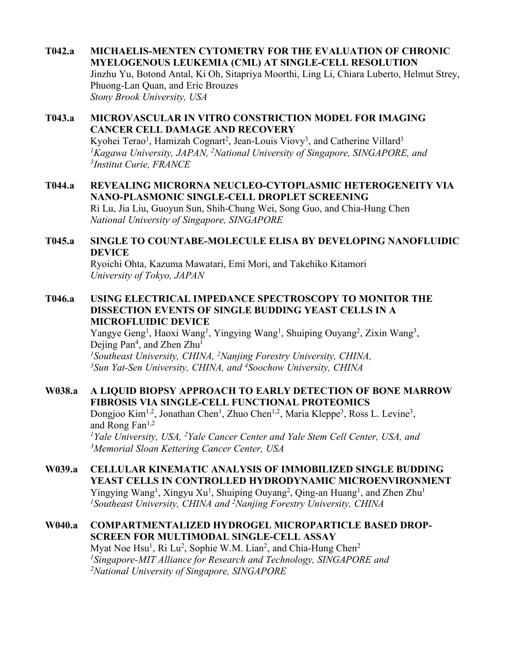- **T042.a MICHAELIS-MENTEN CYTOMETRY FOR THE EVALUATION OF CHRONIC MYELOGENOUS LEUKEMIA (CML) AT SINGLE-CELL RESOLUTION** Jinzhu Yu, Botond Antal, Ki Oh, Sitapriya Moorthi, Ling Li, Chiara Luberto, Helmut Strey, Phuong-Lan Quan, and Eric Brouzes *Stony Brook University, USA*
- **T043.a MICROVASCULAR IN VITRO CONSTRICTION MODEL FOR IMAGING CANCER CELL DAMAGE AND RECOVERY**

Kyohei Terao<sup>1</sup>, Hamizah Cognart<sup>2</sup>, Jean-Louis Viovy<sup>3</sup>, and Catherine Villard<sup>3</sup> <sup>1</sup> Kagawa University, JAPAN, <sup>2</sup> National University of Singapore, SINGAPORE, and *3Institut Curie, FRANCE*

**T044.a REVEALING MICRORNA NEUCLEO-CYTOPLASMIC HETEROGENEITY VIA NANO-PLASMONIC SINGLE-CELL DROPLET SCREENING** Ri Lu, Jia Liu, Guoyun Sun, Shih-Chung Wei, Song Guo, and Chia-Hung Chen *National University of Singapore, SINGAPORE*

## **T045.a SINGLE TO COUNTABE-MOLECULE ELISA BY DEVELOPING NANOFLUIDIC DEVICE**

Ryoichi Ohta, Kazuma Mawatari, Emi Mori, and Takehiko Kitamori *University of Tokyo, JAPAN*

**T046.a USING ELECTRICAL IMPEDANCE SPECTROSCOPY TO MONITOR THE DISSECTION EVENTS OF SINGLE BUDDING YEAST CELLS IN A MICROFLUIDIC DEVICE**

> Yangye Geng<sup>1</sup>, Haoxi Wang<sup>1</sup>, Yingying Wang<sup>1</sup>, Shuiping Ouyang<sup>2</sup>, Zixin Wang<sup>3</sup>, Dejing Pan<sup>4</sup>, and Zhen Zhu<sup>1</sup> <sup>1</sup> Southeast University, CHINA, <sup>2</sup> Nanjing Forestry University, CHINA, *3 Sun Yat-Sen University, CHINA, and 4 Soochow University, CHINA*

## **W038.a A LIQUID BIOPSY APPROACH TO EARLY DETECTION OF BONE MARROW FIBROSIS VIA SINGLE-CELL FUNCTIONAL PROTEOMICS**

Dongjoo Kim<sup>1,2</sup>, Jonathan Chen<sup>1</sup>, Zhuo Chen<sup>1,2</sup>, Maria Kleppe<sup>3</sup>, Ross L. Levine<sup>3</sup>, and Rong  $Fan<sup>1,2</sup>$ <sup>1</sup>Yale University, USA, <sup>2</sup>Yale Cancer Center and Yale Stem Cell Center, USA, and *3 Memorial Sloan Kettering Cancer Center, USA*

- **W039.a CELLULAR KINEMATIC ANALYSIS OF IMMOBILIZED SINGLE BUDDING YEAST CELLS IN CONTROLLED HYDRODYNAMIC MICROENVIRONMENT** Yingying Wang<sup>1</sup>, Xingyu Xu<sup>1</sup>, Shuiping Ouyang<sup>2</sup>, Qing-an Huang<sup>1</sup>, and Zhen Zhu<sup>1</sup> *1Southeast University, CHINA and 2Nanjing Forestry University, CHINA*
- **W040.a COMPARTMENTALIZED HYDROGEL MICROPARTICLE BASED DROP-SCREEN FOR MULTIMODAL SINGLE-CELL ASSAY** Myat Noe Hsu<sup>1</sup>, Ri Lu<sup>2</sup>, Sophie W.M. Lian<sup>2</sup>, and Chia-Hung Chen<sup>2</sup> *1Singapore-MIT Alliance for Research and Technology, SINGAPORE and 2National University of Singapore, SINGAPORE*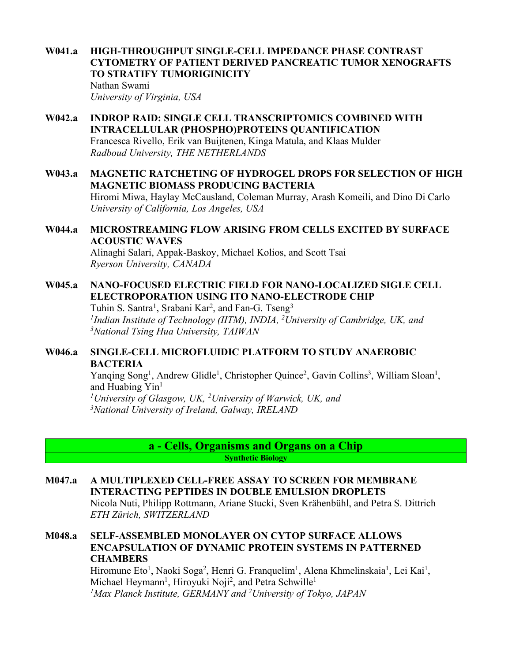**W041.a HIGH-THROUGHPUT SINGLE-CELL IMPEDANCE PHASE CONTRAST CYTOMETRY OF PATIENT DERIVED PANCREATIC TUMOR XENOGRAFTS TO STRATIFY TUMORIGINICITY** Nathan Swami *University of Virginia, USA*

- **W042.a INDROP RAID: SINGLE CELL TRANSCRIPTOMICS COMBINED WITH INTRACELLULAR (PHOSPHO)PROTEINS QUANTIFICATION** Francesca Rivello, Erik van Buijtenen, Kinga Matula, and Klaas Mulder *Radboud University, THE NETHERLANDS*
- **W043.a MAGNETIC RATCHETING OF HYDROGEL DROPS FOR SELECTION OF HIGH MAGNETIC BIOMASS PRODUCING BACTERIA** Hiromi Miwa, Haylay McCausland, Coleman Murray, Arash Komeili, and Dino Di Carlo *University of California, Los Angeles, USA*

### **W044.a MICROSTREAMING FLOW ARISING FROM CELLS EXCITED BY SURFACE ACOUSTIC WAVES** Alinaghi Salari, Appak-Baskoy, Michael Kolios, and Scott Tsai

*Ryerson University, CANADA*

**W045.a NANO-FOCUSED ELECTRIC FIELD FOR NANO-LOCALIZED SIGLE CELL ELECTROPORATION USING ITO NANO-ELECTRODE CHIP**

Tuhin S. Santra<sup>1</sup>, Srabani Kar<sup>2</sup>, and Fan-G. Tseng<sup>3</sup> *1Indian Institute of Technology (IITM), INDIA, 2University of Cambridge, UK, and 3National Tsing Hua University, TAIWAN*

## **W046.a SINGLE-CELL MICROFLUIDIC PLATFORM TO STUDY ANAEROBIC BACTERIA**

Yanqing Song<sup>1</sup>, Andrew Glidle<sup>1</sup>, Christopher Quince<sup>2</sup>, Gavin Collins<sup>3</sup>, William Sloan<sup>1</sup>, and Huabing Yin<sup>1</sup> *1 University of Glasgow, UK, 2 University of Warwick, UK, and* 

*3National University of Ireland, Galway, IRELAND*

**a - Cells, Organisms and Organs on a Chip Synthetic Biology**

- **M047.a A MULTIPLEXED CELL-FREE ASSAY TO SCREEN FOR MEMBRANE INTERACTING PEPTIDES IN DOUBLE EMULSION DROPLETS** Nicola Nuti, Philipp Rottmann, Ariane Stucki, Sven Krähenbühl, and Petra S. Dittrich *ETH Zürich, SWITZERLAND*
- **M048.a SELF-ASSEMBLED MONOLAYER ON CYTOP SURFACE ALLOWS ENCAPSULATION OF DYNAMIC PROTEIN SYSTEMS IN PATTERNED CHAMBERS** Hiromune Eto<sup>1</sup>, Naoki Soga<sup>2</sup>, Henri G. Franquelim<sup>1</sup>, Alena Khmelinskaia<sup>1</sup>, Lei Kai<sup>1</sup>, Michael Heymann<sup>1</sup>, Hiroyuki Noji<sup>2</sup>, and Petra Schwille<sup>1</sup> *1Max Planck Institute, GERMANY and 2 University of Tokyo, JAPAN*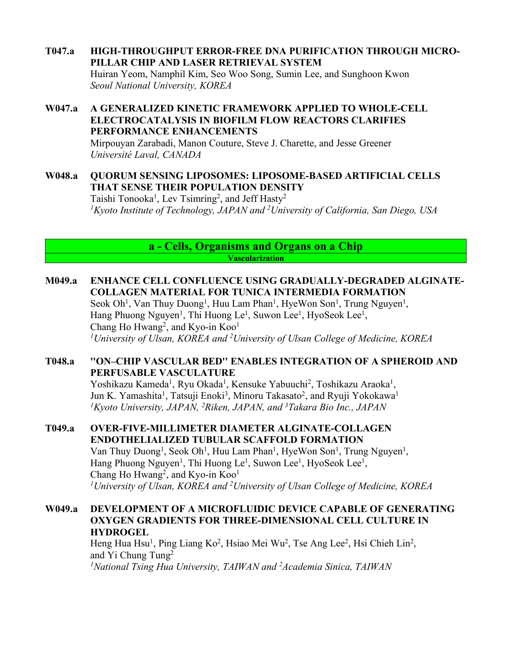### **T047.a HIGH-THROUGHPUT ERROR-FREE DNA PURIFICATION THROUGH MICRO-PILLAR CHIP AND LASER RETRIEVAL SYSTEM**

Huiran Yeom, Namphil Kim, Seo Woo Song, Sumin Lee, and Sunghoon Kwon *Seoul National University, KOREA*

## **W047.a A GENERALIZED KINETIC FRAMEWORK APPLIED TO WHOLE-CELL ELECTROCATALYSIS IN BIOFILM FLOW REACTORS CLARIFIES PERFORMANCE ENHANCEMENTS**

Mirpouyan Zarabadi, Manon Couture, Steve J. Charette, and Jesse Greener *Université Laval, CANADA*

### **W048.a QUORUM SENSING LIPOSOMES: LIPOSOME-BASED ARTIFICIAL CELLS THAT SENSE THEIR POPULATION DENSITY**

Taishi Tonooka<sup>1</sup>, Lev Tsimring<sup>2</sup>, and Jeff Hasty<sup>2</sup> *1 Kyoto Institute of Technology, JAPAN and 2 University of California, San Diego, USA*

> **a - Cells, Organisms and Organs on a Chip Vascularization**

### **M049.a ENHANCE CELL CONFLUENCE USING GRADUALLY-DEGRADED ALGINATE-COLLAGEN MATERIAL FOR TUNICA INTERMEDIA FORMATION**

Seok Oh<sup>1</sup>, Van Thuy Duong<sup>1</sup>, Huu Lam Phan<sup>1</sup>, HyeWon Son<sup>1</sup>, Trung Nguyen<sup>1</sup>, Hang Phuong Nguyen<sup>1</sup>, Thi Huong Le<sup>1</sup>, Suwon Lee<sup>1</sup>, HyoSeok Lee<sup>1</sup>, Chang Ho Hwang<sup>2</sup>, and Kyo-in Koo<sup>1</sup> *1University of Ulsan, KOREA and 2 University of Ulsan College of Medicine, KOREA*

## **T048.a ''ON–CHIP VASCULAR BED'' ENABLES INTEGRATION OF A SPHEROID AND PERFUSABLE VASCULATURE**

Yoshikazu Kameda<sup>1</sup>, Ryu Okada<sup>1</sup>, Kensuke Yabuuchi<sup>2</sup>, Toshikazu Araoka<sup>1</sup>, Jun K. Yamashita<sup>1</sup>, Tatsuji Enoki<sup>3</sup>, Minoru Takasato<sup>2</sup>, and Ryuji Yokokawa<sup>1</sup> *1 Kyoto University, JAPAN, 2 Riken, JAPAN, and 3 Takara Bio Inc., JAPAN*

**T049.a OVER-FIVE-MILLIMETER DIAMETER ALGINATE-COLLAGEN ENDOTHELIALIZED TUBULAR SCAFFOLD FORMATION** Van Thuy Duong<sup>1</sup>, Seok Oh<sup>1</sup>, Huu Lam Phan<sup>1</sup>, HyeWon Son<sup>1</sup>, Trung Nguyen<sup>1</sup>, Hang Phuong Nguyen<sup>1</sup>, Thi Huong Le<sup>1</sup>, Suwon Lee<sup>1</sup>, HyoSeok Lee<sup>1</sup>, Chang Ho Hwang<sup>2</sup>, and Kyo-in Koo<sup>1</sup> *1 University of Ulsan, KOREA and 2 University of Ulsan College of Medicine, KOREA*

### **W049.a DEVELOPMENT OF A MICROFLUIDIC DEVICE CAPABLE OF GENERATING OXYGEN GRADIENTS FOR THREE-DIMENSIONAL CELL CULTURE IN HYDROGEL**

Heng Hua Hsu<sup>1</sup>, Ping Liang Ko<sup>2</sup>, Hsiao Mei Wu<sup>2</sup>, Tse Ang Lee<sup>2</sup>, Hsi Chieh Lin<sup>2</sup>, and Yi Chung Tung2 <sup>1</sup>National Tsing Hua University, TAIWAN and <sup>2</sup>Academia Sinica, TAIWAN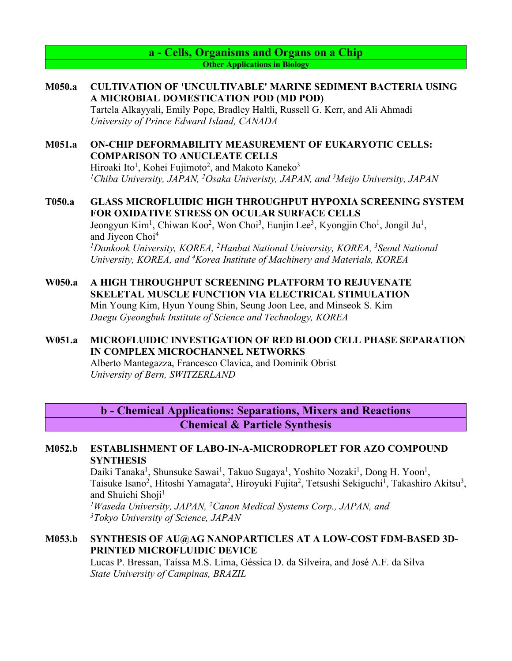**a - Cells, Organisms and Organs on a Chip Other Applications in Biology**

# **M050.a CULTIVATION OF 'UNCULTIVABLE' MARINE SEDIMENT BACTERIA USING A MICROBIAL DOMESTICATION POD (MD POD)**

Tartela Alkayyali, Emily Pope, Bradley Haltli, Russell G. Kerr, and Ali Ahmadi *University of Prince Edward Island, CANADA*

### **M051.a ON-CHIP DEFORMABILITY MEASUREMENT OF EUKARYOTIC CELLS: COMPARISON TO ANUCLEATE CELLS**

Hiroaki Ito<sup>1</sup>, Kohei Fujimoto<sup>2</sup>, and Makoto Kaneko<sup>3</sup> *1 Chiba University, JAPAN, 2 Osaka Univeristy, JAPAN, and 3 Meijo University, JAPAN*

# **T050.a GLASS MICROFLUIDIC HIGH THROUGHPUT HYPOXIA SCREENING SYSTEM FOR OXIDATIVE STRESS ON OCULAR SURFACE CELLS**

Jeongyun Kim<sup>1</sup>, Chiwan Koo<sup>2</sup>, Won Choi<sup>3</sup>, Eunjin Lee<sup>3</sup>, Kyongjin Cho<sup>1</sup>, Jongil Ju<sup>1</sup>, and Jiyeon Choi<sup>4</sup>

<sup>1</sup>Dankook University, KOREA, <sup>2</sup>Hanbat National University, KOREA, <sup>3</sup>Seoul National *University, KOREA, and 4Korea Institute of Machinery and Materials, KOREA*

### **W050.a A HIGH THROUGHPUT SCREENING PLATFORM TO REJUVENATE SKELETAL MUSCLE FUNCTION VIA ELECTRICAL STIMULATION** Min Young Kim, Hyun Young Shin, Seung Joon Lee, and Minseok S. Kim *Daegu Gyeongbuk Institute of Science and Technology, KOREA*

## **W051.a MICROFLUIDIC INVESTIGATION OF RED BLOOD CELL PHASE SEPARATION IN COMPLEX MICROCHANNEL NETWORKS**

Alberto Mantegazza, Francesco Clavica, and Dominik Obrist *University of Bern, SWITZERLAND*

**b - Chemical Applications: Separations, Mixers and Reactions Chemical & Particle Synthesis**

### **M052.b ESTABLISHMENT OF LABO-IN-A-MICRODROPLET FOR AZO COMPOUND SYNTHESIS**

Daiki Tanaka<sup>1</sup>, Shunsuke Sawai<sup>1</sup>, Takuo Sugaya<sup>1</sup>, Yoshito Nozaki<sup>1</sup>, Dong H. Yoon<sup>1</sup>, Taisuke Isano<sup>2</sup>, Hitoshi Yamagata<sup>2</sup>, Hiroyuki Fujita<sup>2</sup>, Tetsushi Sekiguchi<sup>1</sup>, Takashiro Akitsu<sup>3</sup>, and Shuichi Shoji<sup>1</sup>

*1Waseda University, JAPAN, 2Canon Medical Systems Corp., JAPAN, and 3 Tokyo University of Science, JAPAN*

## **M053.b SYNTHESIS OF AU@AG NANOPARTICLES AT A LOW-COST FDM-BASED 3D-PRINTED MICROFLUIDIC DEVICE**

Lucas P. Bressan, Taíssa M.S. Lima, Géssica D. da Silveira, and José A.F. da Silva *State University of Campinas, BRAZIL*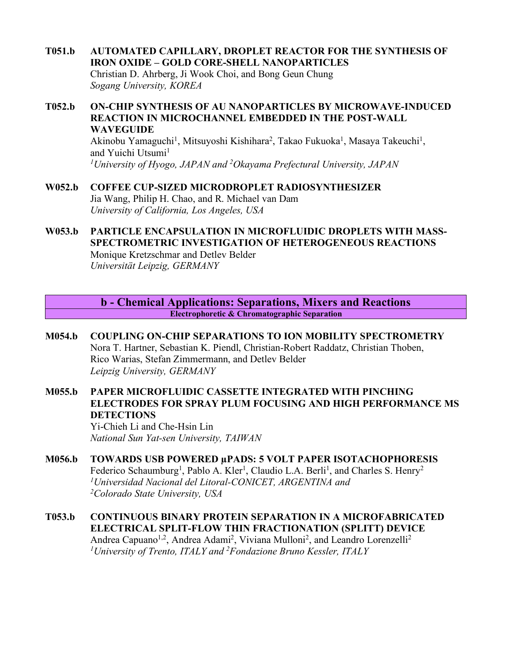- **T051.b AUTOMATED CAPILLARY, DROPLET REACTOR FOR THE SYNTHESIS OF IRON OXIDE – GOLD CORE-SHELL NANOPARTICLES** Christian D. Ahrberg, Ji Wook Choi, and Bong Geun Chung *Sogang University, KOREA*
- **T052.b ON-CHIP SYNTHESIS OF AU NANOPARTICLES BY MICROWAVE-INDUCED REACTION IN MICROCHANNEL EMBEDDED IN THE POST-WALL WAVEGUIDE**

Akinobu Yamaguchi<sup>1</sup>, Mitsuyoshi Kishihara<sup>2</sup>, Takao Fukuoka<sup>1</sup>, Masaya Takeuchi<sup>1</sup>, and Yuichi Utsumi<sup>1</sup> *1University of Hyogo, JAPAN and 2 Okayama Prefectural University, JAPAN*

- **W052.b COFFEE CUP-SIZED MICRODROPLET RADIOSYNTHESIZER** Jia Wang, Philip H. Chao, and R. Michael van Dam *University of California, Los Angeles, USA*
- **W053.b PARTICLE ENCAPSULATION IN MICROFLUIDIC DROPLETS WITH MASS-SPECTROMETRIC INVESTIGATION OF HETEROGENEOUS REACTIONS** Monique Kretzschmar and Detlev Belder

*Universität Leipzig, GERMANY*

**b - Chemical Applications: Separations, Mixers and Reactions Electrophoretic & Chromatographic Separation**

- **M054.b COUPLING ON-CHIP SEPARATIONS TO ION MOBILITY SPECTROMETRY** Nora T. Hartner, Sebastian K. Piendl, Christian-Robert Raddatz, Christian Thoben, Rico Warias, Stefan Zimmermann, and Detlev Belder *Leipzig University, GERMANY*
- **M055.b PAPER MICROFLUIDIC CASSETTE INTEGRATED WITH PINCHING ELECTRODES FOR SPRAY PLUM FOCUSING AND HIGH PERFORMANCE MS DETECTIONS**

Yi-Chieh Li and Che-Hsin Lin *National Sun Yat-sen University, TAIWAN*

- **M056.b TOWARDS USB POWERED µPADS: 5 VOLT PAPER ISOTACHOPHORESIS** Federico Schaumburg<sup>1</sup>, Pablo A. Kler<sup>1</sup>, Claudio L.A. Berli<sup>1</sup>, and Charles S. Henry<sup>2</sup> *1 Universidad Nacional del Litoral-CONICET, ARGENTINA and 2Colorado State University, USA*
- **T053.b CONTINUOUS BINARY PROTEIN SEPARATION IN A MICROFABRICATED ELECTRICAL SPLIT-FLOW THIN FRACTIONATION (SPLITT) DEVICE** Andrea Capuano<sup>1,2</sup>, Andrea Adami<sup>2</sup>, Viviana Mulloni<sup>2</sup>, and Leandro Lorenzelli<sup>2</sup> *1University of Trento, ITALY and 2Fondazione Bruno Kessler, ITALY*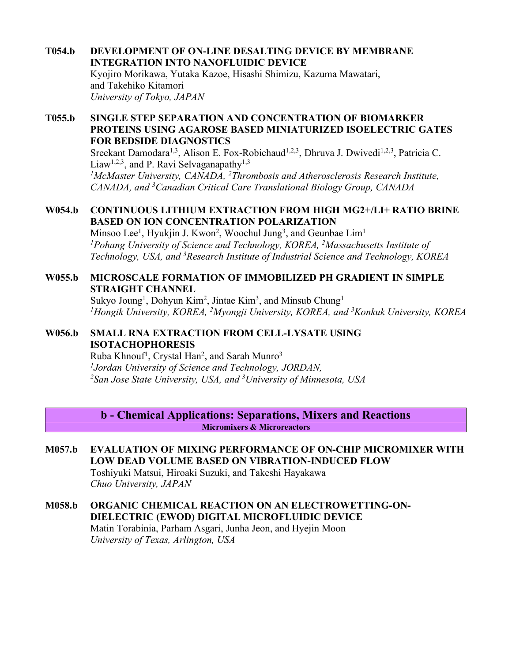**T054.b DEVELOPMENT OF ON-LINE DESALTING DEVICE BY MEMBRANE INTEGRATION INTO NANOFLUIDIC DEVICE** Kyojiro Morikawa, Yutaka Kazoe, Hisashi Shimizu, Kazuma Mawatari, and Takehiko Kitamori *University of Tokyo, JAPAN*

### **T055.b SINGLE STEP SEPARATION AND CONCENTRATION OF BIOMARKER PROTEINS USING AGAROSE BASED MINIATURIZED ISOELECTRIC GATES FOR BEDSIDE DIAGNOSTICS**

Sreekant Damodara<sup>1,3</sup>, Alison E. Fox-Robichaud<sup>1,2,3</sup>, Dhruva J. Dwivedi<sup>1,2,3</sup>, Patricia C. Liaw<sup>1,2,3</sup>, and P. Ravi Selvaganapathy<sup>1,3</sup> *1McMaster University, CANADA, 2Thrombosis and Atherosclerosis Research Institute, CANADA, and 3Canadian Critical Care Translational Biology Group, CANADA*

### **W054.b CONTINUOUS LITHIUM EXTRACTION FROM HIGH MG2+/LI+ RATIO BRINE BASED ON ION CONCENTRATION POLARIZATION**

Minsoo Lee<sup>1</sup>, Hyukjin J. Kwon<sup>2</sup>, Woochul Jung<sup>3</sup>, and Geunbae Lim<sup>1</sup> *1Pohang University of Science and Technology, KOREA, 2Massachusetts Institute of Technology, USA, and 3 Research Institute of Industrial Science and Technology, KOREA*

## **W055.b MICROSCALE FORMATION OF IMMOBILIZED PH GRADIENT IN SIMPLE STRAIGHT CHANNEL**

Sukyo Joung<sup>1</sup>, Dohyun Kim<sup>2</sup>, Jintae Kim<sup>3</sup>, and Minsub Chung<sup>1</sup> *1Hongik University, KOREA, 2Myongji University, KOREA, and 3Konkuk University, KOREA*

## **W056.b SMALL RNA EXTRACTION FROM CELL-LYSATE USING ISOTACHOPHORESIS**

Ruba Khnouf<sup>1</sup>, Crystal Han<sup>2</sup>, and Sarah Munro<sup>3</sup> *1 Jordan University of Science and Technology, JORDAN, 2San Jose State University, USA, and 3University of Minnesota, USA*

**b - Chemical Applications: Separations, Mixers and Reactions Micromixers & Microreactors**

- **M057.b EVALUATION OF MIXING PERFORMANCE OF ON-CHIP MICROMIXER WITH LOW DEAD VOLUME BASED ON VIBRATION-INDUCED FLOW** Toshiyuki Matsui, Hiroaki Suzuki, and Takeshi Hayakawa *Chuo University, JAPAN*
- **M058.b ORGANIC CHEMICAL REACTION ON AN ELECTROWETTING-ON-DIELECTRIC (EWOD) DIGITAL MICROFLUIDIC DEVICE** Matin Torabinia, Parham Asgari, Junha Jeon, and Hyejin Moon *University of Texas, Arlington, USA*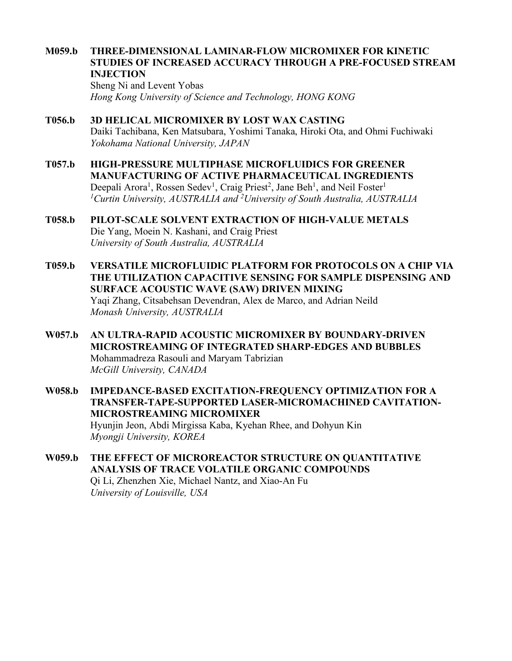### **M059.b THREE-DIMENSIONAL LAMINAR-FLOW MICROMIXER FOR KINETIC STUDIES OF INCREASED ACCURACY THROUGH A PRE-FOCUSED STREAM INJECTION**

Sheng Ni and Levent Yobas *Hong Kong University of Science and Technology, HONG KONG*

- **T056.b 3D HELICAL MICROMIXER BY LOST WAX CASTING** Daiki Tachibana, Ken Matsubara, Yoshimi Tanaka, Hiroki Ota, and Ohmi Fuchiwaki *Yokohama National University, JAPAN*
- **T057.b HIGH-PRESSURE MULTIPHASE MICROFLUIDICS FOR GREENER MANUFACTURING OF ACTIVE PHARMACEUTICAL INGREDIENTS** Deepali Arora<sup>1</sup>, Rossen Sedev<sup>1</sup>, Craig Priest<sup>2</sup>, Jane Beh<sup>1</sup>, and Neil Foster<sup>1</sup> *1 Curtin University, AUSTRALIA and 2 University of South Australia, AUSTRALIA*
- **T058.b PILOT-SCALE SOLVENT EXTRACTION OF HIGH-VALUE METALS** Die Yang, Moein N. Kashani, and Craig Priest *University of South Australia, AUSTRALIA*
- **T059.b VERSATILE MICROFLUIDIC PLATFORM FOR PROTOCOLS ON A CHIP VIA THE UTILIZATION CAPACITIVE SENSING FOR SAMPLE DISPENSING AND SURFACE ACOUSTIC WAVE (SAW) DRIVEN MIXING** Yaqi Zhang, Citsabehsan Devendran, Alex de Marco, and Adrian Neild *Monash University, AUSTRALIA*
- **W057.b AN ULTRA-RAPID ACOUSTIC MICROMIXER BY BOUNDARY-DRIVEN MICROSTREAMING OF INTEGRATED SHARP-EDGES AND BUBBLES** Mohammadreza Rasouli and Maryam Tabrizian *McGill University, CANADA*
- **W058.b IMPEDANCE-BASED EXCITATION-FREQUENCY OPTIMIZATION FOR A TRANSFER-TAPE-SUPPORTED LASER-MICROMACHINED CAVITATION-MICROSTREAMING MICROMIXER** Hyunjin Jeon, Abdi Mirgissa Kaba, Kyehan Rhee, and Dohyun Kin *Myongji University, KOREA*
- **W059.b THE EFFECT OF MICROREACTOR STRUCTURE ON QUANTITATIVE ANALYSIS OF TRACE VOLATILE ORGANIC COMPOUNDS** Qi Li, Zhenzhen Xie, Michael Nantz, and Xiao-An Fu *University of Louisville, USA*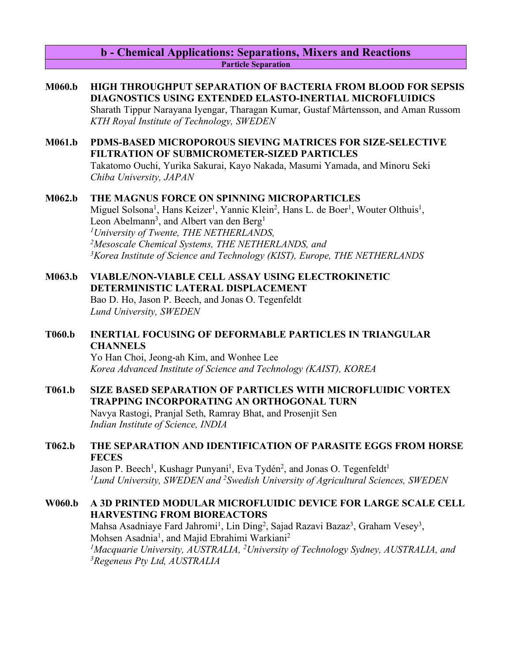### **b - Chemical Applications: Separations, Mixers and Reactions Particle Separation**

### **M060.b HIGH THROUGHPUT SEPARATION OF BACTERIA FROM BLOOD FOR SEPSIS DIAGNOSTICS USING EXTENDED ELASTO-INERTIAL MICROFLUIDICS**

Sharath Tippur Narayana Iyengar, Tharagan Kumar, Gustaf Mårtensson, and Aman Russom *KTH Royal Institute of Technology, SWEDEN*

### **M061.b PDMS-BASED MICROPOROUS SIEVING MATRICES FOR SIZE-SELECTIVE FILTRATION OF SUBMICROMETER-SIZED PARTICLES**

Takatomo Ouchi, Yurika Sakurai, Kayo Nakada, Masumi Yamada, and Minoru Seki *Chiba University, JAPAN*

### **M062.b THE MAGNUS FORCE ON SPINNING MICROPARTICLES**

Miguel Solsona<sup>1</sup>, Hans Keizer<sup>1</sup>, Yannic Klein<sup>2</sup>, Hans L. de Boer<sup>1</sup>, Wouter Olthuis<sup>1</sup>, Leon Abelmann<sup>3</sup>, and Albert van den Berg<sup>1</sup> *1University of Twente, THE NETHERLANDS, 2 Mesoscale Chemical Systems, THE NETHERLANDS, and 3Korea Institute of Science and Technology (KIST), Europe, THE NETHERLANDS*

# **M063.b VIABLE/NON-VIABLE CELL ASSAY USING ELECTROKINETIC DETERMINISTIC LATERAL DISPLACEMENT**

Bao D. Ho, Jason P. Beech, and Jonas O. Tegenfeldt *Lund University, SWEDEN*

## **T060.b INERTIAL FOCUSING OF DEFORMABLE PARTICLES IN TRIANGULAR CHANNELS**

Yo Han Choi, Jeong-ah Kim, and Wonhee Lee *Korea Advanced Institute of Science and Technology (KAIST), KOREA*

## **T061.b SIZE BASED SEPARATION OF PARTICLES WITH MICROFLUIDIC VORTEX TRAPPING INCORPORATING AN ORTHOGONAL TURN**

Navya Rastogi, Pranjal Seth, Ramray Bhat, and Prosenjit Sen *Indian Institute of Science, INDIA*

## **T062.b THE SEPARATION AND IDENTIFICATION OF PARASITE EGGS FROM HORSE FECES**

Jason P. Beech<sup>1</sup>, Kushagr Punyani<sup>1</sup>, Eva Tydén<sup>2</sup>, and Jonas O. Tegenfeldt<sup>1</sup> *1Lund University, SWEDEN and 2Swedish University of Agricultural Sciences, SWEDEN*

## **W060.b A 3D PRINTED MODULAR MICROFLUIDIC DEVICE FOR LARGE SCALE CELL HARVESTING FROM BIOREACTORS**

Mahsa Asadniaye Fard Jahromi<sup>1</sup>, Lin Ding<sup>2</sup>, Sajad Razavi Bazaz<sup>3</sup>, Graham Vesey<sup>3</sup>, Mohsen Asadnia<sup>1</sup>, and Majid Ebrahimi Warkiani<sup>2</sup> <sup>1</sup>Macquarie University, AUSTRALIA, <sup>2</sup>University of Technology Sydney, AUSTRALIA, and *3 Regeneus Pty Ltd, AUSTRALIA*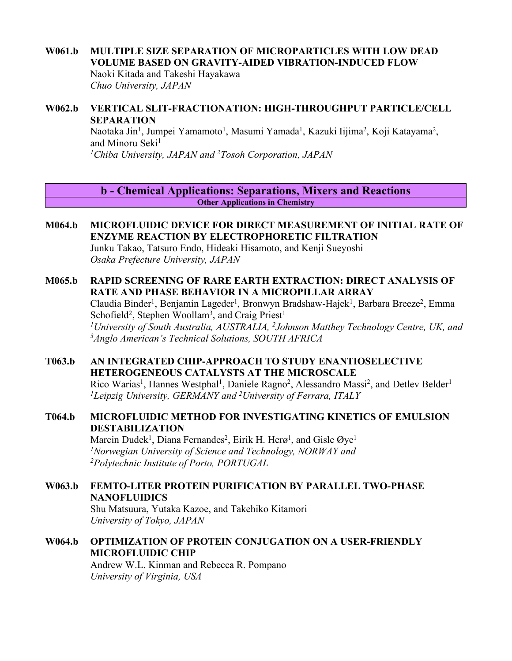# **W061.b MULTIPLE SIZE SEPARATION OF MICROPARTICLES WITH LOW DEAD VOLUME BASED ON GRAVITY-AIDED VIBRATION-INDUCED FLOW**

Naoki Kitada and Takeshi Hayakawa *Chuo University, JAPAN*

## **W062.b VERTICAL SLIT-FRACTIONATION: HIGH-THROUGHPUT PARTICLE/CELL SEPARATION**

Naotaka Jin<sup>1</sup>, Jumpei Yamamoto<sup>1</sup>, Masumi Yamada<sup>1</sup>, Kazuki Iijima<sup>2</sup>, Koji Katayama<sup>2</sup>, and Minoru Seki<sup>1</sup> *1Chiba University, JAPAN and 2Tosoh Corporation, JAPAN*

**b - Chemical Applications: Separations, Mixers and Reactions Other Applications in Chemistry**

## **M064.b MICROFLUIDIC DEVICE FOR DIRECT MEASUREMENT OF INITIAL RATE OF ENZYME REACTION BY ELECTROPHORETIC FILTRATION**

Junku Takao, Tatsuro Endo, Hideaki Hisamoto, and Kenji Sueyoshi *Osaka Prefecture University, JAPAN*

### **M065.b RAPID SCREENING OF RARE EARTH EXTRACTION: DIRECT ANALYSIS OF RATE AND PHASE BEHAVIOR IN A MICROPILLAR ARRAY**

Claudia Binder<sup>1</sup>, Benjamin Lageder<sup>1</sup>, Bronwyn Bradshaw-Hajek<sup>1</sup>, Barbara Breeze<sup>2</sup>, Emma Schofield<sup>2</sup>, Stephen Woollam<sup>3</sup>, and Craig Priest<sup>1</sup> <sup>1</sup>University of South Australia, AUSTRALIA, <sup>2</sup>Johnson Matthey Technology Centre, UK, and *3Anglo American's Technical Solutions, SOUTH AFRICA*

## **T063.b AN INTEGRATED CHIP-APPROACH TO STUDY ENANTIOSELECTIVE HETEROGENEOUS CATALYSTS AT THE MICROSCALE**

Rico Warias<sup>1</sup>, Hannes Westphal<sup>1</sup>, Daniele Ragno<sup>2</sup>, Alessandro Massi<sup>2</sup>, and Detlev Belder<sup>1</sup> *1 Leipzig University, GERMANY and 2 University of Ferrara, ITALY*

## **T064.b MICROFLUIDIC METHOD FOR INVESTIGATING KINETICS OF EMULSION DESTABILIZATION**

Marcin Dudek<sup>1</sup>, Diana Fernandes<sup>2</sup>, Eirik H. Herø<sup>1</sup>, and Gisle Øye<sup>1</sup> *1Norwegian University of Science and Technology, NORWAY and 2Polytechnic Institute of Porto, PORTUGAL*

## **W063.b FEMTO-LITER PROTEIN PURIFICATION BY PARALLEL TWO-PHASE NANOFLUIDICS**

Shu Matsuura, Yutaka Kazoe, and Takehiko Kitamori *University of Tokyo, JAPAN*

## **W064.b OPTIMIZATION OF PROTEIN CONJUGATION ON A USER-FRIENDLY MICROFLUIDIC CHIP**

Andrew W.L. Kinman and Rebecca R. Pompano *University of Virginia, USA*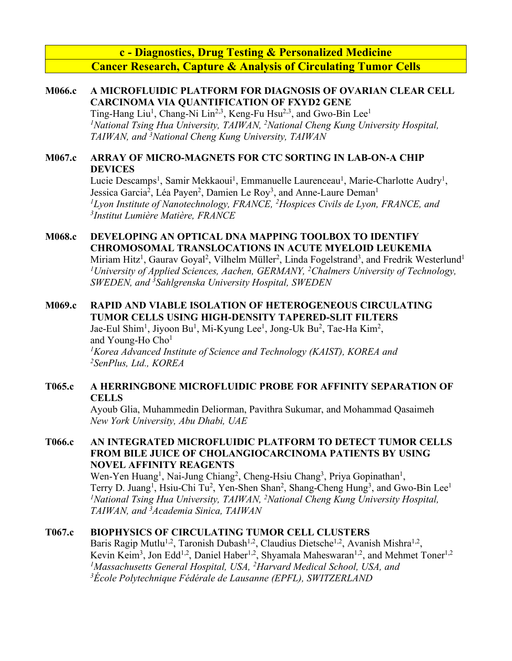**c - Diagnostics, Drug Testing & Personalized Medicine Cancer Research, Capture & Analysis of Circulating Tumor Cells**

## **M066.c A MICROFLUIDIC PLATFORM FOR DIAGNOSIS OF OVARIAN CLEAR CELL CARCINOMA VIA QUANTIFICATION OF FXYD2 GENE**

Ting-Hang Liu<sup>1</sup>, Chang-Ni Lin<sup>2,3</sup>, Keng-Fu Hsu<sup>2,3</sup>, and Gwo-Bin Lee<sup>1</sup> *1National Tsing Hua University, TAIWAN, 2 National Cheng Kung University Hospital, TAIWAN, and 3 National Cheng Kung University, TAIWAN*

## **M067.c ARRAY OF MICRO-MAGNETS FOR CTC SORTING IN LAB-ON-A CHIP DEVICES**

Lucie Descamps<sup>1</sup>, Samir Mekkaoui<sup>1</sup>, Emmanuelle Laurenceau<sup>1</sup>, Marie-Charlotte Audry<sup>1</sup>, Jessica Garcia<sup>2</sup>, Léa Payen<sup>2</sup>, Damien Le Roy<sup>3</sup>, and Anne-Laure Deman<sup>1</sup> <sup>1</sup>Lyon Institute of Nanotechnology, FRANCE, <sup>2</sup>Hospices Civils de Lyon, FRANCE, and *3 Institut Lumière Matière, FRANCE*

# **M068.c DEVELOPING AN OPTICAL DNA MAPPING TOOLBOX TO IDENTIFY CHROMOSOMAL TRANSLOCATIONS IN ACUTE MYELOID LEUKEMIA**

Miriam Hitz<sup>1</sup>, Gaurav Goyal<sup>2</sup>, Vilhelm Müller<sup>2</sup>, Linda Fogelstrand<sup>3</sup>, and Fredrik Westerlund<sup>1</sup> *1University of Applied Sciences, Aachen, GERMANY, 2 Chalmers University of Technology, SWEDEN, and 3Sahlgrenska University Hospital, SWEDEN*

# **M069.c RAPID AND VIABLE ISOLATION OF HETEROGENEOUS CIRCULATING TUMOR CELLS USING HIGH-DENSITY TAPERED-SLIT FILTERS**

Jae-Eul Shim<sup>1</sup>, Jiyoon Bu<sup>1</sup>, Mi-Kyung Lee<sup>1</sup>, Jong-Uk Bu<sup>2</sup>, Tae-Ha Kim<sup>2</sup>, and Young-Ho Cho<sup>1</sup> *1Korea Advanced Institute of Science and Technology (KAIST), KOREA and 2SenPlus, Ltd., KOREA*

## **T065.c A HERRINGBONE MICROFLUIDIC PROBE FOR AFFINITY SEPARATION OF CELLS**

Ayoub Glia, Muhammedin Deliorman, Pavithra Sukumar, and Mohammad Qasaimeh *New York University, Abu Dhabi, UAE*

## **T066.c AN INTEGRATED MICROFLUIDIC PLATFORM TO DETECT TUMOR CELLS FROM BILE JUICE OF CHOLANGIOCARCINOMA PATIENTS BY USING NOVEL AFFINITY REAGENTS**

Wen-Yen Huang<sup>1</sup>, Nai-Jung Chiang<sup>2</sup>, Cheng-Hsiu Chang<sup>3</sup>, Priya Gopinathan<sup>1</sup>, Terry D. Juang<sup>1</sup>, Hsiu-Chi Tu<sup>2</sup>, Yen-Shen Shan<sup>2</sup>, Shang-Cheng Hung<sup>3</sup>, and Gwo-Bin Lee<sup>1</sup> *1National Tsing Hua University, TAIWAN, 2 National Cheng Kung University Hospital, TAIWAN, and 3 Academia Sinica, TAIWAN*

## **T067.c BIOPHYSICS OF CIRCULATING TUMOR CELL CLUSTERS**

Baris Ragip Mutlu<sup>1,2</sup>, Taronish Dubash<sup>1,2</sup>, Claudius Dietsche<sup>1,2</sup>, Avanish Mishra<sup>1,2</sup>, Kevin Keim<sup>3</sup>, Jon Edd<sup>1,2</sup>, Daniel Haber<sup>1,2</sup>, Shyamala Maheswaran<sup>1,2</sup>, and Mehmet Toner<sup>1,2</sup> <sup>1</sup>Massachusetts General Hospital, USA, <sup>2</sup>Harvard Medical School, USA, and *3École Polytechnique Fédérale de Lausanne (EPFL), SWITZERLAND*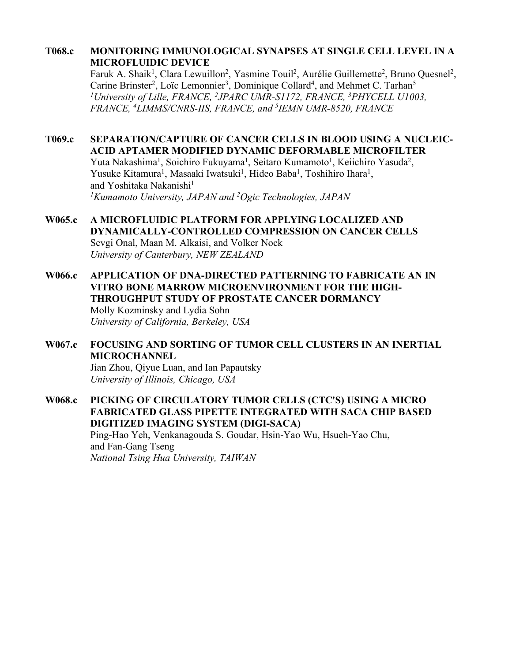## **T068.c MONITORING IMMUNOLOGICAL SYNAPSES AT SINGLE CELL LEVEL IN A MICROFLUIDIC DEVICE**

Faruk A. Shaik<sup>1</sup>, Clara Lewuillon<sup>2</sup>, Yasmine Touil<sup>2</sup>, Aurélie Guillemette<sup>2</sup>, Bruno Quesnel<sup>2</sup>, Carine Brinster<sup>2</sup>, Loïc Lemonnier<sup>3</sup>, Dominique Collard<sup>4</sup>, and Mehmet C. Tarhan<sup>5</sup> *1University of Lille, FRANCE, 2JPARC UMR-S1172, FRANCE, 3PHYCELL U1003, FRANCE, <sup>4</sup> LIMMS/CNRS-IIS, FRANCE, and 5IEMN UMR-8520, FRANCE*

### **T069.c SEPARATION/CAPTURE OF CANCER CELLS IN BLOOD USING A NUCLEIC-ACID APTAMER MODIFIED DYNAMIC DEFORMABLE MICROFILTER**

Yuta Nakashima<sup>1</sup>, Soichiro Fukuyama<sup>1</sup>, Seitaro Kumamoto<sup>1</sup>, Keiichiro Yasuda<sup>2</sup>, Yusuke Kitamura<sup>1</sup>, Masaaki Iwatsuki<sup>1</sup>, Hideo Baba<sup>1</sup>, Toshihiro Ihara<sup>1</sup>, and Yoshitaka Nakanishi<sup>1</sup> *1 Kumamoto University, JAPAN and 2 Ogic Technologies, JAPAN* 

- **W065.c A MICROFLUIDIC PLATFORM FOR APPLYING LOCALIZED AND DYNAMICALLY-CONTROLLED COMPRESSION ON CANCER CELLS** Sevgi Onal, Maan M. Alkaisi, and Volker Nock *University of Canterbury, NEW ZEALAND*
- **W066.c APPLICATION OF DNA-DIRECTED PATTERNING TO FABRICATE AN IN VITRO BONE MARROW MICROENVIRONMENT FOR THE HIGH-THROUGHPUT STUDY OF PROSTATE CANCER DORMANCY** Molly Kozminsky and Lydia Sohn *University of California, Berkeley, USA*
- **W067.c FOCUSING AND SORTING OF TUMOR CELL CLUSTERS IN AN INERTIAL MICROCHANNEL**

Jian Zhou, Qiyue Luan, and Ian Papautsky *University of Illinois, Chicago, USA*

**W068.c PICKING OF CIRCULATORY TUMOR CELLS (CTC'S) USING A MICRO FABRICATED GLASS PIPETTE INTEGRATED WITH SACA CHIP BASED DIGITIZED IMAGING SYSTEM (DIGI-SACA)** Ping-Hao Yeh, Venkanagouda S. Goudar, Hsin-Yao Wu, Hsueh-Yao Chu, and Fan-Gang Tseng *National Tsing Hua University, TAIWAN*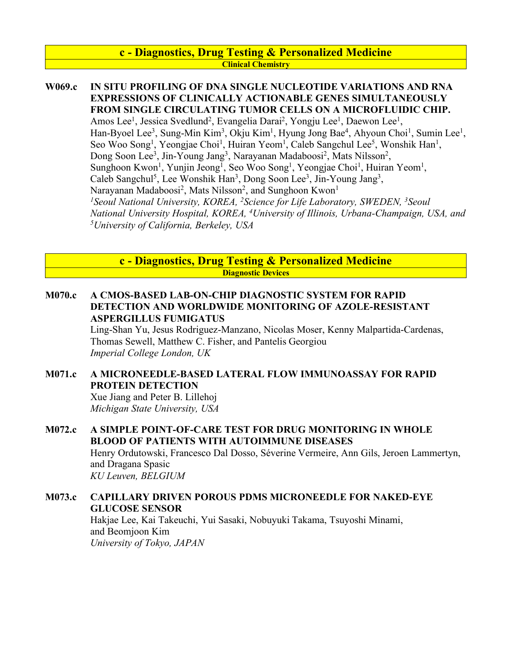### **c - Diagnostics, Drug Testing & Personalized Medicine Clinical Chemistry**

### **W069.c IN SITU PROFILING OF DNA SINGLE NUCLEOTIDE VARIATIONS AND RNA EXPRESSIONS OF CLINICALLY ACTIONABLE GENES SIMULTANEOUSLY FROM SINGLE CIRCULATING TUMOR CELLS ON A MICROFLUIDIC CHIP.**

Amos Lee<sup>1</sup>, Jessica Svedlund<sup>2</sup>, Evangelia Darai<sup>2</sup>, Yongju Lee<sup>1</sup>, Daewon Lee<sup>1</sup>, Han-Byoel Lee<sup>3</sup>, Sung-Min Kim<sup>3</sup>, Okju Kim<sup>1</sup>, Hyung Jong Bae<sup>4</sup>, Ahyoun Choi<sup>1</sup>, Sumin Lee<sup>1</sup>, Seo Woo Song<sup>1</sup>, Yeongjae Choi<sup>1</sup>, Huiran Yeom<sup>1</sup>, Caleb Sangchul Lee<sup>5</sup>, Wonshik Han<sup>1</sup>, Dong Soon Lee<sup>3</sup>, Jin-Young Jang<sup>3</sup>, Narayanan Madaboosi<sup>2</sup>, Mats Nilsson<sup>2</sup>, Sunghoon Kwon<sup>1</sup>, Yunjin Jeong<sup>1</sup>, Seo Woo Song<sup>1</sup>, Yeongjae Choi<sup>1</sup>, Huiran Yeom<sup>1</sup>, Caleb Sangchul<sup>5</sup>, Lee Wonshik Han<sup>3</sup>, Dong Soon Lee<sup>3</sup>, Jin-Young Jang<sup>3</sup>, Narayanan Madaboosi<sup>2</sup>, Mats Nilsson<sup>2</sup>, and Sunghoon Kwon<sup>1</sup> *1Seoul National University, KOREA, 2Science for Life Laboratory, SWEDEN, 3Seoul National University Hospital, KOREA, 4University of Illinois, Urbana-Champaign, USA, and 5 University of California, Berkeley, USA*

**c - Diagnostics, Drug Testing & Personalized Medicine Diagnostic Devices**

### **M070.c A CMOS-BASED LAB-ON-CHIP DIAGNOSTIC SYSTEM FOR RAPID DETECTION AND WORLDWIDE MONITORING OF AZOLE-RESISTANT ASPERGILLUS FUMIGATUS**

Ling-Shan Yu, Jesus Rodriguez-Manzano, Nicolas Moser, Kenny Malpartida-Cardenas, Thomas Sewell, Matthew C. Fisher, and Pantelis Georgiou *Imperial College London, UK*

### **M071.c A MICRONEEDLE-BASED LATERAL FLOW IMMUNOASSAY FOR RAPID PROTEIN DETECTION**

Xue Jiang and Peter B. Lillehoj *Michigan State University, USA*

# **M072.c A SIMPLE POINT-OF-CARE TEST FOR DRUG MONITORING IN WHOLE BLOOD OF PATIENTS WITH AUTOIMMUNE DISEASES**

Henry Ordutowski, Francesco Dal Dosso, Séverine Vermeire, Ann Gils, Jeroen Lammertyn, and Dragana Spasic *KU Leuven, BELGIUM*

### **M073.c CAPILLARY DRIVEN POROUS PDMS MICRONEEDLE FOR NAKED-EYE GLUCOSE SENSOR** Hakjae Lee, Kai Takeuchi, Yui Sasaki, Nobuyuki Takama, Tsuyoshi Minami, and Beomjoon Kim *University of Tokyo, JAPAN*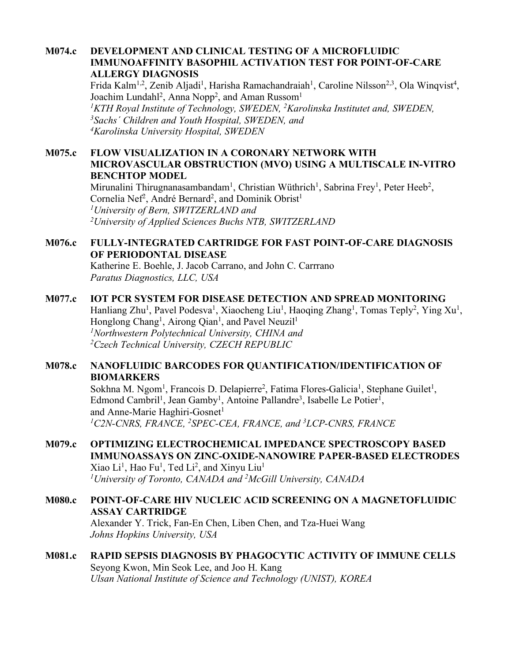### **M074.c DEVELOPMENT AND CLINICAL TESTING OF A MICROFLUIDIC IMMUNOAFFINITY BASOPHIL ACTIVATION TEST FOR POINT-OF-CARE ALLERGY DIAGNOSIS**

Frida Kalm<sup>1,2</sup>, Zenib Aljadi<sup>1</sup>, Harisha Ramachandraiah<sup>1</sup>, Caroline Nilsson<sup>2,3</sup>, Ola Winqvist<sup>4</sup>, Joachim Lundahl<sup>2</sup>, Anna Nopp<sup>2</sup>, and Aman Russom<sup>1</sup> <sup>1</sup>KTH Royal Institute of Technology, SWEDEN, <sup>2</sup>Karolinska Institutet and, SWEDEN, *3Sachs´ Children and Youth Hospital, SWEDEN, and 4Karolinska University Hospital, SWEDEN*

## **M075.c FLOW VISUALIZATION IN A CORONARY NETWORK WITH MICROVASCULAR OBSTRUCTION (MVO) USING A MULTISCALE IN-VITRO BENCHTOP MODEL**

Mirunalini Thirugnanasambandam<sup>1</sup>, Christian Wüthrich<sup>1</sup>, Sabrina Frey<sup>1</sup>, Peter Heeb<sup>2</sup>, Cornelia Nef<sup>2</sup>, André Bernard<sup>2</sup>, and Dominik Obrist<sup>1</sup> *1 University of Bern, SWITZERLAND and 2University of Applied Sciences Buchs NTB, SWITZERLAND*

## **M076.c FULLY-INTEGRATED CARTRIDGE FOR FAST POINT-OF-CARE DIAGNOSIS OF PERIODONTAL DISEASE**

Katherine E. Boehle, J. Jacob Carrano, and John C. Carrrano *Paratus Diagnostics, LLC, USA*

## **M077.c IOT PCR SYSTEM FOR DISEASE DETECTION AND SPREAD MONITORING**

Hanliang Zhu<sup>1</sup>, Pavel Podesva<sup>1</sup>, Xiaocheng Liu<sup>1</sup>, Haoqing Zhang<sup>1</sup>, Tomas Teply<sup>2</sup>, Ying Xu<sup>1</sup>, Honglong Chang<sup>1</sup>, Airong Qian<sup>1</sup>, and Pavel Neuzil<sup>1</sup> *1Northwestern Polytechnical University, CHINA and 2Czech Technical University, CZECH REPUBLIC*

## **M078.c NANOFLUIDIC BARCODES FOR QUANTIFICATION/IDENTIFICATION OF BIOMARKERS**

Sokhna M. Ngom<sup>1</sup>, Francois D. Delapierre<sup>2</sup>, Fatima Flores-Galicia<sup>1</sup>, Stephane Guilet<sup>1</sup>, Edmond Cambril<sup>1</sup>, Jean Gamby<sup>1</sup>, Antoine Pallandre<sup>3</sup>, Isabelle Le Potier<sup>1</sup>, and Anne-Marie Haghiri-Gosnet<sup>1</sup> *1 C2N-CNRS, FRANCE, <sup>2</sup> SPEC-CEA, FRANCE, and 3 LCP-CNRS, FRANCE*

## **M079.c OPTIMIZING ELECTROCHEMICAL IMPEDANCE SPECTROSCOPY BASED IMMUNOASSAYS ON ZINC-OXIDE-NANOWIRE PAPER-BASED ELECTRODES** Xiao Li<sup>1</sup>, Hao Fu<sup>1</sup>, Ted Li<sup>2</sup>, and Xinyu Liu<sup>1</sup> *1 University of Toronto, CANADA and 2 McGill University, CANADA*

**M080.c POINT-OF-CARE HIV NUCLEIC ACID SCREENING ON A MAGNETOFLUIDIC ASSAY CARTRIDGE** Alexander Y. Trick, Fan-En Chen, Liben Chen, and Tza-Huei Wang *Johns Hopkins University, USA*

### **M081.c RAPID SEPSIS DIAGNOSIS BY PHAGOCYTIC ACTIVITY OF IMMUNE CELLS** Seyong Kwon, Min Seok Lee, and Joo H. Kang *Ulsan National Institute of Science and Technology (UNIST), KOREA*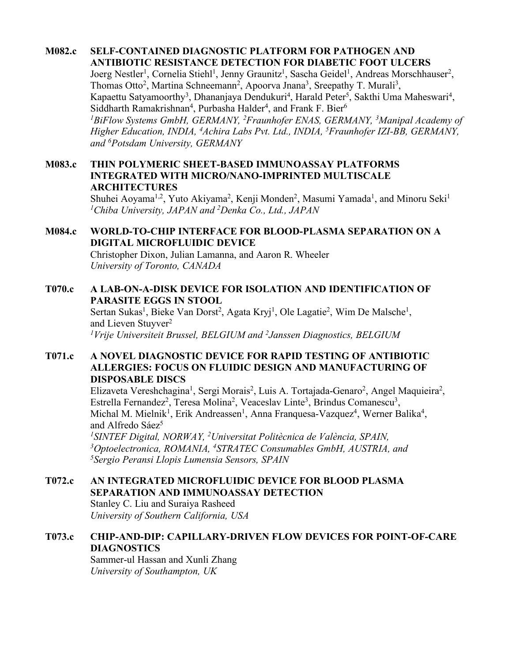#### **M082.c SELF-CONTAINED DIAGNOSTIC PLATFORM FOR PATHOGEN AND ANTIBIOTIC RESISTANCE DETECTION FOR DIABETIC FOOT ULCERS**

Joerg Nestler<sup>1</sup>, Cornelia Stiehl<sup>1</sup>, Jenny Graunitz<sup>1</sup>, Sascha Geidel<sup>1</sup>, Andreas Morschhauser<sup>2</sup>, Thomas Otto<sup>2</sup>, Martina Schneemann<sup>2</sup>, Apoorva Jnana<sup>3</sup>, Sreepathy T. Murali<sup>3</sup>, Kapaettu Satyamoorthy<sup>3</sup>, Dhananjaya Dendukuri<sup>4</sup>, Harald Peter<sup>5</sup>, Sakthi Uma Maheswari<sup>4</sup>, Siddharth Ramakrishnan<sup>4</sup>, Purbasha Halder<sup>4</sup>, and Frank F. Bier<sup>6</sup> *1BiFlow Systems GmbH, GERMANY, 2 Fraunhofer ENAS, GERMANY, 3 Manipal Academy of Higher Education, INDIA, 4 Achira Labs Pvt. Ltd., INDIA, 5 Fraunhofer IZI-BB, GERMANY, and 6Potsdam University, GERMANY*

### **M083.c THIN POLYMERIC SHEET-BASED IMMUNOASSAY PLATFORMS INTEGRATED WITH MICRO/NANO-IMPRINTED MULTISCALE ARCHITECTURES**

Shuhei Aoyama<sup>1,2</sup>, Yuto Akiyama<sup>2</sup>, Kenji Monden<sup>2</sup>, Masumi Yamada<sup>1</sup>, and Minoru Seki<sup>1</sup> *1 Chiba University, JAPAN and 2 Denka Co., Ltd., JAPAN*

### **M084.c WORLD-TO-CHIP INTERFACE FOR BLOOD-PLASMA SEPARATION ON A DIGITAL MICROFLUIDIC DEVICE**

Christopher Dixon, Julian Lamanna, and Aaron R. Wheeler *University of Toronto, CANADA*

## **T070.c A LAB-ON-A-DISK DEVICE FOR ISOLATION AND IDENTIFICATION OF PARASITE EGGS IN STOOL**

Sertan Sukas<sup>1</sup>, Bieke Van Dorst<sup>2</sup>, Agata Kryj<sup>1</sup>, Ole Lagatie<sup>2</sup>, Wim De Malsche<sup>1</sup>, and Lieven Stuvver<sup>2</sup>

*1 Vrije Universiteit Brussel, BELGIUM and 2 Janssen Diagnostics, BELGIUM*

## **T071.c A NOVEL DIAGNOSTIC DEVICE FOR RAPID TESTING OF ANTIBIOTIC ALLERGIES: FOCUS ON FLUIDIC DESIGN AND MANUFACTURING OF DISPOSABLE DISCS**

Elizaveta Vereshchagina<sup>1</sup>, Sergi Morais<sup>2</sup>, Luis A. Tortajada-Genaro<sup>2</sup>, Angel Maquieira<sup>2</sup>, Estrella Fernandez<sup>2</sup>, Teresa Molina<sup>2</sup>, Veaceslav Linte<sup>3</sup>, Brindus Comanescu<sup>3</sup>, Michal M. Mielnik<sup>1</sup>, Erik Andreassen<sup>1</sup>, Anna Franquesa-Vazquez<sup>4</sup>, Werner Balika<sup>4</sup>, and Alfredo Sáe $z^5$ 

*1SINTEF Digital, NORWAY, 2 Universitat Politècnica de València, SPAIN, 3 Optoelectronica, ROMANIA, 4STRATEC Consumables GmbH, AUSTRIA, and 5 Sergio Peransi Llopis Lumensia Sensors, SPAIN*

### **T072.c AN INTEGRATED MICROFLUIDIC DEVICE FOR BLOOD PLASMA SEPARATION AND IMMUNOASSAY DETECTION** Stanley C. Liu and Suraiya Rasheed

*University of Southern California, USA*

# **T073.c CHIP-AND-DIP: CAPILLARY-DRIVEN FLOW DEVICES FOR POINT-OF-CARE DIAGNOSTICS**

Sammer-ul Hassan and Xunli Zhang *University of Southampton, UK*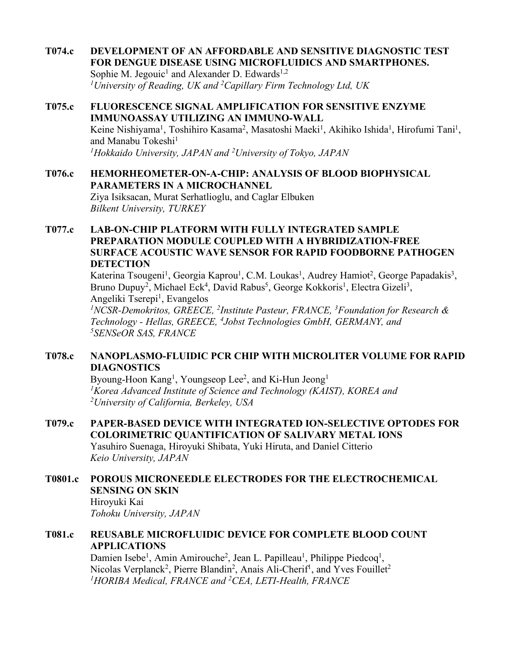### **T074.c DEVELOPMENT OF AN AFFORDABLE AND SENSITIVE DIAGNOSTIC TEST FOR DENGUE DISEASE USING MICROFLUIDICS AND SMARTPHONES.**

Sophie M. Jegouic<sup>1</sup> and Alexander D. Edwards<sup>1,2</sup> *1 University of Reading, UK and 2 Capillary Firm Technology Ltd, UK*

## **T075.c FLUORESCENCE SIGNAL AMPLIFICATION FOR SENSITIVE ENZYME IMMUNOASSAY UTILIZING AN IMMUNO-WALL** Keine Nishiyama<sup>1</sup>, Toshihiro Kasama<sup>2</sup>, Masatoshi Maeki<sup>1</sup>, Akihiko Ishida<sup>1</sup>, Hirofumi Tani<sup>1</sup>, and Manabu Tokeshi<sup>1</sup> *1Hokkaido University, JAPAN and 2 University of Tokyo, JAPAN*

## **T076.c HEMORHEOMETER-ON-A-CHIP: ANALYSIS OF BLOOD BIOPHYSICAL PARAMETERS IN A MICROCHANNEL** Ziya Isiksacan, Murat Serhatlioglu, and Caglar Elbuken *Bilkent University, TURKEY*

## **T077.c LAB-ON-CHIP PLATFORM WITH FULLY INTEGRATED SAMPLE PREPARATION MODULE COUPLED WITH A HYBRIDIZATION-FREE SURFACE ACOUSTIC WAVE SENSOR FOR RAPID FOODBORNE PATHOGEN DETECTION**

Katerina Tsougeni<sup>1</sup>, Georgia Kaprou<sup>1</sup>, C.M. Loukas<sup>1</sup>, Audrey Hamiot<sup>2</sup>, George Papadakis<sup>3</sup>, Bruno Dupuy<sup>2</sup>, Michael Eck<sup>4</sup>, David Rabus<sup>5</sup>, George Kokkoris<sup>1</sup>, Electra Gizeli<sup>3</sup>, Angeliki Tserepi<sup>1</sup>, Evangelos

*1NCSR-Demokritos, GREECE, 2Institute Pasteur, FRANCE, 3Foundation for Research & Technology - Hellas, GREECE, 4 Jobst Technologies GmbH, GERMANY, and 5SENSeOR SAS, FRANCE*

## **T078.c NANOPLASMO-FLUIDIC PCR CHIP WITH MICROLITER VOLUME FOR RAPID DIAGNOSTICS**

Byoung-Hoon Kang<sup>1</sup>, Youngseop Lee<sup>2</sup>, and Ki-Hun Jeong<sup>1</sup> *1Korea Advanced Institute of Science and Technology (KAIST), KOREA and 2 University of California, Berkeley, USA*

# **T079.c PAPER-BASED DEVICE WITH INTEGRATED ION-SELECTIVE OPTODES FOR COLORIMETRIC QUANTIFICATION OF SALIVARY METAL IONS**

Yasuhiro Suenaga, Hiroyuki Shibata, Yuki Hiruta, and Daniel Citterio *Keio University, JAPAN*

### **T0801.c POROUS MICRONEEDLE ELECTRODES FOR THE ELECTROCHEMICAL SENSING ON SKIN** Hiroyuki Kai

*Tohoku University, JAPAN*

## **T081.c REUSABLE MICROFLUIDIC DEVICE FOR COMPLETE BLOOD COUNT APPLICATIONS**

Damien Isebe<sup>1</sup>, Amin Amirouche<sup>2</sup>, Jean L. Papilleau<sup>1</sup>, Philippe Piedcoq<sup>1</sup>, Nicolas Verplanck<sup>2</sup>, Pierre Blandin<sup>2</sup>, Anais Ali-Cherif<sup>1</sup>, and Yves Fouillet<sup>2</sup> *1HORIBA Medical, FRANCE and 2CEA, LETI-Health, FRANCE*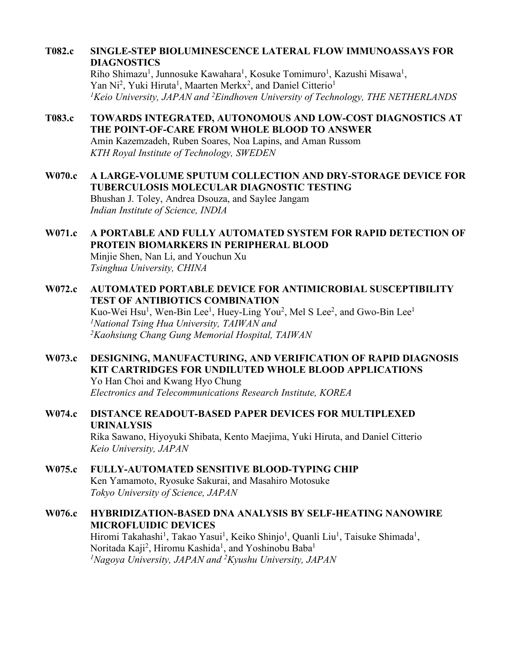## **T082.c SINGLE-STEP BIOLUMINESCENCE LATERAL FLOW IMMUNOASSAYS FOR DIAGNOSTICS**

Riho Shimazu<sup>1</sup>, Junnosuke Kawahara<sup>1</sup>, Kosuke Tomimuro<sup>1</sup>, Kazushi Misawa<sup>1</sup>, Yan Ni<sup>2</sup>, Yuki Hiruta<sup>1</sup>, Maarten Merkx<sup>2</sup>, and Daniel Citterio<sup>1</sup> *1Keio University, JAPAN and 2 Eindhoven University of Technology, THE NETHERLANDS*

# **T083.c TOWARDS INTEGRATED, AUTONOMOUS AND LOW-COST DIAGNOSTICS AT THE POINT-OF-CARE FROM WHOLE BLOOD TO ANSWER**

Amin Kazemzadeh, Ruben Soares, Noa Lapins, and Aman Russom *KTH Royal Institute of Technology, SWEDEN*

**W070.c A LARGE-VOLUME SPUTUM COLLECTION AND DRY-STORAGE DEVICE FOR TUBERCULOSIS MOLECULAR DIAGNOSTIC TESTING** Bhushan J. Toley, Andrea Dsouza, and Saylee Jangam *Indian Institute of Science, INDIA*

# **W071.c A PORTABLE AND FULLY AUTOMATED SYSTEM FOR RAPID DETECTION OF PROTEIN BIOMARKERS IN PERIPHERAL BLOOD**

Minjie Shen, Nan Li, and Youchun Xu *Tsinghua University, CHINA*

### **W072.c AUTOMATED PORTABLE DEVICE FOR ANTIMICROBIAL SUSCEPTIBILITY TEST OF ANTIBIOTICS COMBINATION** Kuo-Wei Hsu<sup>1</sup>, Wen-Bin Lee<sup>1</sup>, Huey-Ling You<sup>2</sup>, Mel S Lee<sup>2</sup>, and Gwo-Bin Lee<sup>1</sup> *1National Tsing Hua University, TAIWAN and 2 Kaohsiung Chang Gung Memorial Hospital, TAIWAN*

### **W073.c DESIGNING, MANUFACTURING, AND VERIFICATION OF RAPID DIAGNOSIS KIT CARTRIDGES FOR UNDILUTED WHOLE BLOOD APPLICATIONS** Yo Han Choi and Kwang Hyo Chung *Electronics and Telecommunications Research Institute, KOREA*

## **W074.c DISTANCE READOUT-BASED PAPER DEVICES FOR MULTIPLEXED URINALYSIS** Rika Sawano, Hiyoyuki Shibata, Kento Maejima, Yuki Hiruta, and Daniel Citterio

- *Keio University, JAPAN* **W075.c FULLY-AUTOMATED SENSITIVE BLOOD-TYPING CHIP**
	- Ken Yamamoto, Ryosuke Sakurai, and Masahiro Motosuke *Tokyo University of Science, JAPAN*

## **W076.c HYBRIDIZATION-BASED DNA ANALYSIS BY SELF-HEATING NANOWIRE MICROFLUIDIC DEVICES**

Hiromi Takahashi<sup>1</sup>, Takao Yasui<sup>1</sup>, Keiko Shinjo<sup>1</sup>, Quanli Liu<sup>1</sup>, Taisuke Shimada<sup>1</sup>, Noritada Kaji<sup>2</sup>, Hiromu Kashida<sup>1</sup>, and Yoshinobu Baba<sup>1</sup> *1Nagoya University, JAPAN and 2 Kyushu University, JAPAN*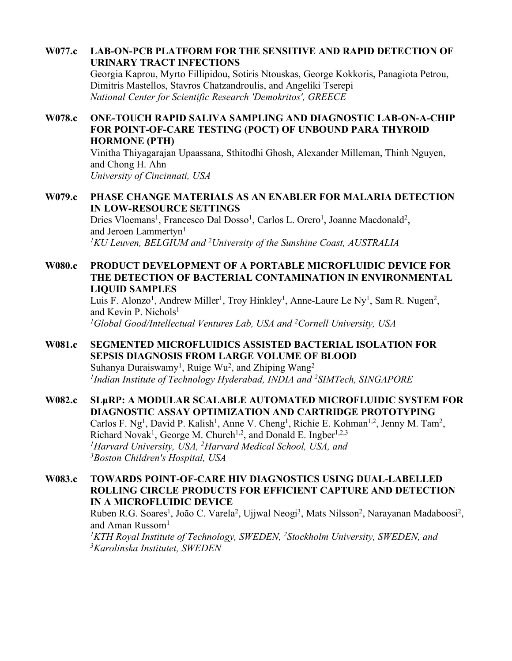## **W077.c LAB-ON-PCB PLATFORM FOR THE SENSITIVE AND RAPID DETECTION OF URINARY TRACT INFECTIONS**

Georgia Kaprou, Myrto Fillipidou, Sotiris Ntouskas, George Kokkoris, Panagiota Petrou, Dimitris Mastellos, Stavros Chatzandroulis, and Angeliki Tserepi *National Center for Scientific Research 'Demokritos', GREECE*

## **W078.c ONE-TOUCH RAPID SALIVA SAMPLING AND DIAGNOSTIC LAB-ON-A-CHIP FOR POINT-OF-CARE TESTING (POCT) OF UNBOUND PARA THYROID HORMONE (PTH)**

Vinitha Thiyagarajan Upaassana, Sthitodhi Ghosh, Alexander Milleman, Thinh Nguyen, and Chong H. Ahn *University of Cincinnati, USA*

## **W079.c PHASE CHANGE MATERIALS AS AN ENABLER FOR MALARIA DETECTION IN LOW-RESOURCE SETTINGS**

Dries Vloemans<sup>1</sup>, Francesco Dal Dosso<sup>1</sup>, Carlos L. Orero<sup>1</sup>, Joanne Macdonald<sup>2</sup>, and Jeroen Lammertyn<sup>1</sup> <sup>1</sup>KU Leuven, BELGIUM and <sup>2</sup>University of the Sunshine Coast, AUSTRALIA

## **W080.c PRODUCT DEVELOPMENT OF A PORTABLE MICROFLUIDIC DEVICE FOR THE DETECTION OF BACTERIAL CONTAMINATION IN ENVIRONMENTAL LIQUID SAMPLES**

Luis F. Alonzo<sup>1</sup>, Andrew Miller<sup>1</sup>, Troy Hinkley<sup>1</sup>, Anne-Laure Le Ny<sup>1</sup>, Sam R. Nugen<sup>2</sup>, and Kevin P. Nichols<sup>1</sup> *1Global Good/Intellectual Ventures Lab, USA and 2Cornell University, USA*

## **W081.c SEGMENTED MICROFLUIDICS ASSISTED BACTERIAL ISOLATION FOR SEPSIS DIAGNOSIS FROM LARGE VOLUME OF BLOOD** Suhanya Duraiswamy<sup>1</sup>, Ruige Wu<sup>2</sup>, and Zhiping Wang<sup>2</sup> *1Indian Institute of Technology Hyderabad, INDIA and 2SIMTech, SINGAPORE*

**W082.c SLµRP: A MODULAR SCALABLE AUTOMATED MICROFLUIDIC SYSTEM FOR DIAGNOSTIC ASSAY OPTIMIZATION AND CARTRIDGE PROTOTYPING** Carlos F. Ng<sup>1</sup>, David P. Kalish<sup>1</sup>, Anne V. Cheng<sup>1</sup>, Richie E. Kohman<sup>1,2</sup>, Jenny M. Tam<sup>2</sup>, Richard Novak<sup>1</sup>, George M. Church<sup>1,2</sup>, and Donald E. Ingber<sup>1,2,3</sup> *1Harvard University, USA, 2Harvard Medical School, USA, and 3Boston Children's Hospital, USA*

**W083.c TOWARDS POINT-OF-CARE HIV DIAGNOSTICS USING DUAL-LABELLED ROLLING CIRCLE PRODUCTS FOR EFFICIENT CAPTURE AND DETECTION IN A MICROFLUIDIC DEVICE** Ruben R.G. Soares<sup>1</sup>, João C. Varela<sup>2</sup>, Ujjwal Neogi<sup>3</sup>, Mats Nilsson<sup>2</sup>, Narayanan Madaboosi<sup>2</sup>, and Aman Russom $<sup>1</sup>$ </sup> <sup>1</sup>KTH Royal Institute of Technology, SWEDEN, <sup>2</sup>Stockholm University, SWEDEN, and *3Karolinska Institutet, SWEDEN*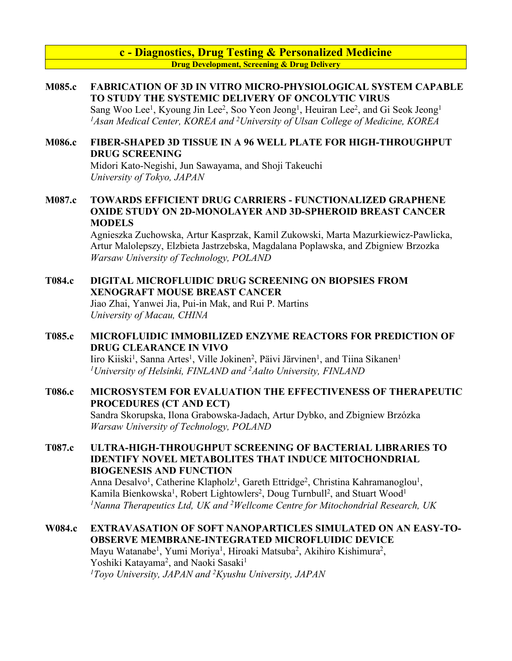**c - Diagnostics, Drug Testing & Personalized Medicine Drug Development, Screening & Drug Delivery**

### **M085.c FABRICATION OF 3D IN VITRO MICRO-PHYSIOLOGICAL SYSTEM CAPABLE TO STUDY THE SYSTEMIC DELIVERY OF ONCOLYTIC VIRUS**

Sang Woo Lee<sup>1</sup>, Kyoung Jin Lee<sup>2</sup>, Soo Yeon Jeong<sup>1</sup>, Heuiran Lee<sup>2</sup>, and Gi Seok Jeong<sup>1</sup> *1Asan Medical Center, KOREA and 2University of Ulsan College of Medicine, KOREA*

### **M086.c FIBER-SHAPED 3D TISSUE IN A 96 WELL PLATE FOR HIGH-THROUGHPUT DRUG SCREENING**

Midori Kato-Negishi, Jun Sawayama, and Shoji Takeuchi *University of Tokyo, JAPAN*

### **M087.c TOWARDS EFFICIENT DRUG CARRIERS - FUNCTIONALIZED GRAPHENE OXIDE STUDY ON 2D-MONOLAYER AND 3D-SPHEROID BREAST CANCER MODELS**

Agnieszka Zuchowska, Artur Kasprzak, Kamil Zukowski, Marta Mazurkiewicz-Pawlicka, Artur Malolepszy, Elzbieta Jastrzebska, Magdalana Poplawska, and Zbigniew Brzozka *Warsaw University of Technology, POLAND*

### **T084.c DIGITAL MICROFLUIDIC DRUG SCREENING ON BIOPSIES FROM XENOGRAFT MOUSE BREAST CANCER**

Jiao Zhai, Yanwei Jia, Pui-in Mak, and Rui P. Martins *University of Macau, CHINA*

## **T085.c MICROFLUIDIC IMMOBILIZED ENZYME REACTORS FOR PREDICTION OF DRUG CLEARANCE IN VIVO**

Iiro Kiiski<sup>1</sup>, Sanna Artes<sup>1</sup>, Ville Jokinen<sup>2</sup>, Päivi Järvinen<sup>1</sup>, and Tiina Sikanen<sup>1</sup> *1University of Helsinki, FINLAND and 2 Aalto University, FINLAND*

## **T086.c MICROSYSTEM FOR EVALUATION THE EFFECTIVENESS OF THERAPEUTIC PROCEDURES (CT AND ECT)**

Sandra Skorupska, Ilona Grabowska-Jadach, Artur Dybko, and Zbigniew Brzózka *Warsaw University of Technology, POLAND*

### **T087.c ULTRA-HIGH-THROUGHPUT SCREENING OF BACTERIAL LIBRARIES TO IDENTIFY NOVEL METABOLITES THAT INDUCE MITOCHONDRIAL BIOGENESIS AND FUNCTION**

Anna Desalvo<sup>1</sup>, Catherine Klapholz<sup>1</sup>, Gareth Ettridge<sup>2</sup>, Christina Kahramanoglou<sup>1</sup>, Kamila Bienkowska<sup>1</sup>, Robert Lightowlers<sup>2</sup>, Doug Turnbull<sup>2</sup>, and Stuart Wood<sup>1</sup> <sup>1</sup> Nanna Therapeutics Ltd, UK and <sup>2</sup> Wellcome Centre for Mitochondrial Research, UK

# **W084.c EXTRAVASATION OF SOFT NANOPARTICLES SIMULATED ON AN EASY-TO-OBSERVE MEMBRANE-INTEGRATED MICROFLUIDIC DEVICE**

Mayu Watanabe<sup>1</sup>, Yumi Moriya<sup>1</sup>, Hiroaki Matsuba<sup>2</sup>, Akihiro Kishimura<sup>2</sup>, Yoshiki Katayama<sup>2</sup>, and Naoki Sasaki<sup>1</sup> *1Toyo University, JAPAN and 2Kyushu University, JAPAN*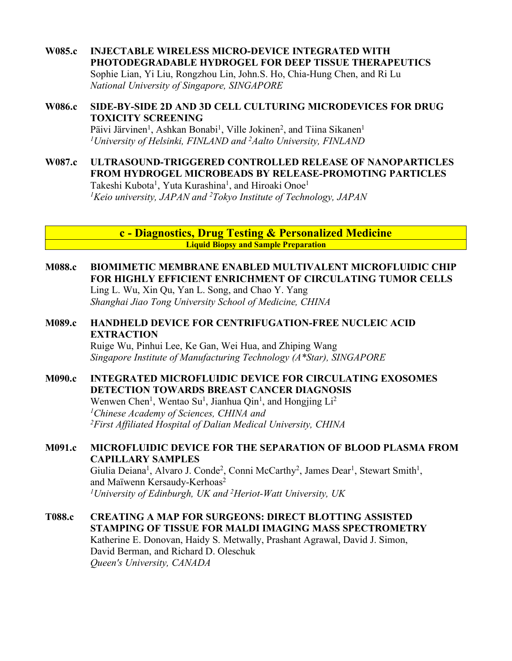**W085.c INJECTABLE WIRELESS MICRO-DEVICE INTEGRATED WITH PHOTODEGRADABLE HYDROGEL FOR DEEP TISSUE THERAPEUTICS** Sophie Lian, Yi Liu, Rongzhou Lin, John.S. Ho, Chia-Hung Chen, and Ri Lu *National University of Singapore, SINGAPORE*

### **W086.c SIDE-BY-SIDE 2D AND 3D CELL CULTURING MICRODEVICES FOR DRUG TOXICITY SCREENING** Päivi Järvinen<sup>1</sup>, Ashkan Bonabi<sup>1</sup>, Ville Jokinen<sup>2</sup>, and Tiina Sikanen<sup>1</sup>

*1University of Helsinki, FINLAND and 2 Aalto University, FINLAND*

**W087.c ULTRASOUND-TRIGGERED CONTROLLED RELEASE OF NANOPARTICLES FROM HYDROGEL MICROBEADS BY RELEASE-PROMOTING PARTICLES** Takeshi Kubota<sup>1</sup>, Yuta Kurashina<sup>1</sup>, and Hiroaki Onoe<sup>1</sup> *1 Keio university, JAPAN and 2 Tokyo Institute of Technology, JAPAN*

> **c - Diagnostics, Drug Testing & Personalized Medicine Liquid Biopsy and Sample Preparation**

**M088.c BIOMIMETIC MEMBRANE ENABLED MULTIVALENT MICROFLUIDIC CHIP FOR HIGHLY EFFICIENT ENRICHMENT OF CIRCULATING TUMOR CELLS** Ling L. Wu, Xin Qu, Yan L. Song, and Chao Y. Yang

*Shanghai Jiao Tong University School of Medicine, CHINA*

## **M089.c HANDHELD DEVICE FOR CENTRIFUGATION-FREE NUCLEIC ACID EXTRACTION**

Ruige Wu, Pinhui Lee, Ke Gan, Wei Hua, and Zhiping Wang *Singapore Institute of Manufacturing Technology (A\*Star), SINGAPORE*

### **M090.c INTEGRATED MICROFLUIDIC DEVICE FOR CIRCULATING EXOSOMES DETECTION TOWARDS BREAST CANCER DIAGNOSIS**

Wenwen Chen<sup>1</sup>, Wentao Su<sup>1</sup>, Jianhua Qin<sup>1</sup>, and Hongjing Li<sup>2</sup> *1Chinese Academy of Sciences, CHINA and 2First Affiliated Hospital of Dalian Medical University, CHINA*

## **M091.c MICROFLUIDIC DEVICE FOR THE SEPARATION OF BLOOD PLASMA FROM CAPILLARY SAMPLES**

Giulia Deiana<sup>1</sup>, Alvaro J. Conde<sup>2</sup>, Conni McCarthy<sup>2</sup>, James Dear<sup>1</sup>, Stewart Smith<sup>1</sup>, and Maïwenn Kersaudy-Kerhoas<sup>2</sup> *1University of Edinburgh, UK and 2 Heriot-Watt University, UK*

**T088.c CREATING A MAP FOR SURGEONS: DIRECT BLOTTING ASSISTED STAMPING OF TISSUE FOR MALDI IMAGING MASS SPECTROMETRY** Katherine E. Donovan, Haidy S. Metwally, Prashant Agrawal, David J. Simon, David Berman, and Richard D. Oleschuk *Queen's University, CANADA*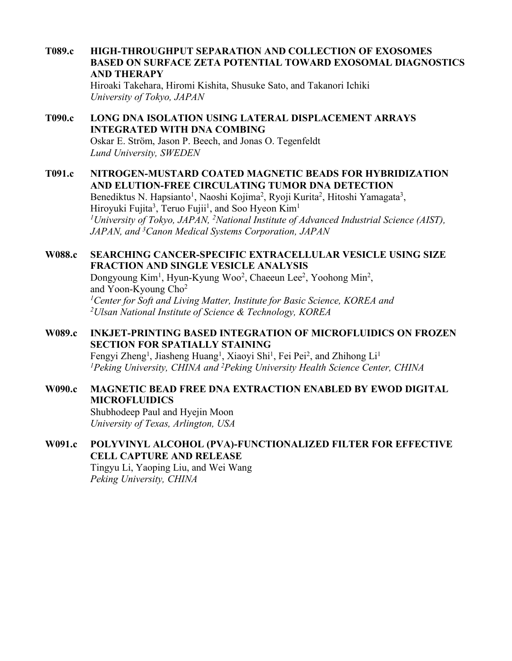**T089.c HIGH-THROUGHPUT SEPARATION AND COLLECTION OF EXOSOMES BASED ON SURFACE ZETA POTENTIAL TOWARD EXOSOMAL DIAGNOSTICS AND THERAPY** Hiroaki Takehara, Hiromi Kishita, Shusuke Sato, and Takanori Ichiki

*University of Tokyo, JAPAN*

# **T090.c LONG DNA ISOLATION USING LATERAL DISPLACEMENT ARRAYS INTEGRATED WITH DNA COMBING**

Oskar E. Ström, Jason P. Beech, and Jonas O. Tegenfeldt *Lund University, SWEDEN*

### **T091.c NITROGEN-MUSTARD COATED MAGNETIC BEADS FOR HYBRIDIZATION AND ELUTION-FREE CIRCULATING TUMOR DNA DETECTION**

Benediktus N. Hapsianto<sup>1</sup>, Naoshi Kojima<sup>2</sup>, Ryoji Kurita<sup>2</sup>, Hitoshi Yamagata<sup>3</sup>, Hiroyuki Fujita<sup>3</sup>, Teruo Fujii<sup>1</sup>, and Soo Hyeon Kim<sup>1</sup> <sup>1</sup>University of Tokyo, JAPAN, <sup>2</sup>National Institute of Advanced Industrial Science (AIST), *JAPAN, and 3Canon Medical Systems Corporation, JAPAN*

### **W088.c SEARCHING CANCER-SPECIFIC EXTRACELLULAR VESICLE USING SIZE FRACTION AND SINGLE VESICLE ANALYSIS**

Dongyoung Kim<sup>1</sup>, Hyun-Kyung Woo<sup>2</sup>, Chaeeun Lee<sup>2</sup>, Yoohong Min<sup>2</sup>, and Yoon-Kyoung Cho2 *1Center for Soft and Living Matter, Institute for Basic Science, KOREA and 2Ulsan National Institute of Science & Technology, KOREA*

## **W089.c INKJET-PRINTING BASED INTEGRATION OF MICROFLUIDICS ON FROZEN SECTION FOR SPATIALLY STAINING**

Fengyi Zheng<sup>1</sup>, Jiasheng Huang<sup>1</sup>, Xiaoyi Shi<sup>1</sup>, Fei Pei<sup>2</sup>, and Zhihong Li<sup>1</sup> *1 Peking University, CHINA and 2 Peking University Health Science Center, CHINA*

## **W090.c MAGNETIC BEAD FREE DNA EXTRACTION ENABLED BY EWOD DIGITAL MICROFLUIDICS**

Shubhodeep Paul and Hyejin Moon *University of Texas, Arlington, USA*

### **W091.c POLYVINYL ALCOHOL (PVA)-FUNCTIONALIZED FILTER FOR EFFECTIVE CELL CAPTURE AND RELEASE** Tingyu Li, Yaoping Liu, and Wei Wang

*Peking University, CHINA*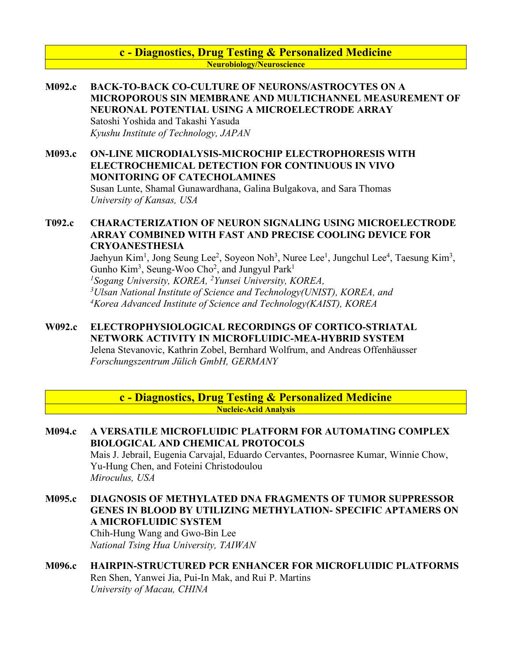### **c - Diagnostics, Drug Testing & Personalized Medicine Neurobiology/Neuroscience**

- **M092.c BACK-TO-BACK CO-CULTURE OF NEURONS/ASTROCYTES ON A MICROPOROUS SIN MEMBRANE AND MULTICHANNEL MEASUREMENT OF NEURONAL POTENTIAL USING A MICROELECTRODE ARRAY** Satoshi Yoshida and Takashi Yasuda *Kyushu Institute of Technology, JAPAN*
- **M093.c ON-LINE MICRODIALYSIS-MICROCHIP ELECTROPHORESIS WITH ELECTROCHEMICAL DETECTION FOR CONTINUOUS IN VIVO MONITORING OF CATECHOLAMINES** Susan Lunte, Shamal Gunawardhana, Galina Bulgakova, and Sara Thomas

*University of Kansas, USA*

### **T092.c CHARACTERIZATION OF NEURON SIGNALING USING MICROELECTRODE ARRAY COMBINED WITH FAST AND PRECISE COOLING DEVICE FOR CRYOANESTHESIA**

Jaehyun Kim<sup>1</sup>, Jong Seung Lee<sup>2</sup>, Soyeon Noh<sup>3</sup>, Nuree Lee<sup>1</sup>, Jungchul Lee<sup>4</sup>, Taesung Kim<sup>3</sup>, Gunho Kim<sup>3</sup>, Seung-Woo Cho<sup>2</sup>, and Jungyul Park<sup>1</sup> *1Sogang University, KOREA, 2Yunsei University, KOREA, 3Ulsan National Institute of Science and Technology(UNIST), KOREA, and 4 Korea Advanced Institute of Science and Technology(KAIST), KOREA*

**W092.c ELECTROPHYSIOLOGICAL RECORDINGS OF CORTICO-STRIATAL NETWORK ACTIVITY IN MICROFLUIDIC-MEA-HYBRID SYSTEM** Jelena Stevanovic, Kathrin Zobel, Bernhard Wolfrum, and Andreas Offenhäusser *Forschungszentrum Jülich GmbH, GERMANY*

> **c - Diagnostics, Drug Testing & Personalized Medicine Nucleic-Acid Analysis**

- **M094.c A VERSATILE MICROFLUIDIC PLATFORM FOR AUTOMATING COMPLEX BIOLOGICAL AND CHEMICAL PROTOCOLS** Mais J. Jebrail, Eugenia Carvajal, Eduardo Cervantes, Poornasree Kumar, Winnie Chow, Yu-Hung Chen, and Foteini Christodoulou *Miroculus, USA*
- **M095.c DIAGNOSIS OF METHYLATED DNA FRAGMENTS OF TUMOR SUPPRESSOR GENES IN BLOOD BY UTILIZING METHYLATION- SPECIFIC APTAMERS ON A MICROFLUIDIC SYSTEM** Chih-Hung Wang and Gwo-Bin Lee

*National Tsing Hua University, TAIWAN*

**M096.c HAIRPIN-STRUCTURED PCR ENHANCER FOR MICROFLUIDIC PLATFORMS** Ren Shen, Yanwei Jia, Pui-In Mak, and Rui P. Martins *University of Macau, CHINA*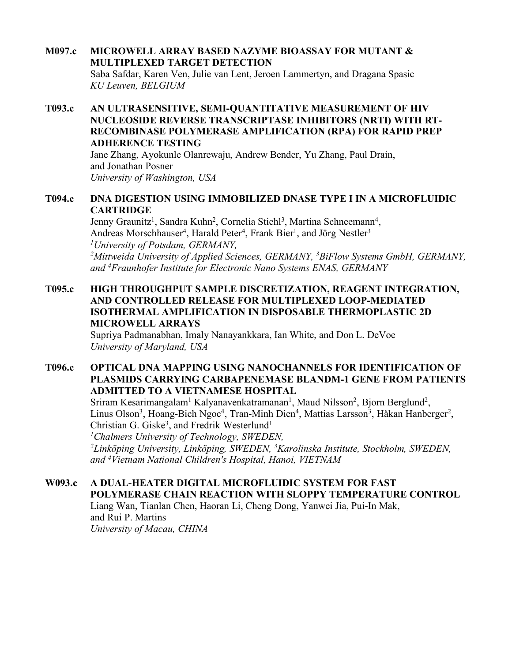### **M097.c MICROWELL ARRAY BASED NAZYME BIOASSAY FOR MUTANT & MULTIPLEXED TARGET DETECTION** Saba Safdar, Karen Ven, Julie van Lent, Jeroen Lammertyn, and Dragana Spasic *KU Leuven, BELGIUM*

## **T093.c AN ULTRASENSITIVE, SEMI-QUANTITATIVE MEASUREMENT OF HIV NUCLEOSIDE REVERSE TRANSCRIPTASE INHIBITORS (NRTI) WITH RT-RECOMBINASE POLYMERASE AMPLIFICATION (RPA) FOR RAPID PREP ADHERENCE TESTING**

Jane Zhang, Ayokunle Olanrewaju, Andrew Bender, Yu Zhang, Paul Drain, and Jonathan Posner *University of Washington, USA*

### **T094.c DNA DIGESTION USING IMMOBILIZED DNASE TYPE I IN A MICROFLUIDIC CARTRIDGE**

Jenny Graunitz<sup>1</sup>, Sandra Kuhn<sup>2</sup>, Cornelia Stiehl<sup>3</sup>, Martina Schneemann<sup>4</sup>, Andreas Morschhauser<sup>4</sup>, Harald Peter<sup>4</sup>, Frank Bier<sup>1</sup>, and Jörg Nestler<sup>3</sup> *1University of Potsdam, GERMANY,*  <sup>2</sup>Mittweida University of Applied Sciences, GERMANY, <sup>3</sup>BiFlow Systems GmbH, GERMANY, *and 4 Fraunhofer Institute for Electronic Nano Systems ENAS, GERMANY*

### **T095.c HIGH THROUGHPUT SAMPLE DISCRETIZATION, REAGENT INTEGRATION, AND CONTROLLED RELEASE FOR MULTIPLEXED LOOP-MEDIATED ISOTHERMAL AMPLIFICATION IN DISPOSABLE THERMOPLASTIC 2D MICROWELL ARRAYS**

Supriya Padmanabhan, Imaly Nanayankkara, Ian White, and Don L. DeVoe *University of Maryland, USA*

## **T096.c OPTICAL DNA MAPPING USING NANOCHANNELS FOR IDENTIFICATION OF PLASMIDS CARRYING CARBAPENEMASE BLANDM-1 GENE FROM PATIENTS ADMITTED TO A VIETNAMESE HOSPITAL**

Sriram Kesarimangalam<sup>1</sup> Kalyanavenkatramanan<sup>1</sup>, Maud Nilsson<sup>2</sup>, Bjorn Berglund<sup>2</sup>, Linus Olson<sup>3</sup>, Hoang-Bich Ngoc<sup>4</sup>, Tran-Minh Dien<sup>4</sup>, Mattias Larsson<sup>3</sup>, Håkan Hanberger<sup>2</sup>, Christian G. Giske<sup>3</sup>, and Fredrik Westerlund<sup>1</sup> *1Chalmers University of Technology, SWEDEN, 2 Linköping University, Linköping, SWEDEN, 3 Karolinska Institute, Stockholm, SWEDEN,* 

*and 4 Vietnam National Children's Hospital, Hanoi, VIETNAM*

## **W093.c A DUAL-HEATER DIGITAL MICROFLUIDIC SYSTEM FOR FAST POLYMERASE CHAIN REACTION WITH SLOPPY TEMPERATURE CONTROL** Liang Wan, Tianlan Chen, Haoran Li, Cheng Dong, Yanwei Jia, Pui-In Mak, and Rui P. Martins *University of Macau, CHINA*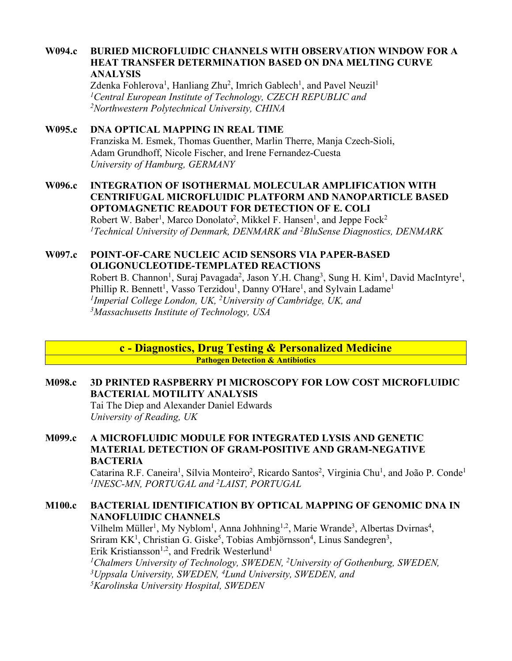### **W094.c BURIED MICROFLUIDIC CHANNELS WITH OBSERVATION WINDOW FOR A HEAT TRANSFER DETERMINATION BASED ON DNA MELTING CURVE ANALYSIS**

Zdenka Fohlerova<sup>1</sup>, Hanliang Zhu<sup>2</sup>, Imrich Gablech<sup>1</sup>, and Pavel Neuzil<sup>1</sup> *1Central European Institute of Technology, CZECH REPUBLIC and 2Northwestern Polytechnical University, CHINA*

# **W095.c DNA OPTICAL MAPPING IN REAL TIME**

Franziska M. Esmek, Thomas Guenther, Marlin Therre, Manja Czech-Sioli, Adam Grundhoff, Nicole Fischer, and Irene Fernandez-Cuesta *University of Hamburg, GERMANY*

## **W096.c INTEGRATION OF ISOTHERMAL MOLECULAR AMPLIFICATION WITH CENTRIFUGAL MICROFLUIDIC PLATFORM AND NANOPARTICLE BASED OPTOMAGNETIC READOUT FOR DETECTION OF E. COLI**

Robert W. Baber<sup>1</sup>, Marco Donolato<sup>2</sup>, Mikkel F. Hansen<sup>1</sup>, and Jeppe Fock<sup>2</sup> *1Technical University of Denmark, DENMARK and 2BluSense Diagnostics, DENMARK*

### **W097.c POINT-OF-CARE NUCLEIC ACID SENSORS VIA PAPER-BASED OLIGONUCLEOTIDE-TEMPLATED REACTIONS**

Robert B. Channon<sup>1</sup>, Suraj Pavagada<sup>2</sup>, Jason Y.H. Chang<sup>3</sup>, Sung H. Kim<sup>1</sup>, David MacIntyre<sup>1</sup>, Phillip R. Bennett<sup>1</sup>, Vasso Terzidou<sup>1</sup>, Danny O'Hare<sup>1</sup>, and Sylvain Ladame<sup>1</sup> *1Imperial College London, UK, 2University of Cambridge, UK, and 3Massachusetts Institute of Technology, USA*

**c - Diagnostics, Drug Testing & Personalized Medicine Pathogen Detection & Antibiotics** 

### **M098.c 3D PRINTED RASPBERRY PI MICROSCOPY FOR LOW COST MICROFLUIDIC BACTERIAL MOTILITY ANALYSIS** Tai The Diep and Alexander Daniel Edwards

*University of Reading, UK*

## **M099.c A MICROFLUIDIC MODULE FOR INTEGRATED LYSIS AND GENETIC MATERIAL DETECTION OF GRAM-POSITIVE AND GRAM-NEGATIVE BACTERIA**

Catarina R.F. Caneira<sup>1</sup>, Sílvia Monteiro<sup>2</sup>, Ricardo Santos<sup>2</sup>, Virginia Chu<sup>1</sup>, and João P. Conde<sup>1</sup> *1 INESC-MN, PORTUGAL and 2 LAIST, PORTUGAL*

## **M100.c BACTERIAL IDENTIFICATION BY OPTICAL MAPPING OF GENOMIC DNA IN NANOFLUIDIC CHANNELS**

Vilhelm Müller<sup>1</sup>, My Nyblom<sup>1</sup>, Anna Johhning<sup>1,2</sup>, Marie Wrande<sup>3</sup>, Albertas Dvirnas<sup>4</sup>, Sriram  $KK<sup>1</sup>$ , Christian G. Giske<sup>5</sup>, Tobias Ambjörnsson<sup>4</sup>, Linus Sandegren<sup>3</sup>, Erik Kristiansson<sup>1,2</sup>, and Fredrik Westerlund<sup>1</sup> <sup>1</sup>Chalmers University of Technology, SWEDEN, <sup>2</sup>University of Gothenburg, SWEDEN, *3Uppsala University, SWEDEN, 4 Lund University, SWEDEN, and 5Karolinska University Hospital, SWEDEN*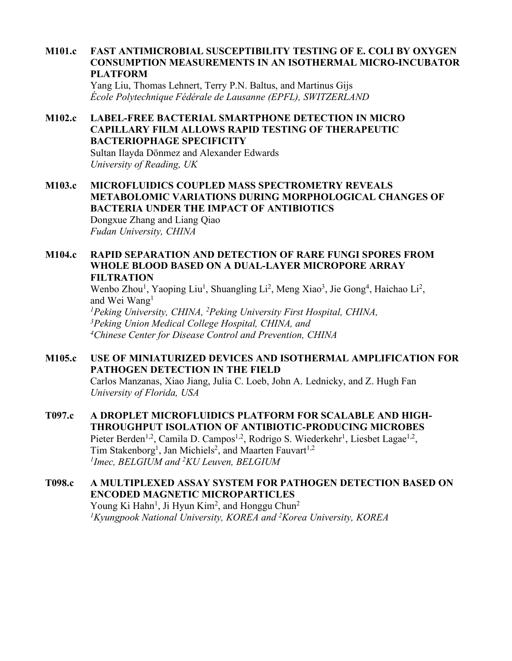### **M101.c FAST ANTIMICROBIAL SUSCEPTIBILITY TESTING OF E. COLI BY OXYGEN CONSUMPTION MEASUREMENTS IN AN ISOTHERMAL MICRO-INCUBATOR PLATFORM**

Yang Liu, Thomas Lehnert, Terry P.N. Baltus, and Martinus Gijs *École Polytechnique Fédérale de Lausanne (EPFL), SWITZERLAND*

## **M102.c LABEL-FREE BACTERIAL SMARTPHONE DETECTION IN MICRO CAPILLARY FILM ALLOWS RAPID TESTING OF THERAPEUTIC BACTERIOPHAGE SPECIFICITY**

Sultan Ilayda Dönmez and Alexander Edwards *University of Reading, UK*

### **M103.c MICROFLUIDICS COUPLED MASS SPECTROMETRY REVEALS METABOLOMIC VARIATIONS DURING MORPHOLOGICAL CHANGES OF BACTERIA UNDER THE IMPACT OF ANTIBIOTICS** Dongxue Zhang and Liang Qiao *Fudan University, CHINA*

## **M104.c RAPID SEPARATION AND DETECTION OF RARE FUNGI SPORES FROM WHOLE BLOOD BASED ON A DUAL-LAYER MICROPORE ARRAY FILTRATION**

Wenbo Zhou<sup>1</sup>, Yaoping Liu<sup>1</sup>, Shuangling Li<sup>2</sup>, Meng Xiao<sup>3</sup>, Jie Gong<sup>4</sup>, Haichao Li<sup>2</sup>, and Wei Wang<sup>1</sup> *1Peking University, CHINA, 2 Peking University First Hospital, CHINA, 3Peking Union Medical College Hospital, CHINA, and* 

*4 Chinese Center for Disease Control and Prevention, CHINA*

## **M105.c USE OF MINIATURIZED DEVICES AND ISOTHERMAL AMPLIFICATION FOR PATHOGEN DETECTION IN THE FIELD**

Carlos Manzanas, Xiao Jiang, Julia C. Loeb, John A. Lednicky, and Z. Hugh Fan *University of Florida, USA*

## **T097.c A DROPLET MICROFLUIDICS PLATFORM FOR SCALABLE AND HIGH-THROUGHPUT ISOLATION OF ANTIBIOTIC-PRODUCING MICROBES** Pieter Berden<sup>1,2</sup>, Camila D. Campos<sup>1,2</sup>, Rodrigo S. Wiederkehr<sup>1</sup>, Liesbet Lagae<sup>1,2</sup>, Tim Stakenborg<sup>1</sup>, Jan Michiels<sup>2</sup>, and Maarten Fauvart<sup>1,2</sup> *1Imec, BELGIUM and 2KU Leuven, BELGIUM*

## **T098.c A MULTIPLEXED ASSAY SYSTEM FOR PATHOGEN DETECTION BASED ON ENCODED MAGNETIC MICROPARTICLES** Young Ki Hahn<sup>1</sup>, Ji Hyun Kim<sup>2</sup>, and Honggu Chun<sup>2</sup> <sup>1</sup>Kyungpook National University, KOREA and <sup>2</sup>Korea University, KOREA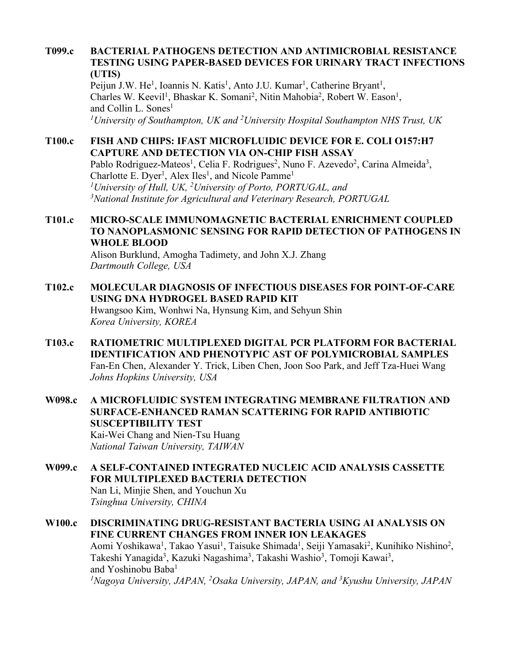### **T099.c BACTERIAL PATHOGENS DETECTION AND ANTIMICROBIAL RESISTANCE TESTING USING PAPER-BASED DEVICES FOR URINARY TRACT INFECTIONS (UTIS)**

Peijun J.W. He<sup>1</sup>, Ioannis N. Katis<sup>1</sup>, Anto J.U. Kumar<sup>1</sup>, Catherine Bryant<sup>1</sup>, Charles W. Keevil<sup>1</sup>, Bhaskar K. Somani<sup>2</sup>, Nitin Mahobia<sup>2</sup>, Robert W. Eason<sup>1</sup>, and Collin L. Sones<sup>1</sup> <sup>1</sup> University of Southampton, UK and <sup>2</sup> University Hospital Southampton NHS Trust, UK

## **T100.c FISH AND CHIPS: IFAST MICROFLUIDIC DEVICE FOR E. COLI O157:H7 CAPTURE AND DETECTION VIA ON-CHIP FISH ASSAY**

Pablo Rodriguez-Mateos<sup>1</sup>, Celia F. Rodrigues<sup>2</sup>, Nuno F. Azevedo<sup>2</sup>, Carina Almeida<sup>3</sup>, Charlotte E. Dyer<sup>1</sup>, Alex Iles<sup>1</sup>, and Nicole Pamme<sup>1</sup> *1University of Hull, UK, 2University of Porto, PORTUGAL, and 3 National Institute for Agricultural and Veterinary Research, PORTUGAL*

## **T101.c MICRO-SCALE IMMUNOMAGNETIC BACTERIAL ENRICHMENT COUPLED TO NANOPLASMONIC SENSING FOR RAPID DETECTION OF PATHOGENS IN WHOLE BLOOD**

Alison Burklund, Amogha Tadimety, and John X.J. Zhang *Dartmouth College, USA*

## **T102.c MOLECULAR DIAGNOSIS OF INFECTIOUS DISEASES FOR POINT-OF-CARE USING DNA HYDROGEL BASED RAPID KIT** Hwangsoo Kim, Wonhwi Na, Hynsung Kim, and Sehyun Shin *Korea University, KOREA*

**T103.c RATIOMETRIC MULTIPLEXED DIGITAL PCR PLATFORM FOR BACTERIAL IDENTIFICATION AND PHENOTYPIC AST OF POLYMICROBIAL SAMPLES** Fan-En Chen, Alexander Y. Trick, Liben Chen, Joon Soo Park, and Jeff Tza-Huei Wang *Johns Hopkins University, USA*

## **W098.c A MICROFLUIDIC SYSTEM INTEGRATING MEMBRANE FILTRATION AND SURFACE-ENHANCED RAMAN SCATTERING FOR RAPID ANTIBIOTIC SUSCEPTIBILITY TEST** Kai-Wei Chang and Nien-Tsu Huang *National Taiwan University, TAIWAN*

**W099.c A SELF-CONTAINED INTEGRATED NUCLEIC ACID ANALYSIS CASSETTE FOR MULTIPLEXED BACTERIA DETECTION** Nan Li, Minjie Shen, and Youchun Xu *Tsinghua University, CHINA*

### **W100.c DISCRIMINATING DRUG-RESISTANT BACTERIA USING AI ANALYSIS ON FINE CURRENT CHANGES FROM INNER ION LEAKAGES** Aomi Yoshikawa<sup>1</sup>, Takao Yasui<sup>1</sup>, Taisuke Shimada<sup>1</sup>, Seiji Yamasaki<sup>2</sup>, Kunihiko Nishino<sup>2</sup>, Takeshi Yanagida<sup>3</sup>, Kazuki Nagashima<sup>3</sup>, Takashi Washio<sup>3</sup>, Tomoji Kawai<sup>3</sup>, and Yoshinobu Baba<sup>1</sup> *1Nagoya University, JAPAN, 2Osaka University, JAPAN, and 3Kyushu University, JAPAN*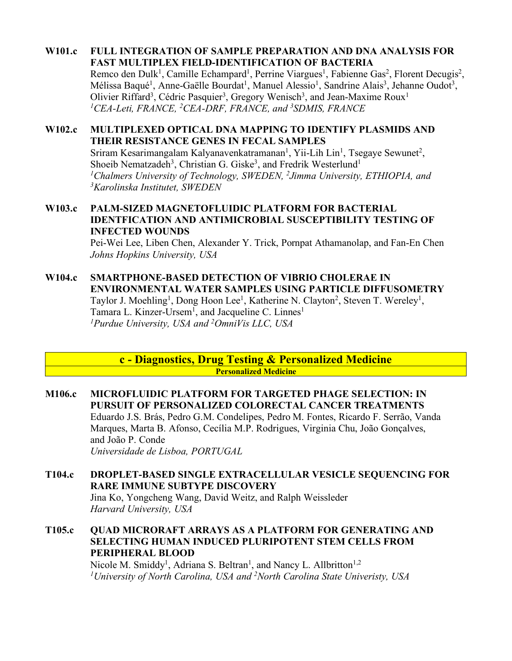## **W101.c FULL INTEGRATION OF SAMPLE PREPARATION AND DNA ANALYSIS FOR FAST MULTIPLEX FIELD-IDENTIFICATION OF BACTERIA**

Remco den Dulk<sup>1</sup>, Camille Echampard<sup>1</sup>, Perrine Viargues<sup>1</sup>, Fabienne Gas<sup>2</sup>, Florent Decugis<sup>2</sup>, Mélissa Baqué<sup>1</sup>, Anne-Gaëlle Bourdat<sup>1</sup>, Manuel Alessio<sup>1</sup>, Sandrine Alais<sup>3</sup>, Jehanne Oudot<sup>3</sup>, Olivier Riffard<sup>3</sup>, Cédric Pasquier<sup>3</sup>, Gregory Wenisch<sup>3</sup>, and Jean-Maxime Roux<sup>1</sup> <sup>1</sup>CEA-Leti, FRANCE, <sup>2</sup>CEA-DRF, FRANCE, and <sup>3</sup>SDMIS, FRANCE

## **W102.c MULTIPLEXED OPTICAL DNA MAPPING TO IDENTIFY PLASMIDS AND THEIR RESISTANCE GENES IN FECAL SAMPLES**

Sriram Kesarimangalam Kalyanavenkatramanan<sup>1</sup>, Yii-Lih Lin<sup>1</sup>, Tsegaye Sewunet<sup>2</sup>, Shoeib Nematzadeh<sup>3</sup>, Christian G. Giske<sup>3</sup>, and Fredrik Westerlund<sup>1</sup> *1Chalmers University of Technology, SWEDEN, 2Jimma University, ETHIOPIA, and 3Karolinska Institutet, SWEDEN*

### **W103.c PALM-SIZED MAGNETOFLUIDIC PLATFORM FOR BACTERIAL IDENTFICATION AND ANTIMICROBIAL SUSCEPTIBILITY TESTING OF INFECTED WOUNDS**

Pei-Wei Lee, Liben Chen, Alexander Y. Trick, Pornpat Athamanolap, and Fan-En Chen *Johns Hopkins University, USA*

## **W104.c SMARTPHONE-BASED DETECTION OF VIBRIO CHOLERAE IN ENVIRONMENTAL WATER SAMPLES USING PARTICLE DIFFUSOMETRY** Taylor J. Moehling<sup>1</sup>, Dong Hoon Lee<sup>1</sup>, Katherine N. Clayton<sup>2</sup>, Steven T. Wereley<sup>1</sup>, Tamara L. Kinzer-Ursem<sup>1</sup>, and Jacqueline C. Linnes<sup>1</sup> *1Purdue University, USA and 2 OmniVis LLC, USA*

**c - Diagnostics, Drug Testing & Personalized Medicine Personalized Medicine**

## **M106.c MICROFLUIDIC PLATFORM FOR TARGETED PHAGE SELECTION: IN PURSUIT OF PERSONALIZED COLORECTAL CANCER TREATMENTS** Eduardo J.S. Brás, Pedro G.M. Condelipes, Pedro M. Fontes, Ricardo F. Serrão, Vanda Marques, Marta B. Afonso, Cecília M.P. Rodrigues, Virginia Chu, João Gonçalves, and João P. Conde *Universidade de Lisboa, PORTUGAL*

**T104.c DROPLET-BASED SINGLE EXTRACELLULAR VESICLE SEQUENCING FOR RARE IMMUNE SUBTYPE DISCOVERY** Jina Ko, Yongcheng Wang, David Weitz, and Ralph Weissleder *Harvard University, USA*

## **T105.c QUAD MICRORAFT ARRAYS AS A PLATFORM FOR GENERATING AND SELECTING HUMAN INDUCED PLURIPOTENT STEM CELLS FROM PERIPHERAL BLOOD**

Nicole M. Smiddy<sup>1</sup>, Adriana S. Beltran<sup>1</sup>, and Nancy L. Allbritton<sup>1,2</sup> *1University of North Carolina, USA and 2 North Carolina State Univeristy, USA*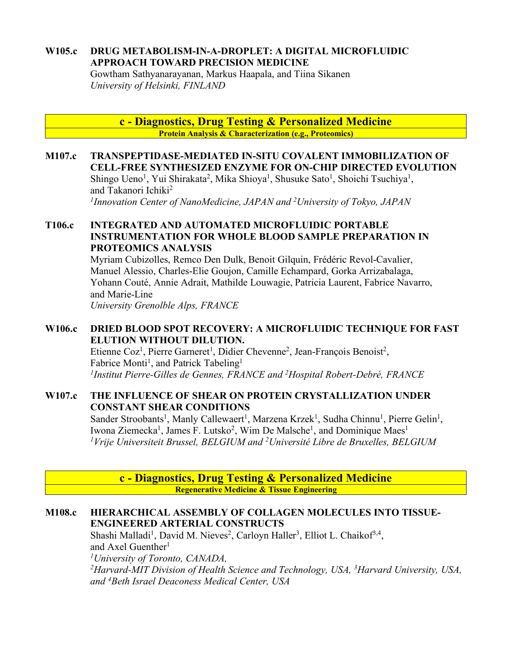## **W105.c DRUG METABOLISM-IN-A-DROPLET: A DIGITAL MICROFLUIDIC APPROACH TOWARD PRECISION MEDICINE**

Gowtham Sathyanarayanan, Markus Haapala, and Tiina Sikanen *University of Helsinki, FINLAND*

> **c - Diagnostics, Drug Testing & Personalized Medicine Protein Analysis & Characterization (e.g., Proteomics)**

**M107.c TRANSPEPTIDASE-MEDIATED IN-SITU COVALENT IMMOBILIZATION OF CELL-FREE SYNTHESIZED ENZYME FOR ON-CHIP DIRECTED EVOLUTION** Shingo Ueno<sup>1</sup>, Yui Shirakata<sup>2</sup>, Mika Shioya<sup>1</sup>, Shusuke Sato<sup>1</sup>, Shoichi Tsuchiya<sup>1</sup>, and Takanori Ichiki<sup>2</sup> *1Innovation Center of NanoMedicine, JAPAN and 2University of Tokyo, JAPAN*

## **T106.c INTEGRATED AND AUTOMATED MICROFLUIDIC PORTABLE INSTRUMENTATION FOR WHOLE BLOOD SAMPLE PREPARATION IN PROTEOMICS ANALYSIS**

Myriam Cubizolles, Remco Den Dulk, Benoit Gilquin, Frédéric Revol-Cavalier, Manuel Alessio, Charles-Elie Goujon, Camille Echampard, Gorka Arrizabalaga, Yohann Couté, Annie Adrait, Mathilde Louwagie, Patricia Laurent, Fabrice Navarro, and Marie-Line

*University Grenolble Alps, FRANCE*

## **W106.c DRIED BLOOD SPOT RECOVERY: A MICROFLUIDIC TECHNIQUE FOR FAST ELUTION WITHOUT DILUTION.**

Etienne Coz<sup>1</sup>, Pierre Garneret<sup>1</sup>, Didier Chevenne<sup>2</sup>, Jean-François Benoist<sup>2</sup>, Fabrice Monti<sup>1</sup>, and Patrick Tabeling<sup>1</sup> *1Institut Pierre-Gilles de Gennes, FRANCE and 2Hospital Robert-Debré, FRANCE*

### **W107.c THE INFLUENCE OF SHEAR ON PROTEIN CRYSTALLIZATION UNDER CONSTANT SHEAR CONDITIONS**

Sander Stroobants<sup>1</sup>, Manly Callewaert<sup>1</sup>, Marzena Krzek<sup>1</sup>, Sudha Chinnu<sup>1</sup>, Pierre Gelin<sup>1</sup>, Iwona Ziemecka<sup>1</sup>, James F. Lutsko<sup>2</sup>, Wim De Malsche<sup>1</sup>, and Dominique Maes<sup>1</sup> *1Vrije Universiteit Brussel, BELGIUM and 2Université Libre de Bruxelles, BELGIUM*

**c - Diagnostics, Drug Testing & Personalized Medicine Regenerative Medicine & Tissue Engineering**

### **M108.c HIERARCHICAL ASSEMBLY OF COLLAGEN MOLECULES INTO TISSUE-ENGINEERED ARTERIAL CONSTRUCTS**

Shashi Malladi<sup>1</sup>, David M. Nieves<sup>2</sup>, Carloyn Haller<sup>3</sup>, Elliot L. Chaikof<sup>3,4</sup>, and Axel Guenther<sup>1</sup> *1University of Toronto, CANADA,* 

*2 Harvard-MIT Division of Health Science and Technology, USA, 3 Harvard University, USA, and 4Beth Israel Deaconess Medical Center, USA*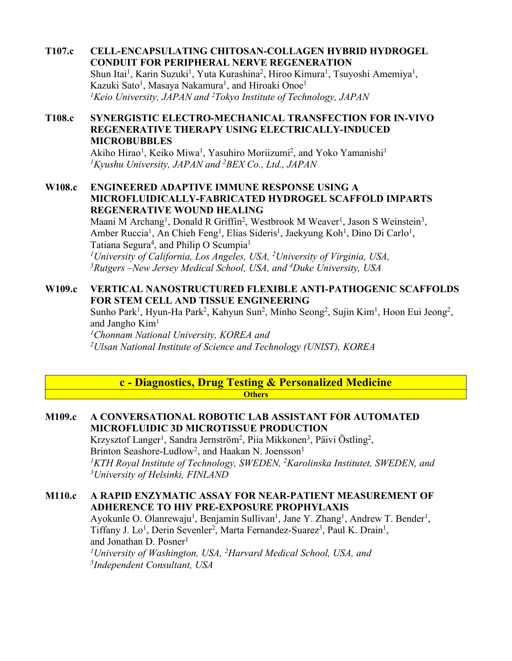**T107.c CELL-ENCAPSULATING CHITOSAN-COLLAGEN HYBRID HYDROGEL CONDUIT FOR PERIPHERAL NERVE REGENERATION** Shun Itai<sup>1</sup>, Karin Suzuki<sup>1</sup>, Yuta Kurashina<sup>2</sup>, Hiroo Kimura<sup>1</sup>, Tsuyoshi Amemiya<sup>1</sup>, Kazuki Sato<sup>1</sup>, Masaya Nakamura<sup>1</sup>, and Hiroaki Onoe<sup>1</sup> *1Keio University, JAPAN and 2 Tokyo Institute of Technology, JAPAN*

## **T108.c SYNERGISTIC ELECTRO-MECHANICAL TRANSFECTION FOR IN-VIVO REGENERATIVE THERAPY USING ELECTRICALLY-INDUCED MICROBUBBLES**

Akiho Hirao<sup>1</sup>, Keiko Miwa<sup>1</sup>, Yasuhiro Moriizumi<sup>2</sup>, and Yoko Yamanishi<sup>1</sup> *1Kyushu University, JAPAN and 2BEX Co., Ltd., JAPAN*

### **W108.c ENGINEERED ADAPTIVE IMMUNE RESPONSE USING A MICROFLUIDICALLY-FABRICATED HYDROGEL SCAFFOLD IMPARTS REGENERATIVE WOUND HEALING**

Maani M Archang<sup>1</sup>, Donald R Griffin<sup>2</sup>, Westbrook M Weaver<sup>1</sup>, Jason S Weinstein<sup>3</sup>, Amber Ruccia<sup>1</sup>, An Chieh Feng<sup>1</sup>, Elias Sideris<sup>1</sup>, Jaekyung Koh<sup>1</sup>, Dino Di Carlo<sup>1</sup>, Tatiana Segura<sup>4</sup>, and Philip O Scumpia<sup>1</sup> *1 University of California, Los Angeles, USA, 2 University of Virginia, USA,* 

*3 Rutgers –New Jersey Medical School, USA, and 4 Duke University, USA*

## **W109.c VERTICAL NANOSTRUCTURED FLEXIBLE ANTI-PATHOGENIC SCAFFOLDS FOR STEM CELL AND TISSUE ENGINEERING**

Sunho Park<sup>1</sup>, Hyun-Ha Park<sup>2</sup>, Kahyun Sun<sup>2</sup>, Minho Seong<sup>2</sup>, Sujin Kim<sup>1</sup>, Hoon Eui Jeong<sup>2</sup>, and Jangho Kim<sup>1</sup>

*1 Chonnam National University, KOREA and 2Ulsan National Institute of Science and Technology (UNIST), KOREA*

### **c - Diagnostics, Drug Testing & Personalized Medicine Others**

## **M109.c A CONVERSATIONAL ROBOTIC LAB ASSISTANT FOR AUTOMATED MICROFLUIDIC 3D MICROTISSUE PRODUCTION**

Krzysztof Langer<sup>1</sup>, Sandra Jernström<sup>2</sup>, Piia Mikkonen<sup>3</sup>, Päivi Östling<sup>2</sup>, Brinton Seashore-Ludlow<sup>2</sup>, and Haakan N. Joensson<sup>1</sup> <sup>1</sup>KTH Royal Institute of Technology, SWEDEN, <sup>2</sup>Karolinska Institutet, SWEDEN, and *3University of Helsinki, FINLAND*

## **M110.c A RAPID ENZYMATIC ASSAY FOR NEAR-PATIENT MEASUREMENT OF ADHERENCE TO HIV PRE-EXPOSURE PROPHYLAXIS**

Ayokunle O. Olanrewaju<sup>1</sup>, Benjamin Sullivan<sup>1</sup>, Jane Y. Zhang<sup>1</sup>, Andrew T. Bender<sup>1</sup>, Tiffany J. Lo<sup>1</sup>, Derin Sevenler<sup>2</sup>, Marta Fernandez-Suarez<sup>3</sup>, Paul K. Drain<sup>1</sup>, and Jonathan D. Posner<sup>1</sup> *1University of Washington, USA, 2 Harvard Medical School, USA, and 3 Independent Consultant, USA*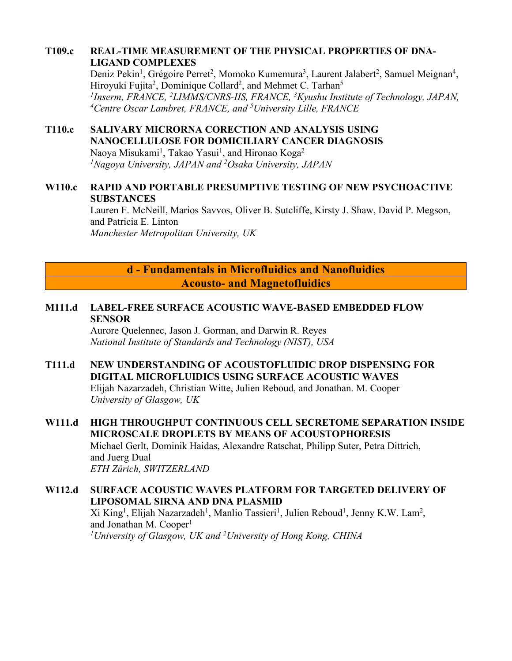## **T109.c REAL-TIME MEASUREMENT OF THE PHYSICAL PROPERTIES OF DNA-LIGAND COMPLEXES**

Deniz Pekin<sup>1</sup>, Grégoire Perret<sup>2</sup>, Momoko Kumemura<sup>3</sup>, Laurent Jalabert<sup>2</sup>, Samuel Meignan<sup>4</sup>, Hiroyuki Fujita<sup>2</sup>, Dominique Collard<sup>2</sup>, and Mehmet C. Tarhan<sup>5</sup> *1Inserm, FRANCE, 2LIMMS/CNRS-IIS, FRANCE, 3Kyushu Institute of Technology, JAPAN, 4Centre Oscar Lambret, FRANCE, and 5University Lille, FRANCE*

# **T110.c SALIVARY MICRORNA CORECTION AND ANALYSIS USING NANOCELLULOSE FOR DOMICILIARY CANCER DIAGNOSIS**

Naoya Misukami<sup>1</sup>, Takao Yasui<sup>1</sup>, and Hironao Koga<sup>2</sup> *1Nagoya University, JAPAN and 2 Osaka University, JAPAN*

## **W110.c RAPID AND PORTABLE PRESUMPTIVE TESTING OF NEW PSYCHOACTIVE SUBSTANCES**

Lauren F. McNeill, Marios Savvos, Oliver B. Sutcliffe, Kirsty J. Shaw, David P. Megson, and Patricia E. Linton *Manchester Metropolitan University, UK*

# **d - Fundamentals in Microfluidics and Nanofluidics Acousto- and Magnetofluidics**

## **M111.d LABEL-FREE SURFACE ACOUSTIC WAVE-BASED EMBEDDED FLOW SENSOR**

Aurore Quelennec, Jason J. Gorman, and Darwin R. Reyes *National Institute of Standards and Technology (NIST), USA*

- **T111.d NEW UNDERSTANDING OF ACOUSTOFLUIDIC DROP DISPENSING FOR DIGITAL MICROFLUIDICS USING SURFACE ACOUSTIC WAVES** Elijah Nazarzadeh, Christian Witte, Julien Reboud, and Jonathan. M. Cooper *University of Glasgow, UK*
- **W111.d HIGH THROUGHPUT CONTINUOUS CELL SECRETOME SEPARATION INSIDE MICROSCALE DROPLETS BY MEANS OF ACOUSTOPHORESIS** Michael Gerlt, Dominik Haidas, Alexandre Ratschat, Philipp Suter, Petra Dittrich, and Juerg Dual *ETH Zürich, SWITZERLAND*

## **W112.d SURFACE ACOUSTIC WAVES PLATFORM FOR TARGETED DELIVERY OF LIPOSOMAL SIRNA AND DNA PLASMID** Xi King<sup>1</sup>, Elijah Nazarzadeh<sup>1</sup>, Manlio Tassieri<sup>1</sup>, Julien Reboud<sup>1</sup>, Jenny K.W. Lam<sup>2</sup>, and Jonathan M. Cooper<sup>1</sup> *1 University of Glasgow, UK and 2 University of Hong Kong, CHINA*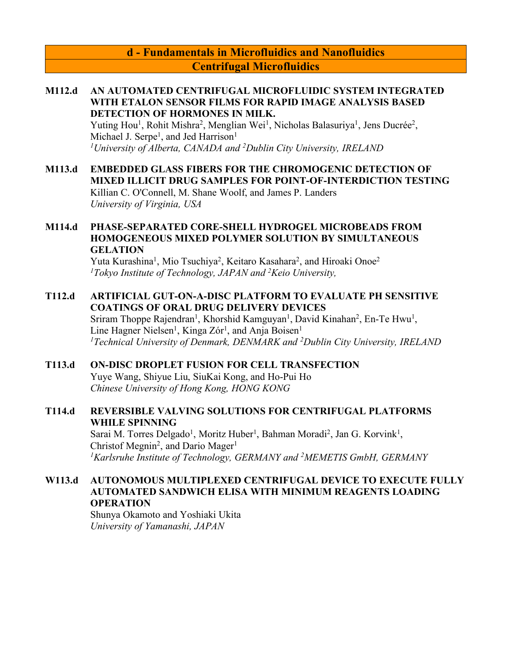## **d - Fundamentals in Microfluidics and Nanofluidics Centrifugal Microfluidics**

#### **M112.d AN AUTOMATED CENTRIFUGAL MICROFLUIDIC SYSTEM INTEGRATED WITH ETALON SENSOR FILMS FOR RAPID IMAGE ANALYSIS BASED DETECTION OF HORMONES IN MILK.**

Yuting Hou<sup>1</sup>, Rohit Mishra<sup>2</sup>, Menglian Wei<sup>1</sup>, Nicholas Balasuriya<sup>1</sup>, Jens Ducrée<sup>2</sup>, Michael J. Serpe<sup>1</sup>, and Jed Harrison<sup>1</sup> *1University of Alberta, CANADA and 2Dublin City University, IRELAND*

#### **M113.d EMBEDDED GLASS FIBERS FOR THE CHROMOGENIC DETECTION OF MIXED ILLICIT DRUG SAMPLES FOR POINT-OF-INTERDICTION TESTING** Killian C. O'Connell, M. Shane Woolf, and James P. Landers *University of Virginia, USA*

### **M114.d PHASE-SEPARATED CORE-SHELL HYDROGEL MICROBEADS FROM HOMOGENEOUS MIXED POLYMER SOLUTION BY SIMULTANEOUS GELATION**

Yuta Kurashina<sup>1</sup>, Mio Tsuchiya<sup>2</sup>, Keitaro Kasahara<sup>2</sup>, and Hiroaki Onoe<sup>2</sup> *1 Tokyo Institute of Technology, JAPAN and 2 Keio University,* 

### **T112.d ARTIFICIAL GUT-ON-A-DISC PLATFORM TO EVALUATE PH SENSITIVE COATINGS OF ORAL DRUG DELIVERY DEVICES**

Sriram Thoppe Rajendran<sup>1</sup>, Khorshid Kamguyan<sup>1</sup>, David Kinahan<sup>2</sup>, En-Te Hwu<sup>1</sup>, Line Hagner Nielsen<sup>1</sup>, Kinga Zór<sup>1</sup>, and Anja Boisen<sup>1</sup> *1Technical University of Denmark, DENMARK and 2Dublin City University, IRELAND*

#### **T113.d ON-DISC DROPLET FUSION FOR CELL TRANSFECTION** Yuye Wang, Shiyue Liu, SiuKai Kong, and Ho-Pui Ho *Chinese University of Hong Kong, HONG KONG*

## **T114.d REVERSIBLE VALVING SOLUTIONS FOR CENTRIFUGAL PLATFORMS WHILE SPINNING**

Sarai M. Torres Delgado<sup>1</sup>, Moritz Huber<sup>1</sup>, Bahman Moradi<sup>2</sup>, Jan G. Korvink<sup>1</sup>, Christof Megnin<sup>2</sup>, and Dario Mager<sup>1</sup> *1 Karlsruhe Institute of Technology, GERMANY and 2 MEMETIS GmbH, GERMANY*

## **W113.d AUTONOMOUS MULTIPLEXED CENTRIFUGAL DEVICE TO EXECUTE FULLY AUTOMATED SANDWICH ELISA WITH MINIMUM REAGENTS LOADING OPERATION**

Shunya Okamoto and Yoshiaki Ukita *University of Yamanashi, JAPAN*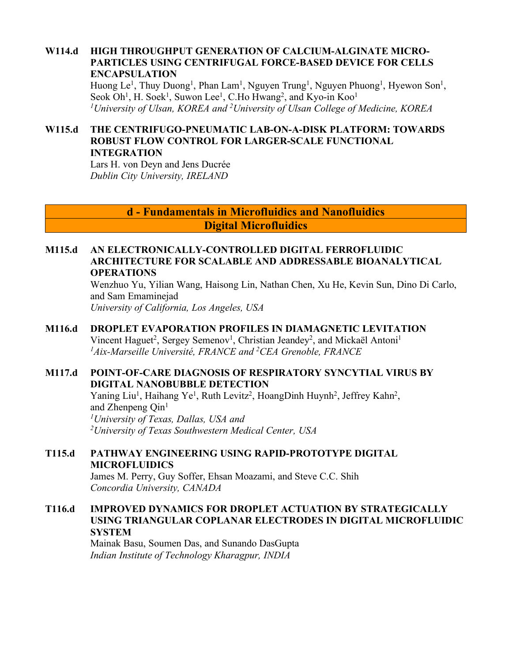### **W114.d HIGH THROUGHPUT GENERATION OF CALCIUM-ALGINATE MICRO-PARTICLES USING CENTRIFUGAL FORCE-BASED DEVICE FOR CELLS ENCAPSULATION**

Huong Le<sup>1</sup>, Thuy Duong<sup>1</sup>, Phan Lam<sup>1</sup>, Nguyen Trung<sup>1</sup>, Nguyen Phuong<sup>1</sup>, Hyewon Son<sup>1</sup>, Seok Oh<sup>1</sup>, H. Soek<sup>1</sup>, Suwon Lee<sup>1</sup>, C.Ho Hwang<sup>2</sup>, and Kyo-in Koo<sup>1</sup> *1University of Ulsan, KOREA and 2 University of Ulsan College of Medicine, KOREA*

### **W115.d THE CENTRIFUGO-PNEUMATIC LAB-ON-A-DISK PLATFORM: TOWARDS ROBUST FLOW CONTROL FOR LARGER-SCALE FUNCTIONAL INTEGRATION**

Lars H. von Deyn and Jens Ducrée *Dublin City University, IRELAND*

> **d - Fundamentals in Microfluidics and Nanofluidics Digital Microfluidics**

### **M115.d AN ELECTRONICALLY-CONTROLLED DIGITAL FERROFLUIDIC ARCHITECTURE FOR SCALABLE AND ADDRESSABLE BIOANALYTICAL OPERATIONS**

Wenzhuo Yu, Yilian Wang, Haisong Lin, Nathan Chen, Xu He, Kevin Sun, Dino Di Carlo, and Sam Emaminejad

*University of California, Los Angeles, USA*

### **M116.d DROPLET EVAPORATION PROFILES IN DIAMAGNETIC LEVITATION** Vincent Haguet<sup>2</sup>, Sergey Semenov<sup>1</sup>, Christian Jeandey<sup>2</sup>, and Mickaël Antoni<sup>1</sup> *1Aix-Marseille Université, FRANCE and 2 CEA Grenoble, FRANCE*

## **M117.d POINT-OF-CARE DIAGNOSIS OF RESPIRATORY SYNCYTIAL VIRUS BY DIGITAL NANOBUBBLE DETECTION**

Yaning Liu<sup>1</sup>, Haihang Ye<sup>1</sup>, Ruth Levitz<sup>2</sup>, HoangDinh Huynh<sup>2</sup>, Jeffrey Kahn<sup>2</sup>, and Zhenpeng  $Qin<sup>1</sup>$ *1University of Texas, Dallas, USA and 2 University of Texas Southwestern Medical Center, USA*

**T115.d PATHWAY ENGINEERING USING RAPID-PROTOTYPE DIGITAL MICROFLUIDICS**

James M. Perry, Guy Soffer, Ehsan Moazami, and Steve C.C. Shih *Concordia University, CANADA*

### **T116.d IMPROVED DYNAMICS FOR DROPLET ACTUATION BY STRATEGICALLY USING TRIANGULAR COPLANAR ELECTRODES IN DIGITAL MICROFLUIDIC SYSTEM**

Mainak Basu, Soumen Das, and Sunando DasGupta *Indian Institute of Technology Kharagpur, INDIA*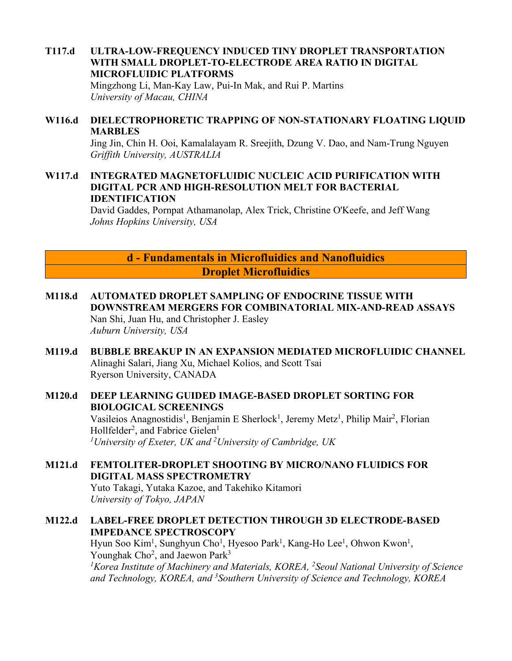# **T117.d ULTRA-LOW-FREQUENCY INDUCED TINY DROPLET TRANSPORTATION WITH SMALL DROPLET-TO-ELECTRODE AREA RATIO IN DIGITAL MICROFLUIDIC PLATFORMS**

Mingzhong Li, Man-Kay Law, Pui-In Mak, and Rui P. Martins *University of Macau, CHINA*

### **W116.d DIELECTROPHORETIC TRAPPING OF NON-STATIONARY FLOATING LIQUID MARBLES**

Jing Jin, Chin H. Ooi, Kamalalayam R. Sreejith, Dzung V. Dao, and Nam-Trung Nguyen *Griffith University, AUSTRALIA*

### **W117.d INTEGRATED MAGNETOFLUIDIC NUCLEIC ACID PURIFICATION WITH DIGITAL PCR AND HIGH-RESOLUTION MELT FOR BACTERIAL IDENTIFICATION**

David Gaddes, Pornpat Athamanolap, Alex Trick, Christine O'Keefe, and Jeff Wang *Johns Hopkins University, USA*

> **d - Fundamentals in Microfluidics and Nanofluidics Droplet Microfluidics**

- **M118.d AUTOMATED DROPLET SAMPLING OF ENDOCRINE TISSUE WITH DOWNSTREAM MERGERS FOR COMBINATORIAL MIX-AND-READ ASSAYS** Nan Shi, Juan Hu, and Christopher J. Easley *Auburn University, USA*
- **M119.d BUBBLE BREAKUP IN AN EXPANSION MEDIATED MICROFLUIDIC CHANNEL** Alinaghi Salari, Jiang Xu, Michael Kolios, and Scott Tsai Ryerson University, CANADA

# **M120.d DEEP LEARNING GUIDED IMAGE-BASED DROPLET SORTING FOR BIOLOGICAL SCREENINGS**

Vasileios Anagnostidis<sup>1</sup>, Benjamin E Sherlock<sup>1</sup>, Jeremy Metz<sup>1</sup>, Philip Mair<sup>2</sup>, Florian Hollfelder<sup>2</sup>, and Fabrice Gielen<sup>1</sup> *1University of Exeter, UK and 2University of Cambridge, UK*

#### **M121.d FEMTOLITER-DROPLET SHOOTING BY MICRO/NANO FLUIDICS FOR DIGITAL MASS SPECTROMETRY** Yuto Takagi, Yutaka Kazoe, and Takehiko Kitamori *University of Tokyo, JAPAN*

## **M122.d LABEL-FREE DROPLET DETECTION THROUGH 3D ELECTRODE-BASED IMPEDANCE SPECTROSCOPY**

Hyun Soo Kim<sup>1</sup>, Sunghyun Cho<sup>1</sup>, Hyesoo Park<sup>1</sup>, Kang-Ho Lee<sup>1</sup>, Ohwon Kwon<sup>1</sup>, Younghak Cho<sup>2</sup>, and Jaewon Park<sup>3</sup> <sup>1</sup> Korea Institute of Machinery and Materials, KOREA, <sup>2</sup> Seoul National University of Science *and Technology, KOREA, and 3Southern University of Science and Technology, KOREA*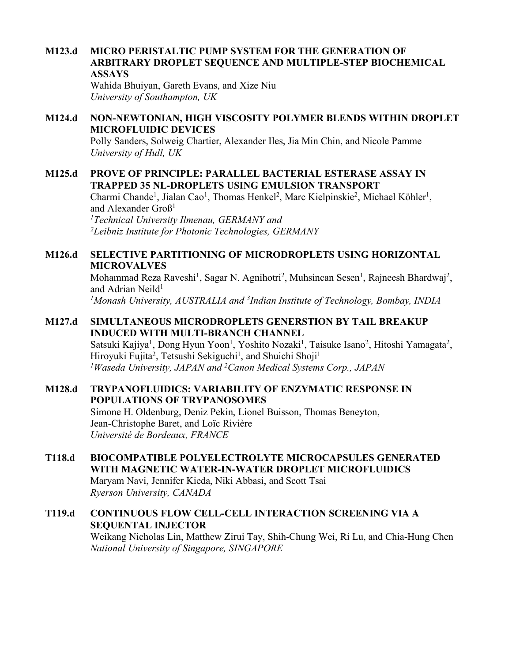### **M123.d MICRO PERISTALTIC PUMP SYSTEM FOR THE GENERATION OF ARBITRARY DROPLET SEQUENCE AND MULTIPLE-STEP BIOCHEMICAL ASSAYS**

Wahida Bhuiyan, Gareth Evans, and Xize Niu *University of Southampton, UK*

### **M124.d NON-NEWTONIAN, HIGH VISCOSITY POLYMER BLENDS WITHIN DROPLET MICROFLUIDIC DEVICES**

Polly Sanders, Solweig Chartier, Alexander Iles, Jia Min Chin, and Nicole Pamme *University of Hull, UK*

### **M125.d PROVE OF PRINCIPLE: PARALLEL BACTERIAL ESTERASE ASSAY IN TRAPPED 35 NL-DROPLETS USING EMULSION TRANSPORT**

Charmi Chande<sup>1</sup>, Jialan Cao<sup>1</sup>, Thomas Henkel<sup>2</sup>, Marc Kielpinskie<sup>2</sup>, Michael Köhler<sup>1</sup>, and Alexander Groß1 *1 Technical University Ilmenau, GERMANY and* 

*2Leibniz Institute for Photonic Technologies, GERMANY*

### **M126.d SELECTIVE PARTITIONING OF MICRODROPLETS USING HORIZONTAL MICROVALVES**

Mohammad Reza Raveshi<sup>1</sup>, Sagar N. Agnihotri<sup>2</sup>, Muhsincan Sesen<sup>1</sup>, Rajneesh Bhardwaj<sup>2</sup>, and Adrian Neild<sup>1</sup> *1Monash University, AUSTRALIA and 3 Indian Institute of Technology, Bombay, INDIA*

## **M127.d SIMULTANEOUS MICRODROPLETS GENERSTION BY TAIL BREAKUP INDUCED WITH MULTI-BRANCH CHANNEL**

Satsuki Kajiya<sup>1</sup>, Dong Hyun Yoon<sup>1</sup>, Yoshito Nozaki<sup>1</sup>, Taisuke Isano<sup>2</sup>, Hitoshi Yamagata<sup>2</sup>, Hiroyuki Fujita<sup>2</sup>, Tetsushi Sekiguchi<sup>1</sup>, and Shuichi Shoji<sup>1</sup> *1 Waseda University, JAPAN and 2 Canon Medical Systems Corp., JAPAN*

### **M128.d TRYPANOFLUIDICS: VARIABILITY OF ENZYMATIC RESPONSE IN POPULATIONS OF TRYPANOSOMES**

Simone H. Oldenburg, Deniz Pekin, Lionel Buisson, Thomas Beneyton, Jean-Christophe Baret, and Loïc Rivière *Université de Bordeaux, FRANCE*

#### **T118.d BIOCOMPATIBLE POLYELECTROLYTE MICROCAPSULES GENERATED WITH MAGNETIC WATER-IN-WATER DROPLET MICROFLUIDICS** Maryam Navi, Jennifer Kieda, Niki Abbasi, and Scott Tsai

*Ryerson University, CANADA*

## **T119.d CONTINUOUS FLOW CELL-CELL INTERACTION SCREENING VIA A SEQUENTAL INJECTOR**

Weikang Nicholas Lin, Matthew Zirui Tay, Shih-Chung Wei, Ri Lu, and Chia-Hung Chen *National University of Singapore, SINGAPORE*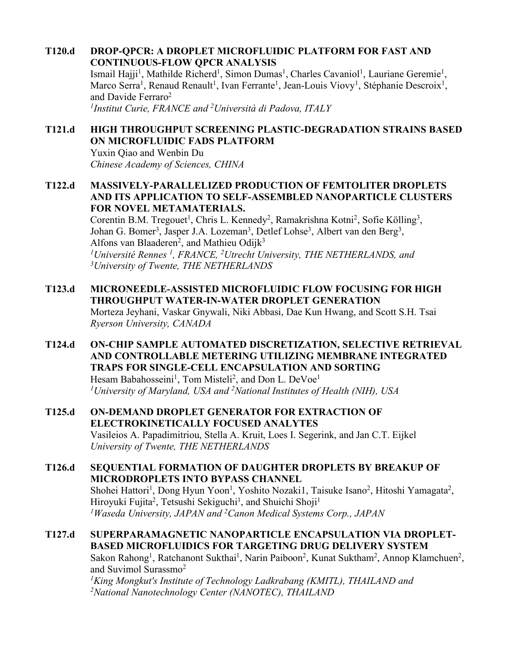**T120.d DROP-QPCR: A DROPLET MICROFLUIDIC PLATFORM FOR FAST AND CONTINUOUS-FLOW QPCR ANALYSIS**

Ismail Hajji<sup>1</sup>, Mathilde Richerd<sup>1</sup>, Simon Dumas<sup>1</sup>, Charles Cavaniol<sup>1</sup>, Lauriane Geremie<sup>1</sup>, Marco Serra<sup>1</sup>, Renaud Renault<sup>1</sup>, Ivan Ferrante<sup>1</sup>, Jean-Louis Viovy<sup>1</sup>, Stéphanie Descroix<sup>1</sup>, and Davide Ferraro<sup>2</sup>

*1Institut Curie, FRANCE and 2Università di Padova, ITALY*

## **T121.d HIGH THROUGHPUT SCREENING PLASTIC-DEGRADATION STRAINS BASED ON MICROFLUIDIC FADS PLATFORM**

Yuxin Qiao and Wenbin Du *Chinese Academy of Sciences, CHINA*

### **T122.d MASSIVELY-PARALLELIZED PRODUCTION OF FEMTOLITER DROPLETS AND ITS APPLICATION TO SELF-ASSEMBLED NANOPARTICLE CLUSTERS FOR NOVEL METAMATERIALS.**

Corentin B.M. Tregouet<sup>1</sup>, Chris L. Kennedy<sup>2</sup>, Ramakrishna Kotni<sup>2</sup>, Sofie Kölling<sup>3</sup>, Johan G. Bomer<sup>3</sup>, Jasper J.A. Lozeman<sup>3</sup>, Detlef Lohse<sup>3</sup>, Albert van den Berg<sup>3</sup>, Alfons van Blaaderen<sup>2</sup>, and Mathieu Odijk<sup>3</sup> *1Université Rennes 1, FRANCE, 2Utrecht University, THE NETHERLANDS, and 3 University of Twente, THE NETHERLANDS*

- **T123.d MICRONEEDLE-ASSISTED MICROFLUIDIC FLOW FOCUSING FOR HIGH THROUGHPUT WATER-IN-WATER DROPLET GENERATION** Morteza Jeyhani, Vaskar Gnywali, Niki Abbasi, Dae Kun Hwang, and Scott S.H. Tsai *Ryerson University, CANADA*
- **T124.d ON-CHIP SAMPLE AUTOMATED DISCRETIZATION, SELECTIVE RETRIEVAL AND CONTROLLABLE METERING UTILIZING MEMBRANE INTEGRATED TRAPS FOR SINGLE-CELL ENCAPSULATION AND SORTING** Hesam Babahosseini<sup>1</sup>, Tom Misteli<sup>2</sup>, and Don L. DeVoe<sup>1</sup> *1University of Maryland, USA and 2National Institutes of Health (NIH), USA*
- **T125.d ON-DEMAND DROPLET GENERATOR FOR EXTRACTION OF ELECTROKINETICALLY FOCUSED ANALYTES** Vasileios A. Papadimitriou, Stella A. Kruit, Loes I. Segerink, and Jan C.T. Eijkel *University of Twente, THE NETHERLANDS*

**T126.d SEQUENTIAL FORMATION OF DAUGHTER DROPLETS BY BREAKUP OF MICRODROPLETS INTO BYPASS CHANNEL** Shohei Hattori<sup>1</sup>, Dong Hyun Yoon<sup>1</sup>, Yoshito Nozaki1, Taisuke Isano<sup>2</sup>, Hitoshi Yamagata<sup>2</sup>, Hiroyuki Fujita<sup>2</sup>, Tetsushi Sekiguchi<sup>1</sup>, and Shuichi Shoji<sup>1</sup> *1 Waseda University, JAPAN and 2 Canon Medical Systems Corp., JAPAN*

**T127.d SUPERPARAMAGNETIC NANOPARTICLE ENCAPSULATION VIA DROPLET-BASED MICROFLUIDICS FOR TARGETING DRUG DELIVERY SYSTEM** Sakon Rahong<sup>1</sup>, Ratchanont Sukthai<sup>1</sup>, Narin Paiboon<sup>2</sup>, Kunat Suktham<sup>2</sup>, Annop Klamchuen<sup>2</sup>, and Suvimol Surassmo2

*1King Mongkut's Institute of Technology Ladkrabang (KMITL), THAILAND and 2 National Nanotechnology Center (NANOTEC), THAILAND*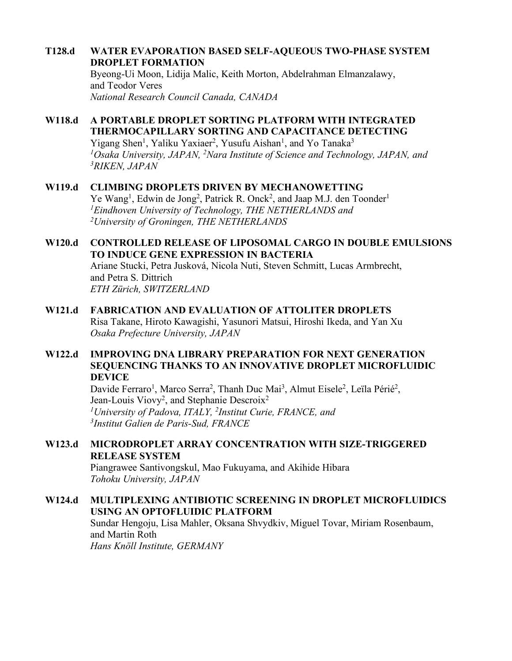### **T128.d WATER EVAPORATION BASED SELF-AQUEOUS TWO-PHASE SYSTEM DROPLET FORMATION**

Byeong-Ui Moon, Lidija Malic, Keith Morton, Abdelrahman Elmanzalawy, and Teodor Veres *National Research Council Canada, CANADA*

# **W118.d A PORTABLE DROPLET SORTING PLATFORM WITH INTEGRATED THERMOCAPILLARY SORTING AND CAPACITANCE DETECTING**

Yigang Shen<sup>1</sup>, Yaliku Yaxiaer<sup>2</sup>, Yusufu Aishan<sup>1</sup>, and Yo Tanaka<sup>3</sup> *1Osaka University, JAPAN, 2Nara Institute of Science and Technology, JAPAN, and 3RIKEN, JAPAN*

## **W119.d CLIMBING DROPLETS DRIVEN BY MECHANOWETTING**

Ye Wang<sup>1</sup>, Edwin de Jong<sup>2</sup>, Patrick R. Onck<sup>2</sup>, and Jaap M.J. den Toonder<sup>1</sup> *1 Eindhoven University of Technology, THE NETHERLANDS and 2University of Groningen, THE NETHERLANDS*

## **W120.d CONTROLLED RELEASE OF LIPOSOMAL CARGO IN DOUBLE EMULSIONS TO INDUCE GENE EXPRESSION IN BACTERIA**

Ariane Stucki, Petra Jusková, Nicola Nuti, Steven Schmitt, Lucas Armbrecht, and Petra S. Dittrich *ETH Zürich, SWITZERLAND*

# **W121.d FABRICATION AND EVALUATION OF ATTOLITER DROPLETS**

Risa Takane, Hiroto Kawagishi, Yasunori Matsui, Hiroshi Ikeda, and Yan Xu *Osaka Prefecture University, JAPAN*

## **W122.d IMPROVING DNA LIBRARY PREPARATION FOR NEXT GENERATION SEQUENCING THANKS TO AN INNOVATIVE DROPLET MICROFLUIDIC DEVICE**

Davide Ferraro<sup>1</sup>, Marco Serra<sup>2</sup>, Thanh Duc Mai<sup>3</sup>, Almut Eisele<sup>2</sup>, Leïla Périé<sup>2</sup>, Jean-Louis Viovy<sup>2</sup>, and Stephanie Descroix<sup>2</sup> <sup>1</sup>University of Padova, ITALY, <sup>2</sup>Institut Curie, FRANCE, and *3 Institut Galien de Paris-Sud, FRANCE*

## **W123.d MICRODROPLET ARRAY CONCENTRATION WITH SIZE-TRIGGERED RELEASE SYSTEM**

Piangrawee Santivongskul, Mao Fukuyama, and Akihide Hibara *Tohoku University, JAPAN*

## **W124.d MULTIPLEXING ANTIBIOTIC SCREENING IN DROPLET MICROFLUIDICS USING AN OPTOFLUIDIC PLATFORM**

Sundar Hengoju, Lisa Mahler, Oksana Shvydkiv, Miguel Tovar, Miriam Rosenbaum, and Martin Roth *Hans Knöll Institute, GERMANY*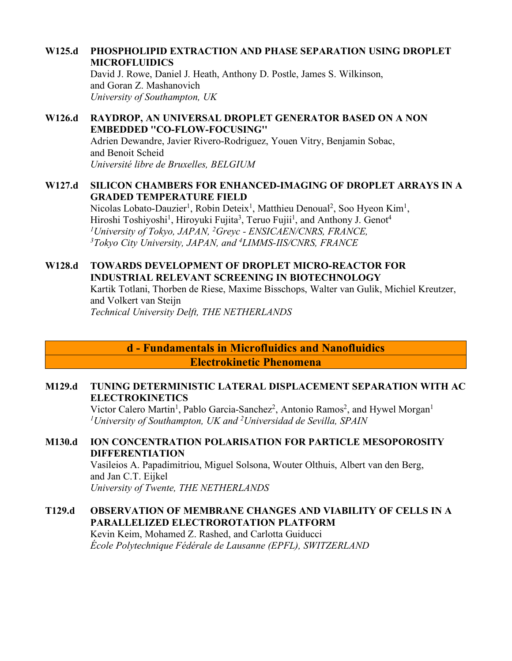### **W125.d PHOSPHOLIPID EXTRACTION AND PHASE SEPARATION USING DROPLET MICROFLUIDICS**

David J. Rowe, Daniel J. Heath, Anthony D. Postle, James S. Wilkinson, and Goran Z. Mashanovich *University of Southampton, UK*

### **W126.d RAYDROP, AN UNIVERSAL DROPLET GENERATOR BASED ON A NON EMBEDDED ''CO-FLOW-FOCUSING''**

Adrien Dewandre, Javier Rivero-Rodriguez, Youen Vitry, Benjamin Sobac, and Benoit Scheid *Université libre de Bruxelles, BELGIUM*

### **W127.d SILICON CHAMBERS FOR ENHANCED-IMAGING OF DROPLET ARRAYS IN A GRADED TEMPERATURE FIELD**

Nicolas Lobato-Dauzier<sup>1</sup>, Robin Deteix<sup>1</sup>, Matthieu Denoual<sup>2</sup>, Soo Hyeon Kim<sup>1</sup>, Hiroshi Toshiyoshi<sup>1</sup>, Hiroyuki Fujita<sup>3</sup>, Teruo Fujii<sup>1</sup>, and Anthony J. Genot<sup>4</sup> *1University of Tokyo, JAPAN, 2 Greyc - ENSICAEN/CNRS, FRANCE, 3 Tokyo City University, JAPAN, and 4 LIMMS-IIS/CNRS, FRANCE*

### **W128.d TOWARDS DEVELOPMENT OF DROPLET MICRO-REACTOR FOR INDUSTRIAL RELEVANT SCREENING IN BIOTECHNOLOGY**

Kartik Totlani, Thorben de Riese, Maxime Bisschops, Walter van Gulik, Michiel Kreutzer, and Volkert van Steijn *Technical University Delft, THE NETHERLANDS*

**d - Fundamentals in Microfluidics and Nanofluidics Electrokinetic Phenomena**

### **M129.d TUNING DETERMINISTIC LATERAL DISPLACEMENT SEPARATION WITH AC ELECTROKINETICS**

Victor Calero Martin<sup>1</sup>, Pablo Garcia-Sanchez<sup>2</sup>, Antonio Ramos<sup>2</sup>, and Hywel Morgan<sup>1</sup> *1University of Southampton, UK and 2 Universidad de Sevilla, SPAIN*

### **M130.d ION CONCENTRATION POLARISATION FOR PARTICLE MESOPOROSITY DIFFERENTIATION**

Vasileios A. Papadimitriou, Miguel Solsona, Wouter Olthuis, Albert van den Berg, and Jan C.T. Eijkel *University of Twente, THE NETHERLANDS*

## **T129.d OBSERVATION OF MEMBRANE CHANGES AND VIABILITY OF CELLS IN A PARALLELIZED ELECTROROTATION PLATFORM**

Kevin Keim, Mohamed Z. Rashed, and Carlotta Guiducci *École Polytechnique Fédérale de Lausanne (EPFL), SWITZERLAND*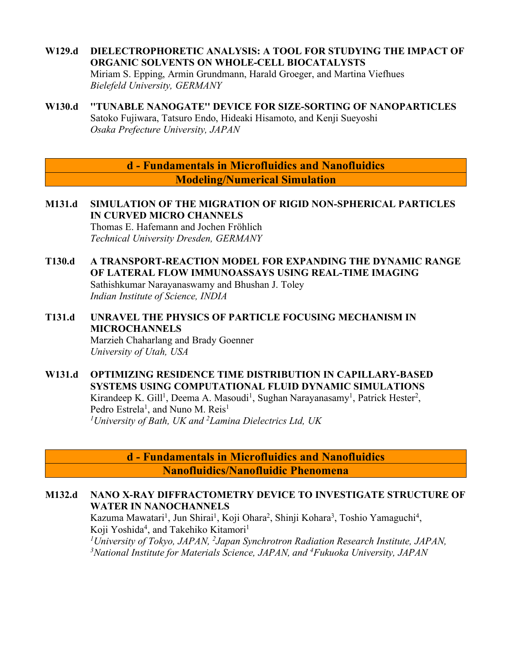## **W129.d DIELECTROPHORETIC ANALYSIS: A TOOL FOR STUDYING THE IMPACT OF ORGANIC SOLVENTS ON WHOLE-CELL BIOCATALYSTS**

Miriam S. Epping, Armin Grundmann, Harald Groeger, and Martina Viefhues *Bielefeld University, GERMANY*

**W130.d ''TUNABLE NANOGATE'' DEVICE FOR SIZE-SORTING OF NANOPARTICLES** Satoko Fujiwara, Tatsuro Endo, Hideaki Hisamoto, and Kenji Sueyoshi *Osaka Prefecture University, JAPAN*

> **d - Fundamentals in Microfluidics and Nanofluidics Modeling/Numerical Simulation**

**M131.d SIMULATION OF THE MIGRATION OF RIGID NON-SPHERICAL PARTICLES IN CURVED MICRO CHANNELS**

Thomas E. Hafemann and Jochen Fröhlich *Technical University Dresden, GERMANY*

- **T130.d A TRANSPORT-REACTION MODEL FOR EXPANDING THE DYNAMIC RANGE OF LATERAL FLOW IMMUNOASSAYS USING REAL-TIME IMAGING** Sathishkumar Narayanaswamy and Bhushan J. Toley *Indian Institute of Science, INDIA*
- **T131.d UNRAVEL THE PHYSICS OF PARTICLE FOCUSING MECHANISM IN MICROCHANNELS** Marzieh Chaharlang and Brady Goenner

*University of Utah, USA*

**W131.d OPTIMIZING RESIDENCE TIME DISTRIBUTION IN CAPILLARY-BASED SYSTEMS USING COMPUTATIONAL FLUID DYNAMIC SIMULATIONS** Kirandeep K. Gill<sup>1</sup>, Deema A. Masoudi<sup>1</sup>, Sughan Narayanasamy<sup>1</sup>, Patrick Hester<sup>2</sup>, Pedro Estrela<sup>1</sup>, and Nuno M. Reis<sup>1</sup> *1University of Bath, UK and 2 Lamina Dielectrics Ltd, UK*

> **d - Fundamentals in Microfluidics and Nanofluidics Nanofluidics/Nanofluidic Phenomena**

### **M132.d NANO X-RAY DIFFRACTOMETRY DEVICE TO INVESTIGATE STRUCTURE OF WATER IN NANOCHANNELS**

Kazuma Mawatari<sup>1</sup>, Jun Shirai<sup>1</sup>, Koji Ohara<sup>2</sup>, Shinji Kohara<sup>3</sup>, Toshio Yamaguchi<sup>4</sup>, Koji Yoshida<sup>4</sup>, and Takehiko Kitamori<sup>1</sup>

*1 University of Tokyo, JAPAN, 2 Japan Synchrotron Radiation Research Institute, JAPAN, 3National Institute for Materials Science, JAPAN, and 4Fukuoka University, JAPAN*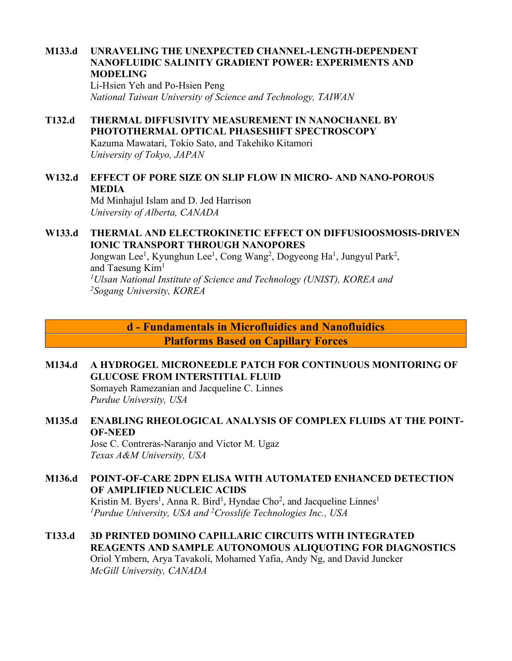### **M133.d UNRAVELING THE UNEXPECTED CHANNEL-LENGTH-DEPENDENT NANOFLUIDIC SALINITY GRADIENT POWER: EXPERIMENTS AND MODELING**

Li-Hsien Yeh and Po-Hsien Peng *National Taiwan University of Science and Technology, TAIWAN*

#### **T132.d THERMAL DIFFUSIVITY MEASUREMENT IN NANOCHANEL BY PHOTOTHERMAL OPTICAL PHASESHIFT SPECTROSCOPY** Kazuma Mawatari, Tokio Sato, and Takehiko Kitamori

*University of Tokyo, JAPAN*

## **W132.d EFFECT OF PORE SIZE ON SLIP FLOW IN MICRO- AND NANO-POROUS MEDIA**

Md Minhajul Islam and D. Jed Harrison *University of Alberta, CANADA*

### **W133.d THERMAL AND ELECTROKINETIC EFFECT ON DIFFUSIOOSMOSIS-DRIVEN IONIC TRANSPORT THROUGH NANOPORES**

Jongwan Lee<sup>1</sup>, Kyunghun Lee<sup>1</sup>, Cong Wang<sup>2</sup>, Dogyeong Ha<sup>1</sup>, Jungyul Park<sup>2</sup>, and Taesung Kim<sup>1</sup> *1Ulsan National Institute of Science and Technology (UNIST), KOREA and 2Sogang University, KOREA*

> **d - Fundamentals in Microfluidics and Nanofluidics Platforms Based on Capillary Forces**

## **M134.d A HYDROGEL MICRONEEDLE PATCH FOR CONTINUOUS MONITORING OF GLUCOSE FROM INTERSTITIAL FLUID**

Somayeh Ramezanian and Jacqueline C. Linnes *Purdue University, USA*

## **M135.d ENABLING RHEOLOGICAL ANALYSIS OF COMPLEX FLUIDS AT THE POINT-OF-NEED**

Jose C. Contreras-Naranjo and Victor M. Ugaz *Texas A&M University, USA*

## **M136.d POINT-OF-CARE 2DPN ELISA WITH AUTOMATED ENHANCED DETECTION OF AMPLIFIED NUCLEIC ACIDS**

Kristin M. Byers<sup>1</sup>, Anna R. Bird<sup>1</sup>, Hyndae Cho<sup>2</sup>, and Jacqueline Linnes<sup>1</sup> *1 Purdue University, USA and 2 Crosslife Technologies Inc., USA*

### **T133.d 3D PRINTED DOMINO CAPILLARIC CIRCUITS WITH INTEGRATED REAGENTS AND SAMPLE AUTONOMOUS ALIQUOTING FOR DIAGNOSTICS** Oriol Ymbern, Arya Tavakoli, Mohamed Yafia, Andy Ng, and David Juncker *McGill University, CANADA*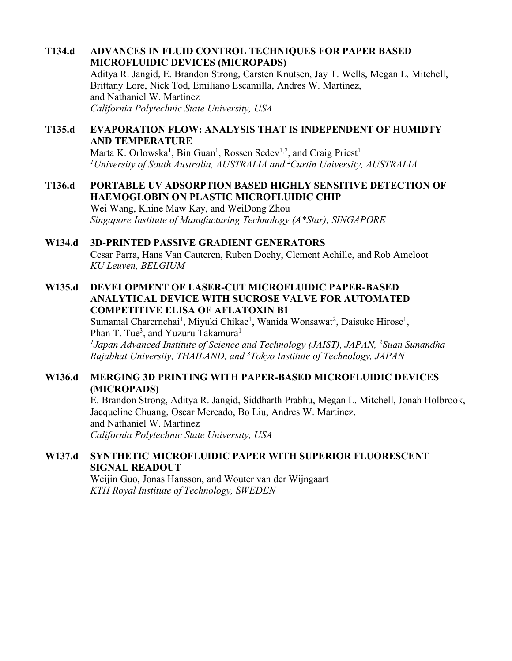### **T134.d ADVANCES IN FLUID CONTROL TECHNIQUES FOR PAPER BASED MICROFLUIDIC DEVICES (MICROPADS)**

Aditya R. Jangid, E. Brandon Strong, Carsten Knutsen, Jay T. Wells, Megan L. Mitchell, Brittany Lore, Nick Tod, Emiliano Escamilla, Andres W. Martinez, and Nathaniel W. Martinez *California Polytechnic State University, USA*

## **T135.d EVAPORATION FLOW: ANALYSIS THAT IS INDEPENDENT OF HUMIDTY AND TEMPERATURE**

Marta K. Orlowska<sup>1</sup>, Bin Guan<sup>1</sup>, Rossen Sedev<sup>1,2</sup>, and Craig Priest<sup>1</sup> *1University of South Australia, AUSTRALIA and 2 Curtin University, AUSTRALIA*

## **T136.d PORTABLE UV ADSORPTION BASED HIGHLY SENSITIVE DETECTION OF HAEMOGLOBIN ON PLASTIC MICROFLUIDIC CHIP**

Wei Wang, Khine Maw Kay, and WeiDong Zhou *Singapore Institute of Manufacturing Technology (A\*Star), SINGAPORE*

### **W134.d 3D-PRINTED PASSIVE GRADIENT GENERATORS**

Cesar Parra, Hans Van Cauteren, Ruben Dochy, Clement Achille, and Rob Ameloot *KU Leuven, BELGIUM*

### **W135.d DEVELOPMENT OF LASER-CUT MICROFLUIDIC PAPER-BASED ANALYTICAL DEVICE WITH SUCROSE VALVE FOR AUTOMATED COMPETITIVE ELISA OF AFLATOXIN B1**

Sumamal Charernchai<sup>1</sup>, Miyuki Chikae<sup>1</sup>, Wanida Wonsawat<sup>2</sup>, Daisuke Hirose<sup>1</sup>, Phan T. Tue<sup>3</sup>, and Yuzuru Takamura<sup>1</sup>

*1Japan Advanced Institute of Science and Technology (JAIST), JAPAN, 2Suan Sunandha Rajabhat University, THAILAND, and 3Tokyo Institute of Technology, JAPAN*

### **W136.d MERGING 3D PRINTING WITH PAPER-BASED MICROFLUIDIC DEVICES (MICROPADS)**

E. Brandon Strong, Aditya R. Jangid, Siddharth Prabhu, Megan L. Mitchell, Jonah Holbrook, Jacqueline Chuang, Oscar Mercado, Bo Liu, Andres W. Martinez, and Nathaniel W. Martinez *California Polytechnic State University, USA*

### **W137.d SYNTHETIC MICROFLUIDIC PAPER WITH SUPERIOR FLUORESCENT SIGNAL READOUT**

Weijin Guo, Jonas Hansson, and Wouter van der Wijngaart *KTH Royal Institute of Technology, SWEDEN*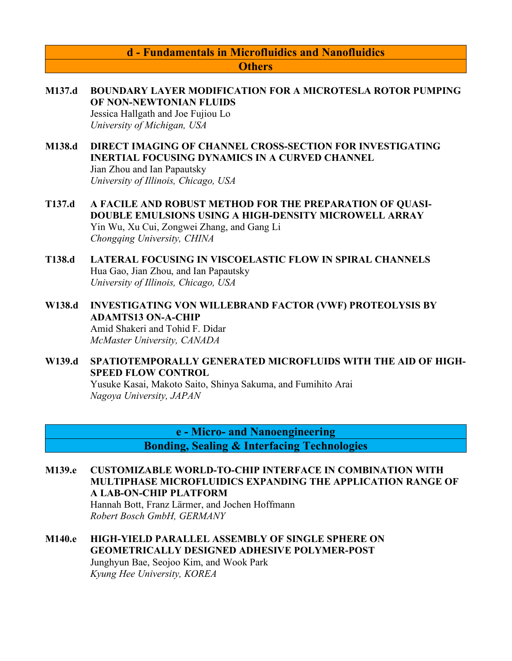## **d - Fundamentals in Microfluidics and Nanofluidics Others**

- **M137.d BOUNDARY LAYER MODIFICATION FOR A MICROTESLA ROTOR PUMPING OF NON-NEWTONIAN FLUIDS** Jessica Hallgath and Joe Fujiou Lo *University of Michigan, USA*
- **M138.d DIRECT IMAGING OF CHANNEL CROSS-SECTION FOR INVESTIGATING INERTIAL FOCUSING DYNAMICS IN A CURVED CHANNEL** Jian Zhou and Ian Papautsky *University of Illinois, Chicago, USA*
- **T137.d A FACILE AND ROBUST METHOD FOR THE PREPARATION OF QUASI-DOUBLE EMULSIONS USING A HIGH-DENSITY MICROWELL ARRAY** Yin Wu, Xu Cui, Zongwei Zhang, and Gang Li *Chongqing University, CHINA*
- **T138.d LATERAL FOCUSING IN VISCOELASTIC FLOW IN SPIRAL CHANNELS** Hua Gao, Jian Zhou, and Ian Papautsky *University of Illinois, Chicago, USA*
- **W138.d INVESTIGATING VON WILLEBRAND FACTOR (VWF) PROTEOLYSIS BY ADAMTS13 ON-A-CHIP** Amid Shakeri and Tohid F. Didar *McMaster University, CANADA*
- **W139.d SPATIOTEMPORALLY GENERATED MICROFLUIDS WITH THE AID OF HIGH-SPEED FLOW CONTROL**

Yusuke Kasai, Makoto Saito, Shinya Sakuma, and Fumihito Arai *Nagoya University, JAPAN*

> **e - Micro- and Nanoengineering Bonding, Sealing & Interfacing Technologies**

**M139.e CUSTOMIZABLE WORLD-TO-CHIP INTERFACE IN COMBINATION WITH MULTIPHASE MICROFLUIDICS EXPANDING THE APPLICATION RANGE OF A LAB-ON-CHIP PLATFORM** Hannah Bott, Franz Lärmer, and Jochen Hoffmann

*Robert Bosch GmbH, GERMANY* 

**M140.e HIGH-YIELD PARALLEL ASSEMBLY OF SINGLE SPHERE ON GEOMETRICALLY DESIGNED ADHESIVE POLYMER-POST** Junghyun Bae, Seojoo Kim, and Wook Park *Kyung Hee University, KOREA*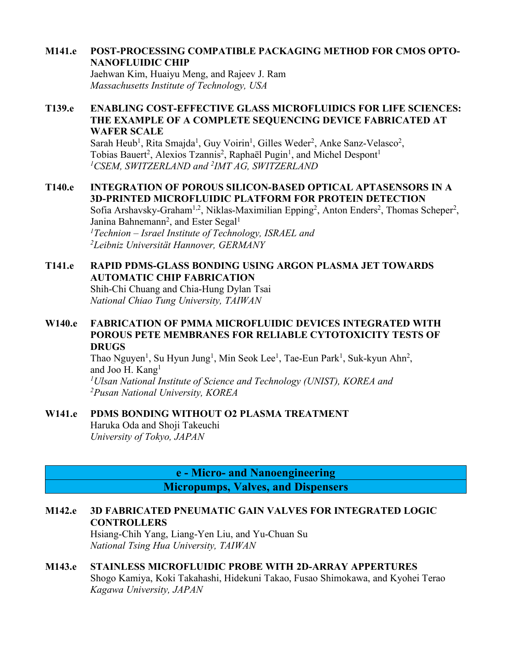### **M141.e POST-PROCESSING COMPATIBLE PACKAGING METHOD FOR CMOS OPTO-NANOFLUIDIC CHIP**

Jaehwan Kim, Huaiyu Meng, and Rajeev J. Ram *Massachusetts Institute of Technology, USA*

### **T139.e ENABLING COST-EFFECTIVE GLASS MICROFLUIDICS FOR LIFE SCIENCES: THE EXAMPLE OF A COMPLETE SEQUENCING DEVICE FABRICATED AT WAFER SCALE**

Sarah Heub<sup>1</sup>, Rita Smajda<sup>1</sup>, Guy Voirin<sup>1</sup>, Gilles Weder<sup>2</sup>, Anke Sanz-Velasco<sup>2</sup>, Tobias Bauert<sup>2</sup>, Alexios Tzannis<sup>2</sup>, Raphaël Pugin<sup>1</sup>, and Michel Despont<sup>1</sup> *1CSEM, SWITZERLAND and 2 IMT AG, SWITZERLAND*

### **T140.e INTEGRATION OF POROUS SILICON-BASED OPTICAL APTASENSORS IN A 3D-PRINTED MICROFLUIDIC PLATFORM FOR PROTEIN DETECTION**

Sofia Arshavsky-Graham<sup>1,2</sup>, Niklas-Maximilian Epping<sup>2</sup>, Anton Enders<sup>2</sup>, Thomas Scheper<sup>2</sup>, Janina Bahnemann<sup>2</sup>, and Ester Segal<sup>1</sup> *1Technion – Israel Institute of Technology, ISRAEL and 2Leibniz Universität Hannover, GERMANY*

## **T141.e RAPID PDMS-GLASS BONDING USING ARGON PLASMA JET TOWARDS AUTOMATIC CHIP FABRICATION**

Shih-Chi Chuang and Chia-Hung Dylan Tsai *National Chiao Tung University, TAIWAN*

## **W140.e FABRICATION OF PMMA MICROFLUIDIC DEVICES INTEGRATED WITH POROUS PETE MEMBRANES FOR RELIABLE CYTOTOXICITY TESTS OF DRUGS**

Thao Nguyen<sup>1</sup>, Su Hyun Jung<sup>1</sup>, Min Seok Lee<sup>1</sup>, Tae-Eun Park<sup>1</sup>, Suk-kyun Ahn<sup>2</sup>, and Joo H. Kang<sup>1</sup> *1Ulsan National Institute of Science and Technology (UNIST), KOREA and 2 Pusan National University, KOREA*

### **W141.e PDMS BONDING WITHOUT O2 PLASMA TREATMENT**

Haruka Oda and Shoji Takeuchi *University of Tokyo, JAPAN*

> **e - Micro- and Nanoengineering Micropumps, Valves, and Dispensers**

## **M142.e 3D FABRICATED PNEUMATIC GAIN VALVES FOR INTEGRATED LOGIC CONTROLLERS**

Hsiang-Chih Yang, Liang-Yen Liu, and Yu-Chuan Su *National Tsing Hua University, TAIWAN*

## **M143.e STAINLESS MICROFLUIDIC PROBE WITH 2D-ARRAY APPERTURES**

Shogo Kamiya, Koki Takahashi, Hidekuni Takao, Fusao Shimokawa, and Kyohei Terao *Kagawa University, JAPAN*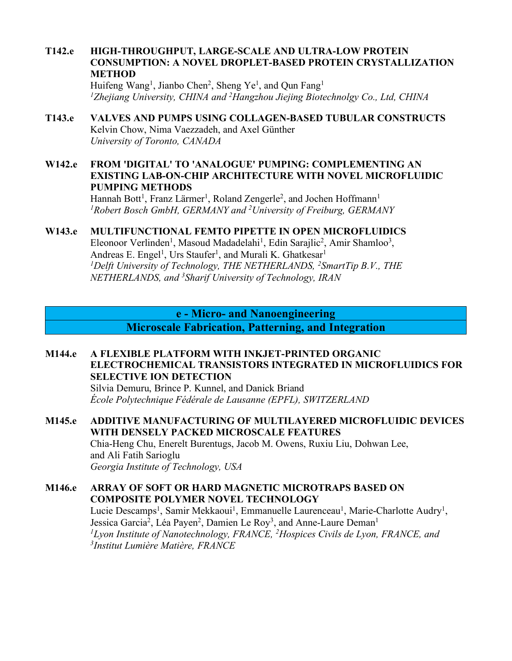### **T142.e HIGH-THROUGHPUT, LARGE-SCALE AND ULTRA-LOW PROTEIN CONSUMPTION: A NOVEL DROPLET-BASED PROTEIN CRYSTALLIZATION METHOD**

Huifeng Wang<sup>1</sup>, Jianbo Chen<sup>2</sup>, Sheng Ye<sup>1</sup>, and Qun Fang<sup>1</sup> *1Zhejiang University, CHINA and 2Hangzhou Jiejing Biotechnolgy Co., Ltd, CHINA*

### **T143.e VALVES AND PUMPS USING COLLAGEN-BASED TUBULAR CONSTRUCTS** Kelvin Chow, Nima Vaezzadeh, and Axel Günther *University of Toronto, CANADA*

### **W142.e FROM 'DIGITAL' TO 'ANALOGUE' PUMPING: COMPLEMENTING AN EXISTING LAB-ON-CHIP ARCHITECTURE WITH NOVEL MICROFLUIDIC PUMPING METHODS**

Hannah Bott<sup>1</sup>, Franz Lärmer<sup>1</sup>, Roland Zengerle<sup>2</sup>, and Jochen Hoffmann<sup>1</sup> *1 Robert Bosch GmbH, GERMANY and 2 University of Freiburg, GERMANY*

## **W143.e MULTIFUNCTIONAL FEMTO PIPETTE IN OPEN MICROFLUIDICS**

Eleonoor Verlinden<sup>1</sup>, Masoud Madadelahi<sup>1</sup>, Edin Sarajlic<sup>2</sup>, Amir Shamloo<sup>3</sup>, Andreas E. Engel<sup>1</sup>, Urs Staufer<sup>1</sup>, and Murali K. Ghatkesar<sup>1</sup> <sup>1</sup>Delft University of Technology, THE NETHERLANDS, <sup>2</sup>SmartTip B.V., THE *NETHERLANDS, and 3 Sharif University of Technology, IRAN*

## **e - Micro- and Nanoengineering**

**Microscale Fabrication, Patterning, and Integration**

### **M144.e A FLEXIBLE PLATFORM WITH INKJET-PRINTED ORGANIC ELECTROCHEMICAL TRANSISTORS INTEGRATED IN MICROFLUIDICS FOR SELECTIVE ION DETECTION**

Silvia Demuru, Brince P. Kunnel, and Danick Briand *École Polytechnique Fédérale de Lausanne (EPFL), SWITZERLAND*

## **M145.e ADDITIVE MANUFACTURING OF MULTILAYERED MICROFLUIDIC DEVICES WITH DENSELY PACKED MICROSCALE FEATURES** Chia-Heng Chu, Enerelt Burentugs, Jacob M. Owens, Ruxiu Liu, Dohwan Lee,

and Ali Fatih Sarioglu *Georgia Institute of Technology, USA*

### **M146.e ARRAY OF SOFT OR HARD MAGNETIC MICROTRAPS BASED ON COMPOSITE POLYMER NOVEL TECHNOLOGY**

Lucie Descamps<sup>1</sup>, Samir Mekkaoui<sup>1</sup>, Emmanuelle Laurenceau<sup>1</sup>, Marie-Charlotte Audry<sup>1</sup>, Jessica Garcia<sup>2</sup>, Léa Payen<sup>2</sup>, Damien Le Roy<sup>3</sup>, and Anne-Laure Deman<sup>1</sup> *1Lyon Institute of Nanotechnology, FRANCE, 2Hospices Civils de Lyon, FRANCE, and 3Institut Lumière Matière, FRANCE*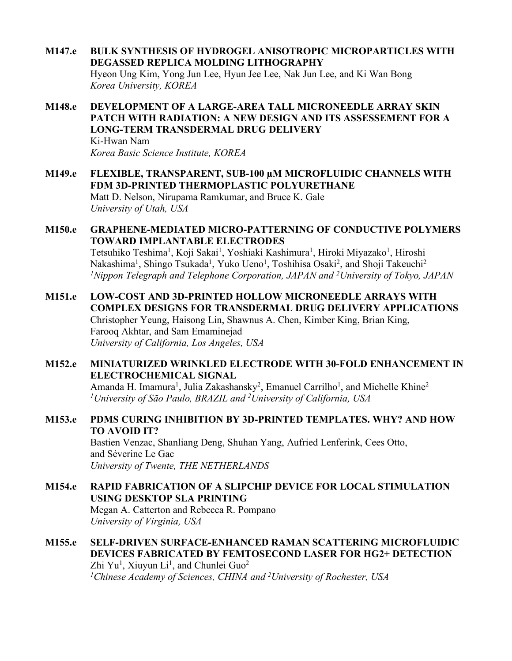- **M147.e BULK SYNTHESIS OF HYDROGEL ANISOTROPIC MICROPARTICLES WITH DEGASSED REPLICA MOLDING LITHOGRAPHY** Hyeon Ung Kim, Yong Jun Lee, Hyun Jee Lee, Nak Jun Lee, and Ki Wan Bong *Korea University, KOREA*
- **M148.e DEVELOPMENT OF A LARGE-AREA TALL MICRONEEDLE ARRAY SKIN PATCH WITH RADIATION: A NEW DESIGN AND ITS ASSESSEMENT FOR A LONG-TERM TRANSDERMAL DRUG DELIVERY** Ki-Hwan Nam *Korea Basic Science Institute, KOREA*
- **M149.e FLEXIBLE, TRANSPARENT, SUB-100 µM MICROFLUIDIC CHANNELS WITH FDM 3D-PRINTED THERMOPLASTIC POLYURETHANE** Matt D. Nelson, Nirupama Ramkumar, and Bruce K. Gale *University of Utah, USA*
- **M150.e GRAPHENE-MEDIATED MICRO-PATTERNING OF CONDUCTIVE POLYMERS TOWARD IMPLANTABLE ELECTRODES** Tetsuhiko Teshima<sup>1</sup>, Koji Sakai<sup>1</sup>, Yoshiaki Kashimura<sup>1</sup>, Hiroki Miyazako<sup>1</sup>, Hiroshi Nakashima<sup>1</sup>, Shingo Tsukada<sup>1</sup>, Yuko Ueno<sup>1</sup>, Toshihisa Osaki<sup>2</sup>, and Shoji Takeuchi<sup>2</sup>

*1Nippon Telegraph and Telephone Corporation, JAPAN and 2 University of Tokyo, JAPAN*

- **M151.e LOW-COST AND 3D-PRINTED HOLLOW MICRONEEDLE ARRAYS WITH COMPLEX DESIGNS FOR TRANSDERMAL DRUG DELIVERY APPLICATIONS** Christopher Yeung, Haisong Lin, Shawnus A. Chen, Kimber King, Brian King, Farooq Akhtar, and Sam Emaminejad *University of California, Los Angeles, USA*
- **M152.e MINIATURIZED WRINKLED ELECTRODE WITH 30-FOLD ENHANCEMENT IN ELECTROCHEMICAL SIGNAL**

Amanda H. Imamura<sup>1</sup>, Julia Zakashansky<sup>2</sup>, Emanuel Carrilho<sup>1</sup>, and Michelle Khine<sup>2</sup> *1 University of São Paulo, BRAZIL and 2 University of California, USA*

**M153.e PDMS CURING INHIBITION BY 3D-PRINTED TEMPLATES. WHY? AND HOW TO AVOID IT?** Bastien Venzac, Shanliang Deng, Shuhan Yang, Aufried Lenferink, Cees Otto,

and Séverine Le Gac *University of Twente, THE NETHERLANDS*

- **M154.e RAPID FABRICATION OF A SLIPCHIP DEVICE FOR LOCAL STIMULATION USING DESKTOP SLA PRINTING** Megan A. Catterton and Rebecca R. Pompano *University of Virginia, USA*
- **M155.e SELF-DRIVEN SURFACE-ENHANCED RAMAN SCATTERING MICROFLUIDIC DEVICES FABRICATED BY FEMTOSECOND LASER FOR HG2+ DETECTION** Zhi Yu<sup>1</sup>, Xiuyun Li<sup>1</sup>, and Chunlei Guo<sup>2</sup> *1Chinese Academy of Sciences, CHINA and 2University of Rochester, USA*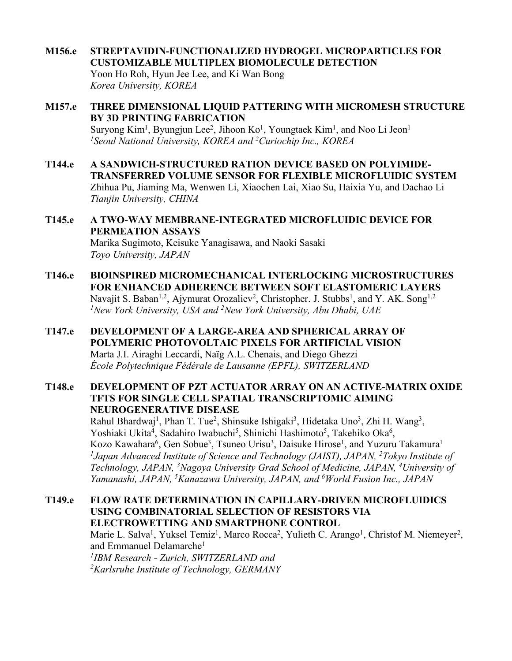### **M156.e STREPTAVIDIN-FUNCTIONALIZED HYDROGEL MICROPARTICLES FOR CUSTOMIZABLE MULTIPLEX BIOMOLECULE DETECTION**

Yoon Ho Roh, Hyun Jee Lee, and Ki Wan Bong *Korea University, KOREA*

- **M157.e THREE DIMENSIONAL LIQUID PATTERING WITH MICROMESH STRUCTURE BY 3D PRINTING FABRICATION** Suryong Kim<sup>1</sup>, Byungjun Lee<sup>2</sup>, Jihoon Ko<sup>1</sup>, Youngtaek Kim<sup>1</sup>, and Noo Li Jeon<sup>1</sup> *1Seoul National University, KOREA and 2Curiochip Inc., KOREA*
- **T144.e A SANDWICH-STRUCTURED RATION DEVICE BASED ON POLYIMIDE-TRANSFERRED VOLUME SENSOR FOR FLEXIBLE MICROFLUIDIC SYSTEM** Zhihua Pu, Jiaming Ma, Wenwen Li, Xiaochen Lai, Xiao Su, Haixia Yu, and Dachao Li *Tianjin University, CHINA*
- **T145.e A TWO-WAY MEMBRANE-INTEGRATED MICROFLUIDIC DEVICE FOR PERMEATION ASSAYS** Marika Sugimoto, Keisuke Yanagisawa, and Naoki Sasaki *Toyo University, JAPAN*
- **T146.e BIOINSPIRED MICROMECHANICAL INTERLOCKING MICROSTRUCTURES FOR ENHANCED ADHERENCE BETWEEN SOFT ELASTOMERIC LAYERS** Navajit S. Baban<sup>1,2</sup>, Ajymurat Orozaliev<sup>2</sup>, Christopher. J. Stubbs<sup>1</sup>, and Y. AK. Song<sup>1,2</sup> *1New York University, USA and 2New York University, Abu Dhabi, UAE*
- **T147.e DEVELOPMENT OF A LARGE-AREA AND SPHERICAL ARRAY OF POLYMERIC PHOTOVOLTAIC PIXELS FOR ARTIFICIAL VISION** Marta J.I. Airaghi Leccardi, Naïg A.L. Chenais, and Diego Ghezzi *École Polytechnique Fédérale de Lausanne (EPFL), SWITZERLAND*
- **T148.e DEVELOPMENT OF PZT ACTUATOR ARRAY ON AN ACTIVE-MATRIX OXIDE TFTS FOR SINGLE CELL SPATIAL TRANSCRIPTOMIC AIMING NEUROGENERATIVE DISEASE**

Rahul Bhardwaj<sup>1</sup>, Phan T. Tue<sup>2</sup>, Shinsuke Ishigaki<sup>3</sup>, Hidetaka Uno<sup>3</sup>, Zhi H. Wang<sup>3</sup>, Yoshiaki Ukita<sup>4</sup>, Sadahiro Iwabuchi<sup>5</sup>, Shinichi Hashimoto<sup>5</sup>, Takehiko Oka<sup>6</sup>, Kozo Kawahara<sup>6</sup>, Gen Sobue<sup>3</sup>, Tsuneo Urisu<sup>3</sup>, Daisuke Hirose<sup>1</sup>, and Yuzuru Takamura<sup>1</sup> <sup>1</sup>Japan Advanced Institute of Science and Technology (JAIST), JAPAN, <sup>2</sup>Tokyo Institute of *Technology, JAPAN, 3Nagoya University Grad School of Medicine, JAPAN, 4University of*  Yamanashi, JAPAN, <sup>5</sup>Kanazawa University, JAPAN, and <sup>6</sup>World Fusion Inc., JAPAN

**T149.e FLOW RATE DETERMINATION IN CAPILLARY-DRIVEN MICROFLUIDICS USING COMBINATORIAL SELECTION OF RESISTORS VIA ELECTROWETTING AND SMARTPHONE CONTROL** Marie L. Salva<sup>1</sup>, Yuksel Temiz<sup>1</sup>, Marco Rocca<sup>2</sup>, Yulieth C. Arango<sup>1</sup>, Christof M. Niemeyer<sup>2</sup>, and Emmanuel Delamarche<sup>1</sup> *1IBM Research - Zurich, SWITZERLAND and 2 Karlsruhe Institute of Technology, GERMANY*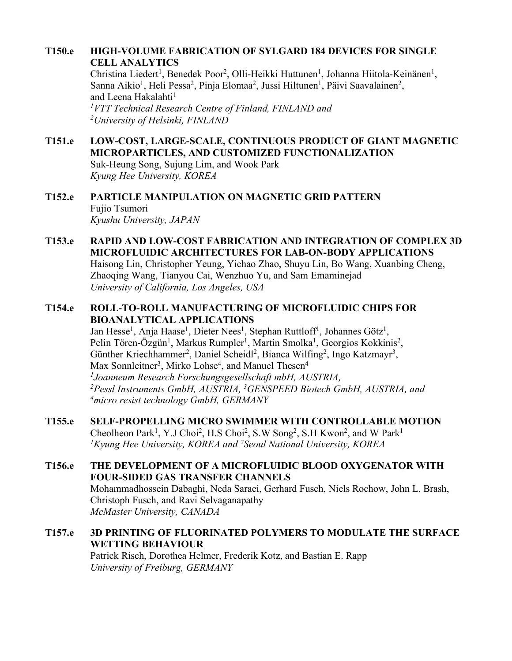## **T150.e HIGH-VOLUME FABRICATION OF SYLGARD 184 DEVICES FOR SINGLE CELL ANALYTICS**

Christina Liedert<sup>1</sup>, Benedek Poor<sup>2</sup>, Olli-Heikki Huttunen<sup>1</sup>, Johanna Hiitola-Keinänen<sup>1</sup>, Sanna Aikio<sup>1</sup>, Heli Pessa<sup>2</sup>, Pinja Elomaa<sup>2</sup>, Jussi Hiltunen<sup>1</sup>, Päivi Saavalainen<sup>2</sup>, and Leena Hakalahti<sup>1</sup> *1VTT Technical Research Centre of Finland, FINLAND and 2University of Helsinki, FINLAND*

## **T151.e LOW-COST, LARGE-SCALE, CONTINUOUS PRODUCT OF GIANT MAGNETIC MICROPARTICLES, AND CUSTOMIZED FUNCTIONALIZATION**

Suk-Heung Song, Sujung Lim, and Wook Park *Kyung Hee University, KOREA*

### **T152.e PARTICLE MANIPULATION ON MAGNETIC GRID PATTERN** Fujio Tsumori *Kyushu University, JAPAN*

**T153.e RAPID AND LOW-COST FABRICATION AND INTEGRATION OF COMPLEX 3D MICROFLUIDIC ARCHITECTURES FOR LAB-ON-BODY APPLICATIONS** Haisong Lin, Christopher Yeung, Yichao Zhao, Shuyu Lin, Bo Wang, Xuanbing Cheng, Zhaoqing Wang, Tianyou Cai, Wenzhuo Yu, and Sam Emaminejad *University of California, Los Angeles, USA*

### **T154.e ROLL-TO-ROLL MANUFACTURING OF MICROFLUIDIC CHIPS FOR BIOANALYTICAL APPLICATIONS**

Jan Hesse<sup>1</sup>, Anja Haase<sup>1</sup>, Dieter Nees<sup>1</sup>, Stephan Ruttloff<sup>1</sup>, Johannes Götz<sup>1</sup>, Pelin Tören-Özgün<sup>1</sup>, Markus Rumpler<sup>1</sup>, Martin Smolka<sup>1</sup>, Georgios Kokkinis<sup>2</sup>, Günther Kriechhammer<sup>2</sup>, Daniel Scheidl<sup>2</sup>, Bianca Wilfing<sup>2</sup>, Ingo Katzmayr<sup>3</sup>, Max Sonnleitner<sup>3</sup>, Mirko Lohse<sup>4</sup>, and Manuel Thesen<sup>4</sup> *1Joanneum Research Forschungsgesellschaft mbH, AUSTRIA, 2Pessl Instruments GmbH, AUSTRIA, 3GENSPEED Biotech GmbH, AUSTRIA, and 4 micro resist technology GmbH, GERMANY*

**T155.e SELF-PROPELLING MICRO SWIMMER WITH CONTROLLABLE MOTION** Cheolheon Park<sup>1</sup>, Y.J Choi<sup>2</sup>, H.S Choi<sup>2</sup>, S.W Song<sup>2</sup>, S.H Kwon<sup>2</sup>, and W Park<sup>1</sup> *1Kyung Hee University, KOREA and 2Seoul National University, KOREA*

### **T156.e THE DEVELOPMENT OF A MICROFLUIDIC BLOOD OXYGENATOR WITH FOUR-SIDED GAS TRANSFER CHANNELS** Mohammadhossein Dabaghi, Neda Saraei, Gerhard Fusch, Niels Rochow, John L. Brash, Christoph Fusch, and Ravi Selvaganapathy *McMaster University, CANADA*

### **T157.e 3D PRINTING OF FLUORINATED POLYMERS TO MODULATE THE SURFACE WETTING BEHAVIOUR** Patrick Risch, Dorothea Helmer, Frederik Kotz, and Bastian E. Rapp *University of Freiburg, GERMANY*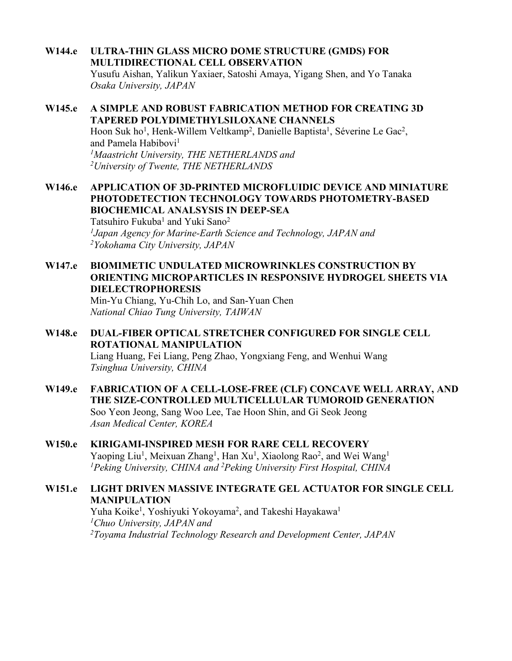## **W144.e ULTRA-THIN GLASS MICRO DOME STRUCTURE (GMDS) FOR MULTIDIRECTIONAL CELL OBSERVATION**

Yusufu Aishan, Yalikun Yaxiaer, Satoshi Amaya, Yigang Shen, and Yo Tanaka *Osaka University, JAPAN*

### **W145.e A SIMPLE AND ROBUST FABRICATION METHOD FOR CREATING 3D TAPERED POLYDIMETHYLSILOXANE CHANNELS** Hoon Suk ho<sup>1</sup>, Henk-Willem Veltkamp<sup>2</sup>, Danielle Baptista<sup>1</sup>, Séverine Le Gac<sup>2</sup>, and Pamela Habibovi<sup>1</sup> *1Maastricht University, THE NETHERLANDS and 2University of Twente, THE NETHERLANDS*

## **W146.e APPLICATION OF 3D-PRINTED MICROFLUIDIC DEVICE AND MINIATURE PHOTODETECTION TECHNOLOGY TOWARDS PHOTOMETRY-BASED BIOCHEMICAL ANALSYSIS IN DEEP-SEA**

Tatsuhiro Fukuba<sup>1</sup> and Yuki Sano<sup>2</sup> *1Japan Agency for Marine-Earth Science and Technology, JAPAN and 2Yokohama City University, JAPAN*

## **W147.e BIOMIMETIC UNDULATED MICROWRINKLES CONSTRUCTION BY ORIENTING MICROPARTICLES IN RESPONSIVE HYDROGEL SHEETS VIA DIELECTROPHORESIS**

Min-Yu Chiang, Yu-Chih Lo, and San-Yuan Chen *National Chiao Tung University, TAIWAN*

### **W148.e DUAL-FIBER OPTICAL STRETCHER CONFIGURED FOR SINGLE CELL ROTATIONAL MANIPULATION**

Liang Huang, Fei Liang, Peng Zhao, Yongxiang Feng, and Wenhui Wang *Tsinghua University, CHINA*

#### **W149.e FABRICATION OF A CELL-LOSE-FREE (CLF) CONCAVE WELL ARRAY, AND THE SIZE-CONTROLLED MULTICELLULAR TUMOROID GENERATION** Soo Yeon Jeong, Sang Woo Lee, Tae Hoon Shin, and Gi Seok Jeong *Asan Medical Center, KOREA*

## **W150.e KIRIGAMI-INSPIRED MESH FOR RARE CELL RECOVERY**

Yaoping Liu<sup>1</sup>, Meixuan Zhang<sup>1</sup>, Han Xu<sup>1</sup>, Xiaolong Rao<sup>2</sup>, and Wei Wang<sup>1</sup> *1Peking University, CHINA and 2 Peking University First Hospital, CHINA*

## **W151.e LIGHT DRIVEN MASSIVE INTEGRATE GEL ACTUATOR FOR SINGLE CELL MANIPULATION**

Yuha Koike<sup>1</sup>, Yoshiyuki Yokoyama<sup>2</sup>, and Takeshi Hayakawa<sup>1</sup> *1Chuo University, JAPAN and 2 Toyama Industrial Technology Research and Development Center, JAPAN*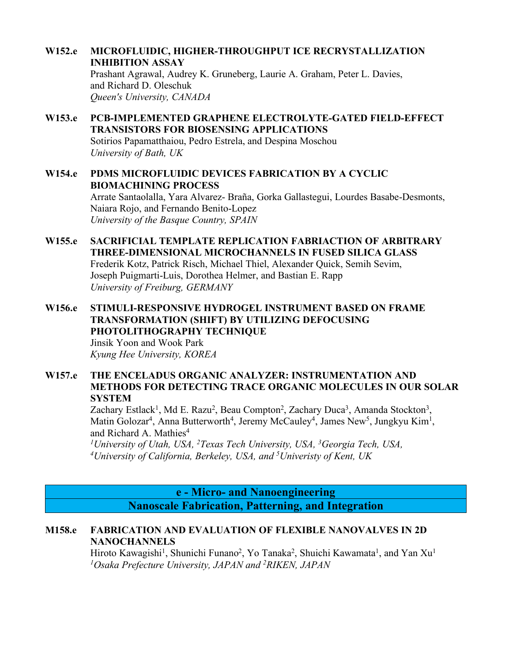### **W152.e MICROFLUIDIC, HIGHER-THROUGHPUT ICE RECRYSTALLIZATION INHIBITION ASSAY**

Prashant Agrawal, Audrey K. Gruneberg, Laurie A. Graham, Peter L. Davies, and Richard D. Oleschuk *Queen's University, CANADA*

- **W153.e PCB-IMPLEMENTED GRAPHENE ELECTROLYTE-GATED FIELD-EFFECT TRANSISTORS FOR BIOSENSING APPLICATIONS** Sotirios Papamatthaiou, Pedro Estrela, and Despina Moschou *University of Bath, UK*
- **W154.e PDMS MICROFLUIDIC DEVICES FABRICATION BY A CYCLIC BIOMACHINING PROCESS**

Arrate Santaolalla, Yara Alvarez- Braña, Gorka Gallastegui, Lourdes Basabe-Desmonts, Naiara Rojo, and Fernando Benito-Lopez *University of the Basque Country, SPAIN*

- **W155.e SACRIFICIAL TEMPLATE REPLICATION FABRIACTION OF ARBITRARY THREE-DIMENSIONAL MICROCHANNELS IN FUSED SILICA GLASS** Frederik Kotz, Patrick Risch, Michael Thiel, Alexander Quick, Semih Sevim, Joseph Puigmarti-Luis, Dorothea Helmer, and Bastian E. Rapp *University of Freiburg, GERMANY*
- **W156.e STIMULI-RESPONSIVE HYDROGEL INSTRUMENT BASED ON FRAME TRANSFORMATION (SHIFT) BY UTILIZING DEFOCUSING PHOTOLITHOGRAPHY TECHNIQUE**

Jinsik Yoon and Wook Park *Kyung Hee University, KOREA*

**W157.e THE ENCELADUS ORGANIC ANALYZER: INSTRUMENTATION AND METHODS FOR DETECTING TRACE ORGANIC MOLECULES IN OUR SOLAR SYSTEM**

Zachary Estlack<sup>1</sup>, Md E. Razu<sup>2</sup>, Beau Compton<sup>2</sup>, Zachary Duca<sup>3</sup>, Amanda Stockton<sup>3</sup>, Matin Golozar<sup>4</sup>, Anna Butterworth<sup>4</sup>, Jeremy McCauley<sup>4</sup>, James New<sup>5</sup>, Jungkyu Kim<sup>1</sup>, and Richard A. Mathies<sup>4</sup>

*1University of Utah, USA, 2Texas Tech University, USA, 3Georgia Tech, USA, 4 University of California, Berkeley, USA, and 5 Univeristy of Kent, UK*

> **e - Micro- and Nanoengineering Nanoscale Fabrication, Patterning, and Integration**

## **M158.e FABRICATION AND EVALUATION OF FLEXIBLE NANOVALVES IN 2D NANOCHANNELS**

Hiroto Kawagishi<sup>1</sup>, Shunichi Funano<sup>2</sup>, Yo Tanaka<sup>2</sup>, Shuichi Kawamata<sup>1</sup>, and Yan Xu<sup>1</sup> *1 Osaka Prefecture University, JAPAN and 2 RIKEN, JAPAN*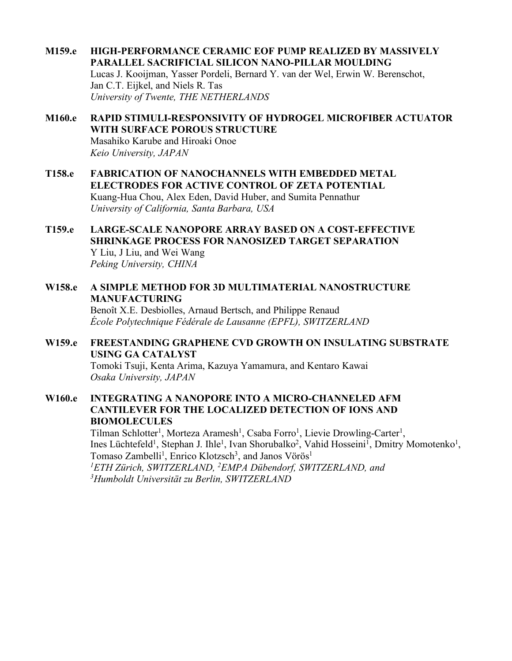- **M159.e HIGH-PERFORMANCE CERAMIC EOF PUMP REALIZED BY MASSIVELY PARALLEL SACRIFICIAL SILICON NANO-PILLAR MOULDING** Lucas J. Kooijman, Yasser Pordeli, Bernard Y. van der Wel, Erwin W. Berenschot, Jan C.T. Eijkel, and Niels R. Tas *University of Twente, THE NETHERLANDS*
- **M160.e RAPID STIMULI-RESPONSIVITY OF HYDROGEL MICROFIBER ACTUATOR WITH SURFACE POROUS STRUCTURE** Masahiko Karube and Hiroaki Onoe *Keio University, JAPAN*
- **T158.e FABRICATION OF NANOCHANNELS WITH EMBEDDED METAL ELECTRODES FOR ACTIVE CONTROL OF ZETA POTENTIAL** Kuang-Hua Chou, Alex Eden, David Huber, and Sumita Pennathur *University of California, Santa Barbara, USA*
- **T159.e LARGE-SCALE NANOPORE ARRAY BASED ON A COST-EFFECTIVE SHRINKAGE PROCESS FOR NANOSIZED TARGET SEPARATION** Y Liu, J Liu, and Wei Wang *Peking University, CHINA*
- **W158.e A SIMPLE METHOD FOR 3D MULTIMATERIAL NANOSTRUCTURE MANUFACTURING** Benoît X.E. Desbiolles, Arnaud Bertsch, and Philippe Renaud

*École Polytechnique Fédérale de Lausanne (EPFL), SWITZERLAND*

### **W159.e FREESTANDING GRAPHENE CVD GROWTH ON INSULATING SUBSTRATE USING GA CATALYST**

Tomoki Tsuji, Kenta Arima, Kazuya Yamamura, and Kentaro Kawai *Osaka University, JAPAN*

### **W160.e INTEGRATING A NANOPORE INTO A MICRO-CHANNELED AFM CANTILEVER FOR THE LOCALIZED DETECTION OF IONS AND BIOMOLECULES**

Tilman Schlotter<sup>1</sup>, Morteza Aramesh<sup>1</sup>, Csaba Forro<sup>1</sup>, Lievie Drowling-Carter<sup>1</sup>, Ines Lüchtefeld<sup>1</sup>, Stephan J. Ihle<sup>1</sup>, Ivan Shorubalko<sup>2</sup>, Vahid Hosseini<sup>1</sup>, Dmitry Momotenko<sup>1</sup>, Tomaso Zambelli<sup>1</sup>, Enrico Klotzsch<sup>3</sup>, and Janos Vörös<sup>1</sup> *1ETH Zürich, SWITZERLAND, 2EMPA Dübendorf, SWITZERLAND, and 3 Humboldt Universität zu Berlin, SWITZERLAND*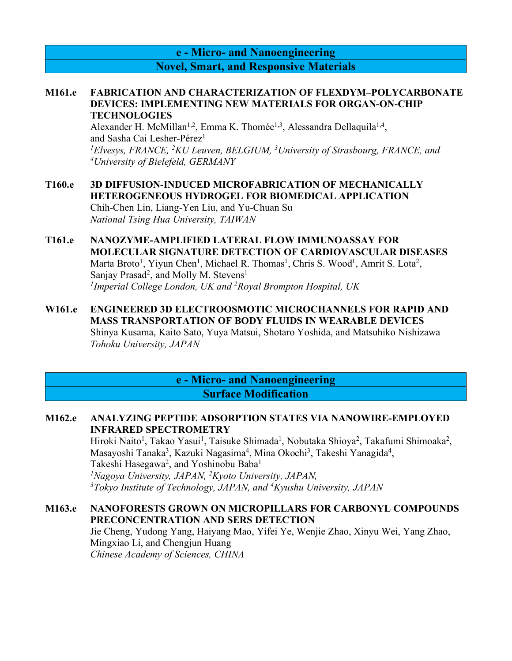**e - Micro- and Nanoengineering Novel, Smart, and Responsive Materials**

#### **M161.e FABRICATION AND CHARACTERIZATION OF FLEXDYM–POLYCARBONATE DEVICES: IMPLEMENTING NEW MATERIALS FOR ORGAN-ON-CHIP TECHNOLOGIES**

Alexander H. McMillan<sup>1,2</sup>, Emma K. Thomée<sup>1,3</sup>, Alessandra Dellaquila<sup>1,4</sup>, and Sasha Cai Lesher-Pérez<sup>1</sup>

*1 Elvesys, FRANCE, 2 KU Leuven, BELGIUM, 3 University of Strasbourg, FRANCE, and 4University of Bielefeld, GERMANY*

**T160.e 3D DIFFUSION-INDUCED MICROFABRICATION OF MECHANICALLY HETEROGENEOUS HYDROGEL FOR BIOMEDICAL APPLICATION** Chih-Chen Lin, Liang-Yen Liu, and Yu-Chuan Su *National Tsing Hua University, TAIWAN*

### **T161.e NANOZYME-AMPLIFIED LATERAL FLOW IMMUNOASSAY FOR MOLECULAR SIGNATURE DETECTION OF CARDIOVASCULAR DISEASES** Marta Broto<sup>1</sup>, Yiyun Chen<sup>1</sup>, Michael R. Thomas<sup>1</sup>, Chris S. Wood<sup>1</sup>, Amrit S. Lota<sup>2</sup>, Sanjay Prasad<sup>2</sup>, and Molly M. Stevens<sup>1</sup> *1 Imperial College London, UK and 2 Royal Brompton Hospital, UK*

**W161.e ENGINEERED 3D ELECTROOSMOTIC MICROCHANNELS FOR RAPID AND MASS TRANSPORTATION OF BODY FLUIDS IN WEARABLE DEVICES** Shinya Kusama, Kaito Sato, Yuya Matsui, Shotaro Yoshida, and Matsuhiko Nishizawa *Tohoku University, JAPAN*

## **e - Micro- and Nanoengineering Surface Modification**

### **M162.e ANALYZING PEPTIDE ADSORPTION STATES VIA NANOWIRE-EMPLOYED INFRARED SPECTROMETRY**

Hiroki Naito<sup>1</sup>, Takao Yasui<sup>1</sup>, Taisuke Shimada<sup>1</sup>, Nobutaka Shioya<sup>2</sup>, Takafumi Shimoaka<sup>2</sup>, Masayoshi Tanaka<sup>3</sup>, Kazuki Nagasima<sup>4</sup>, Mina Okochi<sup>3</sup>, Takeshi Yanagida<sup>4</sup>, Takeshi Hasegawa<sup>2</sup>, and Yoshinobu Baba<sup>1</sup> *1Nagoya University, JAPAN, 2Kyoto University, JAPAN, 3 Tokyo Institute of Technology, JAPAN, and 4 Kyushu University, JAPAN*

### **M163.e NANOFORESTS GROWN ON MICROPILLARS FOR CARBONYL COMPOUNDS PRECONCENTRATION AND SERS DETECTION**

Jie Cheng, Yudong Yang, Haiyang Mao, Yifei Ye, Wenjie Zhao, Xinyu Wei, Yang Zhao, Mingxiao Li, and Chengjun Huang *Chinese Academy of Sciences, CHINA*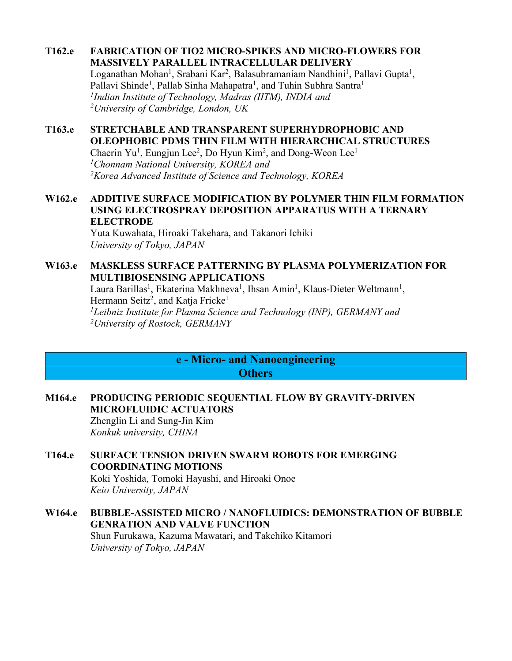### **T162.e FABRICATION OF TIO2 MICRO-SPIKES AND MICRO-FLOWERS FOR MASSIVELY PARALLEL INTRACELLULAR DELIVERY**

Loganathan Mohan<sup>1</sup>, Srabani Kar<sup>2</sup>, Balasubramaniam Nandhini<sup>1</sup>, Pallavi Gupta<sup>1</sup>, Pallavi Shinde<sup>1</sup>, Pallab Sinha Mahapatra<sup>1</sup>, and Tuhin Subhra Santra<sup>1</sup> *1Indian Institute of Technology, Madras (IITM), INDIA and 2University of Cambridge, London, UK*

## **T163.e STRETCHABLE AND TRANSPARENT SUPERHYDROPHOBIC AND OLEOPHOBIC PDMS THIN FILM WITH HIERARCHICAL STRUCTURES**

Chaerin Yu<sup>1</sup>, Eungjun Lee<sup>2</sup>, Do Hyun Kim<sup>2</sup>, and Dong-Weon Lee<sup>1</sup> *1Chonnam National University, KOREA and 2Korea Advanced Institute of Science and Technology, KOREA*

## **W162.e ADDITIVE SURFACE MODIFICATION BY POLYMER THIN FILM FORMATION USING ELECTROSPRAY DEPOSITION APPARATUS WITH A TERNARY ELECTRODE**

Yuta Kuwahata, Hiroaki Takehara, and Takanori Ichiki *University of Tokyo, JAPAN*

## **W163.e MASKLESS SURFACE PATTERNING BY PLASMA POLYMERIZATION FOR MULTIBIOSENSING APPLICATIONS**

Laura Barillas<sup>1</sup>, Ekaterina Makhneva<sup>1</sup>, Ihsan Amin<sup>1</sup>, Klaus-Dieter Weltmann<sup>1</sup>, Hermann Seitz<sup>2</sup>, and Katja Fricke<sup>1</sup> *1Leibniz Institute for Plasma Science and Technology (INP), GERMANY and 2University of Rostock, GERMANY*

## **e - Micro- and Nanoengineering Others**

## **M164.e PRODUCING PERIODIC SEQUENTIAL FLOW BY GRAVITY-DRIVEN MICROFLUIDIC ACTUATORS** Zhenglin Li and Sung-Jin Kim

*Konkuk university, CHINA*

**T164.e SURFACE TENSION DRIVEN SWARM ROBOTS FOR EMERGING COORDINATING MOTIONS**

Koki Yoshida, Tomoki Hayashi, and Hiroaki Onoe *Keio University, JAPAN*

## **W164.e BUBBLE-ASSISTED MICRO / NANOFLUIDICS: DEMONSTRATION OF BUBBLE GENRATION AND VALVE FUNCTION**

Shun Furukawa, Kazuma Mawatari, and Takehiko Kitamori *University of Tokyo, JAPAN*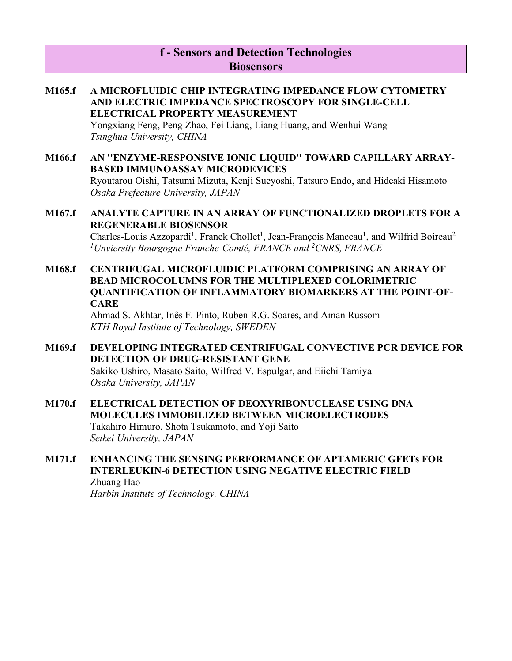## **f - Sensors and Detection Technologies Biosensors**

## **M165.f A MICROFLUIDIC CHIP INTEGRATING IMPEDANCE FLOW CYTOMETRY AND ELECTRIC IMPEDANCE SPECTROSCOPY FOR SINGLE-CELL ELECTRICAL PROPERTY MEASUREMENT**

Yongxiang Feng, Peng Zhao, Fei Liang, Liang Huang, and Wenhui Wang *Tsinghua University, CHINA*

**M166.f AN ''ENZYME-RESPONSIVE IONIC LIQUID'' TOWARD CAPILLARY ARRAY-BASED IMMUNOASSAY MICRODEVICES** Ryoutarou Oishi, Tatsumi Mizuta, Kenji Sueyoshi, Tatsuro Endo, and Hideaki Hisamoto *Osaka Prefecture University, JAPAN*

## **M167.f ANALYTE CAPTURE IN AN ARRAY OF FUNCTIONALIZED DROPLETS FOR A REGENERABLE BIOSENSOR** Charles-Louis Azzopardi<sup>1</sup>, Franck Chollet<sup>1</sup>, Jean-François Manceau<sup>1</sup>, and Wilfrid Boireau<sup>2</sup> *1Unviersity Bourgogne Franche-Comté, FRANCE and 2CNRS, FRANCE*

**M168.f CENTRIFUGAL MICROFLUIDIC PLATFORM COMPRISING AN ARRAY OF BEAD MICROCOLUMNS FOR THE MULTIPLEXED COLORIMETRIC QUANTIFICATION OF INFLAMMATORY BIOMARKERS AT THE POINT-OF-CARE**

Ahmad S. Akhtar, Inês F. Pinto, Ruben R.G. Soares, and Aman Russom *KTH Royal Institute of Technology, SWEDEN*

## **M169.f DEVELOPING INTEGRATED CENTRIFUGAL CONVECTIVE PCR DEVICE FOR DETECTION OF DRUG-RESISTANT GENE**

Sakiko Ushiro, Masato Saito, Wilfred V. Espulgar, and Eiichi Tamiya *Osaka University, JAPAN*

# **M170.f ELECTRICAL DETECTION OF DEOXYRIBONUCLEASE USING DNA MOLECULES IMMOBILIZED BETWEEN MICROELECTRODES**

Takahiro Himuro, Shota Tsukamoto, and Yoji Saito *Seikei University, JAPAN*

## **M171.f ENHANCING THE SENSING PERFORMANCE OF APTAMERIC GFETs FOR INTERLEUKIN-6 DETECTION USING NEGATIVE ELECTRIC FIELD**

Zhuang Hao *Harbin Institute of Technology, CHINA*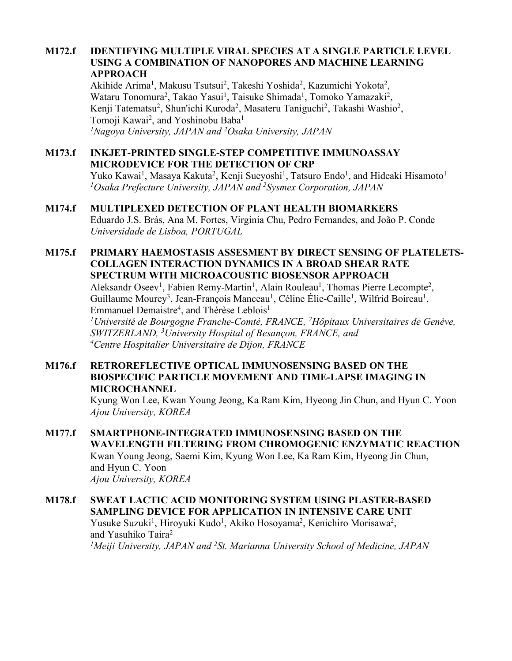### **M172.f IDENTIFYING MULTIPLE VIRAL SPECIES AT A SINGLE PARTICLE LEVEL USING A COMBINATION OF NANOPORES AND MACHINE LEARNING APPROACH**

Akihide Arima<sup>1</sup>, Makusu Tsutsui<sup>2</sup>, Takeshi Yoshida<sup>2</sup>, Kazumichi Yokota<sup>2</sup>, Wataru Tonomura<sup>2</sup>, Takao Yasui<sup>1</sup>, Taisuke Shimada<sup>1</sup>, Tomoko Yamazaki<sup>2</sup>, Kenji Tatematsu<sup>2</sup>, Shun'ichi Kuroda<sup>2</sup>, Masateru Taniguchi<sup>2</sup>, Takashi Washio<sup>2</sup>, Tomoji Kawai<sup>2</sup>, and Yoshinobu Baba<sup>1</sup> *1Nagoya University, JAPAN and 2 Osaka University, JAPAN*

## **M173.f INKJET-PRINTED SINGLE-STEP COMPETITIVE IMMUNOASSAY MICRODEVICE FOR THE DETECTION OF CRP**

Yuko Kawai<sup>1</sup>, Masaya Kakuta<sup>2</sup>, Kenji Sueyoshi<sup>1</sup>, Tatsuro Endo<sup>1</sup>, and Hideaki Hisamoto<sup>1</sup> *1Osaka Prefecture University, JAPAN and 2Sysmex Corporation, JAPAN*

## **M174.f MULTIPLEXED DETECTION OF PLANT HEALTH BIOMARKERS**

Eduardo J.S. Brás, Ana M. Fortes, Virginia Chu, Pedro Fernandes, and João P. Conde *Universidade de Lisboa, PORTUGAL*

#### **M175.f PRIMARY HAEMOSTASIS ASSESMENT BY DIRECT SENSING OF PLATELETS-COLLAGEN INTERACTION DYNAMICS IN A BROAD SHEAR RATE SPECTRUM WITH MICROACOUSTIC BIOSENSOR APPROACH**

Aleksandr Oseev<sup>1</sup>, Fabien Remy-Martin<sup>1</sup>, Alain Rouleau<sup>1</sup>, Thomas Pierre Lecompte<sup>2</sup>, Guillaume Mourey<sup>3</sup>, Jean-François Manceau<sup>1</sup>, Céline Élie-Caille<sup>1</sup>, Wilfrid Boireau<sup>1</sup>, Emmanuel Demaistre<sup>4</sup>, and Thérèse Leblois<sup>1</sup>

*1Université de Bourgogne Franche-Comté, FRANCE, 2 Hôpitaux Universitaires de Genève, SWITZERLAND, 3University Hospital of Besançon, FRANCE, and 4Centre Hospitalier Universitaire de Dijon, FRANCE*

### **M176.f RETROREFLECTIVE OPTICAL IMMUNOSENSING BASED ON THE BIOSPECIFIC PARTICLE MOVEMENT AND TIME-LAPSE IMAGING IN MICROCHANNEL**

Kyung Won Lee, Kwan Young Jeong, Ka Ram Kim, Hyeong Jin Chun, and Hyun C. Yoon *Ajou University, KOREA*

## **M177.f SMARTPHONE-INTEGRATED IMMUNOSENSING BASED ON THE WAVELENGTH FILTERING FROM CHROMOGENIC ENZYMATIC REACTION** Kwan Young Jeong, Saemi Kim, Kyung Won Lee, Ka Ram Kim, Hyeong Jin Chun, and Hyun C. Yoon *Ajou University, KOREA*

## **M178.f SWEAT LACTIC ACID MONITORING SYSTEM USING PLASTER-BASED SAMPLING DEVICE FOR APPLICATION IN INTENSIVE CARE UNIT** Yusuke Suzuki<sup>1</sup>, Hiroyuki Kudo<sup>1</sup>, Akiko Hosoyama<sup>2</sup>, Kenichiro Morisawa<sup>2</sup>, and Yasuhiko Taira2 <sup>1</sup>Meiji University, JAPAN and <sup>2</sup>St. Marianna University School of Medicine, JAPAN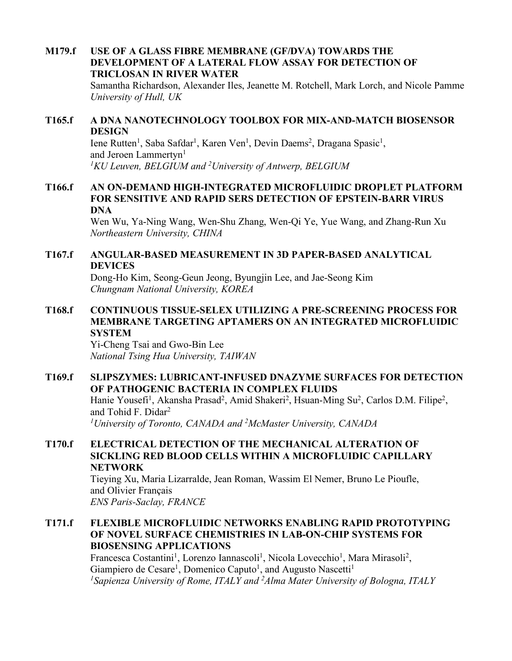## **M179.f USE OF A GLASS FIBRE MEMBRANE (GF/DVA) TOWARDS THE DEVELOPMENT OF A LATERAL FLOW ASSAY FOR DETECTION OF TRICLOSAN IN RIVER WATER**

Samantha Richardson, Alexander Iles, Jeanette M. Rotchell, Mark Lorch, and Nicole Pamme *University of Hull, UK*

### **T165.f A DNA NANOTECHNOLOGY TOOLBOX FOR MIX-AND-MATCH BIOSENSOR DESIGN**

Iene Rutten<sup>1</sup>, Saba Safdar<sup>1</sup>, Karen Ven<sup>1</sup>, Devin Daems<sup>2</sup>, Dragana Spasic<sup>1</sup>, and Jeroen Lammertyn<sup>1</sup> <sup>1</sup>KU Leuven, BELGIUM and <sup>2</sup>University of Antwerp, BELGIUM

### **T166.f AN ON-DEMAND HIGH-INTEGRATED MICROFLUIDIC DROPLET PLATFORM FOR SENSITIVE AND RAPID SERS DETECTION OF EPSTEIN-BARR VIRUS DNA**

Wen Wu, Ya-Ning Wang, Wen-Shu Zhang, Wen-Qi Ye, Yue Wang, and Zhang-Run Xu *Northeastern University, CHINA*

### **T167.f ANGULAR-BASED MEASUREMENT IN 3D PAPER-BASED ANALYTICAL DEVICES**

Dong-Ho Kim, Seong-Geun Jeong, Byungjin Lee, and Jae-Seong Kim *Chungnam National University, KOREA*

## **T168.f CONTINUOUS TISSUE-SELEX UTILIZING A PRE-SCREENING PROCESS FOR MEMBRANE TARGETING APTAMERS ON AN INTEGRATED MICROFLUIDIC SYSTEM**

Yi-Cheng Tsai and Gwo-Bin Lee *National Tsing Hua University, TAIWAN*

## **T169.f SLIPSZYMES: LUBRICANT-INFUSED DNAZYME SURFACES FOR DETECTION OF PATHOGENIC BACTERIA IN COMPLEX FLUIDS**

Hanie Yousefi<sup>1</sup>, Akansha Prasad<sup>2</sup>, Amid Shakeri<sup>2</sup>, Hsuan-Ming Su<sup>2</sup>, Carlos D.M. Filipe<sup>2</sup>, and Tohid F. Didar2

*1 University of Toronto, CANADA and 2 McMaster University, CANADA*

### **T170.f ELECTRICAL DETECTION OF THE MECHANICAL ALTERATION OF SICKLING RED BLOOD CELLS WITHIN A MICROFLUIDIC CAPILLARY NETWORK**

Tieying Xu, Maria Lizarralde, Jean Roman, Wassim El Nemer, Bruno Le Pioufle, and Olivier Français *ENS Paris-Saclay, FRANCE*

### **T171.f FLEXIBLE MICROFLUIDIC NETWORKS ENABLING RAPID PROTOTYPING OF NOVEL SURFACE CHEMISTRIES IN LAB-ON-CHIP SYSTEMS FOR BIOSENSING APPLICATIONS**

Francesca Costantini<sup>1</sup>, Lorenzo Iannascoli<sup>1</sup>, Nicola Lovecchio<sup>1</sup>, Mara Mirasoli<sup>2</sup>, Giampiero de Cesare<sup>1</sup>, Domenico Caputo<sup>1</sup>, and Augusto Nascetti<sup>1</sup> <sup>1</sup> Sapienza University of Rome, ITALY and <sup>2</sup> Alma Mater University of Bologna, ITALY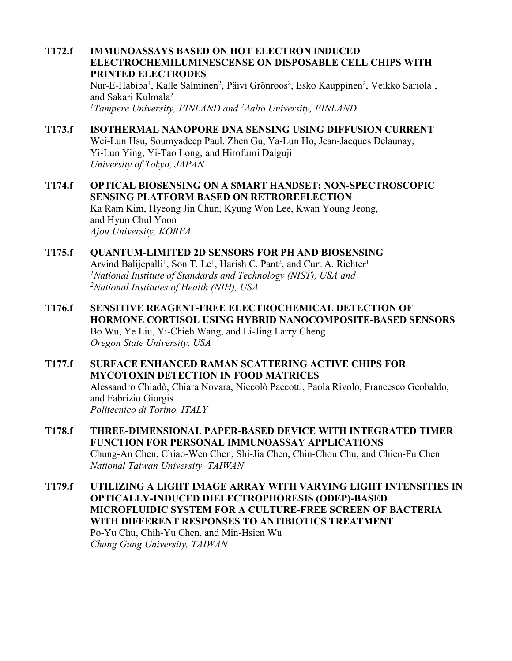## **T172.f IMMUNOASSAYS BASED ON HOT ELECTRON INDUCED ELECTROCHEMILUMINESCENSE ON DISPOSABLE CELL CHIPS WITH PRINTED ELECTRODES**

Nur-E-Habiba<sup>1</sup>, Kalle Salminen<sup>2</sup>, Päivi Grönroos<sup>2</sup>, Esko Kauppinen<sup>2</sup>, Veikko Sariola<sup>1</sup>, and Sakari Kulmala2 <sup>1</sup>Tampere University, FINLAND and <sup>2</sup>Aalto University, FINLAND

# **T173.f ISOTHERMAL NANOPORE DNA SENSING USING DIFFUSION CURRENT**

Wei-Lun Hsu, Soumyadeep Paul, Zhen Gu, Ya-Lun Ho, Jean-Jacques Delaunay, Yi-Lun Ying, Yi-Tao Long, and Hirofumi Daiguji *University of Tokyo, JAPAN*

**T174.f OPTICAL BIOSENSING ON A SMART HANDSET: NON-SPECTROSCOPIC SENSING PLATFORM BASED ON RETROREFLECTION** Ka Ram Kim, Hyeong Jin Chun, Kyung Won Lee, Kwan Young Jeong, and Hyun Chul Yoon *Ajou University, KOREA*

#### **T175.f QUANTUM-LIMITED 2D SENSORS FOR PH AND BIOSENSING** Arvind Balijepalli<sup>1</sup>, Son T. Le<sup>1</sup>, Harish C. Pant<sup>2</sup>, and Curt A. Richter<sup>1</sup> *1National Institute of Standards and Technology (NIST), USA and 2National Institutes of Health (NIH), USA*

**T176.f SENSITIVE REAGENT-FREE ELECTROCHEMICAL DETECTION OF HORMONE CORTISOL USING HYBRID NANOCOMPOSITE-BASED SENSORS** Bo Wu, Ye Liu, Yi-Chieh Wang, and Li-Jing Larry Cheng *Oregon State University, USA*

### **T177.f SURFACE ENHANCED RAMAN SCATTERING ACTIVE CHIPS FOR MYCOTOXIN DETECTION IN FOOD MATRICES** Alessandro Chiadò, Chiara Novara, Niccolò Paccotti, Paola Rivolo, Francesco Geobaldo, and Fabrizio Giorgis *Politecnico di Torino, ITALY*

- **T178.f THREE-DIMENSIONAL PAPER-BASED DEVICE WITH INTEGRATED TIMER FUNCTION FOR PERSONAL IMMUNOASSAY APPLICATIONS** Chung-An Chen, Chiao-Wen Chen, Shi-Jia Chen, Chin-Chou Chu, and Chien-Fu Chen *National Taiwan University, TAIWAN*
- **T179.f UTILIZING A LIGHT IMAGE ARRAY WITH VARYING LIGHT INTENSITIES IN OPTICALLY-INDUCED DIELECTROPHORESIS (ODEP)-BASED MICROFLUIDIC SYSTEM FOR A CULTURE-FREE SCREEN OF BACTERIA WITH DIFFERENT RESPONSES TO ANTIBIOTICS TREATMENT** Po-Yu Chu, Chih-Yu Chen, and Min-Hsien Wu *Chang Gung University, TAIWAN*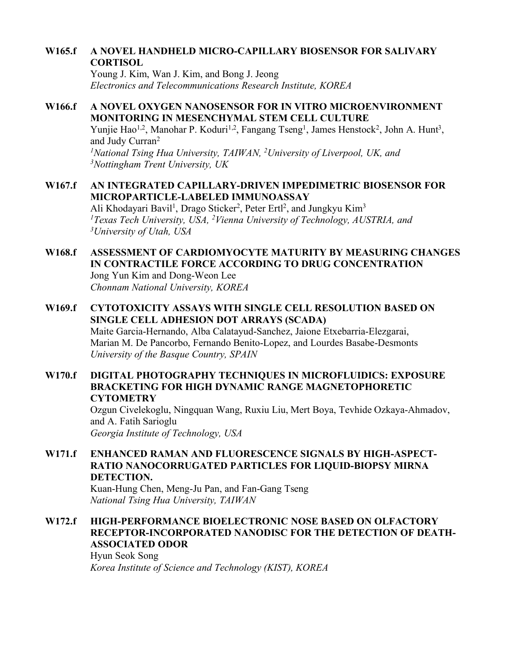### **W165.f A NOVEL HANDHELD MICRO-CAPILLARY BIOSENSOR FOR SALIVARY CORTISOL**

Young J. Kim, Wan J. Kim, and Bong J. Jeong *Electronics and Telecommunications Research Institute, KOREA*

### **W166.f A NOVEL OXYGEN NANOSENSOR FOR IN VITRO MICROENVIRONMENT MONITORING IN MESENCHYMAL STEM CELL CULTURE** Yunjie Hao<sup>1,2</sup>, Manohar P. Koduri<sup>1,2</sup>, Fangang Tseng<sup>1</sup>, James Henstock<sup>2</sup>, John A. Hunt<sup>3</sup>, and Judy Curran2 <sup>1</sup>National Tsing Hua University, TAIWAN, <sup>2</sup>University of Liverpool, UK, and *3Nottingham Trent University, UK*

## **W167.f AN INTEGRATED CAPILLARY-DRIVEN IMPEDIMETRIC BIOSENSOR FOR MICROPARTICLE-LABELED IMMUNOASSAY**

Ali Khodayari Bavil<sup>1</sup>, Drago Sticker<sup>2</sup>, Peter Ertl<sup>2</sup>, and Jungkyu Kim<sup>3</sup> <sup>1</sup> Texas Tech University, USA, <sup>2</sup> Vienna University of Technology, AUSTRIA, and *3University of Utah, USA*

#### **W168.f ASSESSMENT OF CARDIOMYOCYTE MATURITY BY MEASURING CHANGES IN CONTRACTILE FORCE ACCORDING TO DRUG CONCENTRATION** Jong Yun Kim and Dong-Weon Lee *Chonnam National University, KOREA*

## **W169.f CYTOTOXICITY ASSAYS WITH SINGLE CELL RESOLUTION BASED ON SINGLE CELL ADHESION DOT ARRAYS (SCADA)**

Maite Garcia-Hernando, Alba Calatayud-Sanchez, Jaione Etxebarria-Elezgarai, Marian M. De Pancorbo, Fernando Benito-Lopez, and Lourdes Basabe-Desmonts *University of the Basque Country, SPAIN*

### **W170.f DIGITAL PHOTOGRAPHY TECHNIQUES IN MICROFLUIDICS: EXPOSURE BRACKETING FOR HIGH DYNAMIC RANGE MAGNETOPHORETIC CYTOMETRY**

Ozgun Civelekoglu, Ningquan Wang, Ruxiu Liu, Mert Boya, Tevhide Ozkaya-Ahmadov, and A. Fatih Sarioglu

*Georgia Institute of Technology, USA*

### **W171.f ENHANCED RAMAN AND FLUORESCENCE SIGNALS BY HIGH-ASPECT-RATIO NANOCORRUGATED PARTICLES FOR LIQUID-BIOPSY MIRNA DETECTION.**

Kuan-Hung Chen, Meng-Ju Pan, and Fan-Gang Tseng *National Tsing Hua University, TAIWAN*

## **W172.f HIGH-PERFORMANCE BIOELECTRONIC NOSE BASED ON OLFACTORY RECEPTOR-INCORPORATED NANODISC FOR THE DETECTION OF DEATH-ASSOCIATED ODOR**

Hyun Seok Song *Korea Institute of Science and Technology (KIST), KOREA*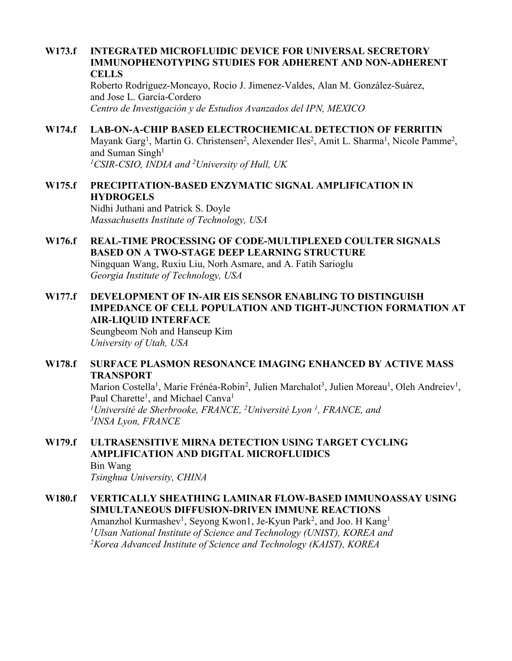### **W173.f INTEGRATED MICROFLUIDIC DEVICE FOR UNIVERSAL SECRETORY IMMUNOPHENOTYPING STUDIES FOR ADHERENT AND NON-ADHERENT CELLS**

Roberto Rodríguez-Moncayo, Rocio J. Jimenez-Valdes, Alan M. González-Suárez, and Jose L. García-Cordero *Centro de Investigación y de Estudios Avanzados del IPN, MEXICO*

## **W174.f LAB-ON-A-CHIP BASED ELECTROCHEMICAL DETECTION OF FERRITIN**

Mayank Garg<sup>1</sup>, Martin G. Christensen<sup>2</sup>, Alexender Iles<sup>2</sup>, Amit L. Sharma<sup>1</sup>, Nicole Pamme<sup>2</sup>, and Suman Singh<sup>1</sup> *1CSIR-CSIO, INDIA and 2University of Hull, UK*

**W175.f PRECIPITATION-BASED ENZYMATIC SIGNAL AMPLIFICATION IN HYDROGELS** Nidhi Juthani and Patrick S. Doyle *Massachusetts Institute of Technology, USA*

- **W176.f REAL-TIME PROCESSING OF CODE-MULTIPLEXED COULTER SIGNALS BASED ON A TWO-STAGE DEEP LEARNING STRUCTURE** Ningquan Wang, Ruxiu Liu, Norh Asmare, and A. Fatih Sarioglu *Georgia Institute of Technology, USA*
- **W177.f DEVELOPMENT OF IN-AIR EIS SENSOR ENABLING TO DISTINGUISH IMPEDANCE OF CELL POPULATION AND TIGHT-JUNCTION FORMATION AT AIR-LIQUID INTERFACE**

Seungbeom Noh and Hanseup Kim *University of Utah, USA*

### **W178.f SURFACE PLASMON RESONANCE IMAGING ENHANCED BY ACTIVE MASS TRANSPORT**

Marion Costella<sup>1</sup>, Marie Frénéa-Robin<sup>2</sup>, Julien Marchalot<sup>3</sup>, Julien Moreau<sup>1</sup>, Oleh Andreiev<sup>1</sup>, Paul Charette<sup>1</sup>, and Michael Canva<sup>1</sup> <sup>1</sup>Université de Sherbrooke, FRANCE, <sup>2</sup>Université Lyon<sup>1</sup>, FRANCE, and *3INSA Lyon, FRANCE*

### **W179.f ULTRASENSITIVE MIRNA DETECTION USING TARGET CYCLING AMPLIFICATION AND DIGITAL MICROFLUIDICS** Bin Wang

*Tsinghua University, CHINA*

## **W180.f VERTICALLY SHEATHING LAMINAR FLOW-BASED IMMUNOASSAY USING SIMULTANEOUS DIFFUSION-DRIVEN IMMUNE REACTIONS**

Amanzhol Kurmashev<sup>1</sup>, Seyong Kwon1, Je-Kyun Park<sup>2</sup>, and Joo. H Kang<sup>1</sup> *1Ulsan National Institute of Science and Technology (UNIST), KOREA and 2Korea Advanced Institute of Science and Technology (KAIST), KOREA*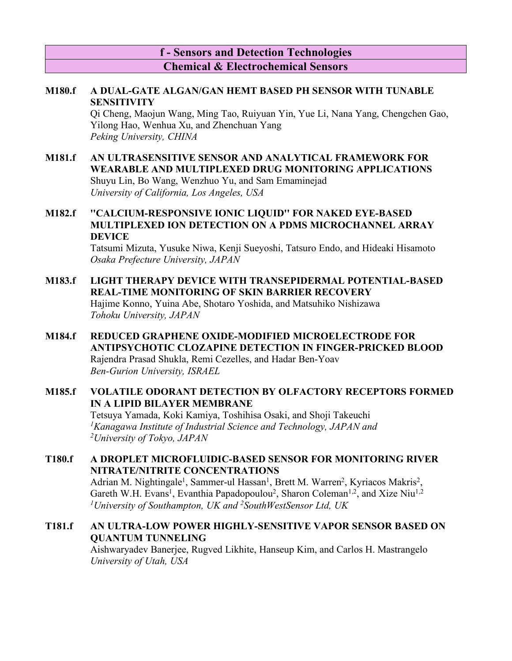## **f - Sensors and Detection Technologies Chemical & Electrochemical Sensors**

### **M180.f A DUAL-GATE ALGAN/GAN HEMT BASED PH SENSOR WITH TUNABLE SENSITIVITY**

Qi Cheng, Maojun Wang, Ming Tao, Ruiyuan Yin, Yue Li, Nana Yang, Chengchen Gao, Yilong Hao, Wenhua Xu, and Zhenchuan Yang *Peking University, CHINA*

### **M181.f AN ULTRASENSITIVE SENSOR AND ANALYTICAL FRAMEWORK FOR WEARABLE AND MULTIPLEXED DRUG MONITORING APPLICATIONS** Shuyu Lin, Bo Wang, Wenzhuo Yu, and Sam Emaminejad *University of California, Los Angeles, USA*

## **M182.f ''CALCIUM-RESPONSIVE IONIC LIQUID'' FOR NAKED EYE-BASED MULTIPLEXED ION DETECTION ON A PDMS MICROCHANNEL ARRAY DEVICE**

Tatsumi Mizuta, Yusuke Niwa, Kenji Sueyoshi, Tatsuro Endo, and Hideaki Hisamoto *Osaka Prefecture University, JAPAN*

- **M183.f LIGHT THERAPY DEVICE WITH TRANSEPIDERMAL POTENTIAL-BASED REAL-TIME MONITORING OF SKIN BARRIER RECOVERY** Hajime Konno, Yuina Abe, Shotaro Yoshida, and Matsuhiko Nishizawa *Tohoku University, JAPAN*
- **M184.f REDUCED GRAPHENE OXIDE-MODIFIED MICROELECTRODE FOR ANTIPSYCHOTIC CLOZAPINE DETECTION IN FINGER-PRICKED BLOOD** Rajendra Prasad Shukla, Remi Cezelles, and Hadar Ben-Yoav *Ben-Gurion University, ISRAEL*

## **M185.f VOLATILE ODORANT DETECTION BY OLFACTORY RECEPTORS FORMED IN A LIPID BILAYER MEMBRANE**

Tetsuya Yamada, Koki Kamiya, Toshihisa Osaki, and Shoji Takeuchi *1Kanagawa Institute of Industrial Science and Technology, JAPAN and 2 University of Tokyo, JAPAN*

## **T180.f A DROPLET MICROFLUIDIC-BASED SENSOR FOR MONITORING RIVER NITRATE/NITRITE CONCENTRATIONS**

Adrian M. Nightingale<sup>1</sup>, Sammer-ul Hassan<sup>1</sup>, Brett M. Warren<sup>2</sup>, Kyriacos Makris<sup>2</sup>, Gareth W.H. Evans<sup>1</sup>, Evanthia Papadopoulou<sup>2</sup>, Sharon Coleman<sup>1,2</sup>, and Xize Niu<sup>1,2</sup> *1 University of Southampton, UK and 2 SouthWestSensor Ltd, UK*

## **T181.f AN ULTRA-LOW POWER HIGHLY-SENSITIVE VAPOR SENSOR BASED ON QUANTUM TUNNELING**

Aishwaryadev Banerjee, Rugved Likhite, Hanseup Kim, and Carlos H. Mastrangelo *University of Utah, USA*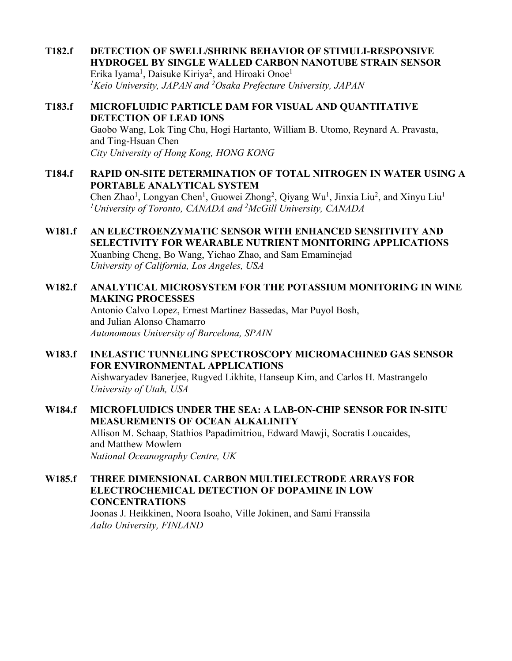**T182.f DETECTION OF SWELL/SHRINK BEHAVIOR OF STIMULI-RESPONSIVE HYDROGEL BY SINGLE WALLED CARBON NANOTUBE STRAIN SENSOR** Erika Iyama<sup>1</sup>, Daisuke Kiriya<sup>2</sup>, and Hiroaki Onoe<sup>1</sup> *1 Keio University, JAPAN and 2 Osaka Prefecture University, JAPAN*

### **T183.f MICROFLUIDIC PARTICLE DAM FOR VISUAL AND QUANTITATIVE DETECTION OF LEAD IONS** Gaobo Wang, Lok Ting Chu, Hogi Hartanto, William B. Utomo, Reynard A. Pravasta, and Ting-Hsuan Chen *City University of Hong Kong, HONG KONG*

- **T184.f RAPID ON-SITE DETERMINATION OF TOTAL NITROGEN IN WATER USING A PORTABLE ANALYTICAL SYSTEM** Chen Zhao<sup>1</sup>, Longyan Chen<sup>1</sup>, Guowei Zhong<sup>2</sup>, Qiyang Wu<sup>1</sup>, Jinxia Liu<sup>2</sup>, and Xinyu Liu<sup>1</sup> *1University of Toronto, CANADA and 2McGill University, CANADA*
- **W181.f AN ELECTROENZYMATIC SENSOR WITH ENHANCED SENSITIVITY AND SELECTIVITY FOR WEARABLE NUTRIENT MONITORING APPLICATIONS** Xuanbing Cheng, Bo Wang, Yichao Zhao, and Sam Emaminejad *University of California, Los Angeles, USA*

## **W182.f ANALYTICAL MICROSYSTEM FOR THE POTASSIUM MONITORING IN WINE MAKING PROCESSES**

Antonio Calvo Lopez, Ernest Martinez Bassedas, Mar Puyol Bosh, and Julian Alonso Chamarro *Autonomous University of Barcelona, SPAIN*

**W183.f INELASTIC TUNNELING SPECTROSCOPY MICROMACHINED GAS SENSOR FOR ENVIRONMENTAL APPLICATIONS** Aishwaryadev Banerjee, Rugved Likhite, Hanseup Kim, and Carlos H. Mastrangelo *University of Utah, USA*

### **W184.f MICROFLUIDICS UNDER THE SEA: A LAB-ON-CHIP SENSOR FOR IN-SITU MEASUREMENTS OF OCEAN ALKALINITY** Allison M. Schaap, Stathios Papadimitriou, Edward Mawji, Socratis Loucaides, and Matthew Mowlem *National Oceanography Centre, UK*

**W185.f THREE DIMENSIONAL CARBON MULTIELECTRODE ARRAYS FOR ELECTROCHEMICAL DETECTION OF DOPAMINE IN LOW CONCENTRATIONS**

Joonas J. Heikkinen, Noora Isoaho, Ville Jokinen, and Sami Franssila *Aalto University, FINLAND*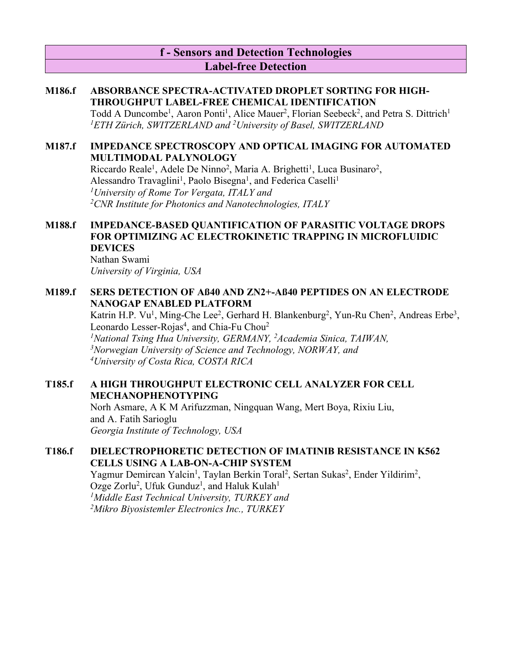## **f - Sensors and Detection Technologies Label-free Detection**

### **M186.f ABSORBANCE SPECTRA-ACTIVATED DROPLET SORTING FOR HIGH-THROUGHPUT LABEL-FREE CHEMICAL IDENTIFICATION**

Todd A Duncombe<sup>1</sup>, Aaron Ponti<sup>1</sup>, Alice Mauer<sup>2</sup>, Florian Seebeck<sup>2</sup>, and Petra S. Dittrich<sup>1</sup> *1ETH Zürich, SWITZERLAND and 2University of Basel, SWITZERLAND*

### **M187.f IMPEDANCE SPECTROSCOPY AND OPTICAL IMAGING FOR AUTOMATED MULTIMODAL PALYNOLOGY**

Riccardo Reale<sup>1</sup>, Adele De Ninno<sup>2</sup>, Maria A. Brighetti<sup>1</sup>, Luca Businaro<sup>2</sup>, Alessandro Travaglini<sup>1</sup>, Paolo Bisegna<sup>1</sup>, and Federica Caselli<sup>1</sup> *1 University of Rome Tor Vergata, ITALY and 2 CNR Institute for Photonics and Nanotechnologies, ITALY*

## **M188.f IMPEDANCE-BASED QUANTIFICATION OF PARASITIC VOLTAGE DROPS FOR OPTIMIZING AC ELECTROKINETIC TRAPPING IN MICROFLUIDIC DEVICES**

Nathan Swami *University of Virginia, USA*

### **M189.f SERS DETECTION OF Aß40 AND ZN2+-Aß40 PEPTIDES ON AN ELECTRODE NANOGAP ENABLED PLATFORM**

Katrin H.P. Vu<sup>1</sup>, Ming-Che Lee<sup>2</sup>, Gerhard H. Blankenburg<sup>2</sup>, Yun-Ru Chen<sup>2</sup>, Andreas Erbe<sup>3</sup>, Leonardo Lesser-Rojas<sup>4</sup>, and Chia-Fu Chou<sup>2</sup> <sup>1</sup>National Tsing Hua University, GERMANY, <sup>2</sup>Academia Sinica, TAIWAN,

*3Norwegian University of Science and Technology, NORWAY, and 4 University of Costa Rica, COSTA RICA*

### **T185.f A HIGH THROUGHPUT ELECTRONIC CELL ANALYZER FOR CELL MECHANOPHENOTYPING**

Norh Asmare, A K M Arifuzzman, Ningquan Wang, Mert Boya, Rixiu Liu, and A. Fatih Sarioglu *Georgia Institute of Technology, USA*

## **T186.f DIELECTROPHORETIC DETECTION OF IMATINIB RESISTANCE IN K562 CELLS USING A LAB-ON-A-CHIP SYSTEM**

Yagmur Demircan Yalcin<sup>1</sup>, Taylan Berkin Toral<sup>2</sup>, Sertan Sukas<sup>2</sup>, Ender Yildirim<sup>2</sup>, Ozge Zorlu<sup>2</sup>, Ufuk Gunduz<sup>1</sup>, and Haluk Kulah<sup>1</sup> *1Middle East Technical University, TURKEY and 2 Mikro Biyosistemler Electronics Inc., TURKEY*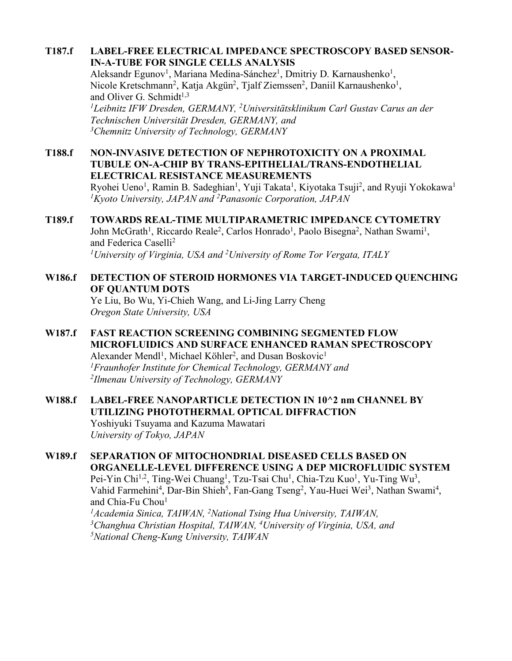## **T187.f LABEL-FREE ELECTRICAL IMPEDANCE SPECTROSCOPY BASED SENSOR-IN-A-TUBE FOR SINGLE CELLS ANALYSIS**

Aleksandr Egunov<sup>1</sup>, Mariana Medina-Sánchez<sup>1</sup>, Dmitriy D. Karnaushenko<sup>1</sup>, Nicole Kretschmann<sup>2</sup>, Katja Akgün<sup>2</sup>, Tjalf Ziemssen<sup>2</sup>, Daniil Karnaushenko<sup>1</sup>, and Oliver G. Schmidt $1,3$ 

*1Leibnitz IFW Dresden, GERMANY, 2Universitätsklinikum Carl Gustav Carus an der Technischen Universität Dresden, GERMANY, and 3Chemnitz University of Technology, GERMANY*

**T188.f NON-INVASIVE DETECTION OF NEPHROTOXICITY ON A PROXIMAL TUBULE ON-A-CHIP BY TRANS-EPITHELIAL/TRANS-ENDOTHELIAL ELECTRICAL RESISTANCE MEASUREMENTS**

Ryohei Ueno<sup>1</sup>, Ramin B. Sadeghian<sup>1</sup>, Yuji Takata<sup>1</sup>, Kiyotaka Tsuji<sup>2</sup>, and Ryuji Yokokawa<sup>1</sup> *1 Kyoto University, JAPAN and 2 Panasonic Corporation, JAPAN*

## **T189.f TOWARDS REAL-TIME MULTIPARAMETRIC IMPEDANCE CYTOMETRY** John McGrath<sup>1</sup>, Riccardo Reale<sup>2</sup>, Carlos Honrado<sup>1</sup>, Paolo Bisegna<sup>2</sup>, Nathan Swami<sup>1</sup>, and Federica Caselli<sup>2</sup>

*1University of Virginia, USA and 2University of Rome Tor Vergata, ITALY*

## **W186.f DETECTION OF STEROID HORMONES VIA TARGET-INDUCED QUENCHING OF QUANTUM DOTS**

Ye Liu, Bo Wu, Yi-Chieh Wang, and Li-Jing Larry Cheng *Oregon State University, USA*

### **W187.f FAST REACTION SCREENING COMBINING SEGMENTED FLOW MICROFLUIDICS AND SURFACE ENHANCED RAMAN SPECTROSCOPY** Alexander Mendl<sup>1</sup>, Michael Köhler<sup>2</sup>, and Dusan Boskovic<sup>1</sup> *1 Fraunhofer Institute for Chemical Technology, GERMANY and 2Ilmenau University of Technology, GERMANY*

### **W188.f LABEL-FREE NANOPARTICLE DETECTION IN 10^2 nm CHANNEL BY UTILIZING PHOTOTHERMAL OPTICAL DIFFRACTION** Yoshiyuki Tsuyama and Kazuma Mawatari

*University of Tokyo, JAPAN*

# **W189.f SEPARATION OF MITOCHONDRIAL DISEASED CELLS BASED ON ORGANELLE-LEVEL DIFFERENCE USING A DEP MICROFLUIDIC SYSTEM**

Pei-Yin Chi<sup>1,2</sup>, Ting-Wei Chuang<sup>1</sup>, Tzu-Tsai Chu<sup>1</sup>, Chia-Tzu Kuo<sup>1</sup>, Yu-Ting Wu<sup>3</sup>, Vahid Farmehini<sup>4</sup>, Dar-Bin Shieh<sup>5</sup>, Fan-Gang Tseng<sup>2</sup>, Yau-Huei Wei<sup>3</sup>, Nathan Swami<sup>4</sup>, and Chia-Fu Chou<sup>1</sup>

*1 Academia Sinica, TAIWAN, 2* <sup>1</sup> Academia Sinica, TAIWAN, <sup>2</sup>National Tsing Hua University, TAIWAN,<br><sup>3</sup>Changhua Christian Hospital, TAIWAN, <sup>4</sup>University of Virginia, USA, and *5 National Cheng-Kung University, TAIWAN*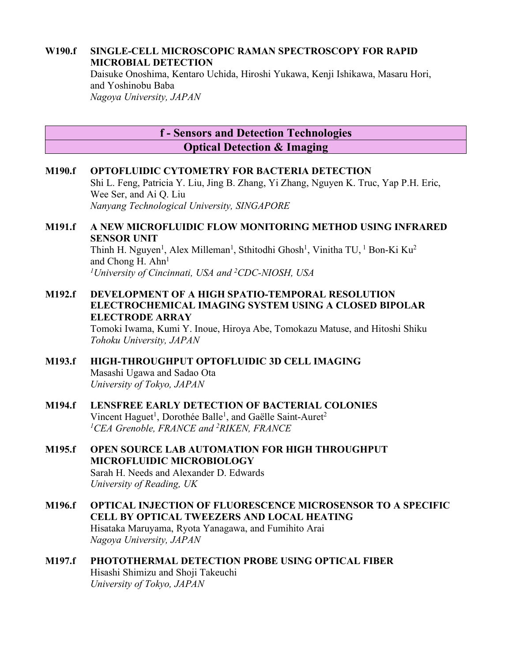### **W190.f SINGLE-CELL MICROSCOPIC RAMAN SPECTROSCOPY FOR RAPID MICROBIAL DETECTION**

Daisuke Onoshima, Kentaro Uchida, Hiroshi Yukawa, Kenji Ishikawa, Masaru Hori, and Yoshinobu Baba *Nagoya University, JAPAN*

## **f - Sensors and Detection Technologies Optical Detection & Imaging**

## **M190.f OPTOFLUIDIC CYTOMETRY FOR BACTERIA DETECTION** Shi L. Feng, Patricia Y. Liu, Jing B. Zhang, Yi Zhang, Nguyen K. Truc, Yap P.H. Eric, Wee Ser, and Ai Q. Liu *Nanyang Technological University, SINGAPORE*

## **M191.f A NEW MICROFLUIDIC FLOW MONITORING METHOD USING INFRARED SENSOR UNIT**

Thinh H. Nguyen<sup>1</sup>, Alex Milleman<sup>1</sup>, Sthitodhi Ghosh<sup>1</sup>, Vinitha TU, <sup>1</sup> Bon-Ki Ku<sup>2</sup> and Chong  $H$ . Ahn<sup>1</sup> *1 University of Cincinnati, USA and 2 CDC-NIOSH, USA*

### **M192.f DEVELOPMENT OF A HIGH SPATIO-TEMPORAL RESOLUTION ELECTROCHEMICAL IMAGING SYSTEM USING A CLOSED BIPOLAR ELECTRODE ARRAY**

Tomoki Iwama, Kumi Y. Inoue, Hiroya Abe, Tomokazu Matuse, and Hitoshi Shiku *Tohoku University, JAPAN*

## **M193.f HIGH-THROUGHPUT OPTOFLUIDIC 3D CELL IMAGING** Masashi Ugawa and Sadao Ota *University of Tokyo, JAPAN*

### **M194.f LENSFREE EARLY DETECTION OF BACTERIAL COLONIES** Vincent Haguet<sup>1</sup>, Dorothée Balle<sup>1</sup>, and Gaëlle Saint-Auret<sup>2</sup> *1 CEA Grenoble, FRANCE and 2 RIKEN, FRANCE*

- **M195.f OPEN SOURCE LAB AUTOMATION FOR HIGH THROUGHPUT MICROFLUIDIC MICROBIOLOGY** Sarah H. Needs and Alexander D. Edwards *University of Reading, UK*
- **M196.f OPTICAL INJECTION OF FLUORESCENCE MICROSENSOR TO A SPECIFIC CELL BY OPTICAL TWEEZERS AND LOCAL HEATING** Hisataka Maruyama, Ryota Yanagawa, and Fumihito Arai *Nagoya University, JAPAN*

## **M197.f PHOTOTHERMAL DETECTION PROBE USING OPTICAL FIBER** Hisashi Shimizu and Shoji Takeuchi *University of Tokyo, JAPAN*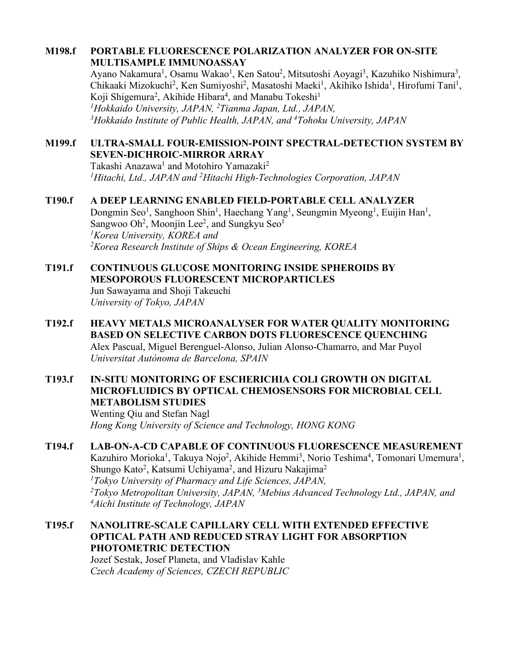### **M198.f PORTABLE FLUORESCENCE POLARIZATION ANALYZER FOR ON-SITE MULTISAMPLE IMMUNOASSAY**

Ayano Nakamura<sup>1</sup>, Osamu Wakao<sup>1</sup>, Ken Satou<sup>2</sup>, Mitsutoshi Aoyagi<sup>3</sup>, Kazuhiko Nishimura<sup>3</sup>, Chikaaki Mizokuchi<sup>2</sup>, Ken Sumiyoshi<sup>2</sup>, Masatoshi Maeki<sup>1</sup>, Akihiko Ishida<sup>1</sup>, Hirofumi Tani<sup>1</sup>, Koji Shigemura<sup>2</sup>, Akihide Hibara<sup>4</sup>, and Manabu Tokeshi<sup>1</sup> *1Hokkaido University, JAPAN, 2 Tianma Japan, Ltd., JAPAN, 3Hokkaido Institute of Public Health, JAPAN, and 4Tohoku University, JAPAN*

### **M199.f ULTRA-SMALL FOUR-EMISSION-POINT SPECTRAL-DETECTION SYSTEM BY SEVEN-DICHROIC-MIRROR ARRAY**

Takashi Anazawa<sup>1</sup> and Motohiro Yamazaki<sup>2</sup> <sup>1</sup>Hitachi, Ltd., JAPAN and <sup>2</sup>Hitachi High-Technologies Corporation, JAPAN

### **T190.f A DEEP LEARNING ENABLED FIELD-PORTABLE CELL ANALYZER**

Dongmin Seo<sup>1</sup>, Sanghoon Shin<sup>1</sup>, Haechang Yang<sup>1</sup>, Seungmin Myeong<sup>1</sup>, Euijin Han<sup>1</sup>, Sangwoo Oh<sup>2</sup>, Moonjin Lee<sup>2</sup>, and Sungkyu Seo<sup>1</sup> *1 Korea University, KOREA and 2 Korea Research Institute of Ships & Ocean Engineering, KOREA*

### **T191.f CONTINUOUS GLUCOSE MONITORING INSIDE SPHEROIDS BY MESOPOROUS FLUORESCENT MICROPARTICLES** Jun Sawayama and Shoji Takeuchi *University of Tokyo, JAPAN*

**T192.f HEAVY METALS MICROANALYSER FOR WATER QUALITY MONITORING BASED ON SELECTIVE CARBON DOTS FLUORESCENCE QUENCHING** Alex Pascual, Miguel Berenguel-Alonso, Julian Alonso-Chamarro, and Mar Puyol *Universitat Autònoma de Barcelona, SPAIN*

## **T193.f IN-SITU MONITORING OF ESCHERICHIA COLI GROWTH ON DIGITAL MICROFLUIDICS BY OPTICAL CHEMOSENSORS FOR MICROBIAL CELL METABOLISM STUDIES**

Wenting Qiu and Stefan Nagl *Hong Kong University of Science and Technology, HONG KONG*

## **T194.f LAB-ON-A-CD CAPABLE OF CONTINUOUS FLUORESCENCE MEASUREMENT** Kazuhiro Morioka<sup>1</sup>, Takuya Nojo<sup>2</sup>, Akihide Hemmi<sup>3</sup>, Norio Teshima<sup>4</sup>, Tomonari Umemura<sup>1</sup>, Shungo Kato<sup>2</sup>, Katsumi Uchiyama<sup>2</sup>, and Hizuru Nakajima<sup>2</sup> *1Tokyo University of Pharmacy and Life Sciences, JAPAN, 2Tokyo Metropolitan University, JAPAN, 3 Mebius Advanced Technology Ltd., JAPAN, and 4Aichi Institute of Technology, JAPAN*

## **T195.f NANOLITRE-SCALE CAPILLARY CELL WITH EXTENDED EFFECTIVE OPTICAL PATH AND REDUCED STRAY LIGHT FOR ABSORPTION PHOTOMETRIC DETECTION**

Jozef Sestak, Josef Planeta, and Vladislav Kahle *Czech Academy of Sciences, CZECH REPUBLIC*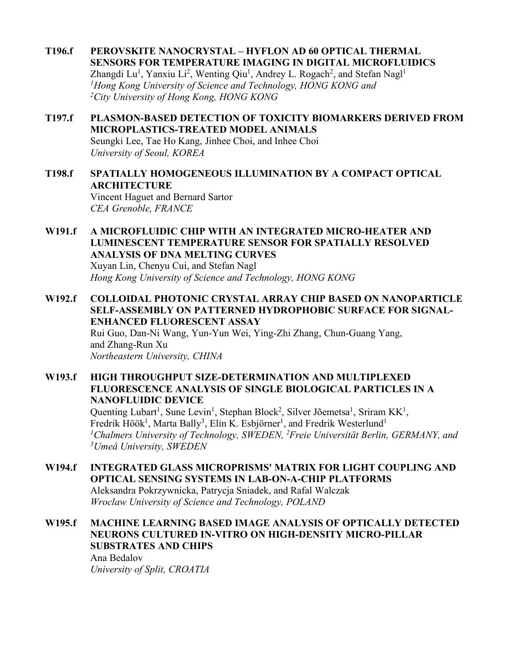- **T196.f PEROVSKITE NANOCRYSTAL – HYFLON AD 60 OPTICAL THERMAL SENSORS FOR TEMPERATURE IMAGING IN DIGITAL MICROFLUIDICS** Zhangdi Lu<sup>1</sup>, Yanxiu Li<sup>2</sup>, Wenting Qiu<sup>1</sup>, Andrey L. Rogach<sup>2</sup>, and Stefan Nagl<sup>1</sup> *1 Hong Kong University of Science and Technology, HONG KONG and 2City University of Hong Kong, HONG KONG*
- **T197.f PLASMON-BASED DETECTION OF TOXICITY BIOMARKERS DERIVED FROM MICROPLASTICS-TREATED MODEL ANIMALS** Seungki Lee, Tae Ho Kang, Jinhee Choi, and Inhee Choi *University of Seoul, KOREA*
- **T198.f SPATIALLY HOMOGENEOUS ILLUMINATION BY A COMPACT OPTICAL ARCHITECTURE** Vincent Haguet and Bernard Sartor *CEA Grenoble, FRANCE*
- **W191.f A MICROFLUIDIC CHIP WITH AN INTEGRATED MICRO-HEATER AND LUMINESCENT TEMPERATURE SENSOR FOR SPATIALLY RESOLVED ANALYSIS OF DNA MELTING CURVES** Xuyan Lin, Chenyu Cui, and Stefan Nagl *Hong Kong University of Science and Technology, HONG KONG*
- **W192.f COLLOIDAL PHOTONIC CRYSTAL ARRAY CHIP BASED ON NANOPARTICLE SELF-ASSEMBLY ON PATTERNED HYDROPHOBIC SURFACE FOR SIGNAL-ENHANCED FLUORESCENT ASSAY**

Rui Guo, Dan-Ni Wang, Yun-Yun Wei, Ying-Zhi Zhang, Chun-Guang Yang, and Zhang-Run Xu *Northeastern University, CHINA*

**W193.f HIGH THROUGHPUT SIZE-DETERMINATION AND MULTIPLEXED FLUORESCENCE ANALYSIS OF SINGLE BIOLOGICAL PARTICLES IN A NANOFLUIDIC DEVICE**

> Quenting Lubart<sup>1</sup>, Sune Levin<sup>1</sup>, Stephan Block<sup>2</sup>, Silver Jõemetsa<sup>1</sup>, Sriram KK<sup>1</sup>, Fredrik Höök<sup>1</sup>, Marta Bally<sup>3</sup>, Elin K. Esbjörner<sup>1</sup>, and Fredrik Westerlund<sup>1</sup> *1Chalmers University of Technology, SWEDEN, 2 Freie Universität Berlin, GERMANY, and 3Umeå University, SWEDEN*

**W194.f INTEGRATED GLASS MICROPRISMS' MATRIX FOR LIGHT COUPLING AND OPTICAL SENSING SYSTEMS IN LAB-ON-A-CHIP PLATFORMS** Aleksandra Pokrzywnicka, Patrycja Sniadek, and Rafal Walczak *Wroclaw University of Science and Technology, POLAND*

**W195.f MACHINE LEARNING BASED IMAGE ANALYSIS OF OPTICALLY DETECTED NEURONS CULTURED IN-VITRO ON HIGH-DENSITY MICRO-PILLAR SUBSTRATES AND CHIPS** Ana Bedalov *University of Split, CROATIA*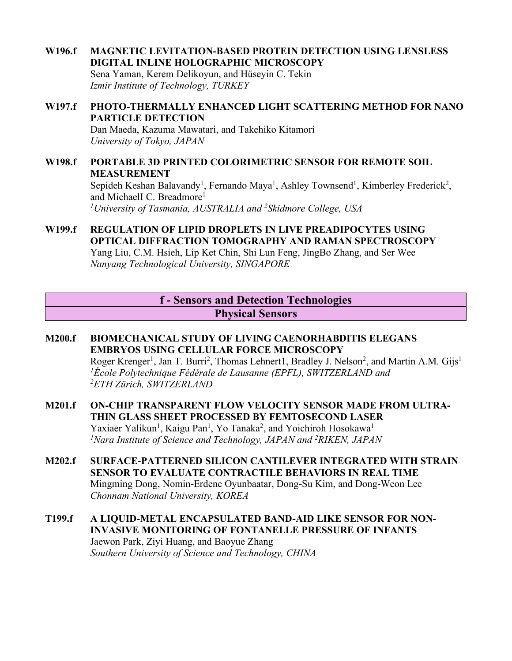**W196.f MAGNETIC LEVITATION-BASED PROTEIN DETECTION USING LENSLESS DIGITAL INLINE HOLOGRAPHIC MICROSCOPY** Sena Yaman, Kerem Delikoyun, and Hüseyin C. Tekin *Izmir Institute of Technology, TURKEY*

#### **W197.f PHOTO-THERMALLY ENHANCED LIGHT SCATTERING METHOD FOR NANO PARTICLE DETECTION** Dan Maeda, Kazuma Mawatari, and Takehiko Kitamori *University of Tokyo, JAPAN*

- **W198.f PORTABLE 3D PRINTED COLORIMETRIC SENSOR FOR REMOTE SOIL MEASUREMENT** Sepideh Keshan Balavandy<sup>1</sup>, Fernando Maya<sup>1</sup>, Ashley Townsend<sup>1</sup>, Kimberley Frederick<sup>2</sup>, and MichaelI C. Breadmore<sup>1</sup> *1University of Tasmania, AUSTRALIA and 2Skidmore College, USA*
- **W199.f REGULATION OF LIPID DROPLETS IN LIVE PREADIPOCYTES USING OPTICAL DIFFRACTION TOMOGRAPHY AND RAMAN SPECTROSCOPY** Yang Liu, C.M. Hsieh, Lip Ket Chin, Shi Lun Feng, JingBo Zhang, and Ser Wee *Nanyang Technological University, SINGAPORE*

## **f - Sensors and Detection Technologies Physical Sensors**

- **M200.f BIOMECHANICAL STUDY OF LIVING CAENORHABDITIS ELEGANS EMBRYOS USING CELLULAR FORCE MICROSCOPY** Roger Krenger<sup>1</sup>, Jan T. Burri<sup>2</sup>, Thomas Lehnert1, Bradley J. Nelson<sup>2</sup>, and Martin A.M. Gijs<sup>1</sup> *1 École Polytechnique Fédérale de Lausanne (EPFL), SWITZERLAND and 2ETH Zürich, SWITZERLAND*
- **M201.f ON-CHIP TRANSPARENT FLOW VELOCITY SENSOR MADE FROM ULTRA-THIN GLASS SHEET PROCESSED BY FEMTOSECOND LASER** Yaxiaer Yalikun<sup>1</sup>, Kaigu Pan<sup>1</sup>, Yo Tanaka<sup>2</sup>, and Yoichiroh Hosokawa<sup>1</sup> *1Nara Institute of Science and Technology, JAPAN and 2 RIKEN, JAPAN*
- **M202.f SURFACE-PATTERNED SILICON CANTILEVER INTEGRATED WITH STRAIN SENSOR TO EVALUATE CONTRACTILE BEHAVIORS IN REAL TIME** Mingming Dong, Nomin-Erdene Oyunbaatar, Dong-Su Kim, and Dong-Weon Lee *Chonnam National University, KOREA*

## **T199.f A LIQUID-METAL ENCAPSULATED BAND-AID LIKE SENSOR FOR NON-INVASIVE MONITORING OF FONTANELLE PRESSURE OF INFANTS** Jaewon Park, Ziyi Huang, and Baoyue Zhang *Southern University of Science and Technology, CHINA*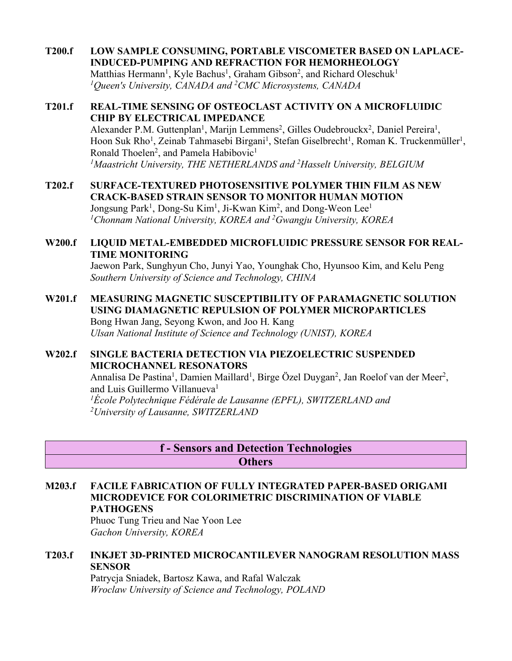**T200.f LOW SAMPLE CONSUMING, PORTABLE VISCOMETER BASED ON LAPLACE-INDUCED-PUMPING AND REFRACTION FOR HEMORHEOLOGY** Matthias Hermann<sup>1</sup>, Kyle Bachus<sup>1</sup>, Graham Gibson<sup>2</sup>, and Richard Oleschuk<sup>1</sup> *1 Queen's University, CANADA and 2 CMC Microsystems, CANADA*

#### **T201.f REAL-TIME SENSING OF OSTEOCLAST ACTIVITY ON A MICROFLUIDIC CHIP BY ELECTRICAL IMPEDANCE** Alexander P.M. Guttenplan<sup>1</sup>, Marijn Lemmens<sup>2</sup>, Gilles Oudebrouckx<sup>2</sup>, Daniel Pereira<sup>1</sup>, Hoon Suk Rho<sup>1</sup>, Zeinab Tahmasebi Birgani<sup>1</sup>, Stefan Giselbrecht<sup>1</sup>, Roman K. Truckenmüller<sup>1</sup>, Ronald Thoelen<sup>2</sup>, and Pamela Habibovic<sup>1</sup> *1Maastricht University, THE NETHERLANDS and 2Hasselt University, BELGIUM*

**T202.f SURFACE-TEXTURED PHOTOSENSITIVE POLYMER THIN FILM AS NEW CRACK-BASED STRAIN SENSOR TO MONITOR HUMAN MOTION** Jongsung Park<sup>1</sup>, Dong-Su Kim<sup>1</sup>, Ji-Kwan Kim<sup>2</sup>, and Dong-Weon Lee<sup>1</sup> *1 Chonnam National University, KOREA and 2 Gwangju University, KOREA*

### **W200.f LIQUID METAL-EMBEDDED MICROFLUIDIC PRESSURE SENSOR FOR REAL-TIME MONITORING**

Jaewon Park, Sunghyun Cho, Junyi Yao, Younghak Cho, Hyunsoo Kim, and Kelu Peng *Southern University of Science and Technology, CHINA*

### **W201.f MEASURING MAGNETIC SUSCEPTIBILITY OF PARAMAGNETIC SOLUTION USING DIAMAGNETIC REPULSION OF POLYMER MICROPARTICLES** Bong Hwan Jang, Seyong Kwon, and Joo H. Kang *Ulsan National Institute of Science and Technology (UNIST), KOREA*

## **W202.f SINGLE BACTERIA DETECTION VIA PIEZOELECTRIC SUSPENDED MICROCHANNEL RESONATORS**

Annalisa De Pastina<sup>1</sup>, Damien Maillard<sup>1</sup>, Birge Özel Duygan<sup>2</sup>, Jan Roelof van der Meer<sup>2</sup>, and Luis Guillermo Villanueva<sup>1</sup> *1 École Polytechnique Fédérale de Lausanne (EPFL), SWITZERLAND and 2University of Lausanne, SWITZERLAND*

## **f - Sensors and Detection Technologies Others**

### **M203.f FACILE FABRICATION OF FULLY INTEGRATED PAPER-BASED ORIGAMI MICRODEVICE FOR COLORIMETRIC DISCRIMINATION OF VIABLE PATHOGENS**

Phuoc Tung Trieu and Nae Yoon Lee *Gachon University, KOREA*

## **T203.f INKJET 3D-PRINTED MICROCANTILEVER NANOGRAM RESOLUTION MASS SENSOR**

Patrycja Sniadek, Bartosz Kawa, and Rafal Walczak *Wroclaw University of Science and Technology, POLAND*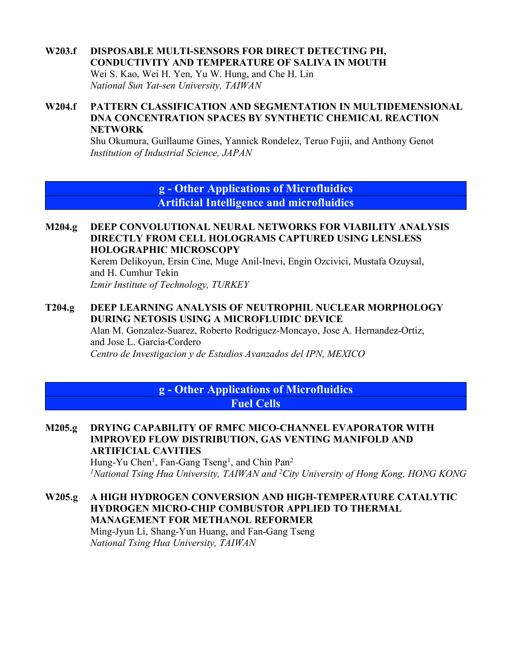# **W203.f DISPOSABLE MULTI-SENSORS FOR DIRECT DETECTING PH, CONDUCTIVITY AND TEMPERATURE OF SALIVA IN MOUTH**

Wei S. Kao, Wei H. Yen, Yu W. Hung, and Che H. Lin *National Sun Yat-sen University, TAIWAN*

### **W204.f PATTERN CLASSIFICATION AND SEGMENTATION IN MULTIDEMENSIONAL DNA CONCENTRATION SPACES BY SYNTHETIC CHEMICAL REACTION NETWORK**

Shu Okumura, Guillaume Gines, Yannick Rondelez, Teruo Fujii, and Anthony Genot *Institution of Industrial Science, JAPAN*

> **g - Other Applications of Microfluidics Artificial Intelligence and microfluidics**

#### **M204.g DEEP CONVOLUTIONAL NEURAL NETWORKS FOR VIABILITY ANALYSIS DIRECTLY FROM CELL HOLOGRAMS CAPTURED USING LENSLESS HOLOGRAPHIC MICROSCOPY**

Kerem Delikoyun, Ersin Cine, Muge Anil-Inevi, Engin Ozcivici, Mustafa Ozuysal, and H. Cumhur Tekin *Izmir Institute of Technology, TURKEY*

### **T204.g DEEP LEARNING ANALYSIS OF NEUTROPHIL NUCLEAR MORPHOLOGY DURING NETOSIS USING A MICROFLUIDIC DEVICE**

Alan M. Gonzalez-Suarez, Roberto Rodriguez-Moncayo, Jose A. Hernandez-Ortiz, and Jose L. Garcia-Cordero *Centro de Investigacion y de Estudios Avanzados del IPN, MEXICO*

# **g - Other Applications of Microfluidics Fuel Cells**

**M205.g DRYING CAPABILITY OF RMFC MICO-CHANNEL EVAPORATOR WITH IMPROVED FLOW DISTRIBUTION, GAS VENTING MANIFOLD AND ARTIFICIAL CAVITIES**

Hung-Yu Chen<sup>1</sup>, Fan-Gang Tseng<sup>1</sup>, and Chin Pan<sup>2</sup> *1National Tsing Hua University, TAIWAN and 2City University of Hong Kong, HONG KONG*

**W205.g A HIGH HYDROGEN CONVERSION AND HIGH-TEMPERATURE CATALYTIC HYDROGEN MICRO-CHIP COMBUSTOR APPLIED TO THERMAL MANAGEMENT FOR METHANOL REFORMER** Ming-Jyun Li, Shang-Yun Huang, and Fan-Gang Tseng

*National Tsing Hua University, TAIWAN*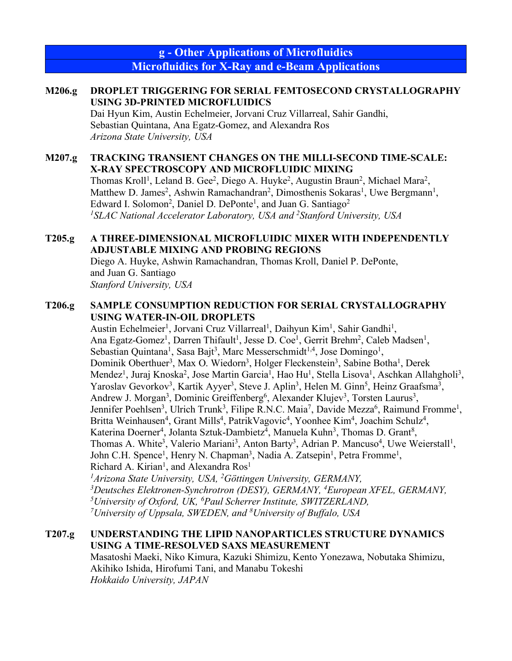**g - Other Applications of Microfluidics Microfluidics for X-Ray and e-Beam Applications**

## **M206.g DROPLET TRIGGERING FOR SERIAL FEMTOSECOND CRYSTALLOGRAPHY USING 3D-PRINTED MICROFLUIDICS**

Dai Hyun Kim, Austin Echelmeier, Jorvani Cruz Villarreal, Sahir Gandhi, Sebastian Quintana, Ana Egatz-Gomez, and Alexandra Ros *Arizona State University, USA*

### **M207.g TRACKING TRANSIENT CHANGES ON THE MILLI-SECOND TIME-SCALE: X-RAY SPECTROSCOPY AND MICROFLUIDIC MIXING**

Thomas Kroll<sup>1</sup>, Leland B. Gee<sup>2</sup>, Diego A. Huyke<sup>2</sup>, Augustin Braun<sup>2</sup>, Michael Mara<sup>2</sup>, Matthew D. James<sup>2</sup>, Ashwin Ramachandran<sup>2</sup>, Dimosthenis Sokaras<sup>1</sup>, Uwe Bergmann<sup>1</sup>, Edward I. Solomon<sup>2</sup>, Daniel D. DePonte<sup>1</sup>, and Juan G. Santiago<sup>2</sup> *1 SLAC National Accelerator Laboratory, USA and 2 Stanford University, USA*

## **T205.g A THREE-DIMENSIONAL MICROFLUIDIC MIXER WITH INDEPENDENTLY ADJUSTABLE MIXING AND PROBING REGIONS**

Diego A. Huyke, Ashwin Ramachandran, Thomas Kroll, Daniel P. DePonte, and Juan G. Santiago *Stanford University, USA*

# **T206.g SAMPLE CONSUMPTION REDUCTION FOR SERIAL CRYSTALLOGRAPHY USING WATER-IN-OIL DROPLETS**

Austin Echelmeier<sup>1</sup>, Jorvani Cruz Villarreal<sup>1</sup>, Daihyun Kim<sup>1</sup>, Sahir Gandhi<sup>1</sup>, Ana Egatz-Gomez<sup>1</sup>, Darren Thifault<sup>1</sup>, Jesse D. Coe<sup>1</sup>, Gerrit Brehm<sup>2</sup>, Caleb Madsen<sup>1</sup>, Sebastian Quintana<sup>1</sup>, Sasa Bajt<sup>3</sup>, Marc Messerschmidt<sup>1,4</sup>, Jose Domingo<sup>1</sup>, Dominik Oberthuer<sup>3</sup>, Max O. Wiedorn<sup>3</sup>, Holger Fleckenstein<sup>3</sup>, Sabine Botha<sup>1</sup>, Derek Mendez<sup>1</sup>, Juraj Knoska<sup>2</sup>, Jose Martin Garcia<sup>1</sup>, Hao Hu<sup>1</sup>, Stella Lisova<sup>1</sup>, Aschkan Allahgholi<sup>3</sup>, Yaroslav Gevorkov<sup>3</sup>, Kartik Ayyer<sup>3</sup>, Steve J. Aplin<sup>3</sup>, Helen M. Ginn<sup>5</sup>, Heinz Graafsma<sup>3</sup>, Andrew J. Morgan<sup>3</sup>, Dominic Greiffenberg<sup>6</sup>, Alexander Klujev<sup>3</sup>, Torsten Laurus<sup>3</sup>, Jennifer Poehlsen<sup>3</sup>, Ulrich Trunk<sup>3</sup>, Filipe R.N.C. Maia<sup>7</sup>, Davide Mezza<sup>6</sup>, Raimund Fromme<sup>1</sup>, Britta Weinhausen<sup>4</sup>, Grant Mills<sup>4</sup>, PatrikVagovic<sup>4</sup>, Yoonhee Kim<sup>4</sup>, Joachim Schulz<sup>4</sup>, Katerina Doerner<sup>4</sup>, Jolanta Sztuk-Dambietz<sup>4</sup>, Manuela Kuhn<sup>3</sup>, Thomas D. Grant<sup>8</sup>, Thomas A. White<sup>3</sup>, Valerio Mariani<sup>3</sup>, Anton Barty<sup>3</sup>, Adrian P. Mancuso<sup>4</sup>, Uwe Weierstall<sup>1</sup>, John C.H. Spence<sup>1</sup>, Henry N. Chapman<sup>3</sup>, Nadia A. Zatsepin<sup>1</sup>, Petra Fromme<sup>1</sup>, Richard A. Kirian<sup>1</sup>, and Alexandra  $Ros<sup>1</sup>$ 

<sup>1</sup> Arizona State University, USA, <sup>2</sup>Göttingen University, GERMANY, *3 Deutsches Elektronen-Synchrotron (DESY), GERMANY, 4 European XFEL, GERMANY, 5University of Oxford, UK, 6 Paul Scherrer Institute, SWITZERLAND, 7 University of Uppsala, SWEDEN, and 8 University of Buffalo, USA*

# **T207.g UNDERSTANDING THE LIPID NANOPARTICLES STRUCTURE DYNAMICS USING A TIME-RESOLVED SAXS MEASUREMENT**

Masatoshi Maeki, Niko Kimura, Kazuki Shimizu, Kento Yonezawa, Nobutaka Shimizu, Akihiko Ishida, Hirofumi Tani, and Manabu Tokeshi *Hokkaido University, JAPAN*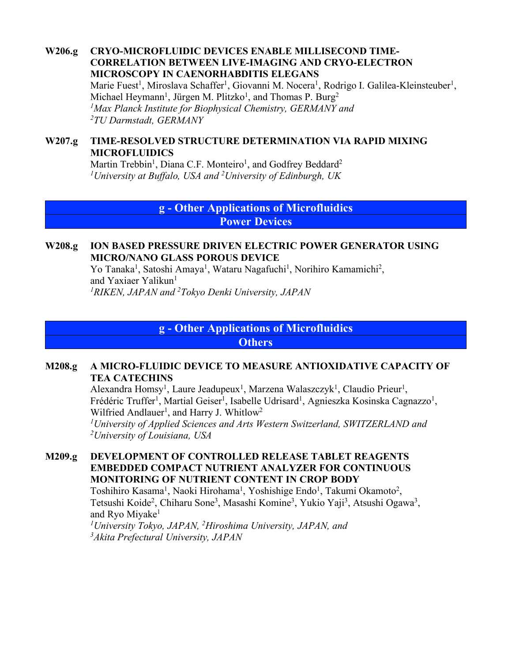**W206.g CRYO-MICROFLUIDIC DEVICES ENABLE MILLISECOND TIME-CORRELATION BETWEEN LIVE-IMAGING AND CRYO-ELECTRON MICROSCOPY IN CAENORHABDITIS ELEGANS** Marie Fuest<sup>1</sup>, Miroslava Schaffer<sup>1</sup>, Giovanni M. Nocera<sup>1</sup>, Rodrigo I. Galilea-Kleinsteuber<sup>1</sup>, Michael Heymann<sup>1</sup>, Jürgen M. Plitzko<sup>1</sup>, and Thomas P. Burg<sup>2</sup>

*1Max Planck Institute for Biophysical Chemistry, GERMANY and 2TU Darmstadt, GERMANY*

## **W207.g TIME-RESOLVED STRUCTURE DETERMINATION VIA RAPID MIXING MICROFLUIDICS**

Martin Trebbin<sup>1</sup>, Diana C.F. Monteiro<sup>1</sup>, and Godfrey Beddard<sup>2</sup> *1University at Buffalo, USA and 2 University of Edinburgh, UK*

> **g - Other Applications of Microfluidics Power Devices**

### **W208.g ION BASED PRESSURE DRIVEN ELECTRIC POWER GENERATOR USING MICRO/NANO GLASS POROUS DEVICE**

Yo Tanaka<sup>1</sup>, Satoshi Amaya<sup>1</sup>, Wataru Nagafuchi<sup>1</sup>, Norihiro Kamamichi<sup>2</sup>, and Yaxiaer Yalikun<sup>1</sup> *1RIKEN, JAPAN and 2Tokyo Denki University, JAPAN*

**g - Other Applications of Microfluidics**

**Others**

### **M208.g A MICRO-FLUIDIC DEVICE TO MEASURE ANTIOXIDATIVE CAPACITY OF TEA CATECHINS**

Alexandra Homsy<sup>1</sup>, Laure Jeadupeux<sup>1</sup>, Marzena Walaszczyk<sup>1</sup>, Claudio Prieur<sup>1</sup>, Frédéric Truffer<sup>1</sup>, Martial Geiser<sup>1</sup>, Isabelle Udrisard<sup>1</sup>, Agnieszka Kosinska Cagnazzo<sup>1</sup>, Wilfried Andlauer<sup>1</sup>, and Harry J. Whitlow<sup>2</sup>

*1 University of Applied Sciences and Arts Western Switzerland, SWITZERLAND and 2 University of Louisiana, USA*

### **M209.g DEVELOPMENT OF CONTROLLED RELEASE TABLET REAGENTS EMBEDDED COMPACT NUTRIENT ANALYZER FOR CONTINUOUS MONITORING OF NUTRIENT CONTENT IN CROP BODY**

Toshihiro Kasama<sup>1</sup>, Naoki Hirohama<sup>1</sup>, Yoshishige Endo<sup>1</sup>, Takumi Okamoto<sup>2</sup>, Tetsushi Koide<sup>2</sup>, Chiharu Sone<sup>3</sup>, Masashi Komine<sup>3</sup>, Yukio Yaji<sup>3</sup>, Atsushi Ogawa<sup>3</sup>, and Ryo Miyake<sup>1</sup>

*1University Tokyo, JAPAN, 2Hiroshima University, JAPAN, and 3Akita Prefectural University, JAPAN*